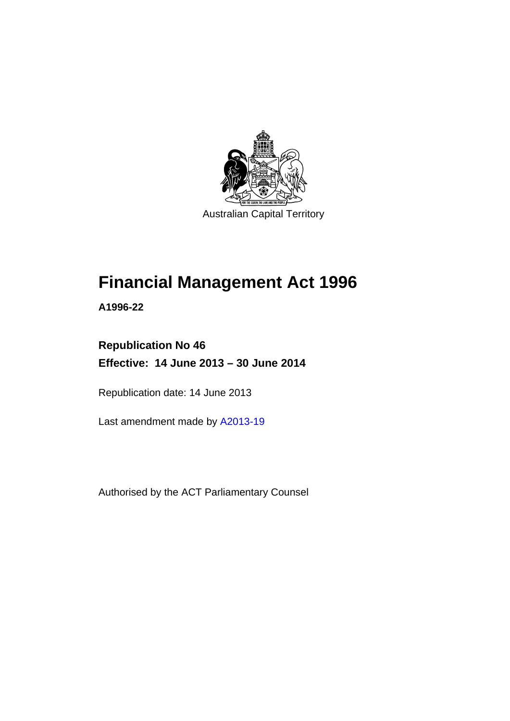

Australian Capital Territory

# **Financial Management Act 1996**

**A1996-22** 

# **Republication No 46 Effective: 14 June 2013 – 30 June 2014**

Republication date: 14 June 2013

Last amendment made by [A2013-19](http://www.legislation.act.gov.au/a/2013-19/default.asp)

Authorised by the ACT Parliamentary Counsel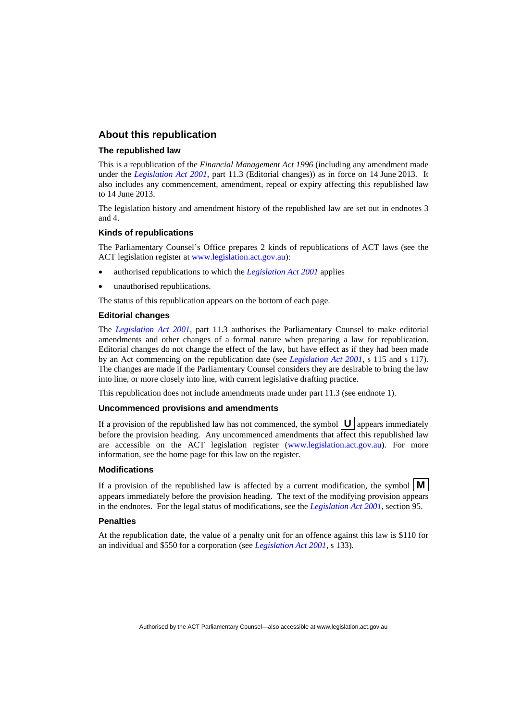#### **About this republication**

#### **The republished law**

This is a republication of the *Financial Management Act 1996* (including any amendment made under the *[Legislation Act 2001](http://www.legislation.act.gov.au/a/2001-14)*, part 11.3 (Editorial changes)) as in force on 14 June 2013*.* It also includes any commencement, amendment, repeal or expiry affecting this republished law to 14 June 2013.

The legislation history and amendment history of the republished law are set out in endnotes 3 and 4.

#### **Kinds of republications**

The Parliamentary Counsel's Office prepares 2 kinds of republications of ACT laws (see the ACT legislation register at [www.legislation.act.gov.au](http://www.legislation.act.gov.au/)):

- authorised republications to which the *[Legislation Act 2001](http://www.legislation.act.gov.au/a/2001-14)* applies
- unauthorised republications.

The status of this republication appears on the bottom of each page.

#### **Editorial changes**

The *[Legislation Act 2001](http://www.legislation.act.gov.au/a/2001-14)*, part 11.3 authorises the Parliamentary Counsel to make editorial amendments and other changes of a formal nature when preparing a law for republication. Editorial changes do not change the effect of the law, but have effect as if they had been made by an Act commencing on the republication date (see *[Legislation Act 2001](http://www.legislation.act.gov.au/a/2001-14)*, s 115 and s 117). The changes are made if the Parliamentary Counsel considers they are desirable to bring the law into line, or more closely into line, with current legislative drafting practice.

This republication does not include amendments made under part 11.3 (see endnote 1).

#### **Uncommenced provisions and amendments**

If a provision of the republished law has not commenced, the symbol  $\mathbf{U}$  appears immediately before the provision heading. Any uncommenced amendments that affect this republished law are accessible on the ACT legislation register [\(www.legislation.act.gov.au\)](http://www.legislation.act.gov.au/). For more information, see the home page for this law on the register.

#### **Modifications**

If a provision of the republished law is affected by a current modification, the symbol  $\mathbf{M}$ appears immediately before the provision heading. The text of the modifying provision appears in the endnotes. For the legal status of modifications, see the *[Legislation Act 2001](http://www.legislation.act.gov.au/a/2001-14)*, section 95.

#### **Penalties**

At the republication date, the value of a penalty unit for an offence against this law is \$110 for an individual and \$550 for a corporation (see *[Legislation Act 2001](http://www.legislation.act.gov.au/a/2001-14)*, s 133).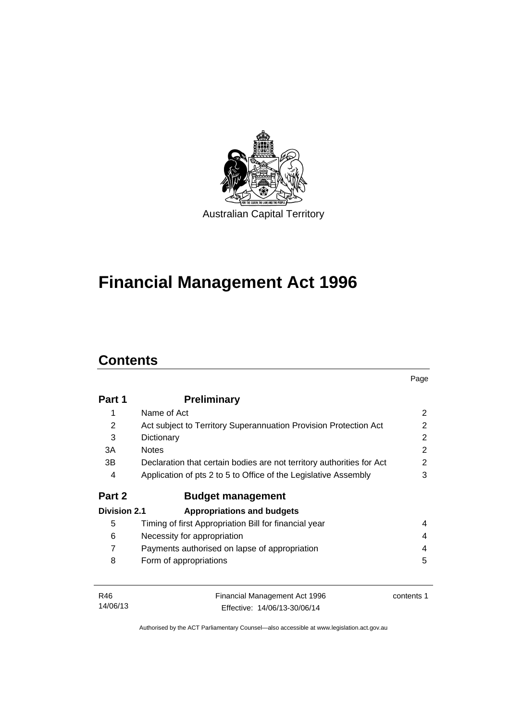

# **Financial Management Act 1996**

# **Contents**

14/06/13

|                     |                                                                       | Page           |
|---------------------|-----------------------------------------------------------------------|----------------|
| Part 1              | <b>Preliminary</b>                                                    |                |
| 1                   | Name of Act                                                           | 2              |
| 2                   | Act subject to Territory Superannuation Provision Protection Act      | $\mathbf{2}$   |
| 3                   | Dictionary                                                            | 2              |
| 3A                  | <b>Notes</b>                                                          | $\mathfrak{p}$ |
| 3B                  | Declaration that certain bodies are not territory authorities for Act | $\mathbf{2}$   |
| 4                   | Application of pts 2 to 5 to Office of the Legislative Assembly       | 3              |
| Part 2              | <b>Budget management</b>                                              |                |
| <b>Division 2.1</b> | <b>Appropriations and budgets</b>                                     |                |
| 5                   | Timing of first Appropriation Bill for financial year                 | 4              |
| 6                   | Necessity for appropriation                                           | 4              |
| $\overline{7}$      | Payments authorised on lapse of appropriation                         | 4              |
| 8                   | Form of appropriations                                                | 5              |
| R46                 | Financial Management Act 1996                                         | contents 1     |

Authorised by the ACT Parliamentary Counsel—also accessible at www.legislation.act.gov.au

Effective: 14/06/13-30/06/14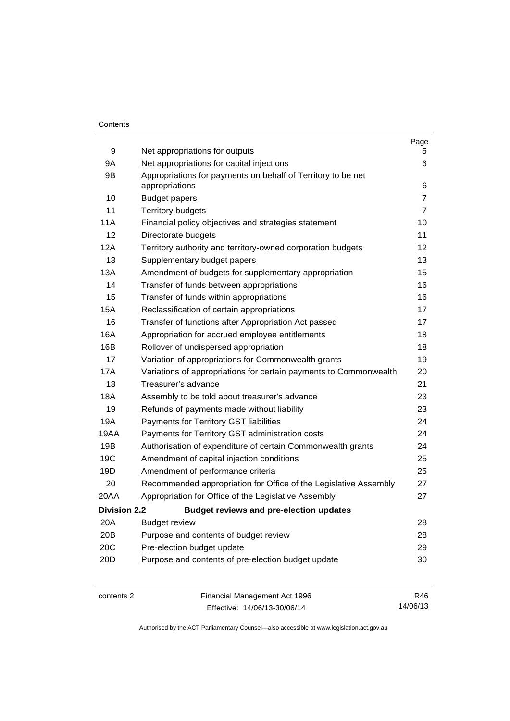#### **Contents**

| 9                   | Net appropriations for outputs                                    | Page<br>5      |
|---------------------|-------------------------------------------------------------------|----------------|
| 9A                  | Net appropriations for capital injections                         | 6              |
| 9B                  | Appropriations for payments on behalf of Territory to be net      |                |
|                     | appropriations                                                    | 6              |
| 10                  | <b>Budget papers</b>                                              | $\overline{7}$ |
| 11                  | <b>Territory budgets</b>                                          | $\overline{7}$ |
| 11A                 | Financial policy objectives and strategies statement              | 10             |
| 12                  | Directorate budgets                                               | 11             |
| 12A                 | Territory authority and territory-owned corporation budgets       | 12             |
| 13                  | Supplementary budget papers                                       | 13             |
| 13A                 | Amendment of budgets for supplementary appropriation              | 15             |
| 14                  | Transfer of funds between appropriations                          | 16             |
| 15                  | Transfer of funds within appropriations                           | 16             |
| 15A                 | Reclassification of certain appropriations                        | 17             |
| 16                  | Transfer of functions after Appropriation Act passed              | 17             |
| 16A                 | Appropriation for accrued employee entitlements                   | 18             |
| 16B                 | Rollover of undispersed appropriation                             | 18             |
| 17                  | Variation of appropriations for Commonwealth grants               | 19             |
| 17A                 | Variations of appropriations for certain payments to Commonwealth | 20             |
| 18                  | Treasurer's advance                                               | 21             |
| 18A                 | Assembly to be told about treasurer's advance                     | 23             |
| 19                  | Refunds of payments made without liability                        | 23             |
| 19A                 | Payments for Territory GST liabilities                            | 24             |
| 19AA                | Payments for Territory GST administration costs                   | 24             |
| 19B                 | Authorisation of expenditure of certain Commonwealth grants       | 24             |
| 19C                 | Amendment of capital injection conditions                         | 25             |
| 19D                 | Amendment of performance criteria                                 | 25             |
| 20                  | Recommended appropriation for Office of the Legislative Assembly  | 27             |
| 20AA                | Appropriation for Office of the Legislative Assembly              | 27             |
| <b>Division 2.2</b> | <b>Budget reviews and pre-election updates</b>                    |                |
| 20A                 | <b>Budget review</b>                                              | 28             |
| 20 <sub>B</sub>     | Purpose and contents of budget review                             | 28             |
| 20C                 | Pre-election budget update                                        | 29             |
| 20D                 | Purpose and contents of pre-election budget update                | 30             |
|                     |                                                                   |                |
|                     |                                                                   |                |

contents 2 Financial Management Act 1996 Effective: 14/06/13-30/06/14

R46 14/06/13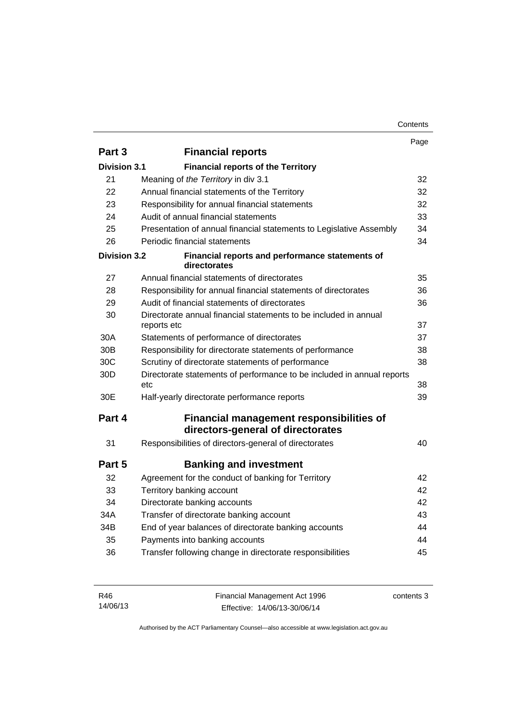|                     |                                                                                      | Page |
|---------------------|--------------------------------------------------------------------------------------|------|
| Part 3              | <b>Financial reports</b>                                                             |      |
| Division 3.1        | <b>Financial reports of the Territory</b>                                            |      |
| 21                  | Meaning of the Territory in div 3.1                                                  | 32   |
| 22                  | Annual financial statements of the Territory                                         | 32   |
| 23                  | Responsibility for annual financial statements                                       | 32   |
| 24                  | Audit of annual financial statements                                                 | 33   |
| 25                  | Presentation of annual financial statements to Legislative Assembly                  | 34   |
| 26                  | Periodic financial statements                                                        | 34   |
| <b>Division 3.2</b> | Financial reports and performance statements of<br>directorates                      |      |
| 27                  | Annual financial statements of directorates                                          | 35   |
| 28                  | Responsibility for annual financial statements of directorates                       | 36   |
| 29                  | Audit of financial statements of directorates                                        | 36   |
| 30                  | Directorate annual financial statements to be included in annual<br>reports etc      | 37   |
| 30A                 | Statements of performance of directorates                                            | 37   |
| 30 <sub>B</sub>     | Responsibility for directorate statements of performance                             | 38   |
| 30C                 | Scrutiny of directorate statements of performance                                    | 38   |
| 30D                 | Directorate statements of performance to be included in annual reports<br>etc        | 38   |
| 30E                 | Half-yearly directorate performance reports                                          | 39   |
| Part 4              | <b>Financial management responsibilities of</b><br>directors-general of directorates |      |
| 31                  | Responsibilities of directors-general of directorates                                | 40   |
| Part 5              | <b>Banking and investment</b>                                                        |      |
| 32                  | Agreement for the conduct of banking for Territory                                   | 42   |
| 33                  | Territory banking account                                                            | 42   |
| 34                  | Directorate banking accounts                                                         | 42   |
| 34A                 | Transfer of directorate banking account                                              | 43   |
| 34B                 | End of year balances of directorate banking accounts                                 | 44   |
| 35                  | Payments into banking accounts                                                       | 44   |
| 36                  | Transfer following change in directorate responsibilities                            | 45   |
|                     |                                                                                      |      |

| R46      | Financial Management Act 1996 | contents 3 |
|----------|-------------------------------|------------|
| 14/06/13 | Effective: 14/06/13-30/06/14  |            |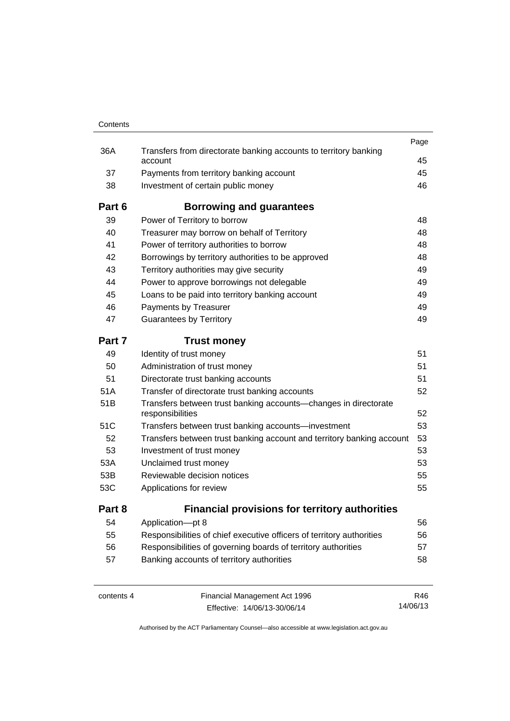| Contents |                                                                                     |      |
|----------|-------------------------------------------------------------------------------------|------|
|          |                                                                                     | Page |
| 36A      | Transfers from directorate banking accounts to territory banking<br>account         | 45   |
| 37       | Payments from territory banking account                                             | 45   |
| 38       | Investment of certain public money                                                  | 46   |
| Part 6   | Borrowing and guarantees                                                            |      |
| 39       | Power of Territory to borrow                                                        | 48   |
| 40       | Treasurer may borrow on behalf of Territory                                         | 48   |
| 41       | Power of territory authorities to borrow                                            | 48   |
| 42       | Borrowings by territory authorities to be approved                                  | 48   |
| 43       | Territory authorities may give security                                             | 49   |
| 44       | Power to approve borrowings not delegable                                           | 49   |
| 45       | Loans to be paid into territory banking account                                     | 49   |
| 46       | Payments by Treasurer                                                               | 49   |
| 47       | <b>Guarantees by Territory</b>                                                      | 49   |
| Part 7   | <b>Trust money</b>                                                                  |      |
| 49       | Identity of trust money                                                             | 51   |
| 50       | Administration of trust money                                                       | 51   |
| 51       | Directorate trust banking accounts                                                  | 51   |
| 51A      | Transfer of directorate trust banking accounts                                      | 52   |
| 51B      | Transfers between trust banking accounts-changes in directorate<br>responsibilities | 52   |
| 51C      | Transfers between trust banking accounts-investment                                 | 53   |
| 52       | Transfers between trust banking account and territory banking account               | 53   |
| 53       | Investment of trust money                                                           | 53   |
| 53A      | Unclaimed trust money                                                               | 53   |
| 53B      | Reviewable decision notices                                                         | 55   |
| 53C      | Applications for review                                                             | 55   |
|          | <b>Financial provisions for territory authorities</b>                               |      |
| Part 8   |                                                                                     |      |
| 54       | Application-pt 8                                                                    | 56   |
| 55       | Responsibilities of chief executive officers of territory authorities               | 56   |
| 56       | Responsibilities of governing boards of territory authorities                       | 57   |

contents 4 Financial Management Act 1996 Effective: 14/06/13-30/06/14

R46 14/06/13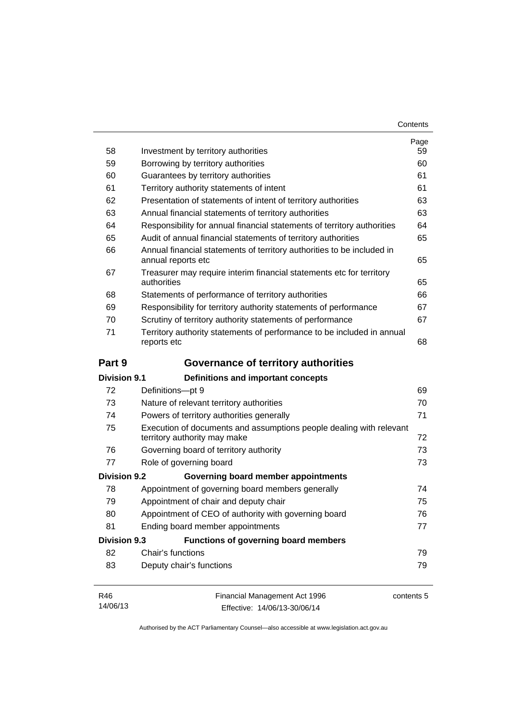| Contents |
|----------|
|----------|

| 58                                        | Investment by territory authorities                                                                 | Page<br>59 |
|-------------------------------------------|-----------------------------------------------------------------------------------------------------|------------|
| 59                                        | Borrowing by territory authorities                                                                  | 60         |
| 60<br>Guarantees by territory authorities |                                                                                                     | 61         |
| 61                                        | Territory authority statements of intent                                                            | 61         |
| 62                                        | Presentation of statements of intent of territory authorities                                       | 63         |
| 63                                        | Annual financial statements of territory authorities                                                | 63         |
| 64                                        | Responsibility for annual financial statements of territory authorities                             | 64         |
| 65                                        | Audit of annual financial statements of territory authorities                                       | 65         |
| 66                                        | Annual financial statements of territory authorities to be included in<br>annual reports etc        | 65         |
| 67                                        | Treasurer may require interim financial statements etc for territory<br>authorities                 | 65         |
| 68                                        | Statements of performance of territory authorities                                                  | 66         |
| 69                                        | Responsibility for territory authority statements of performance                                    | 67         |
| 70                                        | Scrutiny of territory authority statements of performance                                           | 67         |
| 71                                        | Territory authority statements of performance to be included in annual<br>reports etc               | 68         |
| Part 9                                    | Governance of territory authorities                                                                 |            |
| <b>Division 9.1</b>                       | <b>Definitions and important concepts</b>                                                           |            |
| 72                                        | Definitions-pt 9                                                                                    | 69         |
| 73                                        | Nature of relevant territory authorities                                                            | 70         |
| 74                                        | Powers of territory authorities generally                                                           | 71         |
| 75                                        | Execution of documents and assumptions people dealing with relevant<br>territory authority may make | 72         |
| 76                                        | Governing board of territory authority                                                              | 73         |
| 77                                        | Role of governing board                                                                             | 73         |
| <b>Division 9.2</b>                       | Governing board member appointments                                                                 |            |
| 78                                        | Appointment of governing board members generally                                                    | 74         |
| 79                                        | Appointment of chair and deputy chair                                                               | 75         |
| 80                                        | Appointment of CEO of authority with governing board                                                | 76         |
| 81                                        | Ending board member appointments                                                                    | 77         |
| <b>Division 9.3</b>                       | <b>Functions of governing board members</b>                                                         |            |
| 82                                        | Chair's functions                                                                                   | 79         |
| 83                                        | Deputy chair's functions                                                                            | 79         |
| R46<br>14/06/13                           | Financial Management Act 1996<br>Effective: 14/06/13-30/06/14                                       | contents 5 |

Effective: 14/06/13-30/06/14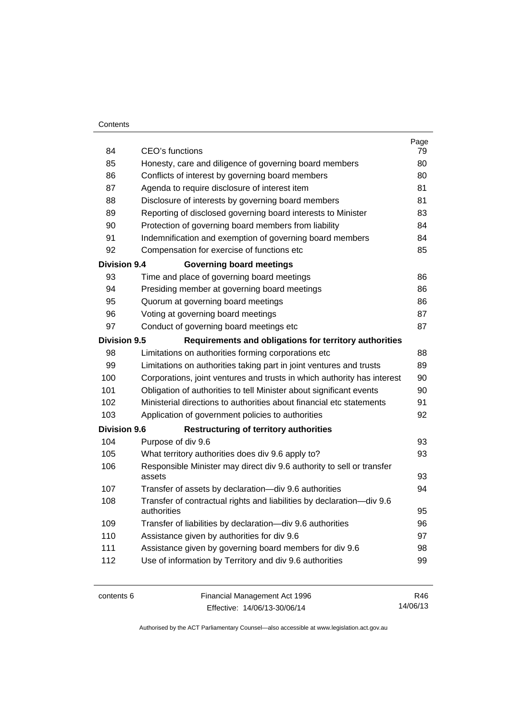#### **Contents**

| 84                                                                            | CEO's functions                                                                      | Page<br>79 |  |
|-------------------------------------------------------------------------------|--------------------------------------------------------------------------------------|------------|--|
| 85                                                                            | Honesty, care and diligence of governing board members                               | 80         |  |
| 86                                                                            | Conflicts of interest by governing board members                                     |            |  |
| 87                                                                            | Agenda to require disclosure of interest item                                        |            |  |
| 88                                                                            | Disclosure of interests by governing board members                                   | 81<br>81   |  |
| 89                                                                            | Reporting of disclosed governing board interests to Minister                         | 83         |  |
| 90                                                                            | Protection of governing board members from liability                                 | 84         |  |
| 91                                                                            | Indemnification and exemption of governing board members                             | 84         |  |
| 92                                                                            | Compensation for exercise of functions etc                                           | 85         |  |
| <b>Division 9.4</b>                                                           | <b>Governing board meetings</b>                                                      |            |  |
| 93                                                                            | Time and place of governing board meetings                                           | 86         |  |
| 94                                                                            | Presiding member at governing board meetings                                         | 86         |  |
| 95                                                                            | Quorum at governing board meetings                                                   | 86         |  |
| 96                                                                            | Voting at governing board meetings                                                   | 87         |  |
| 97                                                                            | Conduct of governing board meetings etc                                              | 87         |  |
| <b>Division 9.5</b><br>Requirements and obligations for territory authorities |                                                                                      |            |  |
| 98                                                                            | Limitations on authorities forming corporations etc                                  | 88         |  |
| 99                                                                            | Limitations on authorities taking part in joint ventures and trusts                  | 89         |  |
| 100                                                                           | Corporations, joint ventures and trusts in which authority has interest              | 90         |  |
| 101                                                                           | Obligation of authorities to tell Minister about significant events                  | 90         |  |
| 102                                                                           | Ministerial directions to authorities about financial etc statements                 | 91         |  |
| 103                                                                           | Application of government policies to authorities                                    | 92         |  |
| <b>Division 9.6</b>                                                           | <b>Restructuring of territory authorities</b>                                        |            |  |
| 104                                                                           | Purpose of div 9.6                                                                   | 93         |  |
| 105                                                                           | What territory authorities does div 9.6 apply to?                                    | 93         |  |
| 106                                                                           | Responsible Minister may direct div 9.6 authority to sell or transfer                |            |  |
|                                                                               | assets                                                                               | 93         |  |
| 107                                                                           | Transfer of assets by declaration-div 9.6 authorities                                | 94         |  |
| 108                                                                           | Transfer of contractual rights and liabilities by declaration-div 9.6<br>authorities | 95         |  |
| 109                                                                           | Transfer of liabilities by declaration-div 9.6 authorities                           | 96         |  |
| 110                                                                           | Assistance given by authorities for div 9.6                                          | 97         |  |
| 111                                                                           | Assistance given by governing board members for div 9.6                              | 98         |  |
| 112                                                                           | Use of information by Territory and div 9.6 authorities                              | 99         |  |
|                                                                               |                                                                                      |            |  |
|                                                                               |                                                                                      |            |  |

contents 6 Financial Management Act 1996 Effective: 14/06/13-30/06/14

R46 14/06/13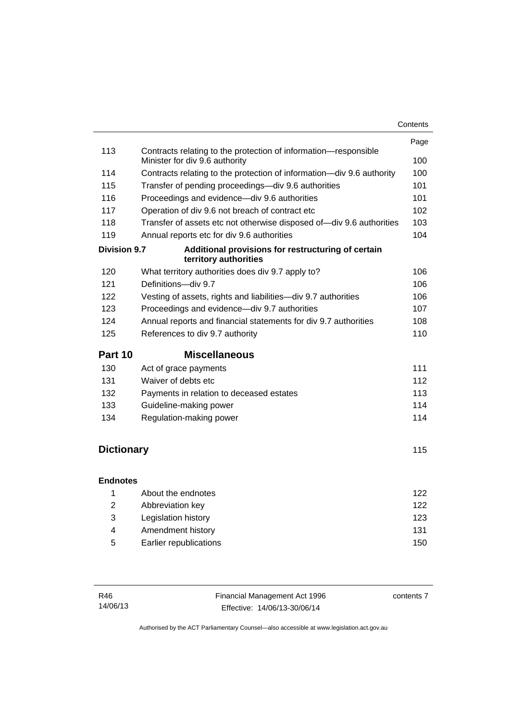|                     |                                                                                                   | Page |
|---------------------|---------------------------------------------------------------------------------------------------|------|
| 113                 | Contracts relating to the protection of information-responsible<br>Minister for div 9.6 authority | 100  |
| 114                 | Contracts relating to the protection of information-div 9.6 authority                             | 100  |
| 115                 | Transfer of pending proceedings-div 9.6 authorities                                               | 101  |
| 116                 | Proceedings and evidence-div 9.6 authorities                                                      | 101  |
| 117                 | Operation of div 9.6 not breach of contract etc                                                   | 102  |
| 118                 | Transfer of assets etc not otherwise disposed of-div 9.6 authorities                              | 103  |
| 119                 | Annual reports etc for div 9.6 authorities                                                        | 104  |
| <b>Division 9.7</b> | Additional provisions for restructuring of certain<br>territory authorities                       |      |
| 120                 | What territory authorities does div 9.7 apply to?                                                 | 106  |
| 121                 | Definitions-div 9.7                                                                               | 106  |
| 122                 | Vesting of assets, rights and liabilities-div 9.7 authorities                                     | 106  |
| 123                 | Proceedings and evidence-div 9.7 authorities                                                      | 107  |
| 124                 | Annual reports and financial statements for div 9.7 authorities                                   | 108  |
| 125                 | References to div 9.7 authority                                                                   | 110  |
| Part 10             | <b>Miscellaneous</b>                                                                              |      |
| 130                 | Act of grace payments                                                                             | 111  |
| 131                 | Waiver of debts etc                                                                               | 112  |
| 132                 | Payments in relation to deceased estates                                                          | 113  |
| 133                 | Guideline-making power                                                                            | 114  |
| 134                 | Regulation-making power                                                                           | 114  |
|                     |                                                                                                   |      |
| <b>Dictionary</b>   |                                                                                                   | 115  |
|                     |                                                                                                   |      |
| <b>Endnotes</b>     |                                                                                                   |      |
| 1                   | About the endnotes                                                                                | 122  |
| $\overline{2}$      | Abbreviation key                                                                                  | 122  |
| 3                   | Legislation history                                                                               | 123  |
| 4                   | Amendment history                                                                                 | 131  |
| 5                   | Earlier republications                                                                            | 150  |

| R46      | Financial Management Act 1996 | contents 7 |
|----------|-------------------------------|------------|
| 14/06/13 | Effective: 14/06/13-30/06/14  |            |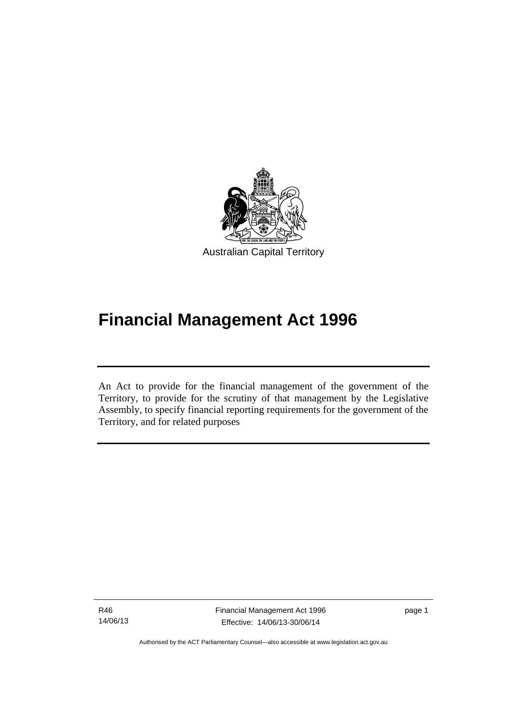

# **Financial Management Act 1996**

An Act to provide for the financial management of the government of the Territory, to provide for the scrutiny of that management by the Legislative Assembly, to specify financial reporting requirements for the government of the Territory, and for related purposes

R46 14/06/13

l

Financial Management Act 1996 Effective: 14/06/13-30/06/14

page 1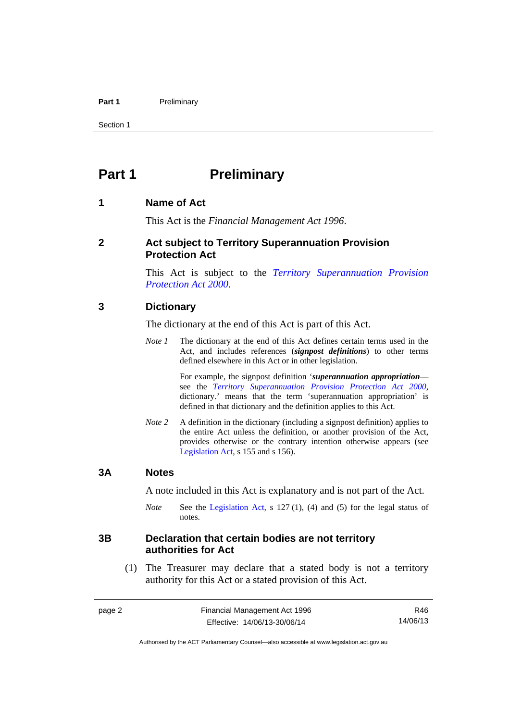#### Part 1 **Preliminary**

Section 1

# <span id="page-11-0"></span>**Part 1** Preliminary

#### <span id="page-11-1"></span>**1 Name of Act**

This Act is the *Financial Management Act 1996*.

#### <span id="page-11-2"></span>**2 Act subject to Territory Superannuation Provision Protection Act**

This Act is subject to the *[Territory Superannuation Provision](http://www.legislation.act.gov.au/a/2000-21)  [Protection Act 2000](http://www.legislation.act.gov.au/a/2000-21)*.

#### <span id="page-11-3"></span>**3 Dictionary**

The dictionary at the end of this Act is part of this Act.

*Note 1* The dictionary at the end of this Act defines certain terms used in the Act, and includes references (*signpost definitions*) to other terms defined elsewhere in this Act or in other legislation.

> For example, the signpost definition '*superannuation appropriation* see the *[Territory Superannuation Provision Protection Act 2000](http://www.legislation.act.gov.au/a/2000-21)*, dictionary.' means that the term 'superannuation appropriation' is defined in that dictionary and the definition applies to this Act.

*Note* 2 A definition in the dictionary (including a signpost definition) applies to the entire Act unless the definition, or another provision of the Act, provides otherwise or the contrary intention otherwise appears (see [Legislation Act,](http://www.legislation.act.gov.au/a/2001-14) s 155 and s 156).

#### <span id="page-11-4"></span>**3A Notes**

A note included in this Act is explanatory and is not part of the Act.

*Note* See the [Legislation Act,](http://www.legislation.act.gov.au/a/2001-14) s 127 (1), (4) and (5) for the legal status of notes.

#### <span id="page-11-5"></span>**3B Declaration that certain bodies are not territory authorities for Act**

 (1) The Treasurer may declare that a stated body is not a territory authority for this Act or a stated provision of this Act.

R46 14/06/13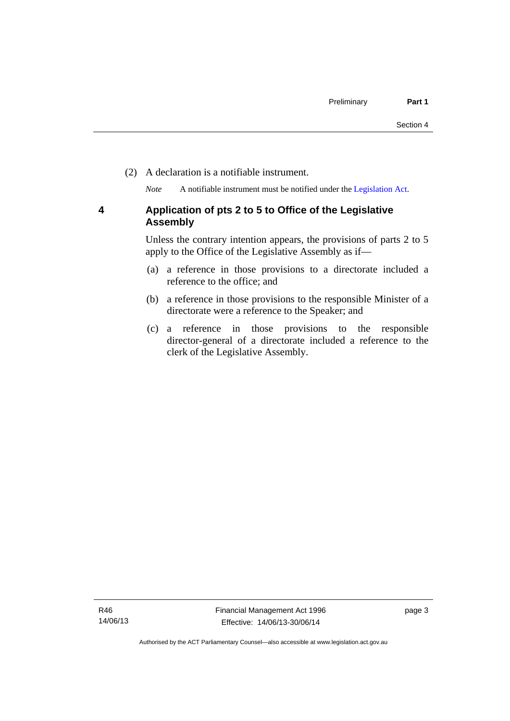(2) A declaration is a notifiable instrument.

*Note* A notifiable instrument must be notified under the [Legislation Act](http://www.legislation.act.gov.au/a/2001-14).

#### <span id="page-12-0"></span>**4 Application of pts 2 to 5 to Office of the Legislative Assembly**

Unless the contrary intention appears, the provisions of parts 2 to 5 apply to the Office of the Legislative Assembly as if—

- (a) a reference in those provisions to a directorate included a reference to the office; and
- (b) a reference in those provisions to the responsible Minister of a directorate were a reference to the Speaker; and
- (c) a reference in those provisions to the responsible director-general of a directorate included a reference to the clerk of the Legislative Assembly.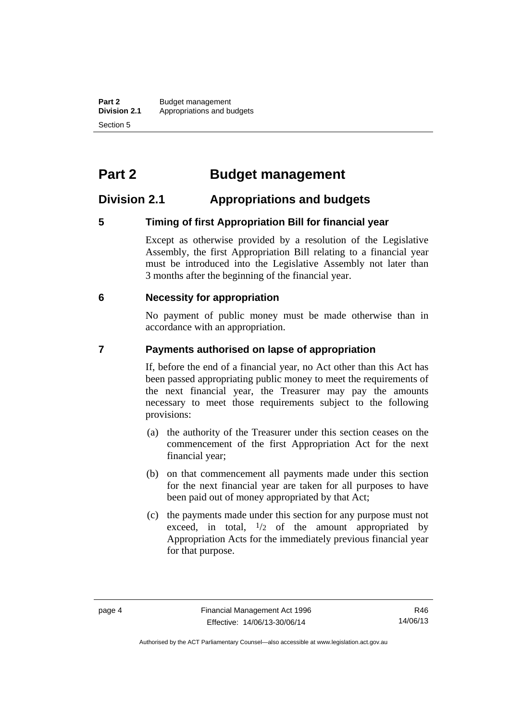# <span id="page-13-0"></span>**Part 2 Budget management**

# <span id="page-13-1"></span>**Division 2.1 Appropriations and budgets**

## <span id="page-13-2"></span>**5 Timing of first Appropriation Bill for financial year**

Except as otherwise provided by a resolution of the Legislative Assembly, the first Appropriation Bill relating to a financial year must be introduced into the Legislative Assembly not later than 3 months after the beginning of the financial year.

#### <span id="page-13-3"></span> **6 Necessity for appropriation**

No payment of public money must be made otherwise than in accordance with an appropriation.

#### <span id="page-13-4"></span>**7 Payments authorised on lapse of appropriation**

If, before the end of a financial year, no Act other than this Act has been passed appropriating public money to meet the requirements of the next financial year, the Treasurer may pay the amounts necessary to meet those requirements subject to the following provisions:

- (a) the authority of the Treasurer under this section ceases on the commencement of the first Appropriation Act for the next financial year;
- (b) on that commencement all payments made under this section for the next financial year are taken for all purposes to have been paid out of money appropriated by that Act;
- (c) the payments made under this section for any purpose must not exceed, in total,  $\frac{1}{2}$  of the amount appropriated by Appropriation Acts for the immediately previous financial year for that purpose.

R46 14/06/13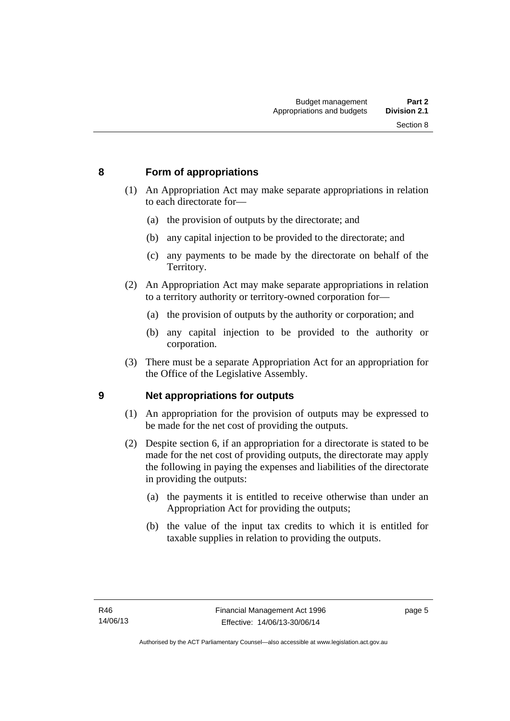### <span id="page-14-0"></span>**8 Form of appropriations**

- (1) An Appropriation Act may make separate appropriations in relation to each directorate for—
	- (a) the provision of outputs by the directorate; and
	- (b) any capital injection to be provided to the directorate; and
	- (c) any payments to be made by the directorate on behalf of the Territory.
- (2) An Appropriation Act may make separate appropriations in relation to a territory authority or territory-owned corporation for—
	- (a) the provision of outputs by the authority or corporation; and
	- (b) any capital injection to be provided to the authority or corporation.
- (3) There must be a separate Appropriation Act for an appropriation for the Office of the Legislative Assembly.

#### <span id="page-14-1"></span>**9 Net appropriations for outputs**

- (1) An appropriation for the provision of outputs may be expressed to be made for the net cost of providing the outputs.
- (2) Despite section 6, if an appropriation for a directorate is stated to be made for the net cost of providing outputs, the directorate may apply the following in paying the expenses and liabilities of the directorate in providing the outputs:
	- (a) the payments it is entitled to receive otherwise than under an Appropriation Act for providing the outputs;
	- (b) the value of the input tax credits to which it is entitled for taxable supplies in relation to providing the outputs.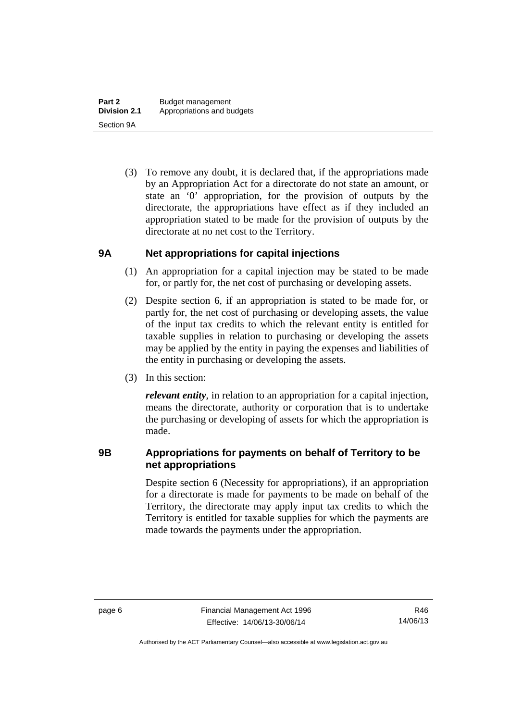(3) To remove any doubt, it is declared that, if the appropriations made by an Appropriation Act for a directorate do not state an amount, or state an '0' appropriation, for the provision of outputs by the directorate, the appropriations have effect as if they included an appropriation stated to be made for the provision of outputs by the directorate at no net cost to the Territory.

#### <span id="page-15-0"></span>**9A Net appropriations for capital injections**

- (1) An appropriation for a capital injection may be stated to be made for, or partly for, the net cost of purchasing or developing assets.
- (2) Despite section 6, if an appropriation is stated to be made for, or partly for, the net cost of purchasing or developing assets, the value of the input tax credits to which the relevant entity is entitled for taxable supplies in relation to purchasing or developing the assets may be applied by the entity in paying the expenses and liabilities of the entity in purchasing or developing the assets.
- (3) In this section:

*relevant entity*, in relation to an appropriation for a capital injection, means the directorate, authority or corporation that is to undertake the purchasing or developing of assets for which the appropriation is made.

#### <span id="page-15-1"></span>**9B Appropriations for payments on behalf of Territory to be net appropriations**

Despite section 6 (Necessity for appropriations), if an appropriation for a directorate is made for payments to be made on behalf of the Territory, the directorate may apply input tax credits to which the Territory is entitled for taxable supplies for which the payments are made towards the payments under the appropriation.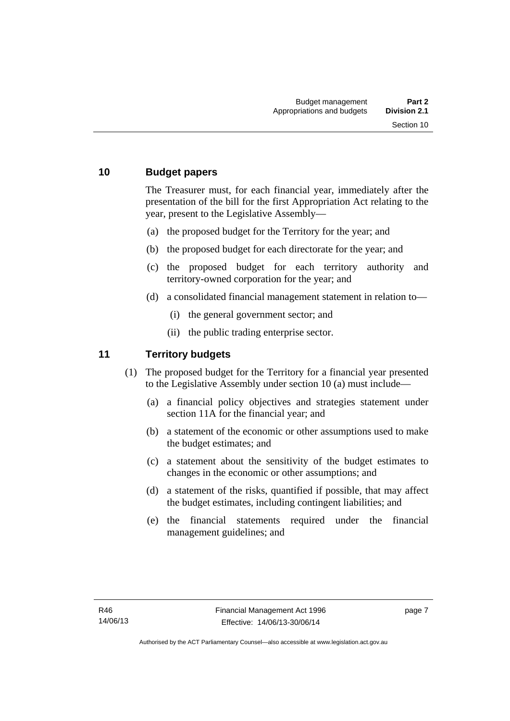#### <span id="page-16-0"></span>**10 Budget papers**

The Treasurer must, for each financial year, immediately after the presentation of the bill for the first Appropriation Act relating to the year, present to the Legislative Assembly—

- (a) the proposed budget for the Territory for the year; and
- (b) the proposed budget for each directorate for the year; and
- (c) the proposed budget for each territory authority and territory-owned corporation for the year; and
- (d) a consolidated financial management statement in relation to—
	- (i) the general government sector; and
	- (ii) the public trading enterprise sector.

#### <span id="page-16-1"></span>**11 Territory budgets**

- (1) The proposed budget for the Territory for a financial year presented to the Legislative Assembly under section 10 (a) must include—
	- (a) a financial policy objectives and strategies statement under section 11A for the financial year; and
	- (b) a statement of the economic or other assumptions used to make the budget estimates; and
	- (c) a statement about the sensitivity of the budget estimates to changes in the economic or other assumptions; and
	- (d) a statement of the risks, quantified if possible, that may affect the budget estimates, including contingent liabilities; and
	- (e) the financial statements required under the financial management guidelines; and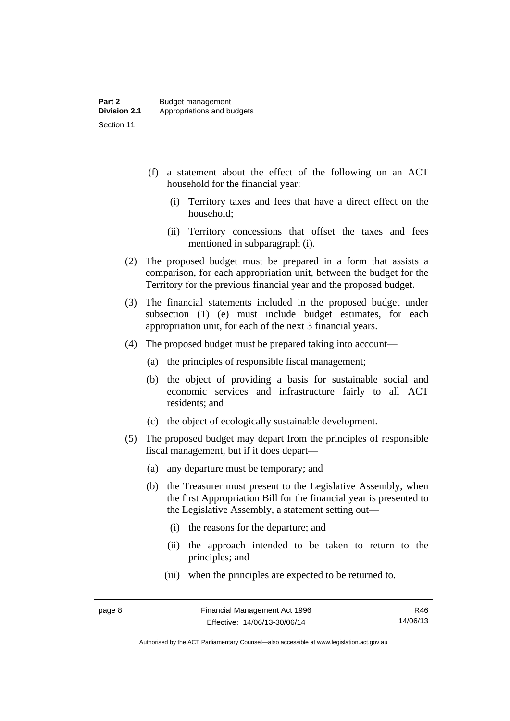- (f) a statement about the effect of the following on an ACT household for the financial year:
	- (i) Territory taxes and fees that have a direct effect on the household;
	- (ii) Territory concessions that offset the taxes and fees mentioned in subparagraph (i).
- (2) The proposed budget must be prepared in a form that assists a comparison, for each appropriation unit, between the budget for the Territory for the previous financial year and the proposed budget.
- (3) The financial statements included in the proposed budget under subsection (1) (e) must include budget estimates, for each appropriation unit, for each of the next 3 financial years.
- (4) The proposed budget must be prepared taking into account—
	- (a) the principles of responsible fiscal management;
	- (b) the object of providing a basis for sustainable social and economic services and infrastructure fairly to all ACT residents; and
	- (c) the object of ecologically sustainable development.
- (5) The proposed budget may depart from the principles of responsible fiscal management, but if it does depart—
	- (a) any departure must be temporary; and
	- (b) the Treasurer must present to the Legislative Assembly, when the first Appropriation Bill for the financial year is presented to the Legislative Assembly, a statement setting out—
		- (i) the reasons for the departure; and
		- (ii) the approach intended to be taken to return to the principles; and
		- (iii) when the principles are expected to be returned to.

R46 14/06/13

Authorised by the ACT Parliamentary Counsel—also accessible at www.legislation.act.gov.au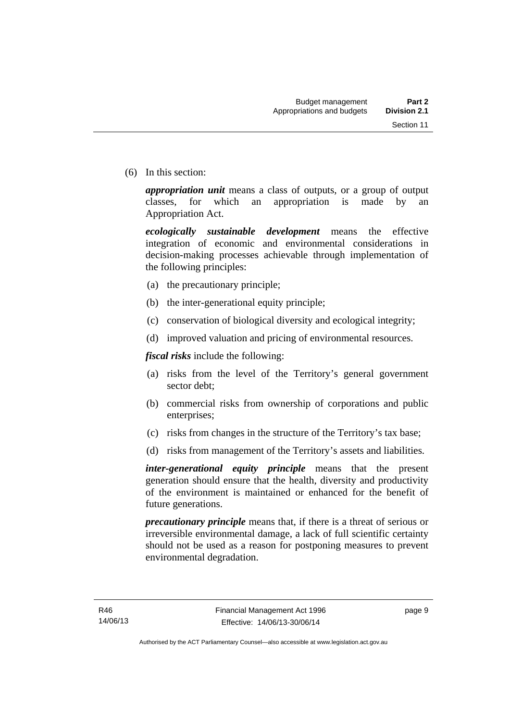(6) In this section:

*appropriation unit* means a class of outputs, or a group of output classes, for which an appropriation is made by an Appropriation Act.

*ecologically sustainable development* means the effective integration of economic and environmental considerations in decision-making processes achievable through implementation of the following principles:

- (a) the precautionary principle;
- (b) the inter-generational equity principle;
- (c) conservation of biological diversity and ecological integrity;
- (d) improved valuation and pricing of environmental resources.

*fiscal risks* include the following:

- (a) risks from the level of the Territory's general government sector debt;
- (b) commercial risks from ownership of corporations and public enterprises;
- (c) risks from changes in the structure of the Territory's tax base;
- (d) risks from management of the Territory's assets and liabilities.

*inter-generational equity principle* means that the present generation should ensure that the health, diversity and productivity of the environment is maintained or enhanced for the benefit of future generations.

*precautionary principle* means that, if there is a threat of serious or irreversible environmental damage, a lack of full scientific certainty should not be used as a reason for postponing measures to prevent environmental degradation.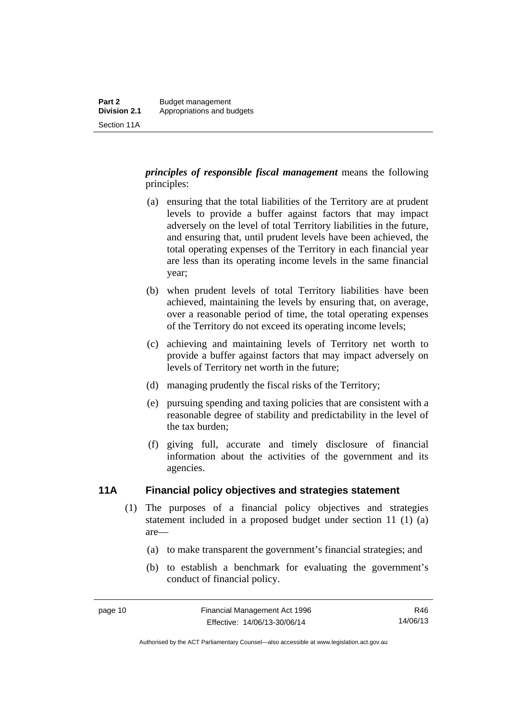*principles of responsible fiscal management* means the following principles:

- (a) ensuring that the total liabilities of the Territory are at prudent levels to provide a buffer against factors that may impact adversely on the level of total Territory liabilities in the future, and ensuring that, until prudent levels have been achieved, the total operating expenses of the Territory in each financial year are less than its operating income levels in the same financial year;
- (b) when prudent levels of total Territory liabilities have been achieved, maintaining the levels by ensuring that, on average, over a reasonable period of time, the total operating expenses of the Territory do not exceed its operating income levels;
- (c) achieving and maintaining levels of Territory net worth to provide a buffer against factors that may impact adversely on levels of Territory net worth in the future;
- (d) managing prudently the fiscal risks of the Territory;
- (e) pursuing spending and taxing policies that are consistent with a reasonable degree of stability and predictability in the level of the tax burden;
- (f) giving full, accurate and timely disclosure of financial information about the activities of the government and its agencies.

#### <span id="page-19-0"></span>**11A Financial policy objectives and strategies statement**

- (1) The purposes of a financial policy objectives and strategies statement included in a proposed budget under section 11 (1) (a) are—
	- (a) to make transparent the government's financial strategies; and
	- (b) to establish a benchmark for evaluating the government's conduct of financial policy.

R46 14/06/13

Authorised by the ACT Parliamentary Counsel—also accessible at www.legislation.act.gov.au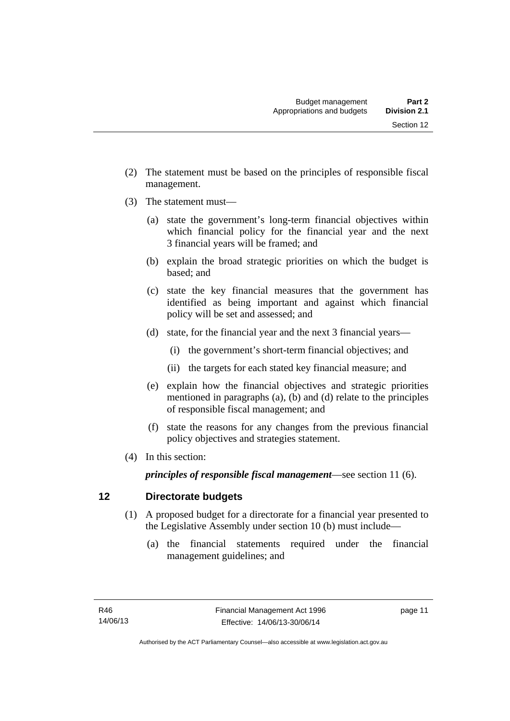- (2) The statement must be based on the principles of responsible fiscal
- (3) The statement must—

management.

- (a) state the government's long-term financial objectives within which financial policy for the financial year and the next 3 financial years will be framed; and
- (b) explain the broad strategic priorities on which the budget is based; and
- (c) state the key financial measures that the government has identified as being important and against which financial policy will be set and assessed; and
- (d) state, for the financial year and the next 3 financial years—
	- (i) the government's short-term financial objectives; and
	- (ii) the targets for each stated key financial measure; and
- (e) explain how the financial objectives and strategic priorities mentioned in paragraphs (a), (b) and (d) relate to the principles of responsible fiscal management; and
- (f) state the reasons for any changes from the previous financial policy objectives and strategies statement.
- (4) In this section:

*principles of responsible fiscal management*—see section 11 (6).

#### <span id="page-20-0"></span>**12 Directorate budgets**

- (1) A proposed budget for a directorate for a financial year presented to the Legislative Assembly under section 10 (b) must include—
	- (a) the financial statements required under the financial management guidelines; and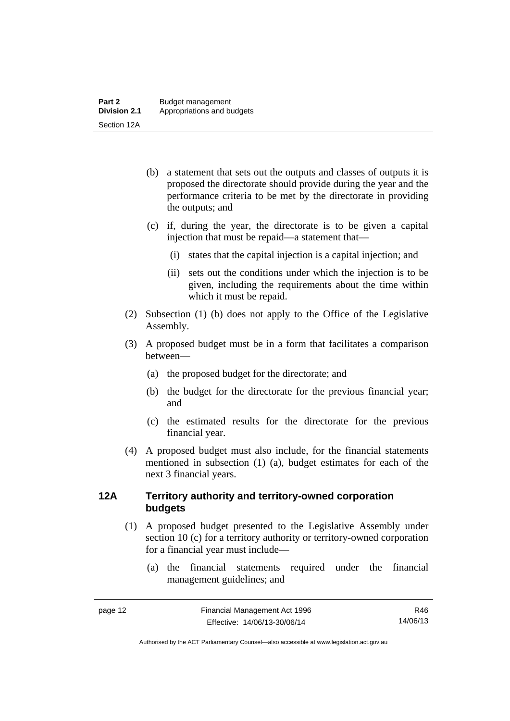- (b) a statement that sets out the outputs and classes of outputs it is proposed the directorate should provide during the year and the performance criteria to be met by the directorate in providing the outputs; and
- (c) if, during the year, the directorate is to be given a capital injection that must be repaid—a statement that—
	- (i) states that the capital injection is a capital injection; and
	- (ii) sets out the conditions under which the injection is to be given, including the requirements about the time within which it must be repaid.
- (2) Subsection (1) (b) does not apply to the Office of the Legislative Assembly.
- (3) A proposed budget must be in a form that facilitates a comparison between—
	- (a) the proposed budget for the directorate; and
	- (b) the budget for the directorate for the previous financial year; and
	- (c) the estimated results for the directorate for the previous financial year.
- (4) A proposed budget must also include, for the financial statements mentioned in subsection (1) (a), budget estimates for each of the next 3 financial years.

#### <span id="page-21-0"></span>**12A Territory authority and territory-owned corporation budgets**

- (1) A proposed budget presented to the Legislative Assembly under section 10 (c) for a territory authority or territory-owned corporation for a financial year must include—
	- (a) the financial statements required under the financial management guidelines; and

R46 14/06/13

Authorised by the ACT Parliamentary Counsel—also accessible at www.legislation.act.gov.au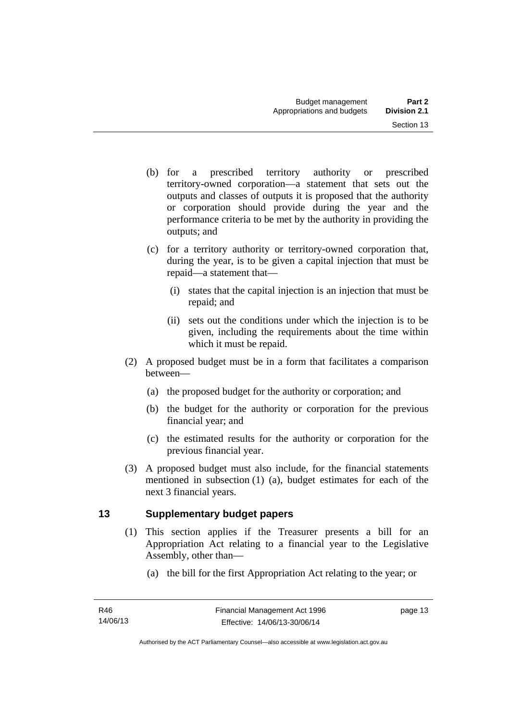- (b) for a prescribed territory authority or prescribed territory-owned corporation—a statement that sets out the outputs and classes of outputs it is proposed that the authority or corporation should provide during the year and the performance criteria to be met by the authority in providing the outputs; and
- (c) for a territory authority or territory-owned corporation that, during the year, is to be given a capital injection that must be repaid—a statement that—
	- (i) states that the capital injection is an injection that must be repaid; and
	- (ii) sets out the conditions under which the injection is to be given, including the requirements about the time within which it must be repaid.
- (2) A proposed budget must be in a form that facilitates a comparison between—
	- (a) the proposed budget for the authority or corporation; and
	- (b) the budget for the authority or corporation for the previous financial year; and
	- (c) the estimated results for the authority or corporation for the previous financial year.
- (3) A proposed budget must also include, for the financial statements mentioned in subsection (1) (a), budget estimates for each of the next 3 financial years.

# <span id="page-22-0"></span>**13 Supplementary budget papers**

- (1) This section applies if the Treasurer presents a bill for an Appropriation Act relating to a financial year to the Legislative Assembly, other than—
	- (a) the bill for the first Appropriation Act relating to the year; or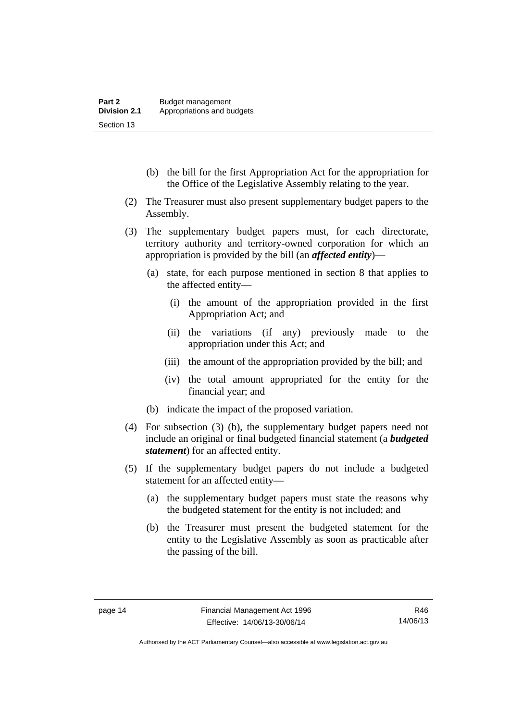- (b) the bill for the first Appropriation Act for the appropriation for the Office of the Legislative Assembly relating to the year.
- (2) The Treasurer must also present supplementary budget papers to the Assembly.
- (3) The supplementary budget papers must, for each directorate, territory authority and territory-owned corporation for which an appropriation is provided by the bill (an *affected entity*)—
	- (a) state, for each purpose mentioned in section 8 that applies to the affected entity—
		- (i) the amount of the appropriation provided in the first Appropriation Act; and
		- (ii) the variations (if any) previously made to the appropriation under this Act; and
		- (iii) the amount of the appropriation provided by the bill; and
		- (iv) the total amount appropriated for the entity for the financial year; and
	- (b) indicate the impact of the proposed variation.
- (4) For subsection (3) (b), the supplementary budget papers need not include an original or final budgeted financial statement (a *budgeted statement*) for an affected entity.
- (5) If the supplementary budget papers do not include a budgeted statement for an affected entity—
	- (a) the supplementary budget papers must state the reasons why the budgeted statement for the entity is not included; and
	- (b) the Treasurer must present the budgeted statement for the entity to the Legislative Assembly as soon as practicable after the passing of the bill.

Authorised by the ACT Parliamentary Counsel—also accessible at www.legislation.act.gov.au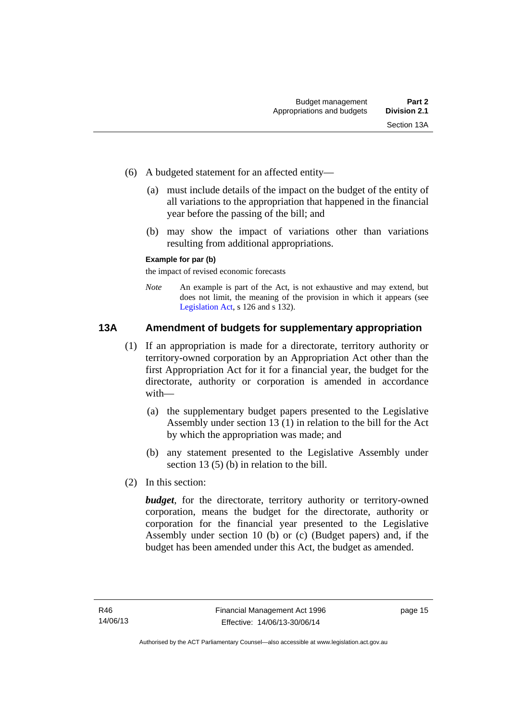- (6) A budgeted statement for an affected entity—
	- (a) must include details of the impact on the budget of the entity of all variations to the appropriation that happened in the financial year before the passing of the bill; and
	- (b) may show the impact of variations other than variations resulting from additional appropriations.

#### **Example for par (b)**

the impact of revised economic forecasts

*Note* An example is part of the Act, is not exhaustive and may extend, but does not limit, the meaning of the provision in which it appears (see [Legislation Act,](http://www.legislation.act.gov.au/a/2001-14) s 126 and s 132).

#### <span id="page-24-0"></span>**13A Amendment of budgets for supplementary appropriation**

- (1) If an appropriation is made for a directorate, territory authority or territory-owned corporation by an Appropriation Act other than the first Appropriation Act for it for a financial year, the budget for the directorate, authority or corporation is amended in accordance with—
	- (a) the supplementary budget papers presented to the Legislative Assembly under section 13 (1) in relation to the bill for the Act by which the appropriation was made; and
	- (b) any statement presented to the Legislative Assembly under section 13 (5) (b) in relation to the bill.
- (2) In this section:

*budget*, for the directorate, territory authority or territory-owned corporation, means the budget for the directorate, authority or corporation for the financial year presented to the Legislative Assembly under section 10 (b) or (c) (Budget papers) and, if the budget has been amended under this Act, the budget as amended.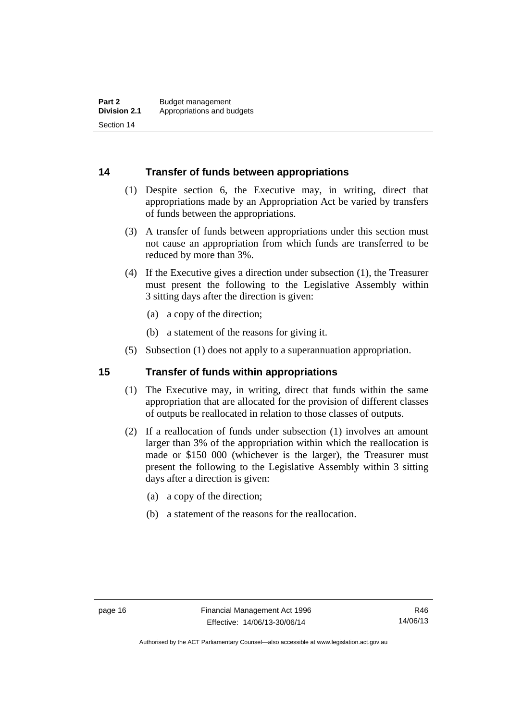#### <span id="page-25-0"></span>**14 Transfer of funds between appropriations**

- (1) Despite section 6, the Executive may, in writing, direct that appropriations made by an Appropriation Act be varied by transfers of funds between the appropriations.
- (3) A transfer of funds between appropriations under this section must not cause an appropriation from which funds are transferred to be reduced by more than 3%.
- (4) If the Executive gives a direction under subsection (1), the Treasurer must present the following to the Legislative Assembly within 3 sitting days after the direction is given:
	- (a) a copy of the direction;
	- (b) a statement of the reasons for giving it.
- (5) Subsection (1) does not apply to a superannuation appropriation.

#### <span id="page-25-1"></span>**15 Transfer of funds within appropriations**

- (1) The Executive may, in writing, direct that funds within the same appropriation that are allocated for the provision of different classes of outputs be reallocated in relation to those classes of outputs.
- (2) If a reallocation of funds under subsection (1) involves an amount larger than 3% of the appropriation within which the reallocation is made or \$150 000 (whichever is the larger), the Treasurer must present the following to the Legislative Assembly within 3 sitting days after a direction is given:
	- (a) a copy of the direction;
	- (b) a statement of the reasons for the reallocation.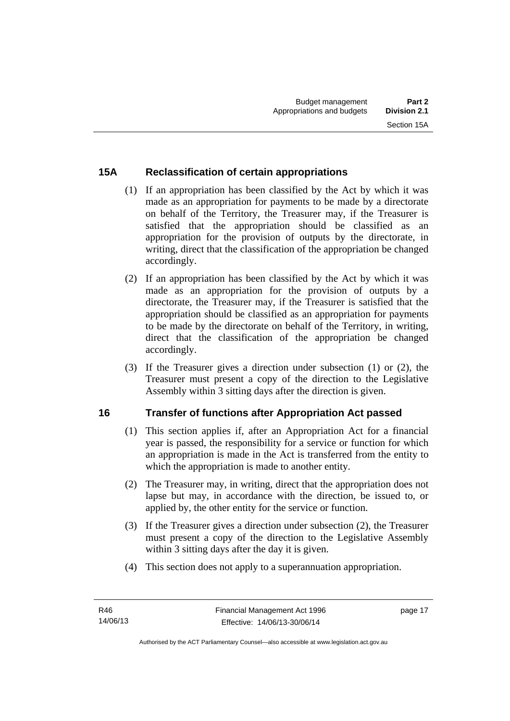## <span id="page-26-0"></span>**15A Reclassification of certain appropriations**

- (1) If an appropriation has been classified by the Act by which it was made as an appropriation for payments to be made by a directorate on behalf of the Territory, the Treasurer may, if the Treasurer is satisfied that the appropriation should be classified as an appropriation for the provision of outputs by the directorate, in writing, direct that the classification of the appropriation be changed accordingly.
- (2) If an appropriation has been classified by the Act by which it was made as an appropriation for the provision of outputs by a directorate, the Treasurer may, if the Treasurer is satisfied that the appropriation should be classified as an appropriation for payments to be made by the directorate on behalf of the Territory, in writing, direct that the classification of the appropriation be changed accordingly.
- (3) If the Treasurer gives a direction under subsection (1) or (2), the Treasurer must present a copy of the direction to the Legislative Assembly within 3 sitting days after the direction is given.

# <span id="page-26-1"></span>**16 Transfer of functions after Appropriation Act passed**

- (1) This section applies if, after an Appropriation Act for a financial year is passed, the responsibility for a service or function for which an appropriation is made in the Act is transferred from the entity to which the appropriation is made to another entity.
- (2) The Treasurer may, in writing, direct that the appropriation does not lapse but may, in accordance with the direction, be issued to, or applied by, the other entity for the service or function.
- (3) If the Treasurer gives a direction under subsection (2), the Treasurer must present a copy of the direction to the Legislative Assembly within 3 sitting days after the day it is given.
- (4) This section does not apply to a superannuation appropriation.

page 17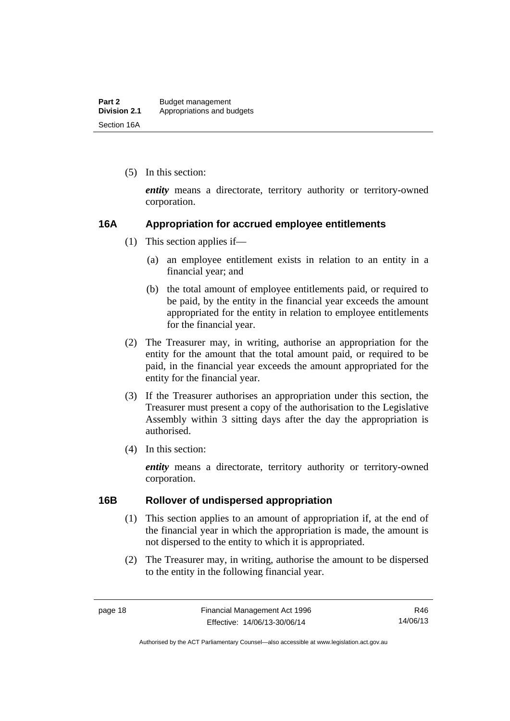(5) In this section:

*entity* means a directorate, territory authority or territory-owned corporation.

#### <span id="page-27-0"></span>**16A Appropriation for accrued employee entitlements**

- (1) This section applies if—
	- (a) an employee entitlement exists in relation to an entity in a financial year; and
	- (b) the total amount of employee entitlements paid, or required to be paid, by the entity in the financial year exceeds the amount appropriated for the entity in relation to employee entitlements for the financial year.
- (2) The Treasurer may, in writing, authorise an appropriation for the entity for the amount that the total amount paid, or required to be paid, in the financial year exceeds the amount appropriated for the entity for the financial year.
- (3) If the Treasurer authorises an appropriation under this section, the Treasurer must present a copy of the authorisation to the Legislative Assembly within 3 sitting days after the day the appropriation is authorised.
- (4) In this section:

*entity* means a directorate, territory authority or territory-owned corporation.

#### <span id="page-27-1"></span>**16B Rollover of undispersed appropriation**

- (1) This section applies to an amount of appropriation if, at the end of the financial year in which the appropriation is made, the amount is not dispersed to the entity to which it is appropriated.
- (2) The Treasurer may, in writing, authorise the amount to be dispersed to the entity in the following financial year.

Authorised by the ACT Parliamentary Counsel—also accessible at www.legislation.act.gov.au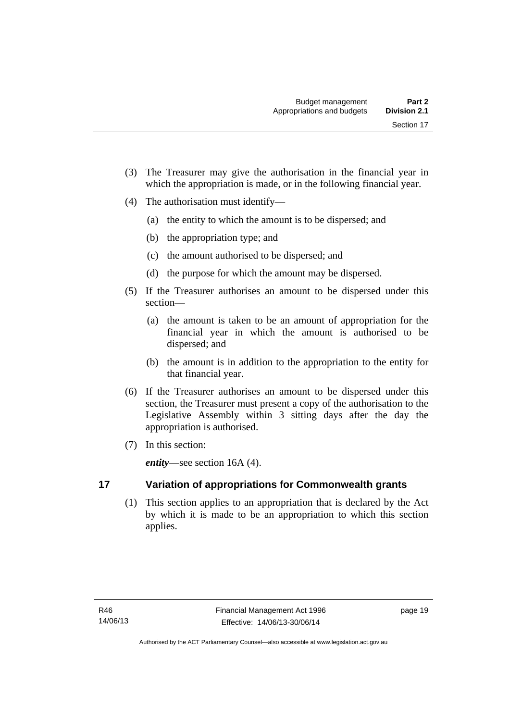- (3) The Treasurer may give the authorisation in the financial year in which the appropriation is made, or in the following financial year.
- (4) The authorisation must identify—
	- (a) the entity to which the amount is to be dispersed; and
	- (b) the appropriation type; and
	- (c) the amount authorised to be dispersed; and
	- (d) the purpose for which the amount may be dispersed.
- (5) If the Treasurer authorises an amount to be dispersed under this section—
	- (a) the amount is taken to be an amount of appropriation for the financial year in which the amount is authorised to be dispersed; and
	- (b) the amount is in addition to the appropriation to the entity for that financial year.
- (6) If the Treasurer authorises an amount to be dispersed under this section, the Treasurer must present a copy of the authorisation to the Legislative Assembly within 3 sitting days after the day the appropriation is authorised.
- (7) In this section:

*entity*—see section 16A (4).

<span id="page-28-0"></span>**17 Variation of appropriations for Commonwealth grants** 

 (1) This section applies to an appropriation that is declared by the Act by which it is made to be an appropriation to which this section applies.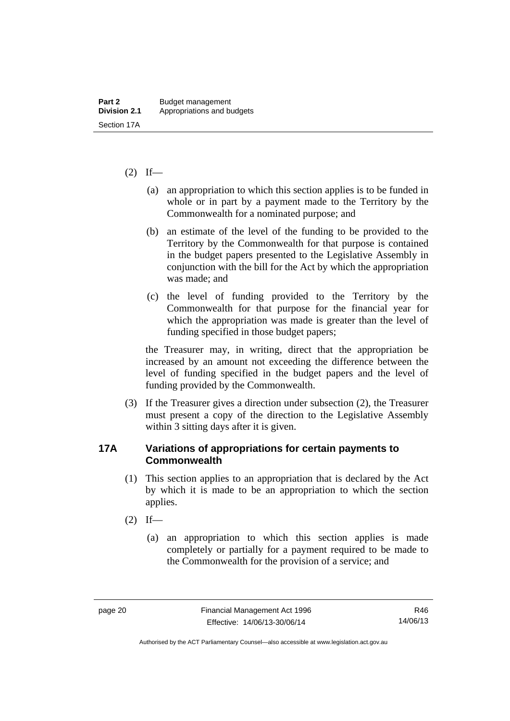#### $(2)$  If—

- (a) an appropriation to which this section applies is to be funded in whole or in part by a payment made to the Territory by the Commonwealth for a nominated purpose; and
- (b) an estimate of the level of the funding to be provided to the Territory by the Commonwealth for that purpose is contained in the budget papers presented to the Legislative Assembly in conjunction with the bill for the Act by which the appropriation was made; and
- (c) the level of funding provided to the Territory by the Commonwealth for that purpose for the financial year for which the appropriation was made is greater than the level of funding specified in those budget papers;

the Treasurer may, in writing, direct that the appropriation be increased by an amount not exceeding the difference between the level of funding specified in the budget papers and the level of funding provided by the Commonwealth.

 (3) If the Treasurer gives a direction under subsection (2), the Treasurer must present a copy of the direction to the Legislative Assembly within 3 sitting days after it is given.

#### <span id="page-29-0"></span>**17A Variations of appropriations for certain payments to Commonwealth**

- (1) This section applies to an appropriation that is declared by the Act by which it is made to be an appropriation to which the section applies.
- $(2)$  If—
	- (a) an appropriation to which this section applies is made completely or partially for a payment required to be made to the Commonwealth for the provision of a service; and

R46 14/06/13

Authorised by the ACT Parliamentary Counsel—also accessible at www.legislation.act.gov.au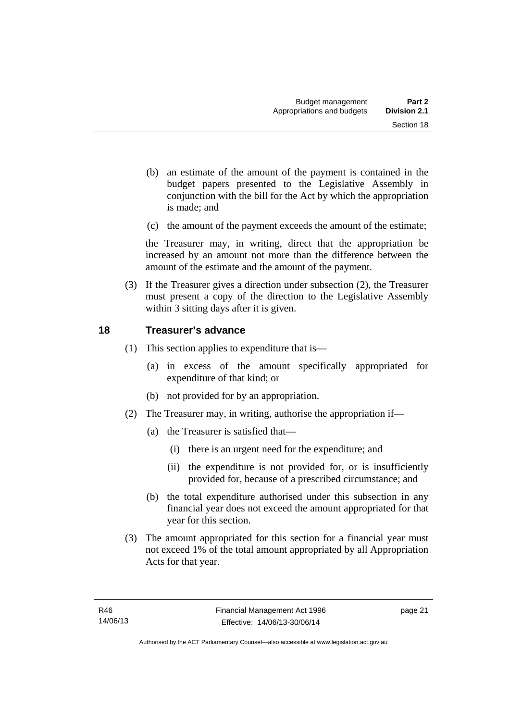- (b) an estimate of the amount of the payment is contained in the budget papers presented to the Legislative Assembly in conjunction with the bill for the Act by which the appropriation is made; and
- (c) the amount of the payment exceeds the amount of the estimate;

the Treasurer may, in writing, direct that the appropriation be increased by an amount not more than the difference between the amount of the estimate and the amount of the payment.

 (3) If the Treasurer gives a direction under subsection (2), the Treasurer must present a copy of the direction to the Legislative Assembly within 3 sitting days after it is given.

#### <span id="page-30-0"></span>**18 Treasurer's advance**

- (1) This section applies to expenditure that is—
	- (a) in excess of the amount specifically appropriated for expenditure of that kind; or
	- (b) not provided for by an appropriation.
- (2) The Treasurer may, in writing, authorise the appropriation if—
	- (a) the Treasurer is satisfied that—
		- (i) there is an urgent need for the expenditure; and
		- (ii) the expenditure is not provided for, or is insufficiently provided for, because of a prescribed circumstance; and
	- (b) the total expenditure authorised under this subsection in any financial year does not exceed the amount appropriated for that year for this section.
- (3) The amount appropriated for this section for a financial year must not exceed 1% of the total amount appropriated by all Appropriation Acts for that year.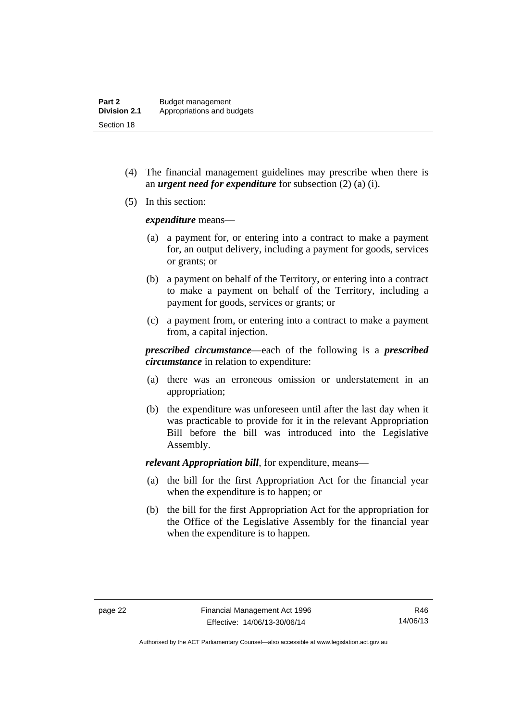- (4) The financial management guidelines may prescribe when there is an *urgent need for expenditure* for subsection (2) (a) (i).
- (5) In this section:

*expenditure* means—

- (a) a payment for, or entering into a contract to make a payment for, an output delivery, including a payment for goods, services or grants; or
- (b) a payment on behalf of the Territory, or entering into a contract to make a payment on behalf of the Territory, including a payment for goods, services or grants; or
- (c) a payment from, or entering into a contract to make a payment from, a capital injection.

*prescribed circumstance*—each of the following is a *prescribed circumstance* in relation to expenditure:

- (a) there was an erroneous omission or understatement in an appropriation;
- (b) the expenditure was unforeseen until after the last day when it was practicable to provide for it in the relevant Appropriation Bill before the bill was introduced into the Legislative Assembly.

*relevant Appropriation bill*, for expenditure, means—

- (a) the bill for the first Appropriation Act for the financial year when the expenditure is to happen; or
- (b) the bill for the first Appropriation Act for the appropriation for the Office of the Legislative Assembly for the financial year when the expenditure is to happen.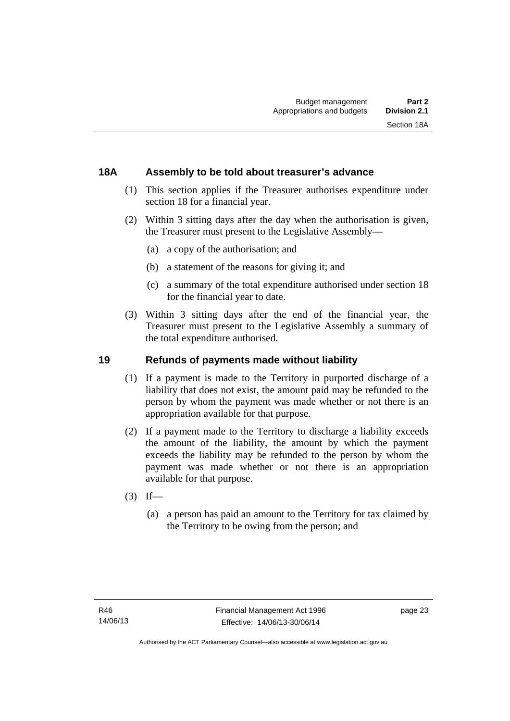#### <span id="page-32-0"></span>**18A Assembly to be told about treasurer's advance**

- (1) This section applies if the Treasurer authorises expenditure under section 18 for a financial year.
- (2) Within 3 sitting days after the day when the authorisation is given, the Treasurer must present to the Legislative Assembly—
	- (a) a copy of the authorisation; and
	- (b) a statement of the reasons for giving it; and
	- (c) a summary of the total expenditure authorised under section 18 for the financial year to date.
- (3) Within 3 sitting days after the end of the financial year, the Treasurer must present to the Legislative Assembly a summary of the total expenditure authorised.

### <span id="page-32-1"></span>**19 Refunds of payments made without liability**

- (1) If a payment is made to the Territory in purported discharge of a liability that does not exist, the amount paid may be refunded to the person by whom the payment was made whether or not there is an appropriation available for that purpose.
- (2) If a payment made to the Territory to discharge a liability exceeds the amount of the liability, the amount by which the payment exceeds the liability may be refunded to the person by whom the payment was made whether or not there is an appropriation available for that purpose.
- $(3)$  If—
	- (a) a person has paid an amount to the Territory for tax claimed by the Territory to be owing from the person; and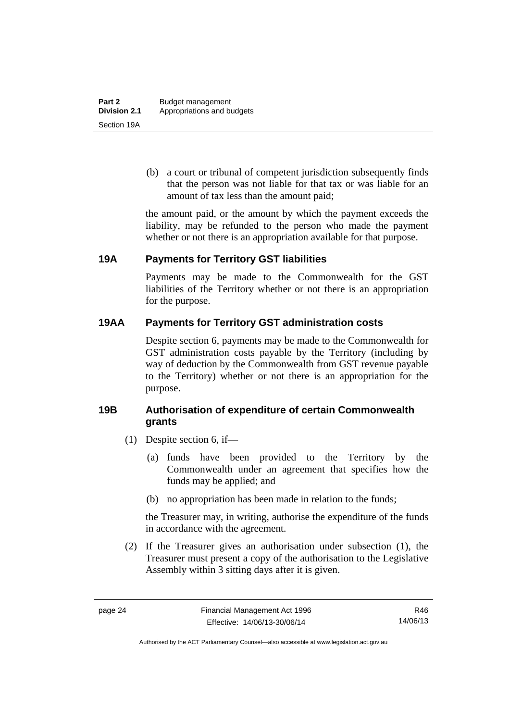(b) a court or tribunal of competent jurisdiction subsequently finds that the person was not liable for that tax or was liable for an amount of tax less than the amount paid;

the amount paid, or the amount by which the payment exceeds the liability, may be refunded to the person who made the payment whether or not there is an appropriation available for that purpose.

## <span id="page-33-0"></span>**19A Payments for Territory GST liabilities**

Payments may be made to the Commonwealth for the GST liabilities of the Territory whether or not there is an appropriation for the purpose.

## <span id="page-33-1"></span>**19AA Payments for Territory GST administration costs**

Despite section 6, payments may be made to the Commonwealth for GST administration costs payable by the Territory (including by way of deduction by the Commonwealth from GST revenue payable to the Territory) whether or not there is an appropriation for the purpose.

## <span id="page-33-2"></span>**19B Authorisation of expenditure of certain Commonwealth grants**

- (1) Despite section 6, if—
	- (a) funds have been provided to the Territory by the Commonwealth under an agreement that specifies how the funds may be applied; and
	- (b) no appropriation has been made in relation to the funds;

the Treasurer may, in writing, authorise the expenditure of the funds in accordance with the agreement.

 (2) If the Treasurer gives an authorisation under subsection (1), the Treasurer must present a copy of the authorisation to the Legislative Assembly within 3 sitting days after it is given.

R46 14/06/13

Authorised by the ACT Parliamentary Counsel—also accessible at www.legislation.act.gov.au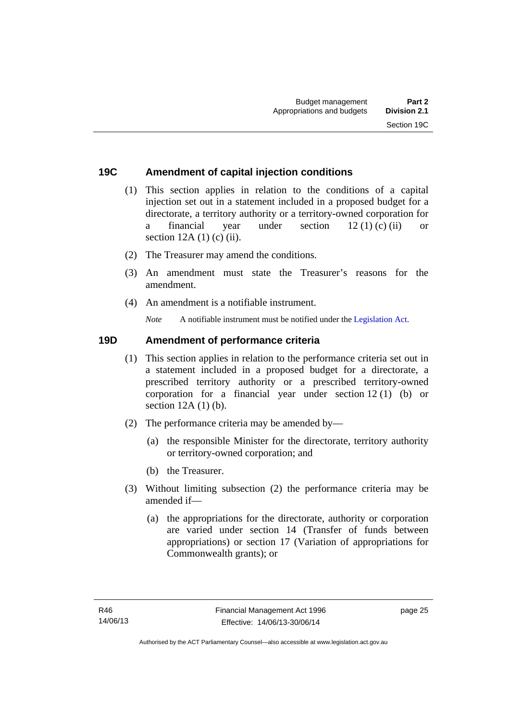#### <span id="page-34-0"></span>**19C Amendment of capital injection conditions**

- (1) This section applies in relation to the conditions of a capital injection set out in a statement included in a proposed budget for a directorate, a territory authority or a territory-owned corporation for a financial year under section 12 (1) (c) (ii) or section  $12A(1)$  (c) (ii).
- (2) The Treasurer may amend the conditions.
- (3) An amendment must state the Treasurer's reasons for the amendment.
- (4) An amendment is a notifiable instrument.

*Note* A notifiable instrument must be notified under the [Legislation Act](http://www.legislation.act.gov.au/a/2001-14).

#### <span id="page-34-1"></span>**19D Amendment of performance criteria**

- (1) This section applies in relation to the performance criteria set out in a statement included in a proposed budget for a directorate, a prescribed territory authority or a prescribed territory-owned corporation for a financial year under section 12 (1) (b) or section 12A (1) (b).
- (2) The performance criteria may be amended by—
	- (a) the responsible Minister for the directorate, territory authority or territory-owned corporation; and
	- (b) the Treasurer.
- (3) Without limiting subsection (2) the performance criteria may be amended if—
	- (a) the appropriations for the directorate, authority or corporation are varied under section 14 (Transfer of funds between appropriations) or section 17 (Variation of appropriations for Commonwealth grants); or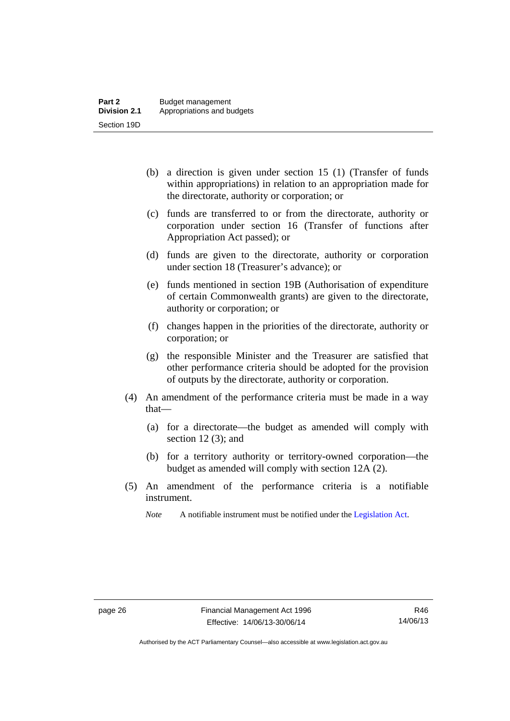- (b) a direction is given under section 15 (1) (Transfer of funds within appropriations) in relation to an appropriation made for the directorate, authority or corporation; or
- (c) funds are transferred to or from the directorate, authority or corporation under section 16 (Transfer of functions after Appropriation Act passed); or
- (d) funds are given to the directorate, authority or corporation under section 18 (Treasurer's advance); or
- (e) funds mentioned in section 19B (Authorisation of expenditure of certain Commonwealth grants) are given to the directorate, authority or corporation; or
- (f) changes happen in the priorities of the directorate, authority or corporation; or
- (g) the responsible Minister and the Treasurer are satisfied that other performance criteria should be adopted for the provision of outputs by the directorate, authority or corporation.
- (4) An amendment of the performance criteria must be made in a way that—
	- (a) for a directorate—the budget as amended will comply with section 12 (3); and
	- (b) for a territory authority or territory-owned corporation—the budget as amended will comply with section 12A (2).
- (5) An amendment of the performance criteria is a notifiable instrument.

*Note* A notifiable instrument must be notified under the [Legislation Act](http://www.legislation.act.gov.au/a/2001-14).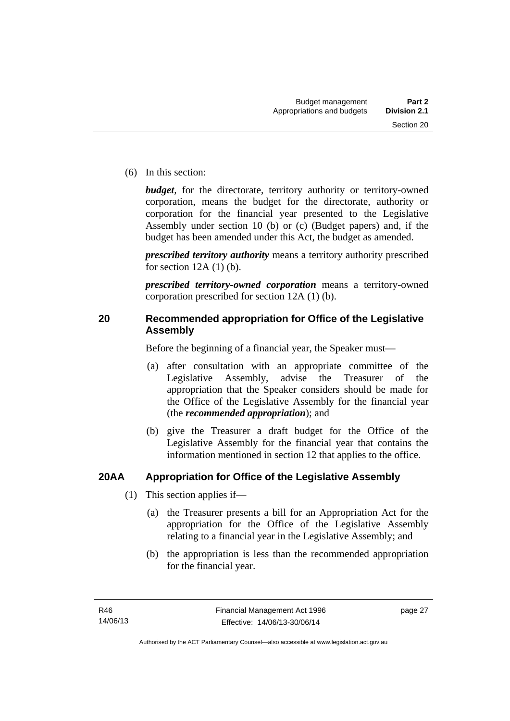(6) In this section:

*budget*, for the directorate, territory authority or territory-owned corporation, means the budget for the directorate, authority or corporation for the financial year presented to the Legislative Assembly under section 10 (b) or (c) (Budget papers) and, if the budget has been amended under this Act, the budget as amended.

*prescribed territory authority* means a territory authority prescribed for section  $12A(1)$  (b).

*prescribed territory-owned corporation* means a territory-owned corporation prescribed for section 12A (1) (b).

## **20 Recommended appropriation for Office of the Legislative Assembly**

Before the beginning of a financial year, the Speaker must—

- (a) after consultation with an appropriate committee of the Legislative Assembly, advise the Treasurer of the appropriation that the Speaker considers should be made for the Office of the Legislative Assembly for the financial year (the *recommended appropriation*); and
- (b) give the Treasurer a draft budget for the Office of the Legislative Assembly for the financial year that contains the information mentioned in section 12 that applies to the office.

## **20AA Appropriation for Office of the Legislative Assembly**

- (1) This section applies if—
	- (a) the Treasurer presents a bill for an Appropriation Act for the appropriation for the Office of the Legislative Assembly relating to a financial year in the Legislative Assembly; and
	- (b) the appropriation is less than the recommended appropriation for the financial year.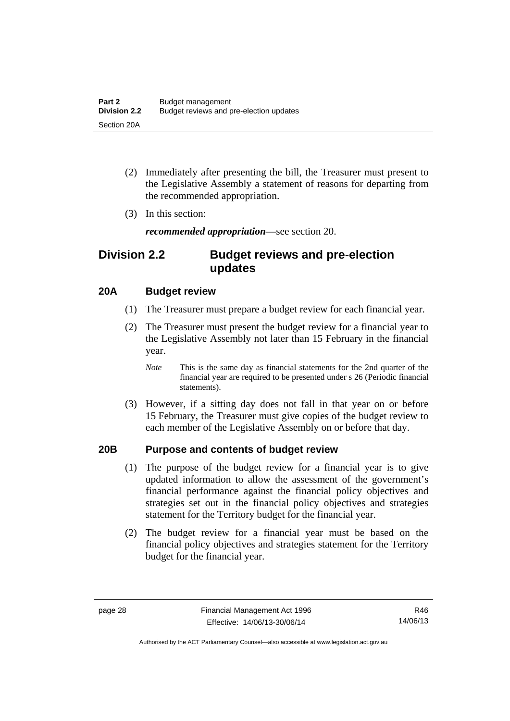- (2) Immediately after presenting the bill, the Treasurer must present to the Legislative Assembly a statement of reasons for departing from the recommended appropriation.
- (3) In this section:

*recommended appropriation*—see section 20.

## **Division 2.2 Budget reviews and pre-election updates**

## **20A Budget review**

- (1) The Treasurer must prepare a budget review for each financial year.
- (2) The Treasurer must present the budget review for a financial year to the Legislative Assembly not later than 15 February in the financial year.
	- *Note* This is the same day as financial statements for the 2nd quarter of the financial year are required to be presented under s 26 (Periodic financial statements).
- (3) However, if a sitting day does not fall in that year on or before 15 February, the Treasurer must give copies of the budget review to each member of the Legislative Assembly on or before that day.

## **20B Purpose and contents of budget review**

- (1) The purpose of the budget review for a financial year is to give updated information to allow the assessment of the government's financial performance against the financial policy objectives and strategies set out in the financial policy objectives and strategies statement for the Territory budget for the financial year.
- (2) The budget review for a financial year must be based on the financial policy objectives and strategies statement for the Territory budget for the financial year.

Authorised by the ACT Parliamentary Counsel—also accessible at www.legislation.act.gov.au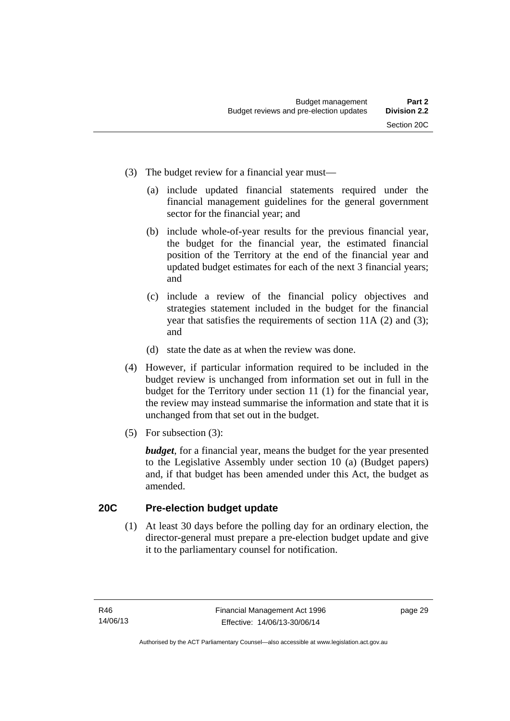- (3) The budget review for a financial year must—
	- (a) include updated financial statements required under the financial management guidelines for the general government sector for the financial year; and
	- (b) include whole-of-year results for the previous financial year, the budget for the financial year, the estimated financial position of the Territory at the end of the financial year and updated budget estimates for each of the next 3 financial years; and
	- (c) include a review of the financial policy objectives and strategies statement included in the budget for the financial year that satisfies the requirements of section 11A (2) and (3); and
	- (d) state the date as at when the review was done.
- (4) However, if particular information required to be included in the budget review is unchanged from information set out in full in the budget for the Territory under section 11 (1) for the financial year, the review may instead summarise the information and state that it is unchanged from that set out in the budget.
- (5) For subsection (3):

*budget*, for a financial year, means the budget for the year presented to the Legislative Assembly under section 10 (a) (Budget papers) and, if that budget has been amended under this Act, the budget as amended.

## **20C Pre-election budget update**

(1) At least 30 days before the polling day for an ordinary election, the director-general must prepare a pre-election budget update and give it to the parliamentary counsel for notification.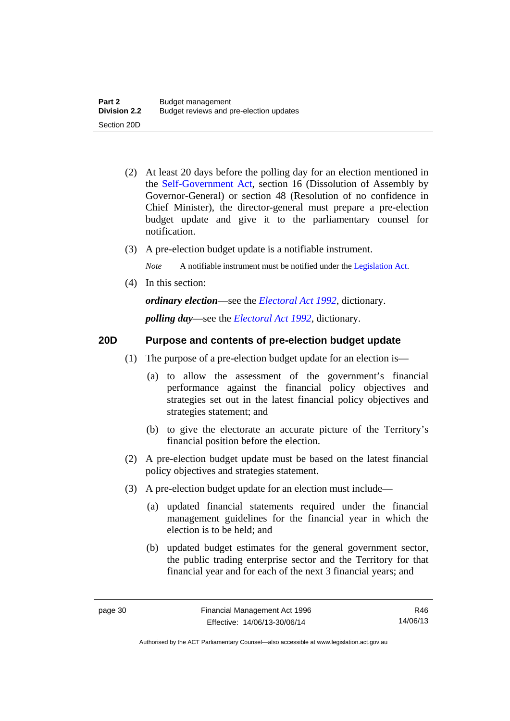- (2) At least 20 days before the polling day for an election mentioned in the [Self-Government Act,](http://www.comlaw.gov.au/Series/C2004A03699) section 16 (Dissolution of Assembly by Governor-General) or section 48 (Resolution of no confidence in Chief Minister), the director-general must prepare a pre-election budget update and give it to the parliamentary counsel for notification.
- (3) A pre-election budget update is a notifiable instrument.

*Note* A notifiable instrument must be notified under the [Legislation Act](http://www.legislation.act.gov.au/a/2001-14).

(4) In this section:

*ordinary election*—see the *[Electoral Act 1992](http://www.legislation.act.gov.au/a/1992-71)*, dictionary.

*polling day*—see the *[Electoral Act 1992](http://www.legislation.act.gov.au/a/1992-71)*, dictionary.

## **20D Purpose and contents of pre-election budget update**

- (1) The purpose of a pre-election budget update for an election is—
	- (a) to allow the assessment of the government's financial performance against the financial policy objectives and strategies set out in the latest financial policy objectives and strategies statement; and
	- (b) to give the electorate an accurate picture of the Territory's financial position before the election.
- (2) A pre-election budget update must be based on the latest financial policy objectives and strategies statement.
- (3) A pre-election budget update for an election must include—
	- (a) updated financial statements required under the financial management guidelines for the financial year in which the election is to be held; and
	- (b) updated budget estimates for the general government sector, the public trading enterprise sector and the Territory for that financial year and for each of the next 3 financial years; and

R46 14/06/13

Authorised by the ACT Parliamentary Counsel—also accessible at www.legislation.act.gov.au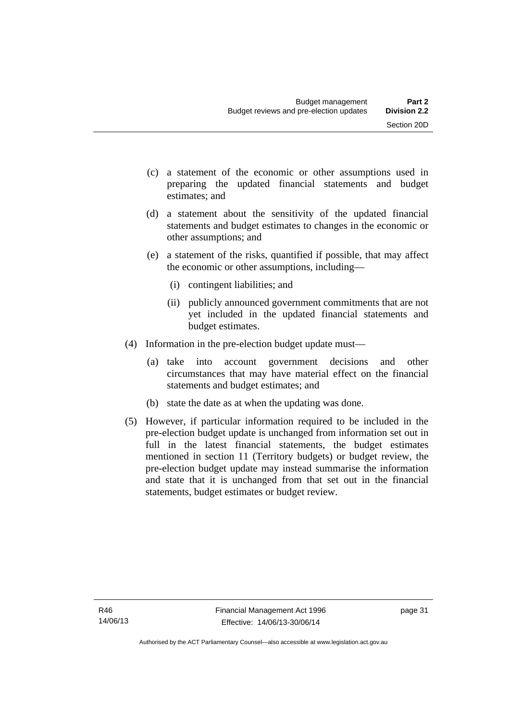- (c) a statement of the economic or other assumptions used in preparing the updated financial statements and budget estimates; and
- (d) a statement about the sensitivity of the updated financial statements and budget estimates to changes in the economic or other assumptions; and
- (e) a statement of the risks, quantified if possible, that may affect the economic or other assumptions, including—
	- (i) contingent liabilities; and
	- (ii) publicly announced government commitments that are not yet included in the updated financial statements and budget estimates.
- (4) Information in the pre-election budget update must—
	- (a) take into account government decisions and other circumstances that may have material effect on the financial statements and budget estimates; and
	- (b) state the date as at when the updating was done.
- (5) However, if particular information required to be included in the pre-election budget update is unchanged from information set out in full in the latest financial statements, the budget estimates mentioned in section 11 (Territory budgets) or budget review, the pre-election budget update may instead summarise the information and state that it is unchanged from that set out in the financial statements, budget estimates or budget review.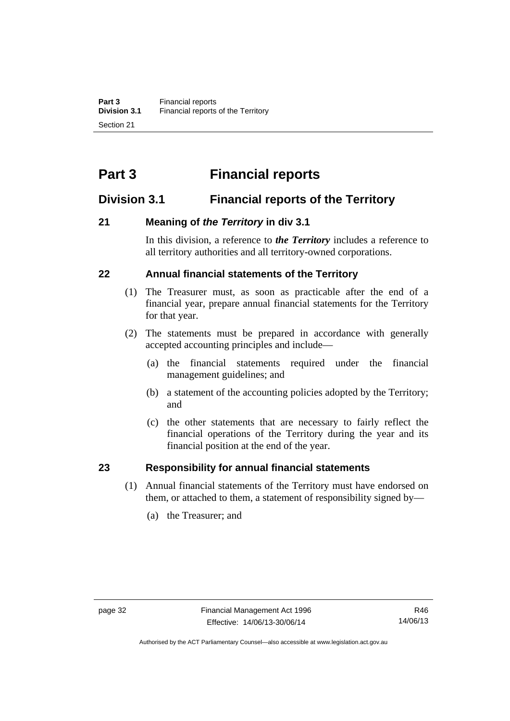## **Part 3 Financial reports**

## **Division 3.1 Financial reports of the Territory**

## **21 Meaning of** *the Territory* **in div 3.1**

In this division, a reference to *the Territory* includes a reference to all territory authorities and all territory-owned corporations.

## **22 Annual financial statements of the Territory**

- (1) The Treasurer must, as soon as practicable after the end of a financial year, prepare annual financial statements for the Territory for that year.
- (2) The statements must be prepared in accordance with generally accepted accounting principles and include—
	- (a) the financial statements required under the financial management guidelines; and
	- (b) a statement of the accounting policies adopted by the Territory; and
	- (c) the other statements that are necessary to fairly reflect the financial operations of the Territory during the year and its financial position at the end of the year.

## **23 Responsibility for annual financial statements**

- (1) Annual financial statements of the Territory must have endorsed on them, or attached to them, a statement of responsibility signed by—
	- (a) the Treasurer; and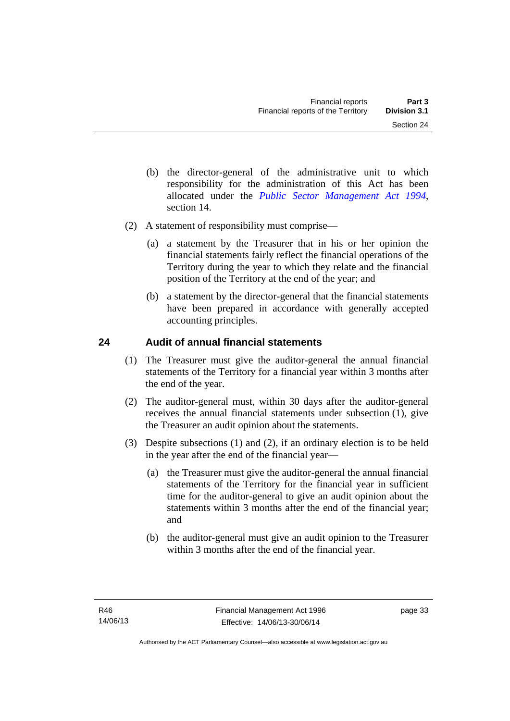- (b) the director-general of the administrative unit to which responsibility for the administration of this Act has been allocated under the *[Public Sector Management Act 1994](http://www.legislation.act.gov.au/a/1994-37)*, section 14.
- (2) A statement of responsibility must comprise—
	- (a) a statement by the Treasurer that in his or her opinion the financial statements fairly reflect the financial operations of the Territory during the year to which they relate and the financial position of the Territory at the end of the year; and
	- (b) a statement by the director-general that the financial statements have been prepared in accordance with generally accepted accounting principles.

## **24 Audit of annual financial statements**

- (1) The Treasurer must give the auditor-general the annual financial statements of the Territory for a financial year within 3 months after the end of the year.
- (2) The auditor-general must, within 30 days after the auditor-general receives the annual financial statements under subsection (1), give the Treasurer an audit opinion about the statements.
- (3) Despite subsections (1) and (2), if an ordinary election is to be held in the year after the end of the financial year—
	- (a) the Treasurer must give the auditor-general the annual financial statements of the Territory for the financial year in sufficient time for the auditor-general to give an audit opinion about the statements within 3 months after the end of the financial year; and
	- (b) the auditor-general must give an audit opinion to the Treasurer within 3 months after the end of the financial year.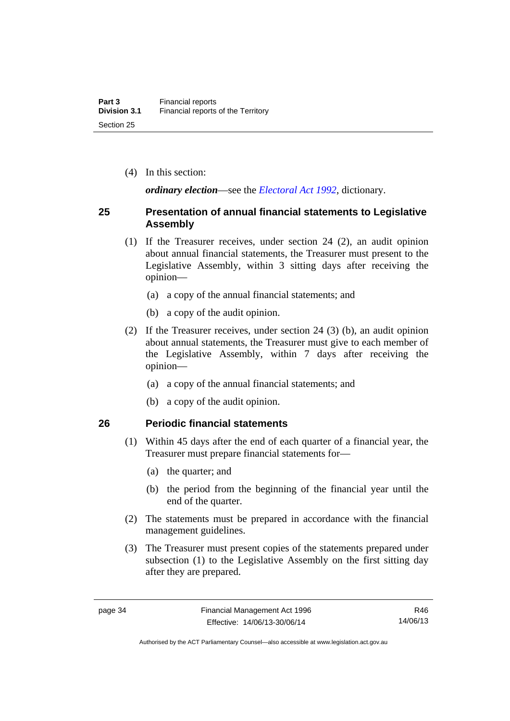(4) In this section:

*ordinary election*—see the *[Electoral Act 1992](http://www.legislation.act.gov.au/a/1992-71)*, dictionary.

## **25 Presentation of annual financial statements to Legislative Assembly**

- (1) If the Treasurer receives, under section 24 (2), an audit opinion about annual financial statements, the Treasurer must present to the Legislative Assembly, within 3 sitting days after receiving the opinion—
	- (a) a copy of the annual financial statements; and
	- (b) a copy of the audit opinion.
- (2) If the Treasurer receives, under section 24 (3) (b), an audit opinion about annual statements, the Treasurer must give to each member of the Legislative Assembly, within 7 days after receiving the opinion—
	- (a) a copy of the annual financial statements; and
	- (b) a copy of the audit opinion.

## **26 Periodic financial statements**

- (1) Within 45 days after the end of each quarter of a financial year, the Treasurer must prepare financial statements for—
	- (a) the quarter; and
	- (b) the period from the beginning of the financial year until the end of the quarter.
- (2) The statements must be prepared in accordance with the financial management guidelines.
- (3) The Treasurer must present copies of the statements prepared under subsection (1) to the Legislative Assembly on the first sitting day after they are prepared.

R46 14/06/13

Authorised by the ACT Parliamentary Counsel—also accessible at www.legislation.act.gov.au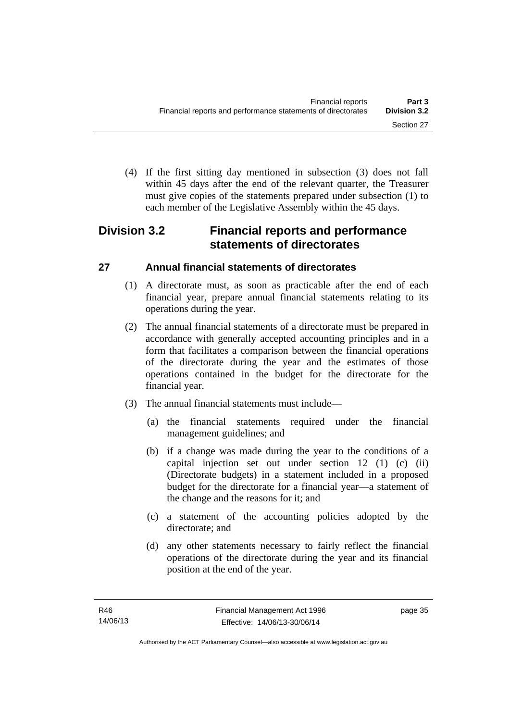(4) If the first sitting day mentioned in subsection (3) does not fall within 45 days after the end of the relevant quarter, the Treasurer must give copies of the statements prepared under subsection (1) to each member of the Legislative Assembly within the 45 days.

## **Division 3.2 Financial reports and performance statements of directorates**

## **27 Annual financial statements of directorates**

- (1) A directorate must, as soon as practicable after the end of each financial year, prepare annual financial statements relating to its operations during the year.
- (2) The annual financial statements of a directorate must be prepared in accordance with generally accepted accounting principles and in a form that facilitates a comparison between the financial operations of the directorate during the year and the estimates of those operations contained in the budget for the directorate for the financial year.
- (3) The annual financial statements must include—
	- (a) the financial statements required under the financial management guidelines; and
	- (b) if a change was made during the year to the conditions of a capital injection set out under section 12 (1) (c) (ii) (Directorate budgets) in a statement included in a proposed budget for the directorate for a financial year—a statement of the change and the reasons for it; and
	- (c) a statement of the accounting policies adopted by the directorate; and
	- (d) any other statements necessary to fairly reflect the financial operations of the directorate during the year and its financial position at the end of the year.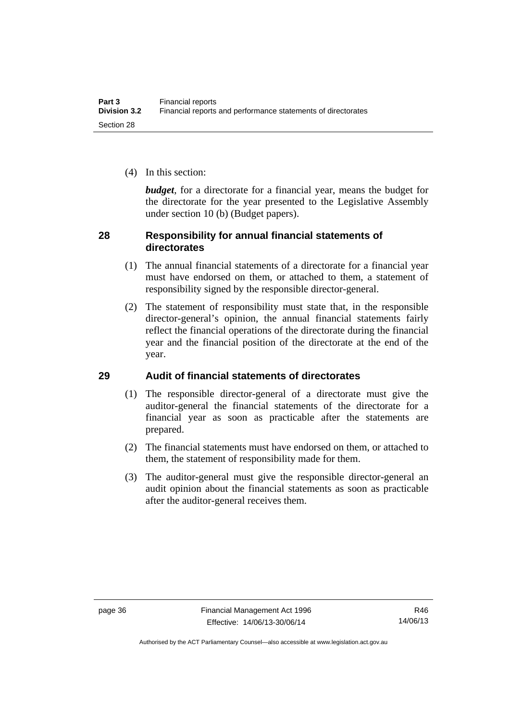(4) In this section:

*budget*, for a directorate for a financial year, means the budget for the directorate for the year presented to the Legislative Assembly under section 10 (b) (Budget papers).

## **28 Responsibility for annual financial statements of directorates**

- (1) The annual financial statements of a directorate for a financial year must have endorsed on them, or attached to them, a statement of responsibility signed by the responsible director-general.
- (2) The statement of responsibility must state that, in the responsible director-general's opinion, the annual financial statements fairly reflect the financial operations of the directorate during the financial year and the financial position of the directorate at the end of the year.

## **29 Audit of financial statements of directorates**

- (1) The responsible director-general of a directorate must give the auditor-general the financial statements of the directorate for a financial year as soon as practicable after the statements are prepared.
- (2) The financial statements must have endorsed on them, or attached to them, the statement of responsibility made for them.
- (3) The auditor-general must give the responsible director-general an audit opinion about the financial statements as soon as practicable after the auditor-general receives them.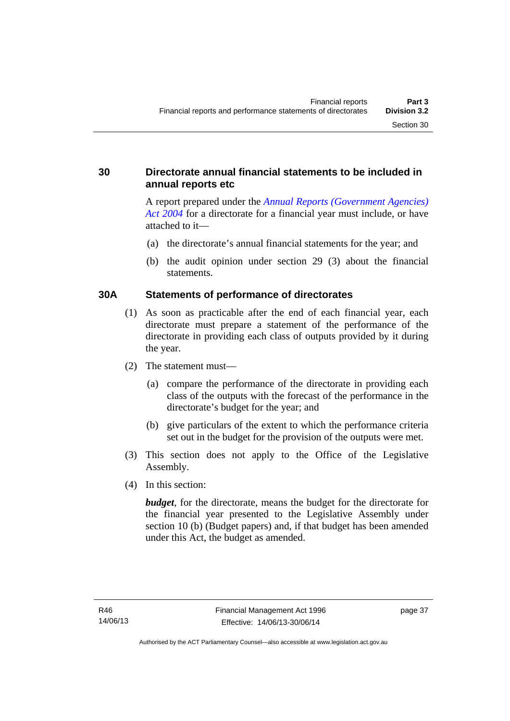## **30 Directorate annual financial statements to be included in annual reports etc**

A report prepared under the *[Annual Reports \(Government Agencies\)](http://www.legislation.act.gov.au/a/2004-8)  [Act 2004](http://www.legislation.act.gov.au/a/2004-8)* for a directorate for a financial year must include, or have attached to it—

- (a) the directorate's annual financial statements for the year; and
- (b) the audit opinion under section 29 (3) about the financial statements.

## **30A Statements of performance of directorates**

- (1) As soon as practicable after the end of each financial year, each directorate must prepare a statement of the performance of the directorate in providing each class of outputs provided by it during the year.
- (2) The statement must—
	- (a) compare the performance of the directorate in providing each class of the outputs with the forecast of the performance in the directorate's budget for the year; and
	- (b) give particulars of the extent to which the performance criteria set out in the budget for the provision of the outputs were met.
- (3) This section does not apply to the Office of the Legislative Assembly.
- (4) In this section:

*budget*, for the directorate, means the budget for the directorate for the financial year presented to the Legislative Assembly under section 10 (b) (Budget papers) and, if that budget has been amended under this Act, the budget as amended.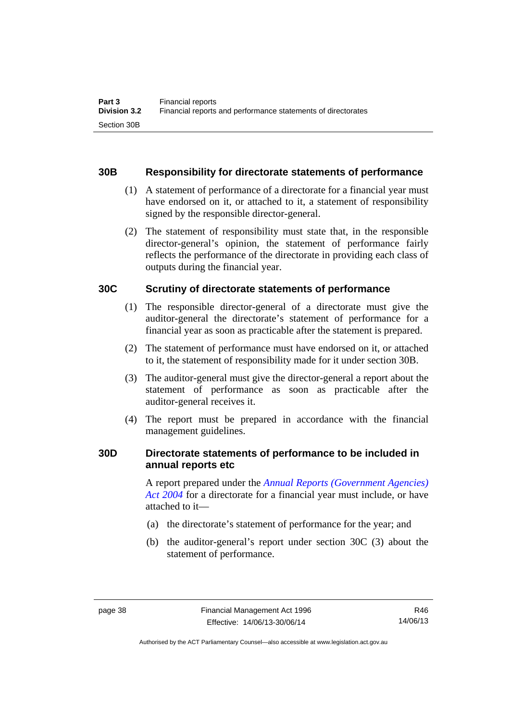## **30B Responsibility for directorate statements of performance**

- (1) A statement of performance of a directorate for a financial year must have endorsed on it, or attached to it, a statement of responsibility signed by the responsible director-general.
- (2) The statement of responsibility must state that, in the responsible director-general's opinion, the statement of performance fairly reflects the performance of the directorate in providing each class of outputs during the financial year.

## **30C Scrutiny of directorate statements of performance**

- (1) The responsible director-general of a directorate must give the auditor-general the directorate's statement of performance for a financial year as soon as practicable after the statement is prepared.
- (2) The statement of performance must have endorsed on it, or attached to it, the statement of responsibility made for it under section 30B.
- (3) The auditor-general must give the director-general a report about the statement of performance as soon as practicable after the auditor-general receives it.
- (4) The report must be prepared in accordance with the financial management guidelines.

## **30D Directorate statements of performance to be included in annual reports etc**

A report prepared under the *[Annual Reports \(Government Agencies\)](http://www.legislation.act.gov.au/a/2004-8)  [Act 2004](http://www.legislation.act.gov.au/a/2004-8)* for a directorate for a financial year must include, or have attached to it—

- (a) the directorate's statement of performance for the year; and
- (b) the auditor-general's report under section 30C (3) about the statement of performance.

Authorised by the ACT Parliamentary Counsel—also accessible at www.legislation.act.gov.au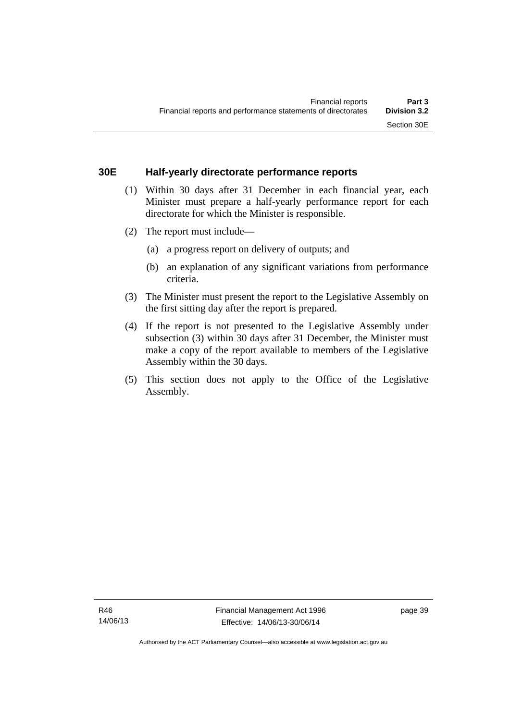## **30E Half-yearly directorate performance reports**

- (1) Within 30 days after 31 December in each financial year, each Minister must prepare a half-yearly performance report for each directorate for which the Minister is responsible.
- (2) The report must include—
	- (a) a progress report on delivery of outputs; and
	- (b) an explanation of any significant variations from performance criteria.
- (3) The Minister must present the report to the Legislative Assembly on the first sitting day after the report is prepared.
- (4) If the report is not presented to the Legislative Assembly under subsection (3) within 30 days after 31 December, the Minister must make a copy of the report available to members of the Legislative Assembly within the 30 days.
- (5) This section does not apply to the Office of the Legislative Assembly.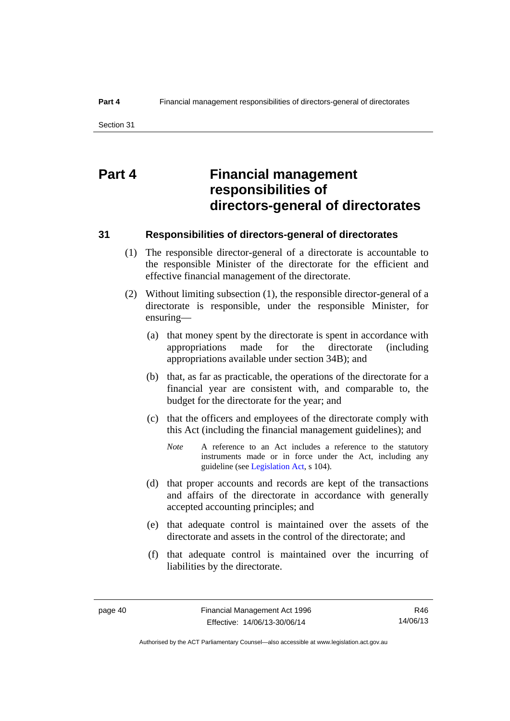## **Part 4 Financial management responsibilities of directors-general of directorates**

### **31 Responsibilities of directors-general of directorates**

- (1) The responsible director-general of a directorate is accountable to the responsible Minister of the directorate for the efficient and effective financial management of the directorate.
- (2) Without limiting subsection (1), the responsible director-general of a directorate is responsible, under the responsible Minister, for ensuring—
	- (a) that money spent by the directorate is spent in accordance with appropriations made for the directorate (including appropriations available under section 34B); and
	- (b) that, as far as practicable, the operations of the directorate for a financial year are consistent with, and comparable to, the budget for the directorate for the year; and
	- (c) that the officers and employees of the directorate comply with this Act (including the financial management guidelines); and
		- *Note* A reference to an Act includes a reference to the statutory instruments made or in force under the Act, including any guideline (see [Legislation Act](http://www.legislation.act.gov.au/a/2001-14), s 104).
	- (d) that proper accounts and records are kept of the transactions and affairs of the directorate in accordance with generally accepted accounting principles; and
	- (e) that adequate control is maintained over the assets of the directorate and assets in the control of the directorate; and
	- (f) that adequate control is maintained over the incurring of liabilities by the directorate.

R46 14/06/13

Authorised by the ACT Parliamentary Counsel—also accessible at www.legislation.act.gov.au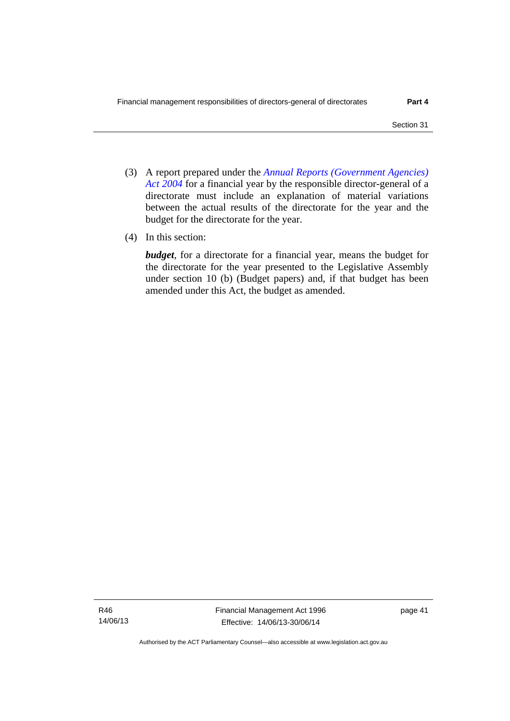- (3) A report prepared under the *[Annual Reports \(Government Agencies\)](http://www.legislation.act.gov.au/a/2004-8)  [Act 2004](http://www.legislation.act.gov.au/a/2004-8)* for a financial year by the responsible director-general of a directorate must include an explanation of material variations between the actual results of the directorate for the year and the budget for the directorate for the year.
- (4) In this section:

*budget*, for a directorate for a financial year, means the budget for the directorate for the year presented to the Legislative Assembly under section 10 (b) (Budget papers) and, if that budget has been amended under this Act, the budget as amended.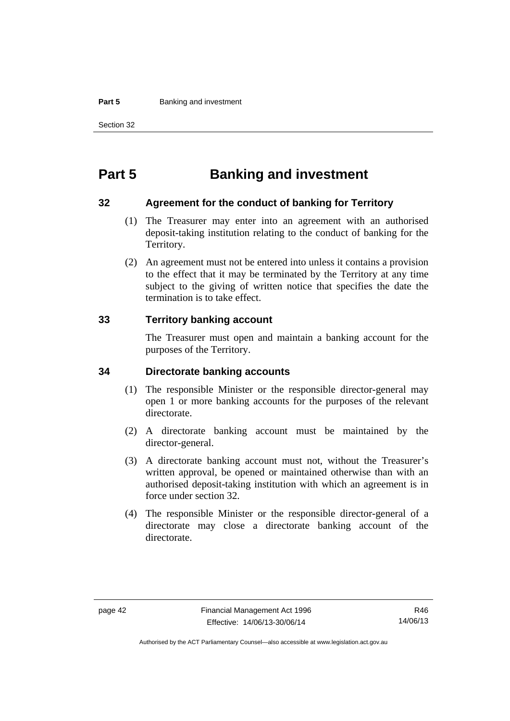#### **Part 5 Banking and investment**

Section 32

## **Part 5 Banking and investment**

### **32 Agreement for the conduct of banking for Territory**

- (1) The Treasurer may enter into an agreement with an authorised deposit-taking institution relating to the conduct of banking for the Territory.
- (2) An agreement must not be entered into unless it contains a provision to the effect that it may be terminated by the Territory at any time subject to the giving of written notice that specifies the date the termination is to take effect.

## **33 Territory banking account**

The Treasurer must open and maintain a banking account for the purposes of the Territory.

#### **34 Directorate banking accounts**

- (1) The responsible Minister or the responsible director-general may open 1 or more banking accounts for the purposes of the relevant directorate.
- (2) A directorate banking account must be maintained by the director-general.
- (3) A directorate banking account must not, without the Treasurer's written approval, be opened or maintained otherwise than with an authorised deposit-taking institution with which an agreement is in force under section 32.
- (4) The responsible Minister or the responsible director-general of a directorate may close a directorate banking account of the directorate.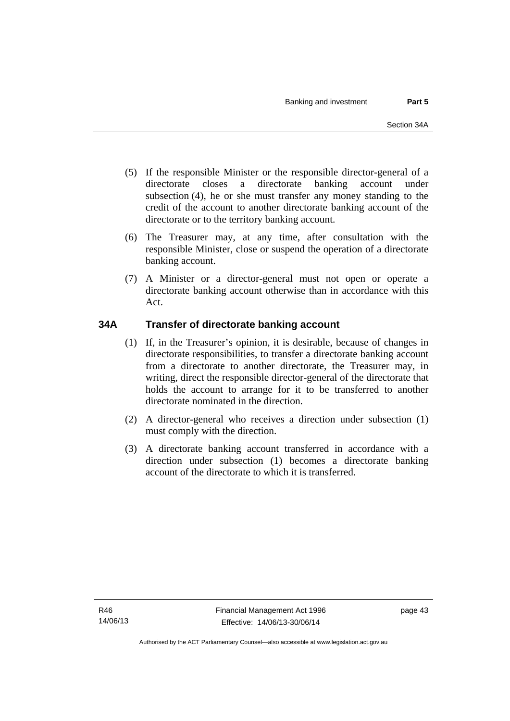- (5) If the responsible Minister or the responsible director-general of a directorate closes a directorate banking account under subsection (4), he or she must transfer any money standing to the credit of the account to another directorate banking account of the directorate or to the territory banking account.
- (6) The Treasurer may, at any time, after consultation with the responsible Minister, close or suspend the operation of a directorate banking account.
- (7) A Minister or a director-general must not open or operate a directorate banking account otherwise than in accordance with this Act.

## **34A Transfer of directorate banking account**

- (1) If, in the Treasurer's opinion, it is desirable, because of changes in directorate responsibilities, to transfer a directorate banking account from a directorate to another directorate, the Treasurer may, in writing, direct the responsible director-general of the directorate that holds the account to arrange for it to be transferred to another directorate nominated in the direction.
- (2) A director-general who receives a direction under subsection (1) must comply with the direction.
- (3) A directorate banking account transferred in accordance with a direction under subsection (1) becomes a directorate banking account of the directorate to which it is transferred.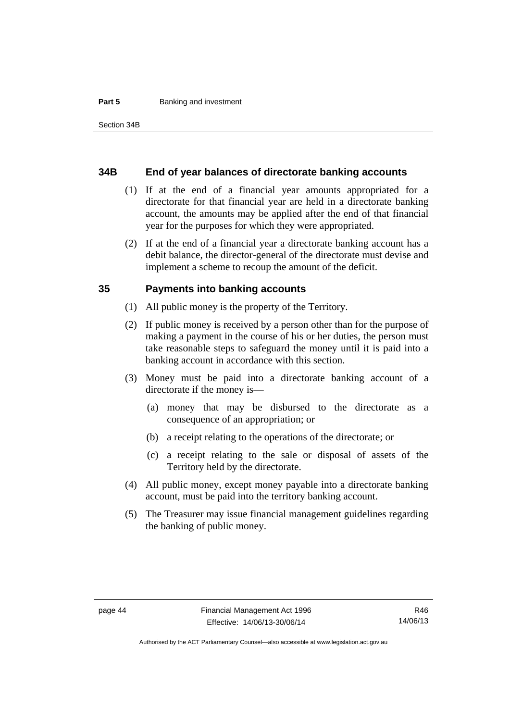#### **Part 5 Banking and investment**

#### **34B End of year balances of directorate banking accounts**

- (1) If at the end of a financial year amounts appropriated for a directorate for that financial year are held in a directorate banking account, the amounts may be applied after the end of that financial year for the purposes for which they were appropriated.
- (2) If at the end of a financial year a directorate banking account has a debit balance, the director-general of the directorate must devise and implement a scheme to recoup the amount of the deficit.

### **35 Payments into banking accounts**

- (1) All public money is the property of the Territory.
- (2) If public money is received by a person other than for the purpose of making a payment in the course of his or her duties, the person must take reasonable steps to safeguard the money until it is paid into a banking account in accordance with this section.
- (3) Money must be paid into a directorate banking account of a directorate if the money is—
	- (a) money that may be disbursed to the directorate as a consequence of an appropriation; or
	- (b) a receipt relating to the operations of the directorate; or
	- (c) a receipt relating to the sale or disposal of assets of the Territory held by the directorate.
- (4) All public money, except money payable into a directorate banking account, must be paid into the territory banking account.
- (5) The Treasurer may issue financial management guidelines regarding the banking of public money.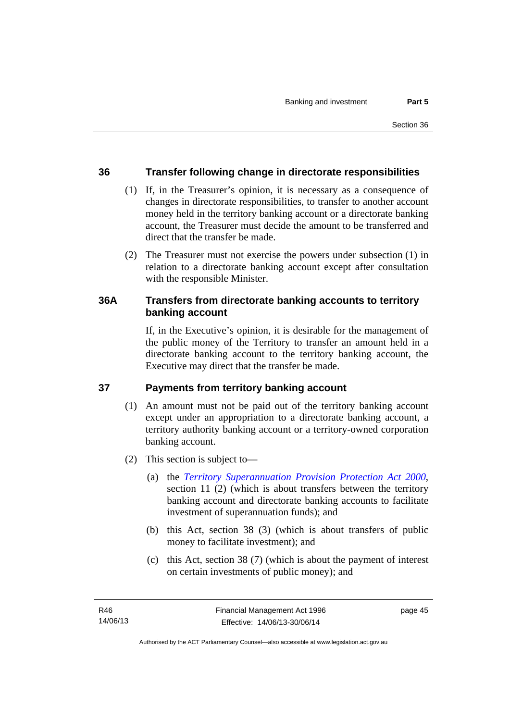## **36 Transfer following change in directorate responsibilities**

- (1) If, in the Treasurer's opinion, it is necessary as a consequence of changes in directorate responsibilities, to transfer to another account money held in the territory banking account or a directorate banking account, the Treasurer must decide the amount to be transferred and direct that the transfer be made.
- (2) The Treasurer must not exercise the powers under subsection (1) in relation to a directorate banking account except after consultation with the responsible Minister.

## **36A Transfers from directorate banking accounts to territory banking account**

If, in the Executive's opinion, it is desirable for the management of the public money of the Territory to transfer an amount held in a directorate banking account to the territory banking account, the Executive may direct that the transfer be made.

## **37 Payments from territory banking account**

- (1) An amount must not be paid out of the territory banking account except under an appropriation to a directorate banking account, a territory authority banking account or a territory-owned corporation banking account.
- (2) This section is subject to—
	- (a) the *[Territory Superannuation Provision Protection Act 2000](http://www.legislation.act.gov.au/a/2000-21)*, section 11 (2) (which is about transfers between the territory banking account and directorate banking accounts to facilitate investment of superannuation funds); and
	- (b) this Act, section 38 (3) (which is about transfers of public money to facilitate investment); and
	- (c) this Act, section 38 (7) (which is about the payment of interest on certain investments of public money); and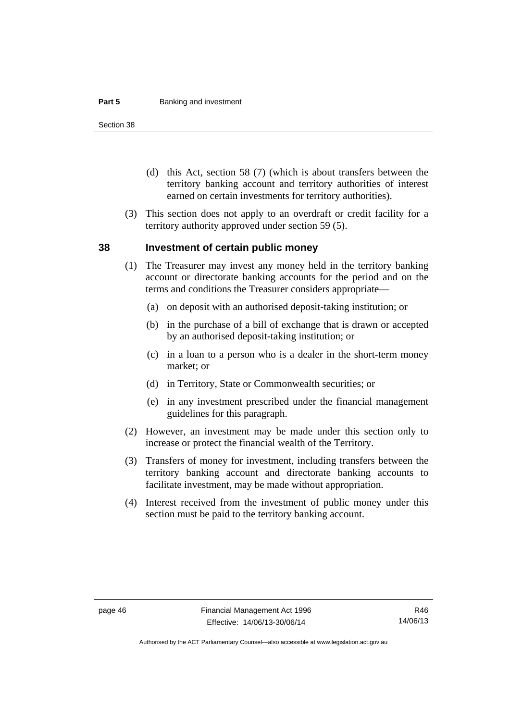#### **Part 5 Banking and investment**

Section 38

- (d) this Act, section 58 (7) (which is about transfers between the territory banking account and territory authorities of interest earned on certain investments for territory authorities).
- (3) This section does not apply to an overdraft or credit facility for a territory authority approved under section 59 (5).

#### **38 Investment of certain public money**

- (1) The Treasurer may invest any money held in the territory banking account or directorate banking accounts for the period and on the terms and conditions the Treasurer considers appropriate—
	- (a) on deposit with an authorised deposit-taking institution; or
	- (b) in the purchase of a bill of exchange that is drawn or accepted by an authorised deposit-taking institution; or
	- (c) in a loan to a person who is a dealer in the short-term money market; or
	- (d) in Territory, State or Commonwealth securities; or
	- (e) in any investment prescribed under the financial management guidelines for this paragraph.
- (2) However, an investment may be made under this section only to increase or protect the financial wealth of the Territory.
- (3) Transfers of money for investment, including transfers between the territory banking account and directorate banking accounts to facilitate investment, may be made without appropriation.
- (4) Interest received from the investment of public money under this section must be paid to the territory banking account.

Authorised by the ACT Parliamentary Counsel—also accessible at www.legislation.act.gov.au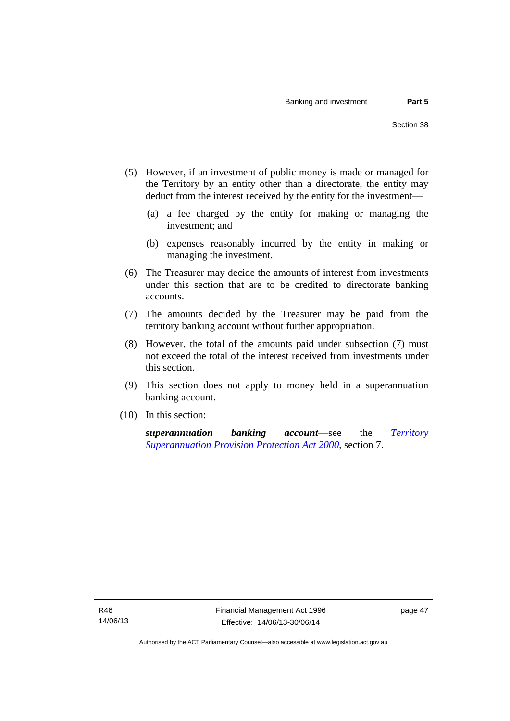- (5) However, if an investment of public money is made or managed for the Territory by an entity other than a directorate, the entity may deduct from the interest received by the entity for the investment—
	- (a) a fee charged by the entity for making or managing the investment; and
	- (b) expenses reasonably incurred by the entity in making or managing the investment.
- (6) The Treasurer may decide the amounts of interest from investments under this section that are to be credited to directorate banking accounts.
- (7) The amounts decided by the Treasurer may be paid from the territory banking account without further appropriation.
- (8) However, the total of the amounts paid under subsection (7) must not exceed the total of the interest received from investments under this section.
- (9) This section does not apply to money held in a superannuation banking account.
- (10) In this section:

*superannuation banking account*—see the *[Territory](http://www.legislation.act.gov.au/a/2000-21)  [Superannuation Provision Protection Act 2000](http://www.legislation.act.gov.au/a/2000-21)*, section 7.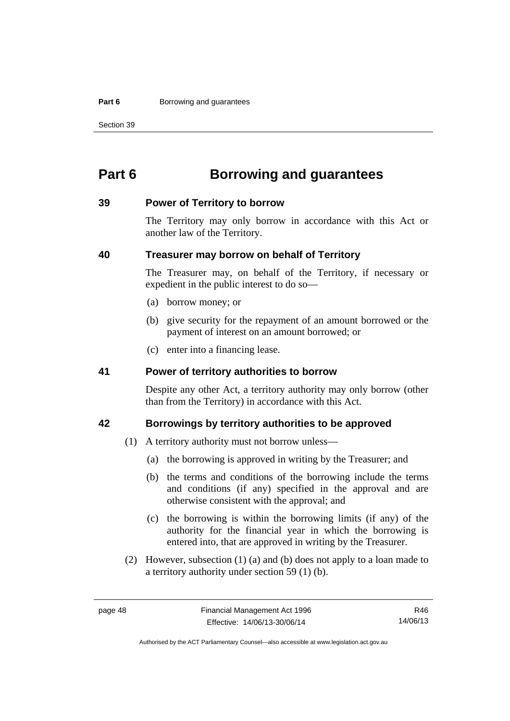#### **Part 6 Borrowing and guarantees**

Section 39

## **Part 6 Borrowing and guarantees**

### **39 Power of Territory to borrow**

The Territory may only borrow in accordance with this Act or another law of the Territory.

## **40 Treasurer may borrow on behalf of Territory**

The Treasurer may, on behalf of the Territory, if necessary or expedient in the public interest to do so—

- (a) borrow money; or
- (b) give security for the repayment of an amount borrowed or the payment of interest on an amount borrowed; or
- (c) enter into a financing lease.

## **41 Power of territory authorities to borrow**

Despite any other Act, a territory authority may only borrow (other than from the Territory) in accordance with this Act.

## **42 Borrowings by territory authorities to be approved**

- (1) A territory authority must not borrow unless—
	- (a) the borrowing is approved in writing by the Treasurer; and
	- (b) the terms and conditions of the borrowing include the terms and conditions (if any) specified in the approval and are otherwise consistent with the approval; and
	- (c) the borrowing is within the borrowing limits (if any) of the authority for the financial year in which the borrowing is entered into, that are approved in writing by the Treasurer.
- (2) However, subsection (1) (a) and (b) does not apply to a loan made to a territory authority under section 59 (1) (b).

R46 14/06/13

Authorised by the ACT Parliamentary Counsel—also accessible at www.legislation.act.gov.au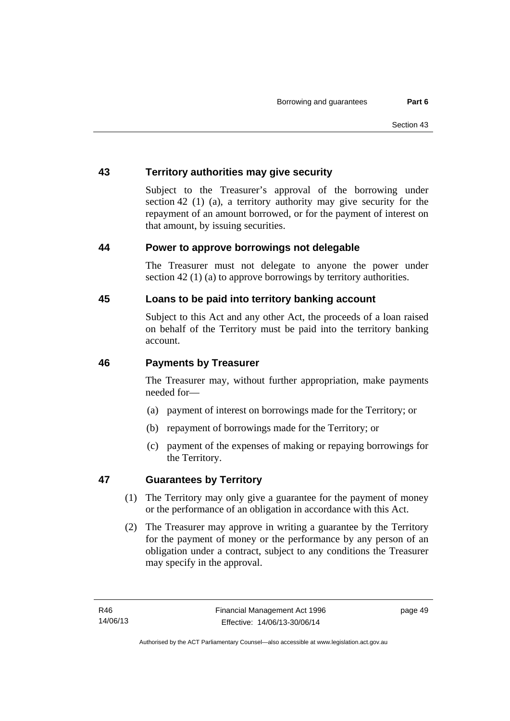## **43 Territory authorities may give security**

Subject to the Treasurer's approval of the borrowing under section 42 (1) (a), a territory authority may give security for the repayment of an amount borrowed, or for the payment of interest on that amount, by issuing securities.

## **44 Power to approve borrowings not delegable**

The Treasurer must not delegate to anyone the power under section 42 (1) (a) to approve borrowings by territory authorities.

## **45 Loans to be paid into territory banking account**

Subject to this Act and any other Act, the proceeds of a loan raised on behalf of the Territory must be paid into the territory banking account.

## **46 Payments by Treasurer**

The Treasurer may, without further appropriation, make payments needed for—

- (a) payment of interest on borrowings made for the Territory; or
- (b) repayment of borrowings made for the Territory; or
- (c) payment of the expenses of making or repaying borrowings for the Territory.

## **47 Guarantees by Territory**

- (1) The Territory may only give a guarantee for the payment of money or the performance of an obligation in accordance with this Act.
- (2) The Treasurer may approve in writing a guarantee by the Territory for the payment of money or the performance by any person of an obligation under a contract, subject to any conditions the Treasurer may specify in the approval.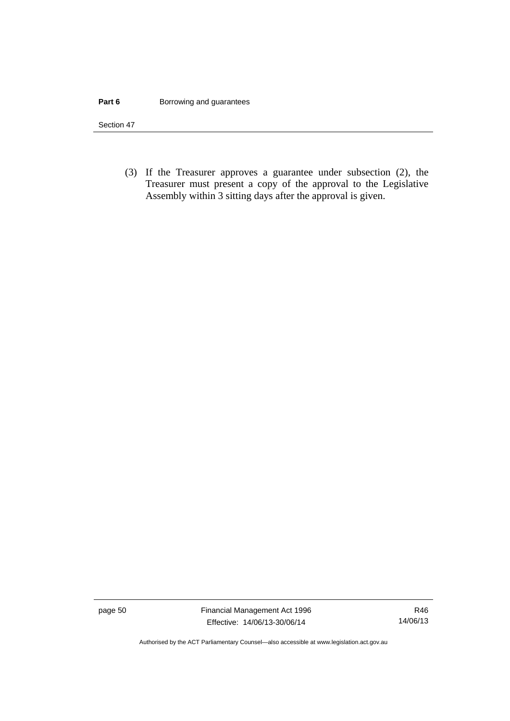#### **Part 6 Borrowing and guarantees**

Section 47

 (3) If the Treasurer approves a guarantee under subsection (2), the Treasurer must present a copy of the approval to the Legislative Assembly within 3 sitting days after the approval is given.

page 50 Financial Management Act 1996 Effective: 14/06/13-30/06/14

R46 14/06/13

Authorised by the ACT Parliamentary Counsel—also accessible at www.legislation.act.gov.au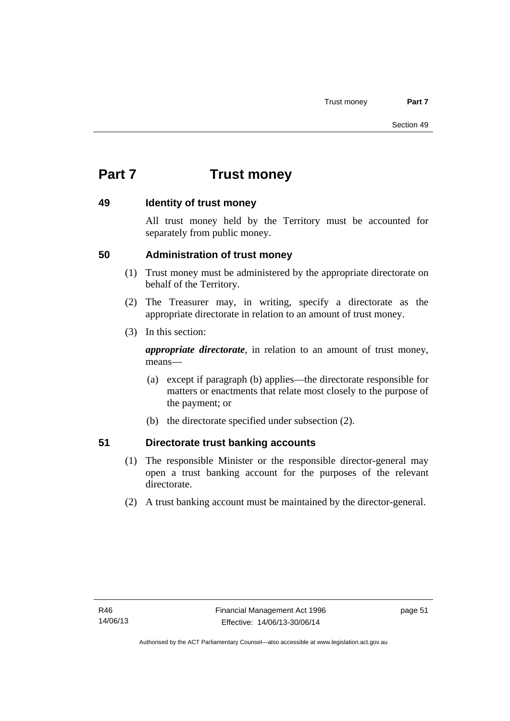# **Part 7 Trust money**

## **49 Identity of trust money**

All trust money held by the Territory must be accounted for separately from public money.

## **50 Administration of trust money**

- (1) Trust money must be administered by the appropriate directorate on behalf of the Territory.
- (2) The Treasurer may, in writing, specify a directorate as the appropriate directorate in relation to an amount of trust money.
- (3) In this section:

*appropriate directorate*, in relation to an amount of trust money, means—

- (a) except if paragraph (b) applies—the directorate responsible for matters or enactments that relate most closely to the purpose of the payment; or
- (b) the directorate specified under subsection (2).

## **51 Directorate trust banking accounts**

- (1) The responsible Minister or the responsible director-general may open a trust banking account for the purposes of the relevant directorate.
- (2) A trust banking account must be maintained by the director-general.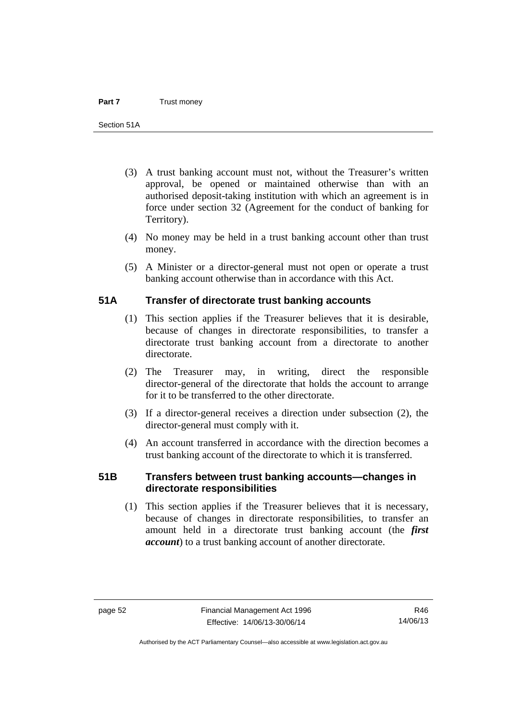- (3) A trust banking account must not, without the Treasurer's written approval, be opened or maintained otherwise than with an authorised deposit-taking institution with which an agreement is in force under section 32 (Agreement for the conduct of banking for Territory).
- (4) No money may be held in a trust banking account other than trust money.
- (5) A Minister or a director-general must not open or operate a trust banking account otherwise than in accordance with this Act.

## **51A Transfer of directorate trust banking accounts**

- (1) This section applies if the Treasurer believes that it is desirable, because of changes in directorate responsibilities, to transfer a directorate trust banking account from a directorate to another directorate.
- (2) The Treasurer may, in writing, direct the responsible director-general of the directorate that holds the account to arrange for it to be transferred to the other directorate.
- (3) If a director-general receives a direction under subsection (2), the director-general must comply with it.
- (4) An account transferred in accordance with the direction becomes a trust banking account of the directorate to which it is transferred.

## **51B Transfers between trust banking accounts—changes in directorate responsibilities**

 (1) This section applies if the Treasurer believes that it is necessary, because of changes in directorate responsibilities, to transfer an amount held in a directorate trust banking account (the *first account*) to a trust banking account of another directorate.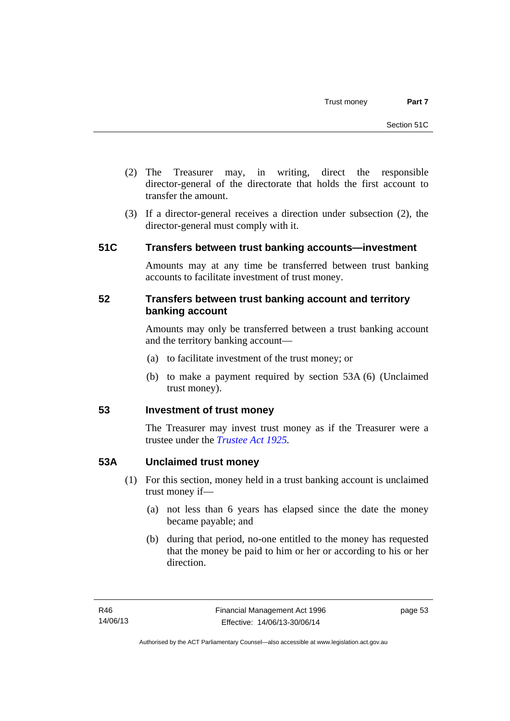- (2) The Treasurer may, in writing, direct the responsible director-general of the directorate that holds the first account to transfer the amount.
- (3) If a director-general receives a direction under subsection (2), the director-general must comply with it.

## **51C Transfers between trust banking accounts—investment**

Amounts may at any time be transferred between trust banking accounts to facilitate investment of trust money.

## **52 Transfers between trust banking account and territory banking account**

Amounts may only be transferred between a trust banking account and the territory banking account—

- (a) to facilitate investment of the trust money; or
- (b) to make a payment required by section 53A (6) (Unclaimed trust money).

## **53 Investment of trust money**

The Treasurer may invest trust money as if the Treasurer were a trustee under the *[Trustee Act 1925](http://www.legislation.act.gov.au/a/1925-14).*

## **53A Unclaimed trust money**

- (1) For this section, money held in a trust banking account is unclaimed trust money if—
	- (a) not less than 6 years has elapsed since the date the money became payable; and
	- (b) during that period, no-one entitled to the money has requested that the money be paid to him or her or according to his or her direction.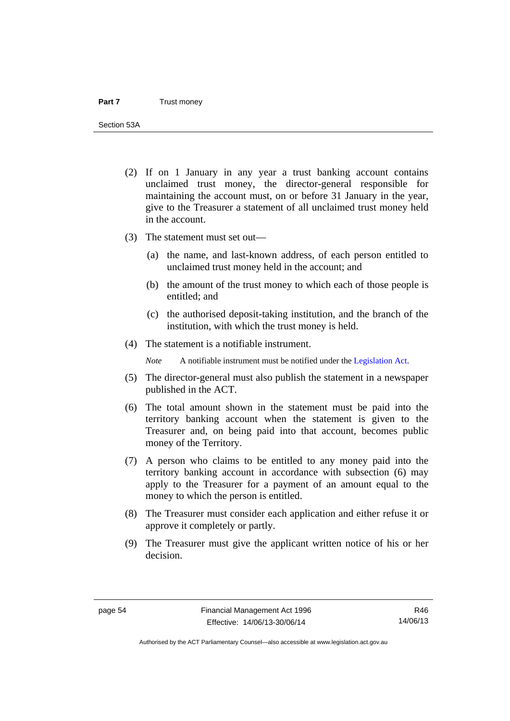Section 53A

- (2) If on 1 January in any year a trust banking account contains unclaimed trust money, the director-general responsible for maintaining the account must, on or before 31 January in the year, give to the Treasurer a statement of all unclaimed trust money held in the account.
- (3) The statement must set out—
	- (a) the name, and last-known address, of each person entitled to unclaimed trust money held in the account; and
	- (b) the amount of the trust money to which each of those people is entitled; and
	- (c) the authorised deposit-taking institution, and the branch of the institution, with which the trust money is held.
- (4) The statement is a notifiable instrument.

*Note* A notifiable instrument must be notified under the [Legislation Act](http://www.legislation.act.gov.au/a/2001-14).

- (5) The director-general must also publish the statement in a newspaper published in the ACT.
- (6) The total amount shown in the statement must be paid into the territory banking account when the statement is given to the Treasurer and, on being paid into that account, becomes public money of the Territory.
- (7) A person who claims to be entitled to any money paid into the territory banking account in accordance with subsection (6) may apply to the Treasurer for a payment of an amount equal to the money to which the person is entitled.
- (8) The Treasurer must consider each application and either refuse it or approve it completely or partly.
- (9) The Treasurer must give the applicant written notice of his or her decision.

R46 14/06/13

Authorised by the ACT Parliamentary Counsel—also accessible at www.legislation.act.gov.au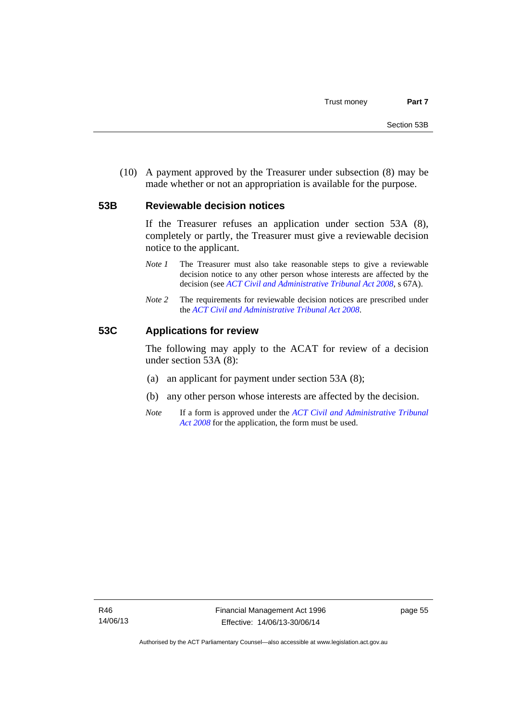(10) A payment approved by the Treasurer under subsection (8) may be made whether or not an appropriation is available for the purpose.

#### **53B Reviewable decision notices**

If the Treasurer refuses an application under section 53A (8), completely or partly, the Treasurer must give a reviewable decision notice to the applicant.

- *Note 1* The Treasurer must also take reasonable steps to give a reviewable decision notice to any other person whose interests are affected by the decision (see *[ACT Civil and Administrative Tribunal Act 2008](http://www.legislation.act.gov.au/a/2008-35)*, s 67A).
- *Note* 2 The requirements for reviewable decision notices are prescribed under the *[ACT Civil and Administrative Tribunal Act 2008](http://www.legislation.act.gov.au/a/2008-35)*.

#### **53C Applications for review**

The following may apply to the ACAT for review of a decision under section 53A (8):

- (a) an applicant for payment under section 53A (8);
- (b) any other person whose interests are affected by the decision.
- *Note* If a form is approved under the *[ACT Civil and Administrative Tribunal](http://www.legislation.act.gov.au/a/2008-35)  [Act 2008](http://www.legislation.act.gov.au/a/2008-35)* for the application, the form must be used.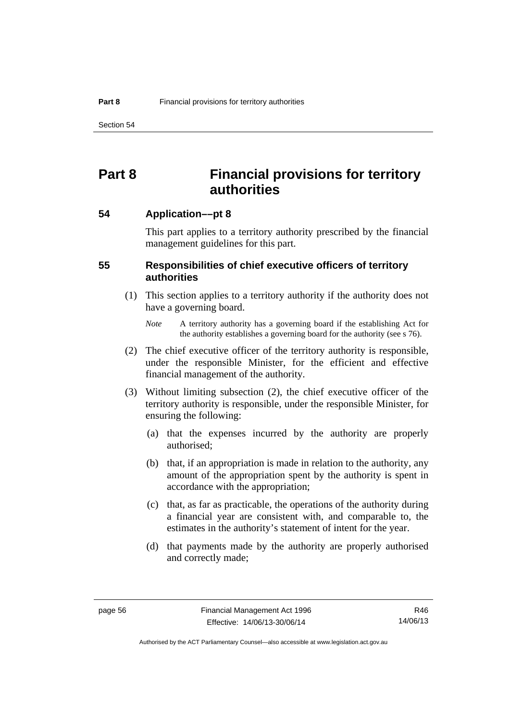Section 54

## **Part 8 Financial provisions for territory authorities**

**54 Application––pt 8** 

This part applies to a territory authority prescribed by the financial management guidelines for this part.

## **55 Responsibilities of chief executive officers of territory authorities**

- (1) This section applies to a territory authority if the authority does not have a governing board.
	- *Note* A territory authority has a governing board if the establishing Act for the authority establishes a governing board for the authority (see s 76).
- (2) The chief executive officer of the territory authority is responsible, under the responsible Minister, for the efficient and effective financial management of the authority.
- (3) Without limiting subsection (2), the chief executive officer of the territory authority is responsible, under the responsible Minister, for ensuring the following:
	- (a) that the expenses incurred by the authority are properly authorised;
	- (b) that, if an appropriation is made in relation to the authority, any amount of the appropriation spent by the authority is spent in accordance with the appropriation;
	- (c) that, as far as practicable, the operations of the authority during a financial year are consistent with, and comparable to, the estimates in the authority's statement of intent for the year.
	- (d) that payments made by the authority are properly authorised and correctly made;

R46 14/06/13

Authorised by the ACT Parliamentary Counsel—also accessible at www.legislation.act.gov.au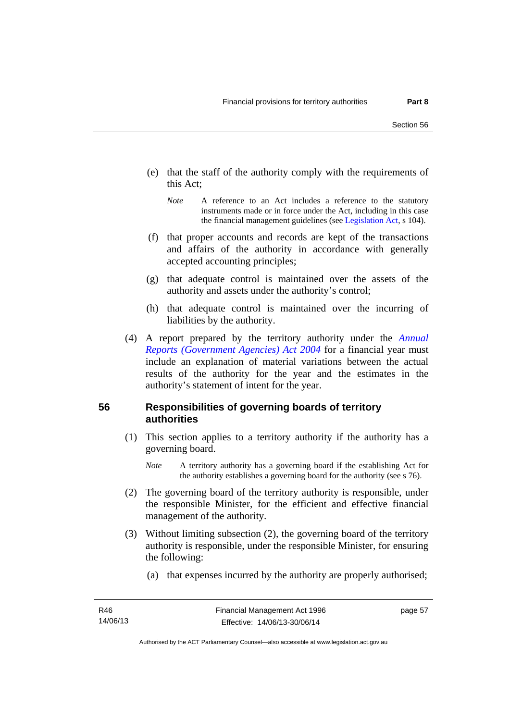- (e) that the staff of the authority comply with the requirements of this Act;
	- *Note* A reference to an Act includes a reference to the statutory instruments made or in force under the Act, including in this case the financial management guidelines (see [Legislation Act,](http://www.legislation.act.gov.au/a/2001-14) s 104).
- (f) that proper accounts and records are kept of the transactions and affairs of the authority in accordance with generally accepted accounting principles;
- (g) that adequate control is maintained over the assets of the authority and assets under the authority's control;
- (h) that adequate control is maintained over the incurring of liabilities by the authority.
- (4) A report prepared by the territory authority under the *[Annual](http://www.legislation.act.gov.au/a/2004-8)  [Reports \(Government Agencies\) Act 2004](http://www.legislation.act.gov.au/a/2004-8)* for a financial year must include an explanation of material variations between the actual results of the authority for the year and the estimates in the authority's statement of intent for the year.

## **56 Responsibilities of governing boards of territory authorities**

- (1) This section applies to a territory authority if the authority has a governing board.
	- *Note* A territory authority has a governing board if the establishing Act for the authority establishes a governing board for the authority (see s 76).
- (2) The governing board of the territory authority is responsible, under the responsible Minister, for the efficient and effective financial management of the authority.
- (3) Without limiting subsection (2), the governing board of the territory authority is responsible, under the responsible Minister, for ensuring the following:
	- (a) that expenses incurred by the authority are properly authorised;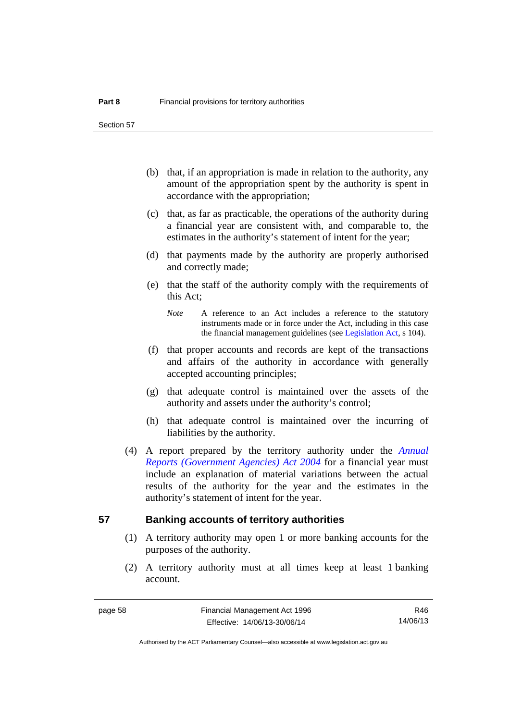Section 57

- (b) that, if an appropriation is made in relation to the authority, any amount of the appropriation spent by the authority is spent in accordance with the appropriation;
- (c) that, as far as practicable, the operations of the authority during a financial year are consistent with, and comparable to, the estimates in the authority's statement of intent for the year;
- (d) that payments made by the authority are properly authorised and correctly made;
- (e) that the staff of the authority comply with the requirements of this Act;
	- *Note* A reference to an Act includes a reference to the statutory instruments made or in force under the Act, including in this case the financial management guidelines (see [Legislation Act,](http://www.legislation.act.gov.au/a/2001-14) s 104).
- (f) that proper accounts and records are kept of the transactions and affairs of the authority in accordance with generally accepted accounting principles;
- (g) that adequate control is maintained over the assets of the authority and assets under the authority's control;
- (h) that adequate control is maintained over the incurring of liabilities by the authority.
- (4) A report prepared by the territory authority under the *[Annual](http://www.legislation.act.gov.au/a/2004-8)  [Reports \(Government Agencies\) Act 2004](http://www.legislation.act.gov.au/a/2004-8)* for a financial year must include an explanation of material variations between the actual results of the authority for the year and the estimates in the authority's statement of intent for the year.

### **57 Banking accounts of territory authorities**

- (1) A territory authority may open 1 or more banking accounts for the purposes of the authority.
- (2) A territory authority must at all times keep at least 1 banking account.

R46 14/06/13

Authorised by the ACT Parliamentary Counsel—also accessible at www.legislation.act.gov.au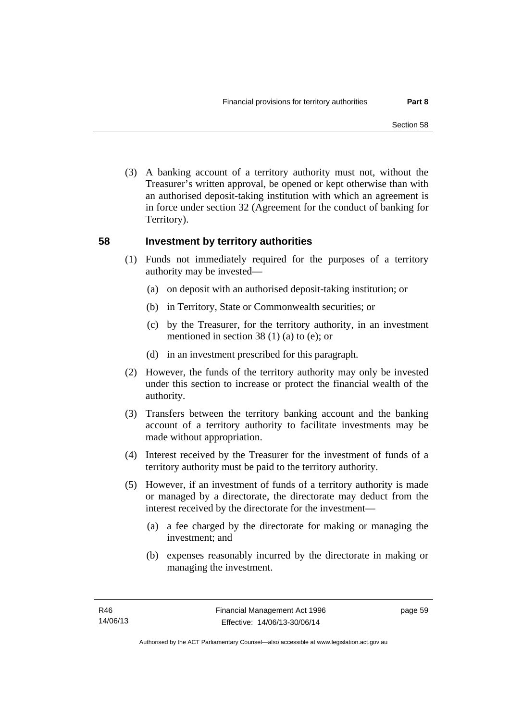(3) A banking account of a territory authority must not, without the Treasurer's written approval, be opened or kept otherwise than with an authorised deposit-taking institution with which an agreement is in force under section 32 (Agreement for the conduct of banking for Territory).

## **58 Investment by territory authorities**

- (1) Funds not immediately required for the purposes of a territory authority may be invested—
	- (a) on deposit with an authorised deposit-taking institution; or
	- (b) in Territory, State or Commonwealth securities; or
	- (c) by the Treasurer, for the territory authority, in an investment mentioned in section 38 (1) (a) to (e); or
	- (d) in an investment prescribed for this paragraph.
- (2) However, the funds of the territory authority may only be invested under this section to increase or protect the financial wealth of the authority.
- (3) Transfers between the territory banking account and the banking account of a territory authority to facilitate investments may be made without appropriation.
- (4) Interest received by the Treasurer for the investment of funds of a territory authority must be paid to the territory authority.
- (5) However, if an investment of funds of a territory authority is made or managed by a directorate, the directorate may deduct from the interest received by the directorate for the investment—
	- (a) a fee charged by the directorate for making or managing the investment; and
	- (b) expenses reasonably incurred by the directorate in making or managing the investment.

page 59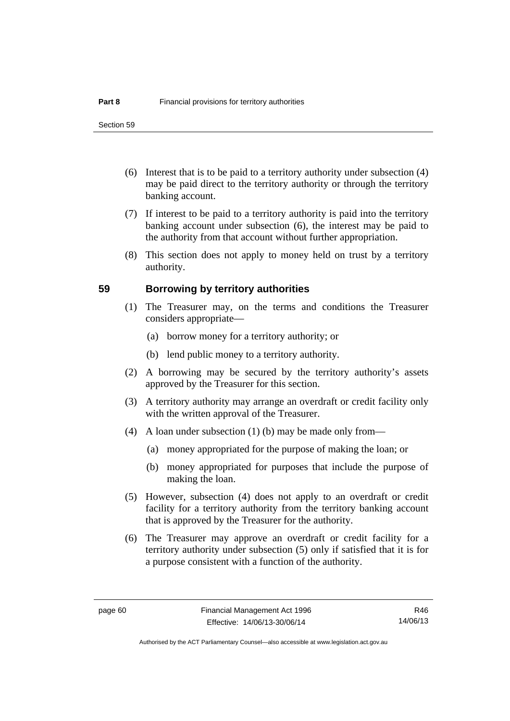- (6) Interest that is to be paid to a territory authority under subsection (4) may be paid direct to the territory authority or through the territory banking account.
- (7) If interest to be paid to a territory authority is paid into the territory banking account under subsection (6), the interest may be paid to the authority from that account without further appropriation.
- (8) This section does not apply to money held on trust by a territory authority.

## **59 Borrowing by territory authorities**

- (1) The Treasurer may, on the terms and conditions the Treasurer considers appropriate—
	- (a) borrow money for a territory authority; or
	- (b) lend public money to a territory authority.
- (2) A borrowing may be secured by the territory authority's assets approved by the Treasurer for this section.
- (3) A territory authority may arrange an overdraft or credit facility only with the written approval of the Treasurer.
- (4) A loan under subsection (1) (b) may be made only from—
	- (a) money appropriated for the purpose of making the loan; or
	- (b) money appropriated for purposes that include the purpose of making the loan.
- (5) However, subsection (4) does not apply to an overdraft or credit facility for a territory authority from the territory banking account that is approved by the Treasurer for the authority.
- (6) The Treasurer may approve an overdraft or credit facility for a territory authority under subsection (5) only if satisfied that it is for a purpose consistent with a function of the authority.

R46 14/06/13

Authorised by the ACT Parliamentary Counsel—also accessible at www.legislation.act.gov.au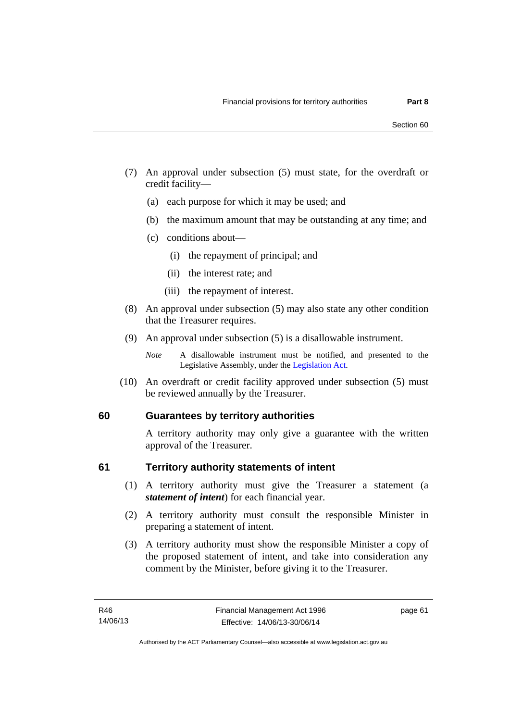- (7) An approval under subsection (5) must state, for the overdraft or credit facility—
	- (a) each purpose for which it may be used; and
	- (b) the maximum amount that may be outstanding at any time; and
	- (c) conditions about—
		- (i) the repayment of principal; and
		- (ii) the interest rate; and
		- (iii) the repayment of interest.
- (8) An approval under subsection (5) may also state any other condition that the Treasurer requires.
- (9) An approval under subsection (5) is a disallowable instrument.

 (10) An overdraft or credit facility approved under subsection (5) must be reviewed annually by the Treasurer.

## **60 Guarantees by territory authorities**

A territory authority may only give a guarantee with the written approval of the Treasurer.

## **61 Territory authority statements of intent**

- (1) A territory authority must give the Treasurer a statement (a *statement of intent*) for each financial year.
- (2) A territory authority must consult the responsible Minister in preparing a statement of intent.
- (3) A territory authority must show the responsible Minister a copy of the proposed statement of intent, and take into consideration any comment by the Minister, before giving it to the Treasurer.

*Note* A disallowable instrument must be notified, and presented to the Legislative Assembly, under the [Legislation Act.](http://www.legislation.act.gov.au/a/2001-14)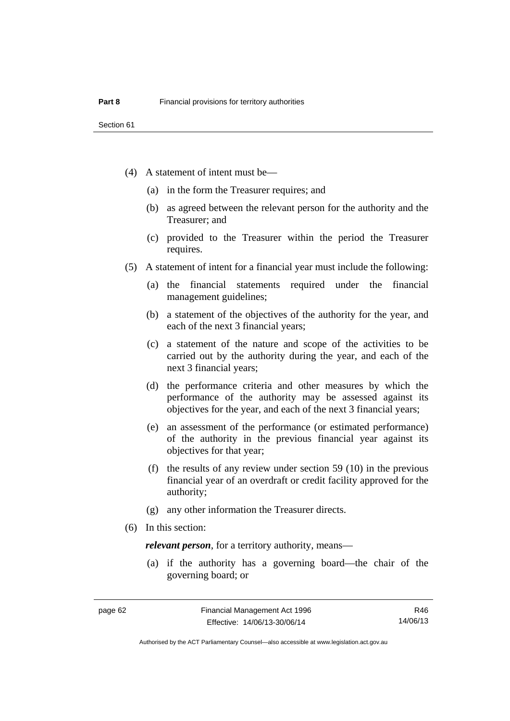- (4) A statement of intent must be—
	- (a) in the form the Treasurer requires; and
	- (b) as agreed between the relevant person for the authority and the Treasurer; and
	- (c) provided to the Treasurer within the period the Treasurer requires.
- (5) A statement of intent for a financial year must include the following:
	- (a) the financial statements required under the financial management guidelines;
	- (b) a statement of the objectives of the authority for the year, and each of the next 3 financial years;
	- (c) a statement of the nature and scope of the activities to be carried out by the authority during the year, and each of the next 3 financial years;
	- (d) the performance criteria and other measures by which the performance of the authority may be assessed against its objectives for the year, and each of the next 3 financial years;
	- (e) an assessment of the performance (or estimated performance) of the authority in the previous financial year against its objectives for that year;
	- (f) the results of any review under section 59 (10) in the previous financial year of an overdraft or credit facility approved for the authority;
	- (g) any other information the Treasurer directs.
- (6) In this section:

*relevant person*, for a territory authority, means—

 (a) if the authority has a governing board—the chair of the governing board; or

R46 14/06/13

Authorised by the ACT Parliamentary Counsel—also accessible at www.legislation.act.gov.au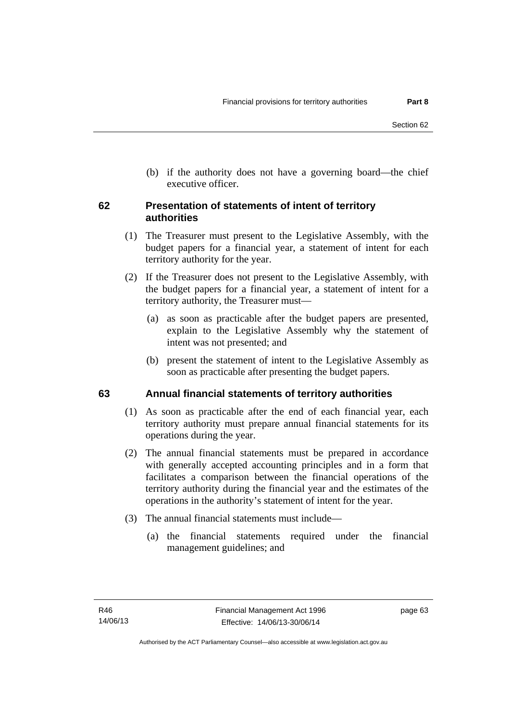(b) if the authority does not have a governing board—the chief executive officer.

## **62 Presentation of statements of intent of territory authorities**

- (1) The Treasurer must present to the Legislative Assembly, with the budget papers for a financial year, a statement of intent for each territory authority for the year.
- (2) If the Treasurer does not present to the Legislative Assembly, with the budget papers for a financial year, a statement of intent for a territory authority, the Treasurer must—
	- (a) as soon as practicable after the budget papers are presented, explain to the Legislative Assembly why the statement of intent was not presented; and
	- (b) present the statement of intent to the Legislative Assembly as soon as practicable after presenting the budget papers.

### **63 Annual financial statements of territory authorities**

- (1) As soon as practicable after the end of each financial year, each territory authority must prepare annual financial statements for its operations during the year.
- (2) The annual financial statements must be prepared in accordance with generally accepted accounting principles and in a form that facilitates a comparison between the financial operations of the territory authority during the financial year and the estimates of the operations in the authority's statement of intent for the year.
- (3) The annual financial statements must include—
	- (a) the financial statements required under the financial management guidelines; and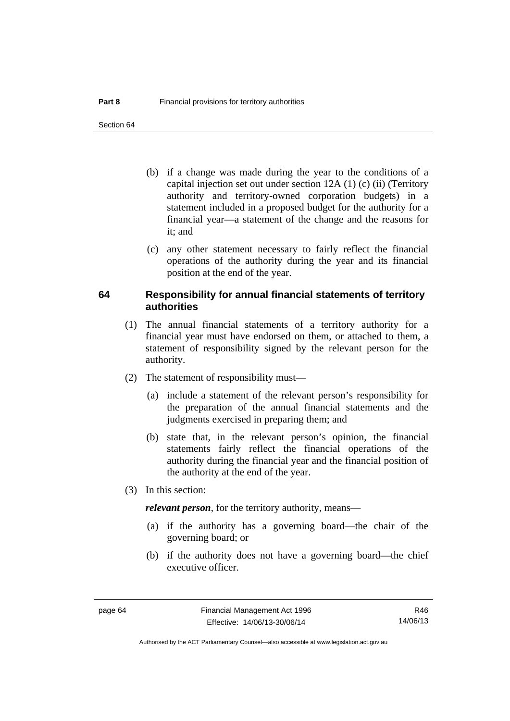- (b) if a change was made during the year to the conditions of a capital injection set out under section 12A (1) (c) (ii) (Territory authority and territory-owned corporation budgets) in a statement included in a proposed budget for the authority for a financial year—a statement of the change and the reasons for it: and
- (c) any other statement necessary to fairly reflect the financial operations of the authority during the year and its financial position at the end of the year.

### **64 Responsibility for annual financial statements of territory authorities**

- (1) The annual financial statements of a territory authority for a financial year must have endorsed on them, or attached to them, a statement of responsibility signed by the relevant person for the authority.
- (2) The statement of responsibility must—
	- (a) include a statement of the relevant person's responsibility for the preparation of the annual financial statements and the judgments exercised in preparing them; and
	- (b) state that, in the relevant person's opinion, the financial statements fairly reflect the financial operations of the authority during the financial year and the financial position of the authority at the end of the year.
- (3) In this section:

*relevant person*, for the territory authority, means—

- (a) if the authority has a governing board—the chair of the governing board; or
- (b) if the authority does not have a governing board—the chief executive officer.

R46 14/06/13

Authorised by the ACT Parliamentary Counsel—also accessible at www.legislation.act.gov.au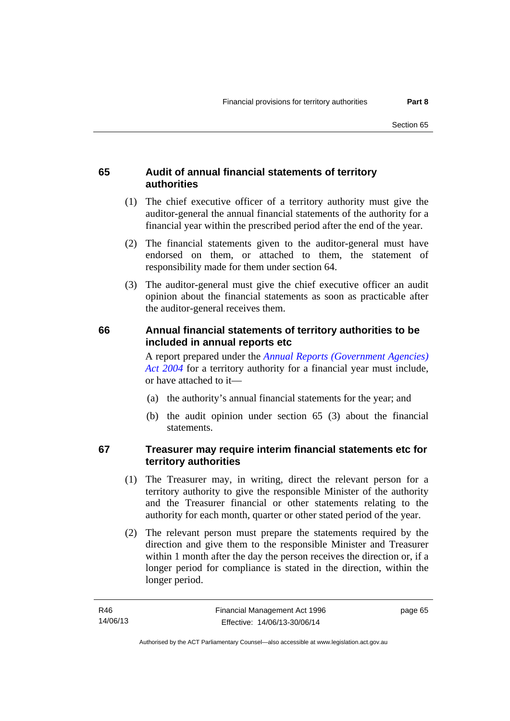## **65 Audit of annual financial statements of territory authorities**

- (1) The chief executive officer of a territory authority must give the auditor-general the annual financial statements of the authority for a financial year within the prescribed period after the end of the year.
- (2) The financial statements given to the auditor-general must have endorsed on them, or attached to them, the statement of responsibility made for them under section 64.
- (3) The auditor-general must give the chief executive officer an audit opinion about the financial statements as soon as practicable after the auditor-general receives them.

### **66 Annual financial statements of territory authorities to be included in annual reports etc**

A report prepared under the *[Annual Reports \(Government Agencies\)](http://www.legislation.act.gov.au/a/2004-8)  [Act 2004](http://www.legislation.act.gov.au/a/2004-8)* for a territory authority for a financial year must include, or have attached to it—

- (a) the authority's annual financial statements for the year; and
- (b) the audit opinion under section 65 (3) about the financial statements.

## **67 Treasurer may require interim financial statements etc for territory authorities**

- (1) The Treasurer may, in writing, direct the relevant person for a territory authority to give the responsible Minister of the authority and the Treasurer financial or other statements relating to the authority for each month, quarter or other stated period of the year.
- (2) The relevant person must prepare the statements required by the direction and give them to the responsible Minister and Treasurer within 1 month after the day the person receives the direction or, if a longer period for compliance is stated in the direction, within the longer period.

page 65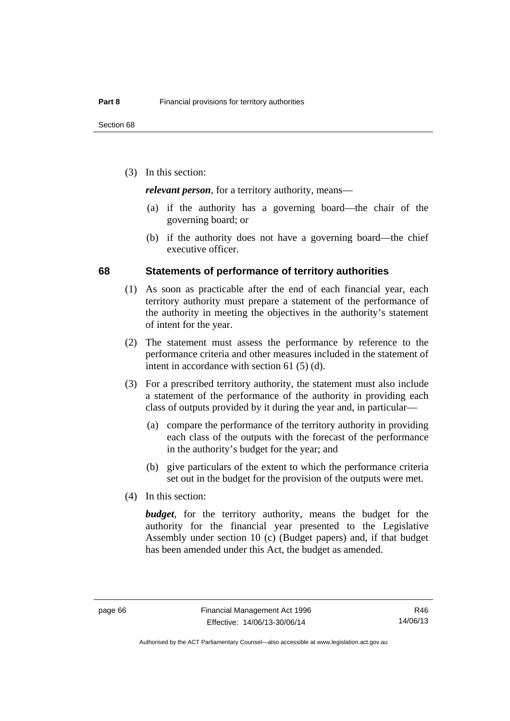(3) In this section:

*relevant person*, for a territory authority, means—

- (a) if the authority has a governing board—the chair of the governing board; or
- (b) if the authority does not have a governing board—the chief executive officer.

### **68 Statements of performance of territory authorities**

- (1) As soon as practicable after the end of each financial year, each territory authority must prepare a statement of the performance of the authority in meeting the objectives in the authority's statement of intent for the year.
- (2) The statement must assess the performance by reference to the performance criteria and other measures included in the statement of intent in accordance with section 61 (5) (d).
- (3) For a prescribed territory authority, the statement must also include a statement of the performance of the authority in providing each class of outputs provided by it during the year and, in particular—
	- (a) compare the performance of the territory authority in providing each class of the outputs with the forecast of the performance in the authority's budget for the year; and
	- (b) give particulars of the extent to which the performance criteria set out in the budget for the provision of the outputs were met.
- (4) In this section:

*budget*, for the territory authority, means the budget for the authority for the financial year presented to the Legislative Assembly under section 10 (c) (Budget papers) and, if that budget has been amended under this Act, the budget as amended.

R46 14/06/13

Authorised by the ACT Parliamentary Counsel—also accessible at www.legislation.act.gov.au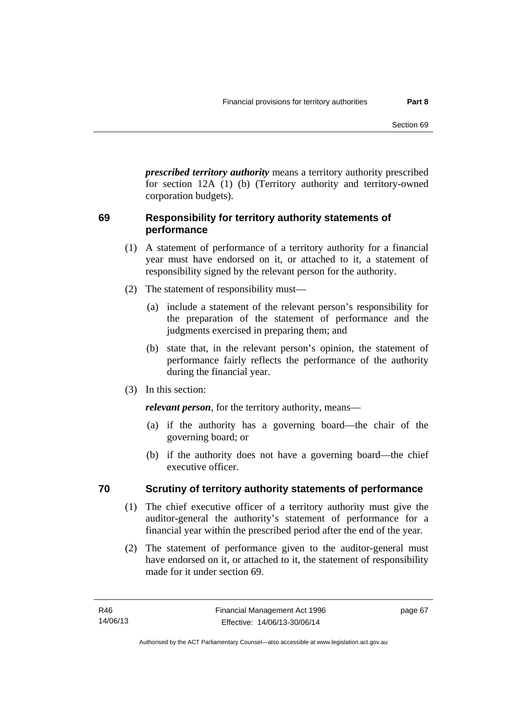*prescribed territory authority* means a territory authority prescribed for section 12A (1) (b) (Territory authority and territory-owned corporation budgets).

## **69 Responsibility for territory authority statements of performance**

- (1) A statement of performance of a territory authority for a financial year must have endorsed on it, or attached to it, a statement of responsibility signed by the relevant person for the authority.
- (2) The statement of responsibility must—
	- (a) include a statement of the relevant person's responsibility for the preparation of the statement of performance and the judgments exercised in preparing them; and
	- (b) state that, in the relevant person's opinion, the statement of performance fairly reflects the performance of the authority during the financial year.
- (3) In this section:

*relevant person*, for the territory authority, means—

- (a) if the authority has a governing board—the chair of the governing board; or
- (b) if the authority does not have a governing board—the chief executive officer.

## **70 Scrutiny of territory authority statements of performance**

- (1) The chief executive officer of a territory authority must give the auditor-general the authority's statement of performance for a financial year within the prescribed period after the end of the year.
- (2) The statement of performance given to the auditor-general must have endorsed on it, or attached to it, the statement of responsibility made for it under section 69.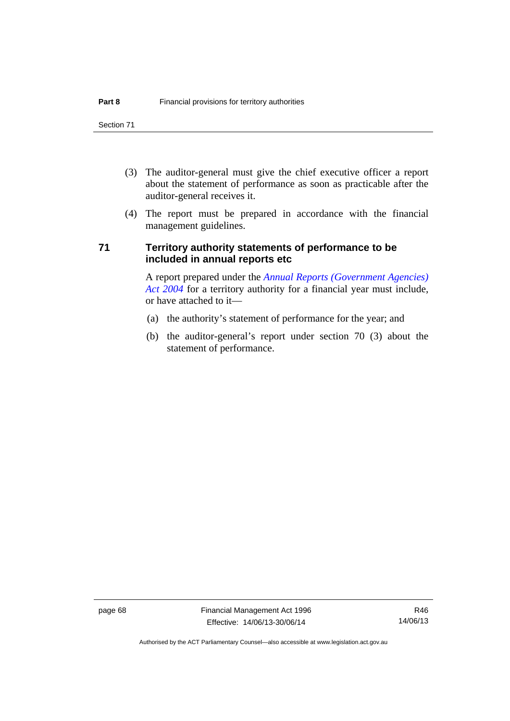- (3) The auditor-general must give the chief executive officer a report about the statement of performance as soon as practicable after the auditor-general receives it.
- (4) The report must be prepared in accordance with the financial management guidelines.

### **71 Territory authority statements of performance to be included in annual reports etc**

A report prepared under the *[Annual Reports \(Government Agencies\)](http://www.legislation.act.gov.au/a/2004-8)  [Act 2004](http://www.legislation.act.gov.au/a/2004-8)* for a territory authority for a financial year must include, or have attached to it—

- (a) the authority's statement of performance for the year; and
- (b) the auditor-general's report under section 70 (3) about the statement of performance.

page 68 Financial Management Act 1996 Effective: 14/06/13-30/06/14

Authorised by the ACT Parliamentary Counsel—also accessible at www.legislation.act.gov.au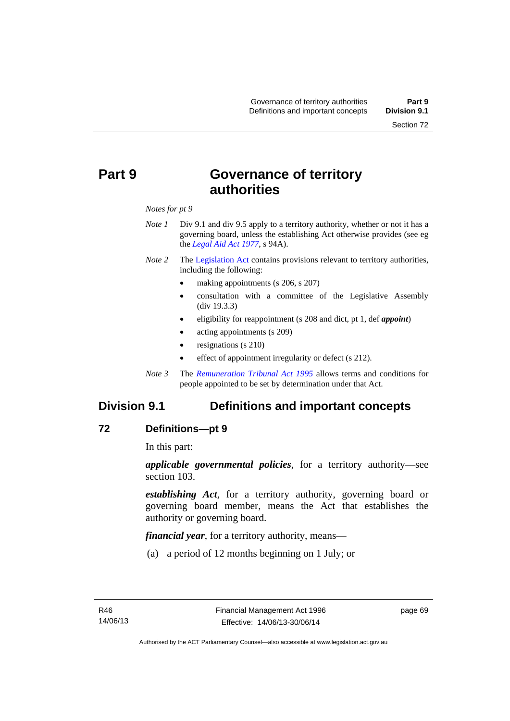# **Part 9 Governance of territory authorities**

### *Notes for pt 9*

- *Note 1* Div 9.1 and div 9.5 apply to a territory authority, whether or not it has a governing board, unless the establishing Act otherwise provides (see eg the *[Legal Aid Act 1977](http://www.legislation.act.gov.au/a/1977-31)*, s 94A).
- *Note 2* The [Legislation Act](http://www.legislation.act.gov.au/a/2001-14) contains provisions relevant to territory authorities, including the following:
	- making appointments (s 206, s 207)
	- consultation with a committee of the Legislative Assembly (div 19.3.3)
	- eligibility for reappointment (s 208 and dict, pt 1, def *appoint*)
	- acting appointments (s 209)
	- resignations (s 210)
	- effect of appointment irregularity or defect (s 212).
- *Note 3* The *[Remuneration Tribunal Act 1995](http://www.legislation.act.gov.au/a/1995-55)* allows terms and conditions for people appointed to be set by determination under that Act.

## **Division 9.1 Definitions and important concepts**

### **72 Definitions—pt 9**

In this part:

*applicable governmental policies*, for a territory authority—see section 103.

*establishing Act*, for a territory authority, governing board or governing board member, means the Act that establishes the authority or governing board.

*financial year*, for a territory authority, means—

(a) a period of 12 months beginning on 1 July; or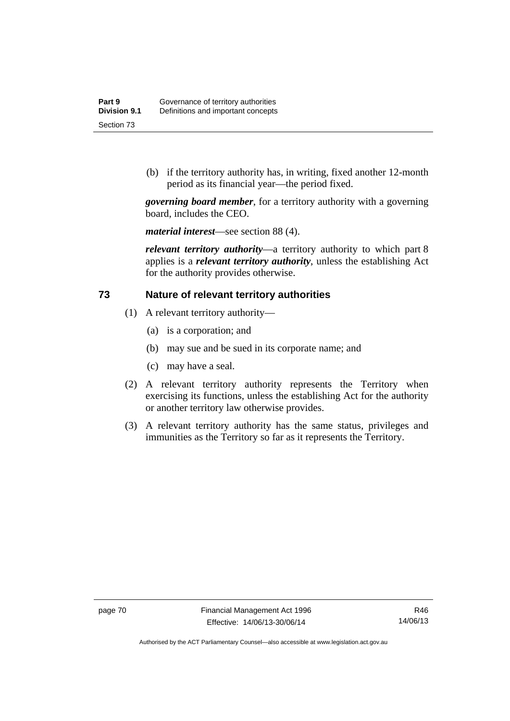(b) if the territory authority has, in writing, fixed another 12-month period as its financial year—the period fixed.

*governing board member*, for a territory authority with a governing board, includes the CEO.

*material interest*—see section 88 (4).

*relevant territory authority*—a territory authority to which part 8 applies is a *relevant territory authority*, unless the establishing Act for the authority provides otherwise.

### **73 Nature of relevant territory authorities**

- (1) A relevant territory authority—
	- (a) is a corporation; and
	- (b) may sue and be sued in its corporate name; and
	- (c) may have a seal.
- (2) A relevant territory authority represents the Territory when exercising its functions, unless the establishing Act for the authority or another territory law otherwise provides.
- (3) A relevant territory authority has the same status, privileges and immunities as the Territory so far as it represents the Territory.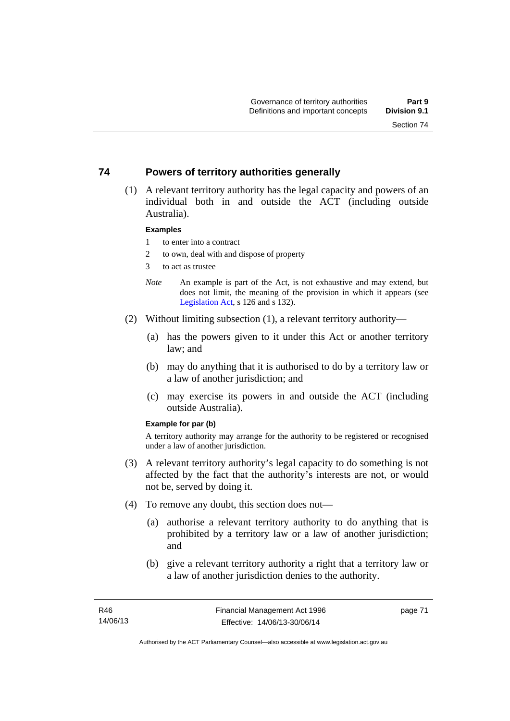## **74 Powers of territory authorities generally**

 (1) A relevant territory authority has the legal capacity and powers of an individual both in and outside the ACT (including outside Australia).

### **Examples**

- 1 to enter into a contract
- 2 to own, deal with and dispose of property
- 3 to act as trustee
- *Note* An example is part of the Act, is not exhaustive and may extend, but does not limit, the meaning of the provision in which it appears (see [Legislation Act,](http://www.legislation.act.gov.au/a/2001-14) s 126 and s 132).
- (2) Without limiting subsection (1), a relevant territory authority—
	- (a) has the powers given to it under this Act or another territory law; and
	- (b) may do anything that it is authorised to do by a territory law or a law of another jurisdiction; and
	- (c) may exercise its powers in and outside the ACT (including outside Australia).

### **Example for par (b)**

A territory authority may arrange for the authority to be registered or recognised under a law of another jurisdiction.

- (3) A relevant territory authority's legal capacity to do something is not affected by the fact that the authority's interests are not, or would not be, served by doing it.
- (4) To remove any doubt, this section does not—
	- (a) authorise a relevant territory authority to do anything that is prohibited by a territory law or a law of another jurisdiction; and
	- (b) give a relevant territory authority a right that a territory law or a law of another jurisdiction denies to the authority.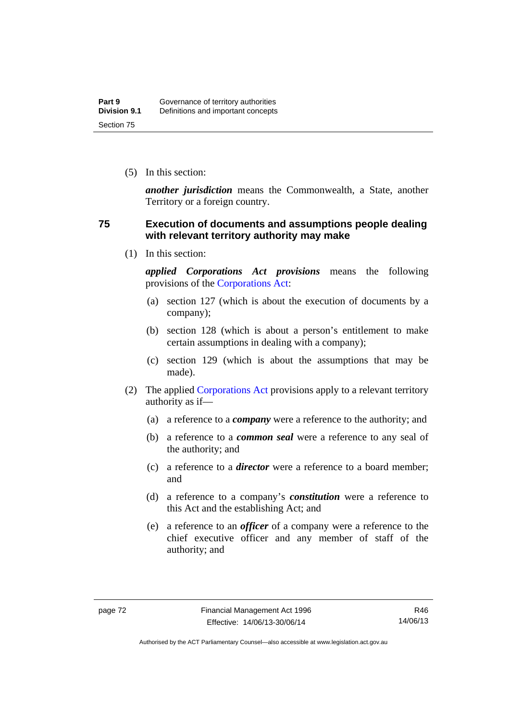(5) In this section:

*another jurisdiction* means the Commonwealth, a State, another Territory or a foreign country.

### **75 Execution of documents and assumptions people dealing with relevant territory authority may make**

(1) In this section:

*applied Corporations Act provisions* means the following provisions of the [Corporations Act:](http://www.comlaw.gov.au/Series/C2004A00818)

- (a) section 127 (which is about the execution of documents by a company);
- (b) section 128 (which is about a person's entitlement to make certain assumptions in dealing with a company);
- (c) section 129 (which is about the assumptions that may be made).
- (2) The applied [Corporations Act](http://www.comlaw.gov.au/Series/C2004A00818) provisions apply to a relevant territory authority as if—
	- (a) a reference to a *company* were a reference to the authority; and
	- (b) a reference to a *common seal* were a reference to any seal of the authority; and
	- (c) a reference to a *director* were a reference to a board member; and
	- (d) a reference to a company's *constitution* were a reference to this Act and the establishing Act; and
	- (e) a reference to an *officer* of a company were a reference to the chief executive officer and any member of staff of the authority; and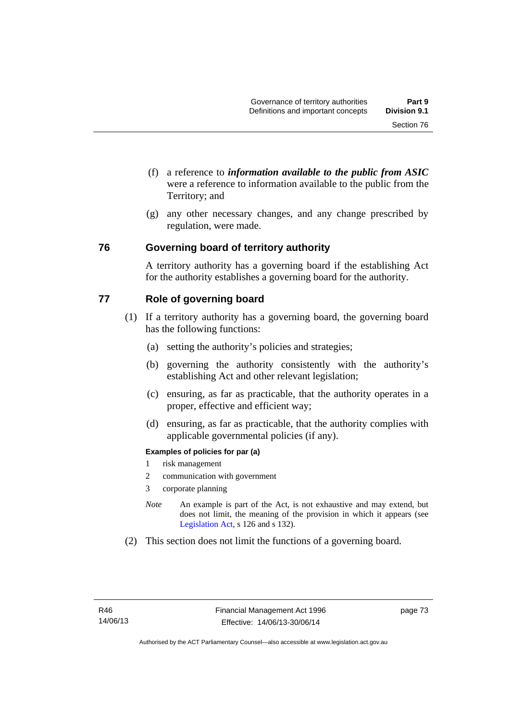- (f) a reference to *information available to the public from ASIC*  were a reference to information available to the public from the Territory; and
- (g) any other necessary changes, and any change prescribed by regulation, were made.

### **76 Governing board of territory authority**

A territory authority has a governing board if the establishing Act for the authority establishes a governing board for the authority.

### **77 Role of governing board**

- (1) If a territory authority has a governing board, the governing board has the following functions:
	- (a) setting the authority's policies and strategies;
	- (b) governing the authority consistently with the authority's establishing Act and other relevant legislation;
	- (c) ensuring, as far as practicable, that the authority operates in a proper, effective and efficient way;
	- (d) ensuring, as far as practicable, that the authority complies with applicable governmental policies (if any).

### **Examples of policies for par (a)**

- 1 risk management
- 2 communication with government
- 3 corporate planning
- *Note* An example is part of the Act, is not exhaustive and may extend, but does not limit, the meaning of the provision in which it appears (see [Legislation Act,](http://www.legislation.act.gov.au/a/2001-14) s 126 and s 132).
- (2) This section does not limit the functions of a governing board.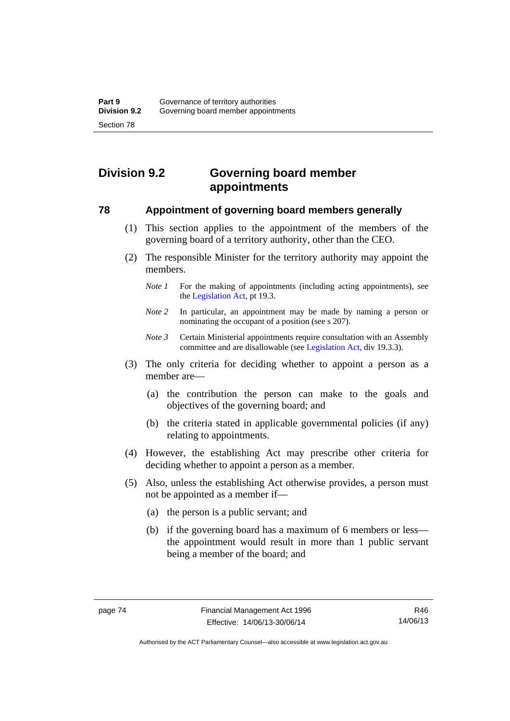# **Division 9.2 Governing board member appointments**

### **78 Appointment of governing board members generally**

- (1) This section applies to the appointment of the members of the governing board of a territory authority, other than the CEO.
- (2) The responsible Minister for the territory authority may appoint the members.
	- *Note 1* For the making of appointments (including acting appointments), see the [Legislation Act,](http://www.legislation.act.gov.au/a/2001-14) pt 19.3.
	- *Note 2* In particular, an appointment may be made by naming a person or nominating the occupant of a position (see s 207).
	- *Note 3* Certain Ministerial appointments require consultation with an Assembly committee and are disallowable (see [Legislation Act,](http://www.legislation.act.gov.au/a/2001-14) div 19.3.3).
- (3) The only criteria for deciding whether to appoint a person as a member are—
	- (a) the contribution the person can make to the goals and objectives of the governing board; and
	- (b) the criteria stated in applicable governmental policies (if any) relating to appointments.
- (4) However, the establishing Act may prescribe other criteria for deciding whether to appoint a person as a member.
- (5) Also, unless the establishing Act otherwise provides, a person must not be appointed as a member if—
	- (a) the person is a public servant; and
	- (b) if the governing board has a maximum of 6 members or less the appointment would result in more than 1 public servant being a member of the board; and

R46 14/06/13

Authorised by the ACT Parliamentary Counsel—also accessible at www.legislation.act.gov.au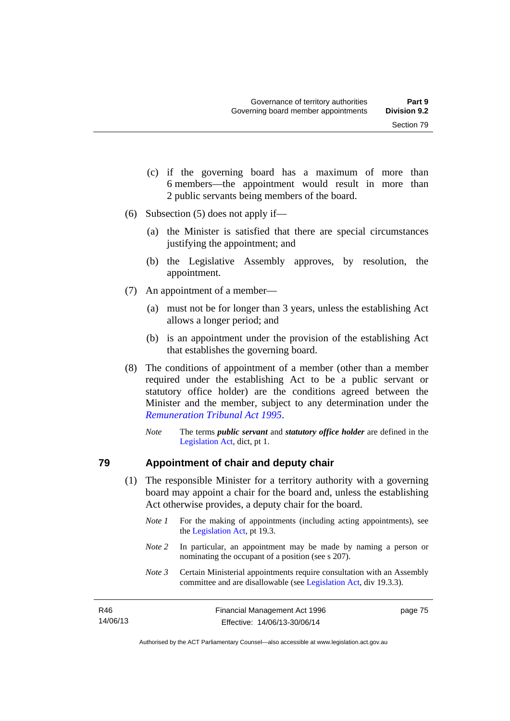- (c) if the governing board has a maximum of more than 6 members—the appointment would result in more than 2 public servants being members of the board.
- (6) Subsection (5) does not apply if—
	- (a) the Minister is satisfied that there are special circumstances justifying the appointment; and
	- (b) the Legislative Assembly approves, by resolution, the appointment.
- (7) An appointment of a member—
	- (a) must not be for longer than 3 years, unless the establishing Act allows a longer period; and
	- (b) is an appointment under the provision of the establishing Act that establishes the governing board.
- (8) The conditions of appointment of a member (other than a member required under the establishing Act to be a public servant or statutory office holder) are the conditions agreed between the Minister and the member, subject to any determination under the *[Remuneration Tribunal Act 1995](http://www.legislation.act.gov.au/a/1995-55)*.
	- *Note* The terms *public servant* and *statutory office holder* are defined in the [Legislation Act,](http://www.legislation.act.gov.au/a/2001-14) dict, pt 1.

### **79 Appointment of chair and deputy chair**

- (1) The responsible Minister for a territory authority with a governing board may appoint a chair for the board and, unless the establishing Act otherwise provides, a deputy chair for the board.
	- *Note 1* For the making of appointments (including acting appointments), see the [Legislation Act,](http://www.legislation.act.gov.au/a/2001-14) pt 19.3.
	- *Note 2* In particular, an appointment may be made by naming a person or nominating the occupant of a position (see s 207).
	- *Note 3* Certain Ministerial appointments require consultation with an Assembly committee and are disallowable (see [Legislation Act,](http://www.legislation.act.gov.au/a/2001-14) div 19.3.3).

| R46      | Financial Management Act 1996 | page 75 |
|----------|-------------------------------|---------|
| 14/06/13 | Effective: 14/06/13-30/06/14  |         |

Authorised by the ACT Parliamentary Counsel—also accessible at www.legislation.act.gov.au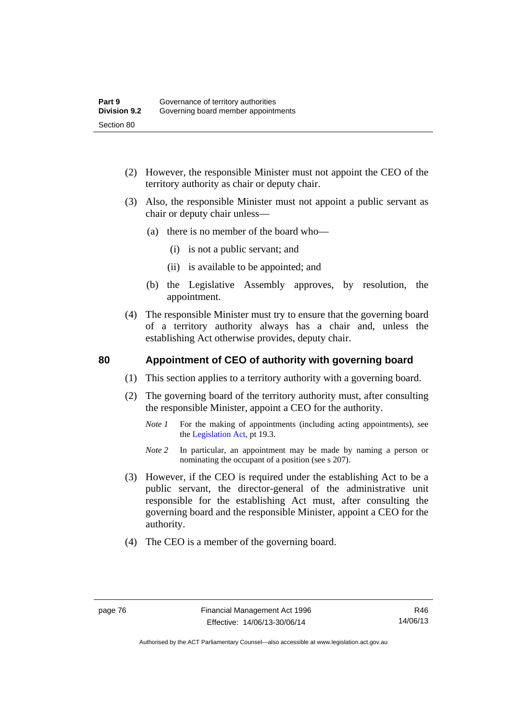- (2) However, the responsible Minister must not appoint the CEO of the territory authority as chair or deputy chair.
- (3) Also, the responsible Minister must not appoint a public servant as chair or deputy chair unless—
	- (a) there is no member of the board who—
		- (i) is not a public servant; and
		- (ii) is available to be appointed; and
	- (b) the Legislative Assembly approves, by resolution, the appointment.
- (4) The responsible Minister must try to ensure that the governing board of a territory authority always has a chair and, unless the establishing Act otherwise provides, deputy chair.

## **80 Appointment of CEO of authority with governing board**

- (1) This section applies to a territory authority with a governing board.
- (2) The governing board of the territory authority must, after consulting the responsible Minister, appoint a CEO for the authority.
	- *Note 1* For the making of appointments (including acting appointments), see the [Legislation Act,](http://www.legislation.act.gov.au/a/2001-14) pt 19.3.
	- *Note* 2 In particular, an appointment may be made by naming a person or nominating the occupant of a position (see s 207).
- (3) However, if the CEO is required under the establishing Act to be a public servant, the director-general of the administrative unit responsible for the establishing Act must, after consulting the governing board and the responsible Minister, appoint a CEO for the authority.
- (4) The CEO is a member of the governing board.

R46 14/06/13

Authorised by the ACT Parliamentary Counsel—also accessible at www.legislation.act.gov.au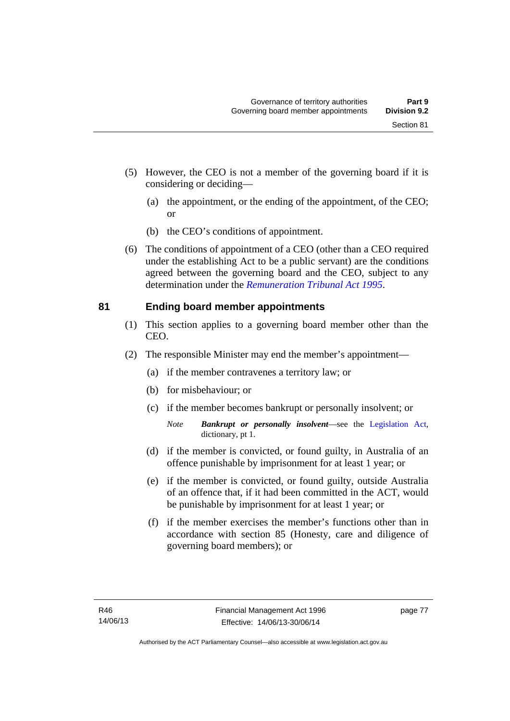- (5) However, the CEO is not a member of the governing board if it is considering or deciding—
	- (a) the appointment, or the ending of the appointment, of the CEO; or
	- (b) the CEO's conditions of appointment.
- (6) The conditions of appointment of a CEO (other than a CEO required under the establishing Act to be a public servant) are the conditions agreed between the governing board and the CEO, subject to any determination under the *[Remuneration Tribunal Act 1995](http://www.legislation.act.gov.au/a/1995-55)*.

## **81 Ending board member appointments**

- (1) This section applies to a governing board member other than the CEO.
- (2) The responsible Minister may end the member's appointment—
	- (a) if the member contravenes a territory law; or
	- (b) for misbehaviour; or
	- (c) if the member becomes bankrupt or personally insolvent; or
		- *Note Bankrupt or personally insolvent*—see the [Legislation Act,](http://www.legislation.act.gov.au/a/2001-14) dictionary, pt 1.
	- (d) if the member is convicted, or found guilty, in Australia of an offence punishable by imprisonment for at least 1 year; or
	- (e) if the member is convicted, or found guilty, outside Australia of an offence that, if it had been committed in the ACT, would be punishable by imprisonment for at least 1 year; or
	- (f) if the member exercises the member's functions other than in accordance with section 85 (Honesty, care and diligence of governing board members); or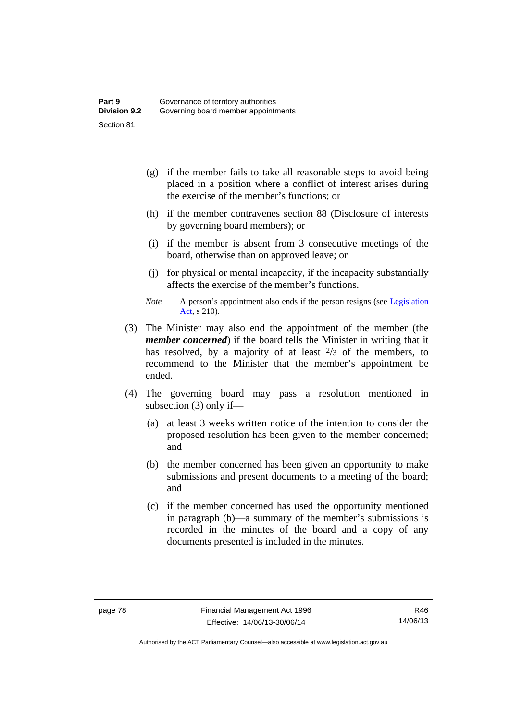- (g) if the member fails to take all reasonable steps to avoid being placed in a position where a conflict of interest arises during the exercise of the member's functions; or
- (h) if the member contravenes section 88 (Disclosure of interests by governing board members); or
- (i) if the member is absent from 3 consecutive meetings of the board, otherwise than on approved leave; or
- (j) for physical or mental incapacity, if the incapacity substantially affects the exercise of the member's functions.
- *Note* A person's appointment also ends if the person resigns (see Legislation [Act](http://www.legislation.act.gov.au/a/2001-14), s 210).
- (3) The Minister may also end the appointment of the member (the *member concerned*) if the board tells the Minister in writing that it has resolved, by a majority of at least  $\frac{2}{3}$  of the members, to recommend to the Minister that the member's appointment be ended.
- (4) The governing board may pass a resolution mentioned in subsection (3) only if—
	- (a) at least 3 weeks written notice of the intention to consider the proposed resolution has been given to the member concerned; and
	- (b) the member concerned has been given an opportunity to make submissions and present documents to a meeting of the board; and
	- (c) if the member concerned has used the opportunity mentioned in paragraph (b)—a summary of the member's submissions is recorded in the minutes of the board and a copy of any documents presented is included in the minutes.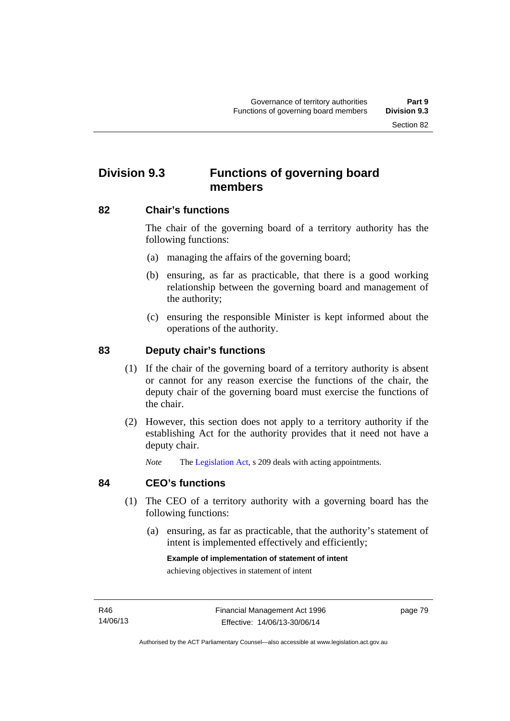# **Division 9.3 Functions of governing board members**

### **82 Chair's functions**

The chair of the governing board of a territory authority has the following functions:

- (a) managing the affairs of the governing board;
- (b) ensuring, as far as practicable, that there is a good working relationship between the governing board and management of the authority;
- (c) ensuring the responsible Minister is kept informed about the operations of the authority.

## **83 Deputy chair's functions**

- (1) If the chair of the governing board of a territory authority is absent or cannot for any reason exercise the functions of the chair, the deputy chair of the governing board must exercise the functions of the chair.
- (2) However, this section does not apply to a territory authority if the establishing Act for the authority provides that it need not have a deputy chair.

*Note* The [Legislation Act,](http://www.legislation.act.gov.au/a/2001-14) s 209 deals with acting appointments.

### **84 CEO's functions**

- (1) The CEO of a territory authority with a governing board has the following functions:
	- (a) ensuring, as far as practicable, that the authority's statement of intent is implemented effectively and efficiently;

### **Example of implementation of statement of intent**

achieving objectives in statement of intent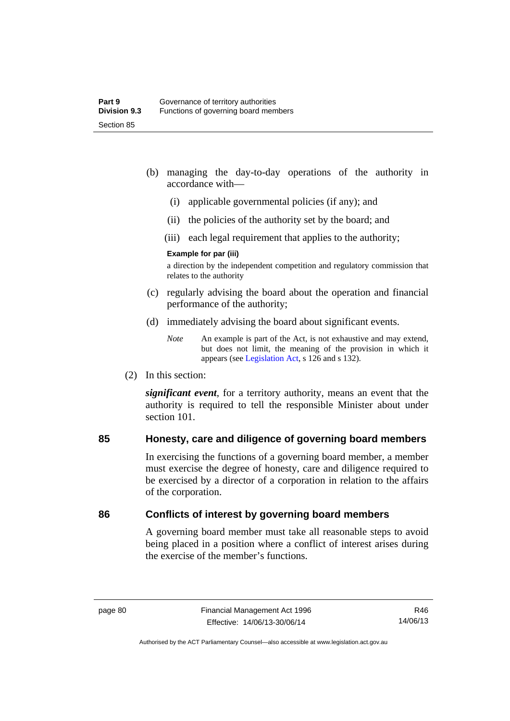- (b) managing the day-to-day operations of the authority in accordance with—
	- (i) applicable governmental policies (if any); and
	- (ii) the policies of the authority set by the board; and
	- (iii) each legal requirement that applies to the authority;

### **Example for par (iii)**

a direction by the independent competition and regulatory commission that relates to the authority

- (c) regularly advising the board about the operation and financial performance of the authority;
- (d) immediately advising the board about significant events.

(2) In this section:

*significant event*, for a territory authority, means an event that the authority is required to tell the responsible Minister about under section 101

### **85 Honesty, care and diligence of governing board members**

In exercising the functions of a governing board member, a member must exercise the degree of honesty, care and diligence required to be exercised by a director of a corporation in relation to the affairs of the corporation.

### **86 Conflicts of interest by governing board members**

A governing board member must take all reasonable steps to avoid being placed in a position where a conflict of interest arises during the exercise of the member's functions.

*Note* An example is part of the Act, is not exhaustive and may extend, but does not limit, the meaning of the provision in which it appears (see [Legislation Act,](http://www.legislation.act.gov.au/a/2001-14) s 126 and s 132).

R46 14/06/13

Authorised by the ACT Parliamentary Counsel—also accessible at www.legislation.act.gov.au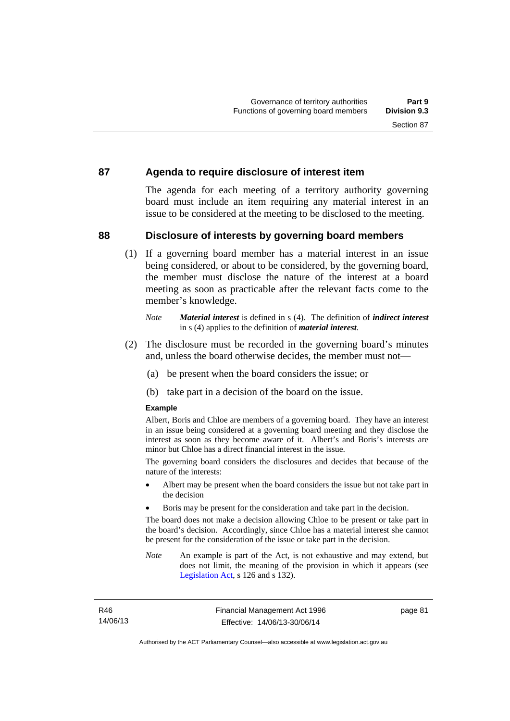### **87 Agenda to require disclosure of interest item**

The agenda for each meeting of a territory authority governing board must include an item requiring any material interest in an issue to be considered at the meeting to be disclosed to the meeting.

### **88 Disclosure of interests by governing board members**

(1) If a governing board member has a material interest in an issue being considered, or about to be considered, by the governing board, the member must disclose the nature of the interest at a board meeting as soon as practicable after the relevant facts come to the member's knowledge.

- (2) The disclosure must be recorded in the governing board's minutes and, unless the board otherwise decides, the member must not—
	- (a) be present when the board considers the issue; or
	- (b) take part in a decision of the board on the issue.

### **Example**

Albert, Boris and Chloe are members of a governing board. They have an interest in an issue being considered at a governing board meeting and they disclose the interest as soon as they become aware of it. Albert's and Boris's interests are minor but Chloe has a direct financial interest in the issue.

The governing board considers the disclosures and decides that because of the nature of the interests:

- Albert may be present when the board considers the issue but not take part in the decision
- Boris may be present for the consideration and take part in the decision.

The board does not make a decision allowing Chloe to be present or take part in the board's decision. Accordingly, since Chloe has a material interest she cannot be present for the consideration of the issue or take part in the decision.

*Note* An example is part of the Act, is not exhaustive and may extend, but does not limit, the meaning of the provision in which it appears (see [Legislation Act,](http://www.legislation.act.gov.au/a/2001-14) s 126 and s 132).

*Note Material interest* is defined in s (4). The definition of *indirect interest* in s (4) applies to the definition of *material interest*.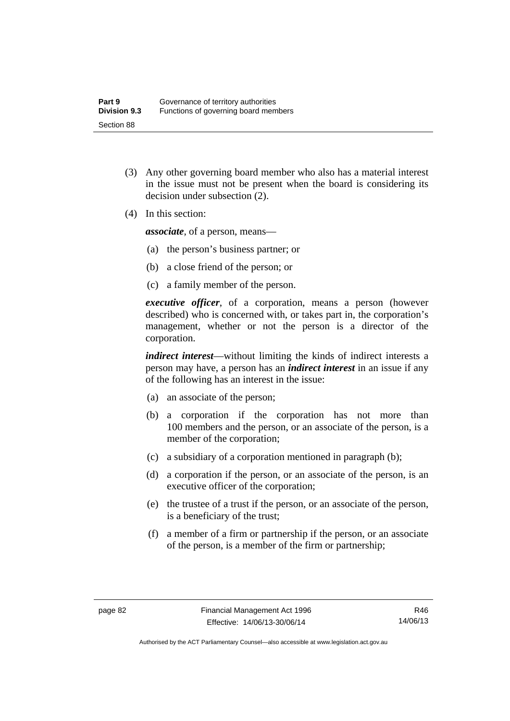- (3) Any other governing board member who also has a material interest in the issue must not be present when the board is considering its decision under subsection (2).
- (4) In this section:

*associate*, of a person, means—

- (a) the person's business partner; or
- (b) a close friend of the person; or
- (c) a family member of the person.

*executive officer*, of a corporation, means a person (however described) who is concerned with, or takes part in, the corporation's management, whether or not the person is a director of the corporation.

*indirect interest*—without limiting the kinds of indirect interests a person may have, a person has an *indirect interest* in an issue if any of the following has an interest in the issue:

- (a) an associate of the person;
- (b) a corporation if the corporation has not more than 100 members and the person, or an associate of the person, is a member of the corporation;
- (c) a subsidiary of a corporation mentioned in paragraph (b);
- (d) a corporation if the person, or an associate of the person, is an executive officer of the corporation;
- (e) the trustee of a trust if the person, or an associate of the person, is a beneficiary of the trust;
- (f) a member of a firm or partnership if the person, or an associate of the person, is a member of the firm or partnership;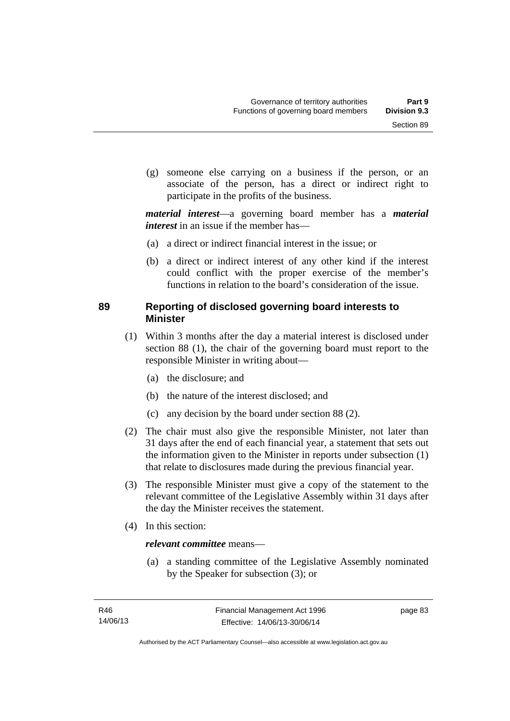(g) someone else carrying on a business if the person, or an associate of the person, has a direct or indirect right to participate in the profits of the business.

*material interest*—a governing board member has a *material interest* in an issue if the member has—

- (a) a direct or indirect financial interest in the issue; or
- (b) a direct or indirect interest of any other kind if the interest could conflict with the proper exercise of the member's functions in relation to the board's consideration of the issue.

## **89 Reporting of disclosed governing board interests to Minister**

- (1) Within 3 months after the day a material interest is disclosed under section 88 (1), the chair of the governing board must report to the responsible Minister in writing about—
	- (a) the disclosure; and
	- (b) the nature of the interest disclosed; and
	- (c) any decision by the board under section 88 (2).
- (2) The chair must also give the responsible Minister, not later than 31 days after the end of each financial year, a statement that sets out the information given to the Minister in reports under subsection (1) that relate to disclosures made during the previous financial year.
- (3) The responsible Minister must give a copy of the statement to the relevant committee of the Legislative Assembly within 31 days after the day the Minister receives the statement.
- (4) In this section:

### *relevant committee* means—

 (a) a standing committee of the Legislative Assembly nominated by the Speaker for subsection (3); or

page 83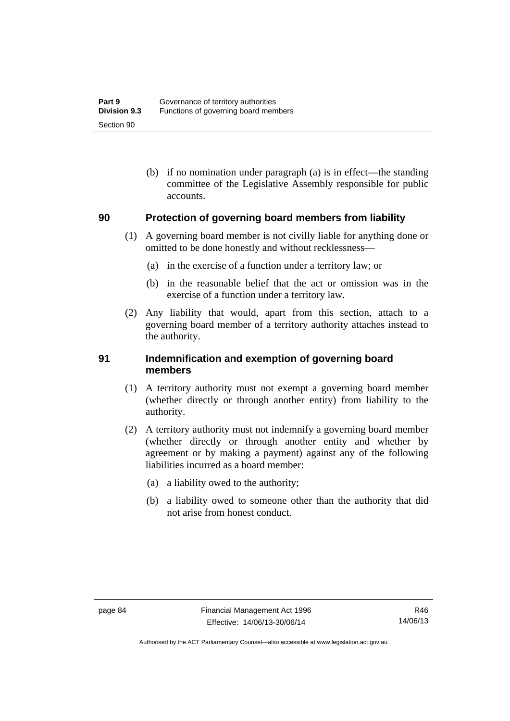(b) if no nomination under paragraph (a) is in effect—the standing committee of the Legislative Assembly responsible for public accounts.

# **90 Protection of governing board members from liability**

- (1) A governing board member is not civilly liable for anything done or omitted to be done honestly and without recklessness—
	- (a) in the exercise of a function under a territory law; or
	- (b) in the reasonable belief that the act or omission was in the exercise of a function under a territory law.
- (2) Any liability that would, apart from this section, attach to a governing board member of a territory authority attaches instead to the authority.

### **91 Indemnification and exemption of governing board members**

- (1) A territory authority must not exempt a governing board member (whether directly or through another entity) from liability to the authority.
- (2) A territory authority must not indemnify a governing board member (whether directly or through another entity and whether by agreement or by making a payment) against any of the following liabilities incurred as a board member:
	- (a) a liability owed to the authority;
	- (b) a liability owed to someone other than the authority that did not arise from honest conduct.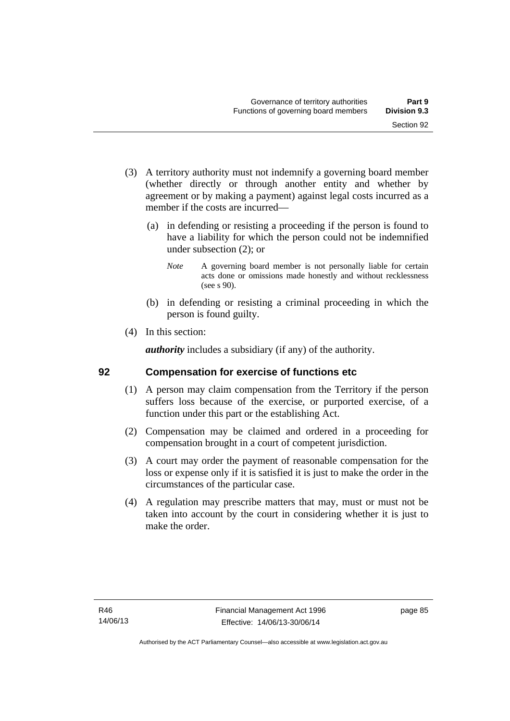- (3) A territory authority must not indemnify a governing board member (whether directly or through another entity and whether by agreement or by making a payment) against legal costs incurred as a member if the costs are incurred—
	- (a) in defending or resisting a proceeding if the person is found to have a liability for which the person could not be indemnified under subsection (2); or
		- *Note* A governing board member is not personally liable for certain acts done or omissions made honestly and without recklessness (see s 90).
	- (b) in defending or resisting a criminal proceeding in which the person is found guilty.
- (4) In this section:

*authority* includes a subsidiary (if any) of the authority.

## **92 Compensation for exercise of functions etc**

- (1) A person may claim compensation from the Territory if the person suffers loss because of the exercise, or purported exercise, of a function under this part or the establishing Act.
- (2) Compensation may be claimed and ordered in a proceeding for compensation brought in a court of competent jurisdiction.
- (3) A court may order the payment of reasonable compensation for the loss or expense only if it is satisfied it is just to make the order in the circumstances of the particular case.
- (4) A regulation may prescribe matters that may, must or must not be taken into account by the court in considering whether it is just to make the order.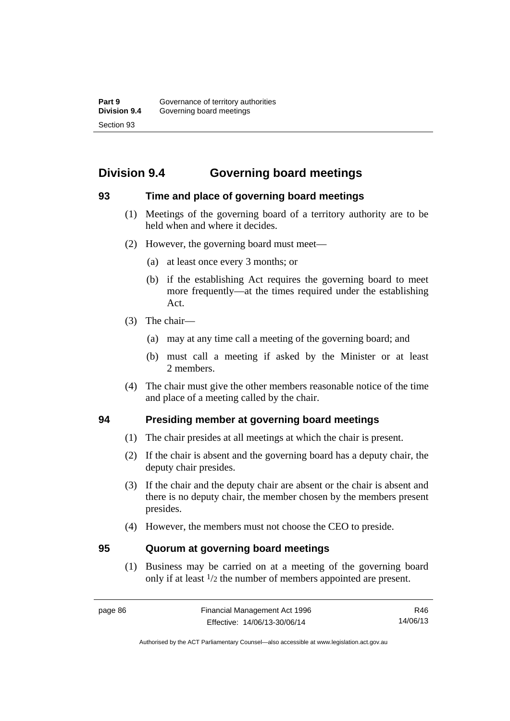# **Division 9.4 Governing board meetings**

### **93 Time and place of governing board meetings**

- (1) Meetings of the governing board of a territory authority are to be held when and where it decides.
- (2) However, the governing board must meet—
	- (a) at least once every 3 months; or
	- (b) if the establishing Act requires the governing board to meet more frequently—at the times required under the establishing Act.
- (3) The chair—
	- (a) may at any time call a meeting of the governing board; and
	- (b) must call a meeting if asked by the Minister or at least 2 members.
- (4) The chair must give the other members reasonable notice of the time and place of a meeting called by the chair.

## **94 Presiding member at governing board meetings**

- (1) The chair presides at all meetings at which the chair is present.
- (2) If the chair is absent and the governing board has a deputy chair, the deputy chair presides.
- (3) If the chair and the deputy chair are absent or the chair is absent and there is no deputy chair, the member chosen by the members present presides.
- (4) However, the members must not choose the CEO to preside.

### **95 Quorum at governing board meetings**

(1) Business may be carried on at a meeting of the governing board only if at least 1/2 the number of members appointed are present.

R46 14/06/13

Authorised by the ACT Parliamentary Counsel—also accessible at www.legislation.act.gov.au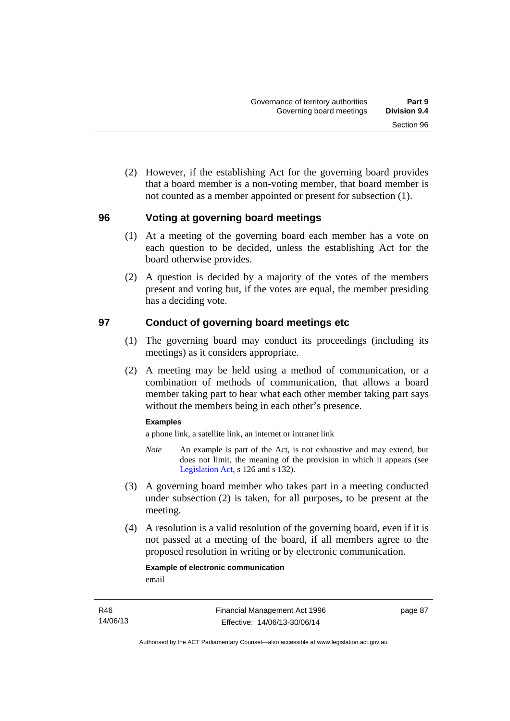(2) However, if the establishing Act for the governing board provides that a board member is a non-voting member, that board member is not counted as a member appointed or present for subsection (1).

### **96 Voting at governing board meetings**

- (1) At a meeting of the governing board each member has a vote on each question to be decided, unless the establishing Act for the board otherwise provides.
- (2) A question is decided by a majority of the votes of the members present and voting but, if the votes are equal, the member presiding has a deciding vote.

### **97 Conduct of governing board meetings etc**

- (1) The governing board may conduct its proceedings (including its meetings) as it considers appropriate.
- (2) A meeting may be held using a method of communication, or a combination of methods of communication, that allows a board member taking part to hear what each other member taking part says without the members being in each other's presence.

### **Examples**

a phone link, a satellite link, an internet or intranet link

- *Note* An example is part of the Act, is not exhaustive and may extend, but does not limit, the meaning of the provision in which it appears (see [Legislation Act,](http://www.legislation.act.gov.au/a/2001-14) s 126 and s 132).
- (3) A governing board member who takes part in a meeting conducted under subsection (2) is taken, for all purposes, to be present at the meeting.
- (4) A resolution is a valid resolution of the governing board, even if it is not passed at a meeting of the board, if all members agree to the proposed resolution in writing or by electronic communication.

# **Example of electronic communication**

email

page 87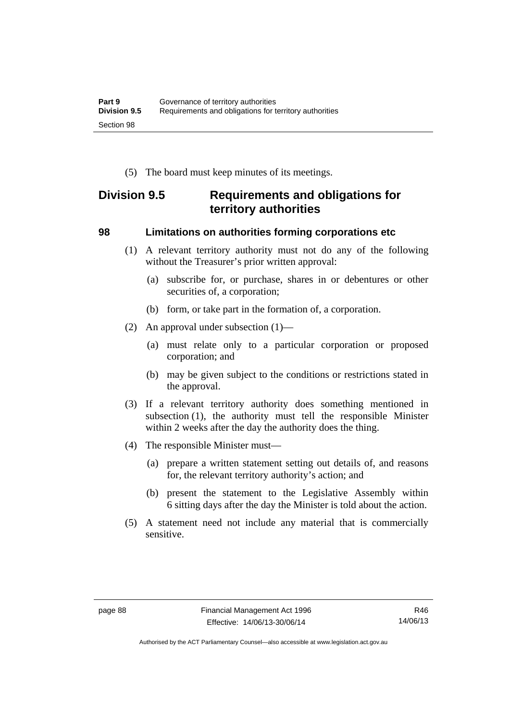(5) The board must keep minutes of its meetings.

# **Division 9.5 Requirements and obligations for territory authorities**

### **98 Limitations on authorities forming corporations etc**

- (1) A relevant territory authority must not do any of the following without the Treasurer's prior written approval:
	- (a) subscribe for, or purchase, shares in or debentures or other securities of, a corporation;
	- (b) form, or take part in the formation of, a corporation.
- (2) An approval under subsection (1)—
	- (a) must relate only to a particular corporation or proposed corporation; and
	- (b) may be given subject to the conditions or restrictions stated in the approval.
- (3) If a relevant territory authority does something mentioned in subsection (1), the authority must tell the responsible Minister within 2 weeks after the day the authority does the thing.
- (4) The responsible Minister must—
	- (a) prepare a written statement setting out details of, and reasons for, the relevant territory authority's action; and
	- (b) present the statement to the Legislative Assembly within 6 sitting days after the day the Minister is told about the action.
- (5) A statement need not include any material that is commercially sensitive.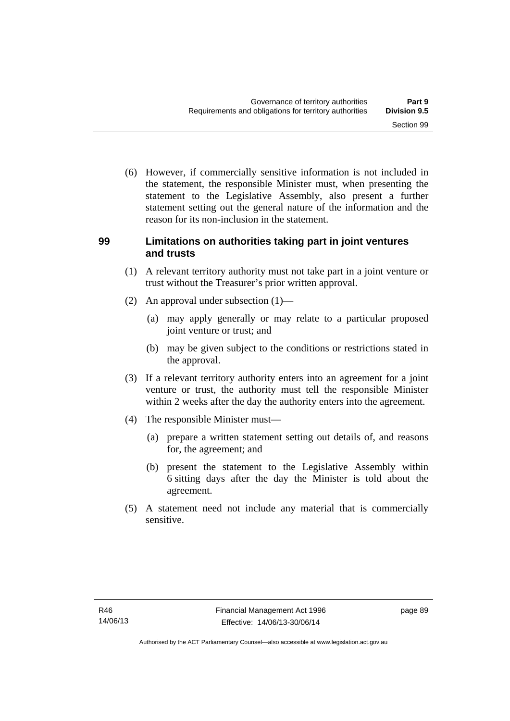(6) However, if commercially sensitive information is not included in the statement, the responsible Minister must, when presenting the statement to the Legislative Assembly, also present a further statement setting out the general nature of the information and the reason for its non-inclusion in the statement.

### **99 Limitations on authorities taking part in joint ventures and trusts**

- (1) A relevant territory authority must not take part in a joint venture or trust without the Treasurer's prior written approval.
- (2) An approval under subsection (1)—
	- (a) may apply generally or may relate to a particular proposed joint venture or trust; and
	- (b) may be given subject to the conditions or restrictions stated in the approval.
- (3) If a relevant territory authority enters into an agreement for a joint venture or trust, the authority must tell the responsible Minister within 2 weeks after the day the authority enters into the agreement.
- (4) The responsible Minister must—
	- (a) prepare a written statement setting out details of, and reasons for, the agreement; and
	- (b) present the statement to the Legislative Assembly within 6 sitting days after the day the Minister is told about the agreement.
- (5) A statement need not include any material that is commercially sensitive.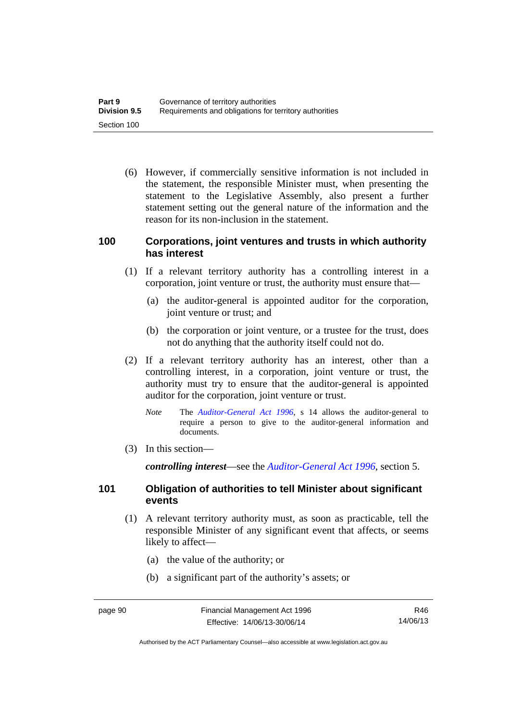(6) However, if commercially sensitive information is not included in the statement, the responsible Minister must, when presenting the statement to the Legislative Assembly, also present a further statement setting out the general nature of the information and the reason for its non-inclusion in the statement.

### **100 Corporations, joint ventures and trusts in which authority has interest**

- (1) If a relevant territory authority has a controlling interest in a corporation, joint venture or trust, the authority must ensure that—
	- (a) the auditor-general is appointed auditor for the corporation, joint venture or trust; and
	- (b) the corporation or joint venture, or a trustee for the trust, does not do anything that the authority itself could not do.
- (2) If a relevant territory authority has an interest, other than a controlling interest, in a corporation, joint venture or trust, the authority must try to ensure that the auditor-general is appointed auditor for the corporation, joint venture or trust.
	- *Note* The *[Auditor-General Act 1996](http://www.legislation.act.gov.au/a/1996-23)*, s 14 allows the auditor-general to require a person to give to the auditor-general information and documents.
- (3) In this section—

*controlling interest*—see the *[Auditor-General Act 1996](http://www.legislation.act.gov.au/a/1996-23)*, section 5.

### **101 Obligation of authorities to tell Minister about significant events**

- (1) A relevant territory authority must, as soon as practicable, tell the responsible Minister of any significant event that affects, or seems likely to affect—
	- (a) the value of the authority; or
	- (b) a significant part of the authority's assets; or

Authorised by the ACT Parliamentary Counsel—also accessible at www.legislation.act.gov.au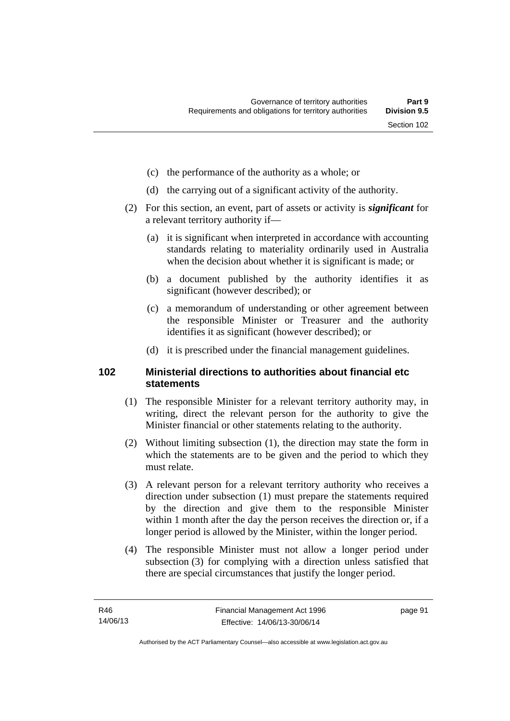- (c) the performance of the authority as a whole; or
- (d) the carrying out of a significant activity of the authority.
- (2) For this section, an event, part of assets or activity is *significant* for a relevant territory authority if—
	- (a) it is significant when interpreted in accordance with accounting standards relating to materiality ordinarily used in Australia when the decision about whether it is significant is made; or
	- (b) a document published by the authority identifies it as significant (however described); or
	- (c) a memorandum of understanding or other agreement between the responsible Minister or Treasurer and the authority identifies it as significant (however described); or
	- (d) it is prescribed under the financial management guidelines.

### **102 Ministerial directions to authorities about financial etc statements**

- (1) The responsible Minister for a relevant territory authority may, in writing, direct the relevant person for the authority to give the Minister financial or other statements relating to the authority.
- (2) Without limiting subsection (1), the direction may state the form in which the statements are to be given and the period to which they must relate.
- (3) A relevant person for a relevant territory authority who receives a direction under subsection (1) must prepare the statements required by the direction and give them to the responsible Minister within 1 month after the day the person receives the direction or, if a longer period is allowed by the Minister, within the longer period.
- (4) The responsible Minister must not allow a longer period under subsection (3) for complying with a direction unless satisfied that there are special circumstances that justify the longer period.

page 91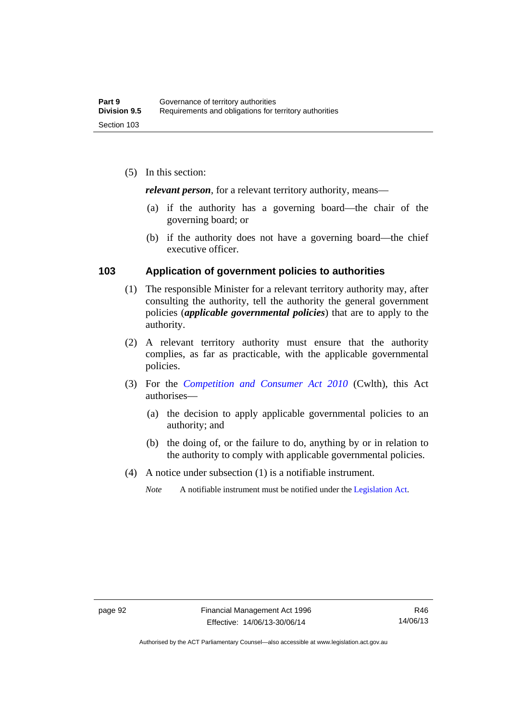(5) In this section:

*relevant person*, for a relevant territory authority, means—

- (a) if the authority has a governing board—the chair of the governing board; or
- (b) if the authority does not have a governing board—the chief executive officer.

### **103 Application of government policies to authorities**

- (1) The responsible Minister for a relevant territory authority may, after consulting the authority, tell the authority the general government policies (*applicable governmental policies*) that are to apply to the authority.
- (2) A relevant territory authority must ensure that the authority complies, as far as practicable, with the applicable governmental policies.
- (3) For the *[Competition and Consumer Act 2010](http://www.comlaw.gov.au/Series/C2004A00109)* (Cwlth), this Act authorises—
	- (a) the decision to apply applicable governmental policies to an authority; and
	- (b) the doing of, or the failure to do, anything by or in relation to the authority to comply with applicable governmental policies.
- (4) A notice under subsection (1) is a notifiable instrument.
	- *Note* A notifiable instrument must be notified under the [Legislation Act](http://www.legislation.act.gov.au/a/2001-14).

Authorised by the ACT Parliamentary Counsel—also accessible at www.legislation.act.gov.au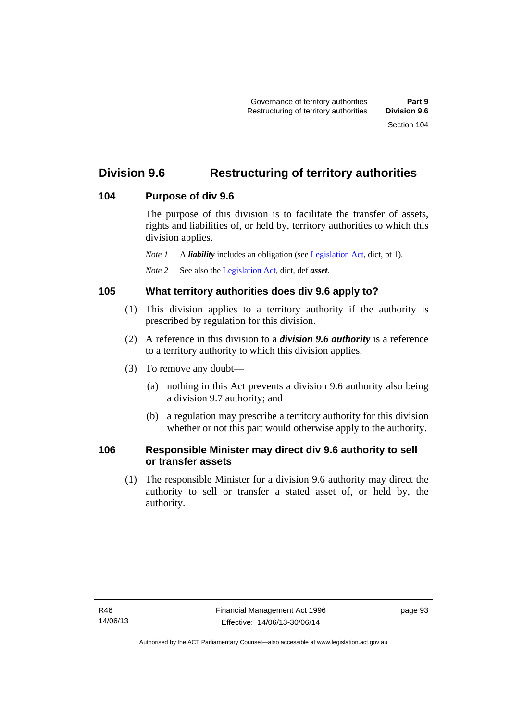# **Division 9.6 Restructuring of territory authorities**

### **104 Purpose of div 9.6**

The purpose of this division is to facilitate the transfer of assets, rights and liabilities of, or held by, territory authorities to which this division applies.

*Note 1* A *liability* includes an obligation (see [Legislation Act,](http://www.legislation.act.gov.au/a/2001-14) dict, pt 1).

*Note 2* See also the [Legislation Act](http://www.legislation.act.gov.au/a/2001-14), dict, def *asset*.

## **105 What territory authorities does div 9.6 apply to?**

- (1) This division applies to a territory authority if the authority is prescribed by regulation for this division.
- (2) A reference in this division to a *division 9.6 authority* is a reference to a territory authority to which this division applies.
- (3) To remove any doubt—
	- (a) nothing in this Act prevents a division 9.6 authority also being a division 9.7 authority; and
	- (b) a regulation may prescribe a territory authority for this division whether or not this part would otherwise apply to the authority.

### **106 Responsible Minister may direct div 9.6 authority to sell or transfer assets**

 (1) The responsible Minister for a division 9.6 authority may direct the authority to sell or transfer a stated asset of, or held by, the authority.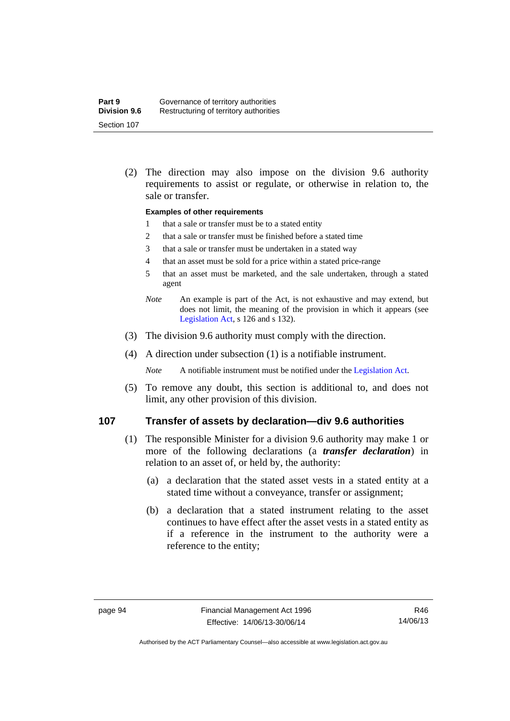(2) The direction may also impose on the division 9.6 authority requirements to assist or regulate, or otherwise in relation to, the sale or transfer.

### **Examples of other requirements**

- 1 that a sale or transfer must be to a stated entity
- 2 that a sale or transfer must be finished before a stated time
- 3 that a sale or transfer must be undertaken in a stated way
- 4 that an asset must be sold for a price within a stated price-range
- 5 that an asset must be marketed, and the sale undertaken, through a stated agent
- *Note* An example is part of the Act, is not exhaustive and may extend, but does not limit, the meaning of the provision in which it appears (see [Legislation Act,](http://www.legislation.act.gov.au/a/2001-14) s 126 and s 132).
- (3) The division 9.6 authority must comply with the direction.
- (4) A direction under subsection (1) is a notifiable instrument.

*Note* A notifiable instrument must be notified under the [Legislation Act](http://www.legislation.act.gov.au/a/2001-14).

 (5) To remove any doubt, this section is additional to, and does not limit, any other provision of this division.

### **107 Transfer of assets by declaration—div 9.6 authorities**

- (1) The responsible Minister for a division 9.6 authority may make 1 or more of the following declarations (a *transfer declaration*) in relation to an asset of, or held by, the authority:
	- (a) a declaration that the stated asset vests in a stated entity at a stated time without a conveyance, transfer or assignment;
	- (b) a declaration that a stated instrument relating to the asset continues to have effect after the asset vests in a stated entity as if a reference in the instrument to the authority were a reference to the entity;

Authorised by the ACT Parliamentary Counsel—also accessible at www.legislation.act.gov.au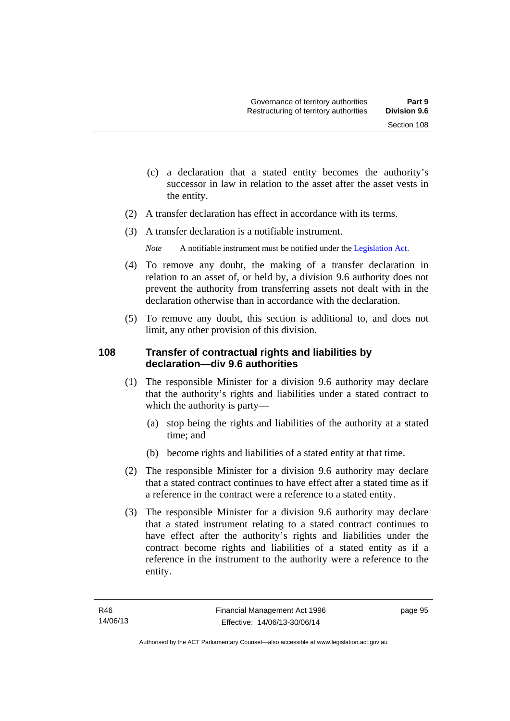- (c) a declaration that a stated entity becomes the authority's successor in law in relation to the asset after the asset vests in the entity.
- (2) A transfer declaration has effect in accordance with its terms.
- (3) A transfer declaration is a notifiable instrument.
	- *Note* A notifiable instrument must be notified under the [Legislation Act](http://www.legislation.act.gov.au/a/2001-14).
- (4) To remove any doubt, the making of a transfer declaration in relation to an asset of, or held by, a division 9.6 authority does not prevent the authority from transferring assets not dealt with in the declaration otherwise than in accordance with the declaration.
- (5) To remove any doubt, this section is additional to, and does not limit, any other provision of this division.

## **108 Transfer of contractual rights and liabilities by declaration—div 9.6 authorities**

- (1) The responsible Minister for a division 9.6 authority may declare that the authority's rights and liabilities under a stated contract to which the authority is party—
	- (a) stop being the rights and liabilities of the authority at a stated time; and
	- (b) become rights and liabilities of a stated entity at that time.
- (2) The responsible Minister for a division 9.6 authority may declare that a stated contract continues to have effect after a stated time as if a reference in the contract were a reference to a stated entity.
- (3) The responsible Minister for a division 9.6 authority may declare that a stated instrument relating to a stated contract continues to have effect after the authority's rights and liabilities under the contract become rights and liabilities of a stated entity as if a reference in the instrument to the authority were a reference to the entity.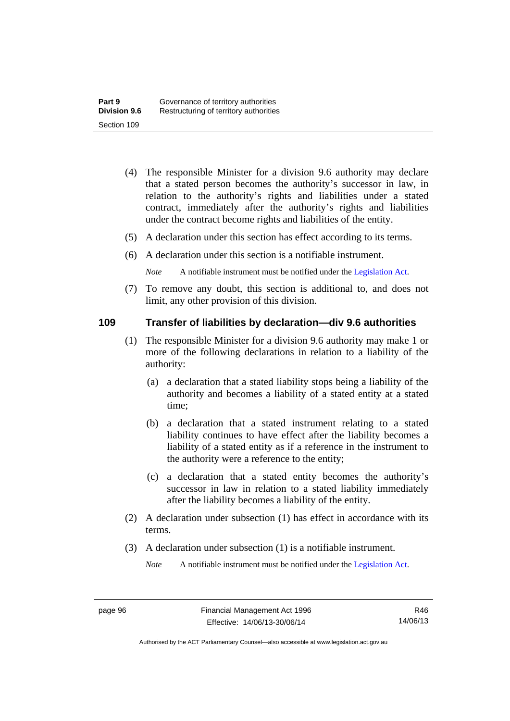- (4) The responsible Minister for a division 9.6 authority may declare that a stated person becomes the authority's successor in law, in relation to the authority's rights and liabilities under a stated contract, immediately after the authority's rights and liabilities under the contract become rights and liabilities of the entity.
- (5) A declaration under this section has effect according to its terms.
- (6) A declaration under this section is a notifiable instrument.

*Note* A notifiable instrument must be notified under the [Legislation Act](http://www.legislation.act.gov.au/a/2001-14).

 (7) To remove any doubt, this section is additional to, and does not limit, any other provision of this division.

### **109 Transfer of liabilities by declaration—div 9.6 authorities**

- (1) The responsible Minister for a division 9.6 authority may make 1 or more of the following declarations in relation to a liability of the authority:
	- (a) a declaration that a stated liability stops being a liability of the authority and becomes a liability of a stated entity at a stated time;
	- (b) a declaration that a stated instrument relating to a stated liability continues to have effect after the liability becomes a liability of a stated entity as if a reference in the instrument to the authority were a reference to the entity;
	- (c) a declaration that a stated entity becomes the authority's successor in law in relation to a stated liability immediately after the liability becomes a liability of the entity.
- (2) A declaration under subsection (1) has effect in accordance with its terms.
- (3) A declaration under subsection (1) is a notifiable instrument.

*Note* A notifiable instrument must be notified under the [Legislation Act](http://www.legislation.act.gov.au/a/2001-14).

Authorised by the ACT Parliamentary Counsel—also accessible at www.legislation.act.gov.au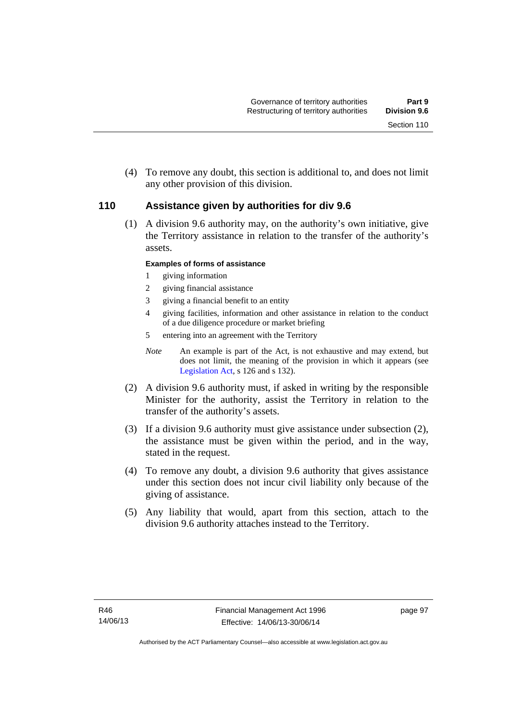(4) To remove any doubt, this section is additional to, and does not limit any other provision of this division.

### **110 Assistance given by authorities for div 9.6**

(1) A division 9.6 authority may, on the authority's own initiative, give the Territory assistance in relation to the transfer of the authority's assets.

### **Examples of forms of assistance**

- 1 giving information
- 2 giving financial assistance
- 3 giving a financial benefit to an entity
- 4 giving facilities, information and other assistance in relation to the conduct of a due diligence procedure or market briefing
- 5 entering into an agreement with the Territory
- *Note* An example is part of the Act, is not exhaustive and may extend, but does not limit, the meaning of the provision in which it appears (see [Legislation Act,](http://www.legislation.act.gov.au/a/2001-14) s 126 and s 132).
- (2) A division 9.6 authority must, if asked in writing by the responsible Minister for the authority, assist the Territory in relation to the transfer of the authority's assets.
- (3) If a division 9.6 authority must give assistance under subsection (2), the assistance must be given within the period, and in the way, stated in the request.
- (4) To remove any doubt, a division 9.6 authority that gives assistance under this section does not incur civil liability only because of the giving of assistance.
- (5) Any liability that would, apart from this section, attach to the division 9.6 authority attaches instead to the Territory.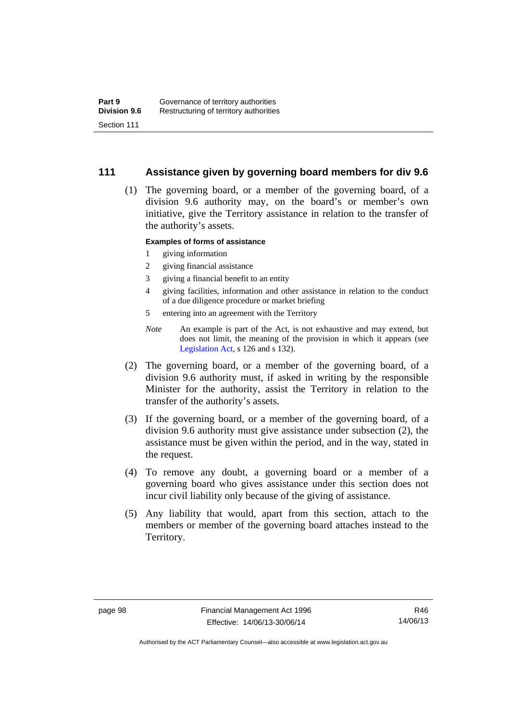### **111 Assistance given by governing board members for div 9.6**

 (1) The governing board, or a member of the governing board, of a division 9.6 authority may, on the board's or member's own initiative, give the Territory assistance in relation to the transfer of the authority's assets.

### **Examples of forms of assistance**

- 1 giving information
- 2 giving financial assistance
- 3 giving a financial benefit to an entity
- 4 giving facilities, information and other assistance in relation to the conduct of a due diligence procedure or market briefing
- 5 entering into an agreement with the Territory
- *Note* An example is part of the Act, is not exhaustive and may extend, but does not limit, the meaning of the provision in which it appears (see [Legislation Act,](http://www.legislation.act.gov.au/a/2001-14) s 126 and s 132).
- (2) The governing board, or a member of the governing board, of a division 9.6 authority must, if asked in writing by the responsible Minister for the authority, assist the Territory in relation to the transfer of the authority's assets.
- (3) If the governing board, or a member of the governing board, of a division 9.6 authority must give assistance under subsection (2), the assistance must be given within the period, and in the way, stated in the request.
- (4) To remove any doubt, a governing board or a member of a governing board who gives assistance under this section does not incur civil liability only because of the giving of assistance.
- (5) Any liability that would, apart from this section, attach to the members or member of the governing board attaches instead to the Territory.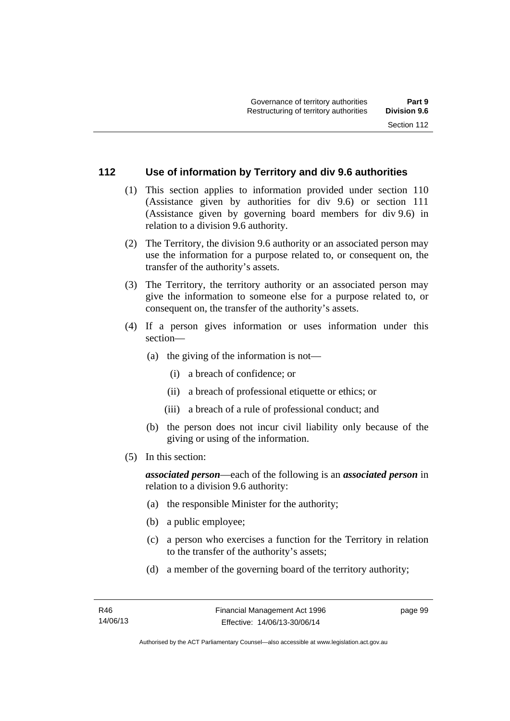# **112 Use of information by Territory and div 9.6 authorities**

- (1) This section applies to information provided under section 110 (Assistance given by authorities for div 9.6) or section 111 (Assistance given by governing board members for div 9.6) in relation to a division 9.6 authority.
- (2) The Territory, the division 9.6 authority or an associated person may use the information for a purpose related to, or consequent on, the transfer of the authority's assets.
- (3) The Territory, the territory authority or an associated person may give the information to someone else for a purpose related to, or consequent on, the transfer of the authority's assets.
- (4) If a person gives information or uses information under this section—
	- (a) the giving of the information is not—
		- (i) a breach of confidence; or
		- (ii) a breach of professional etiquette or ethics; or
		- (iii) a breach of a rule of professional conduct; and
	- (b) the person does not incur civil liability only because of the giving or using of the information.
- (5) In this section:

*associated person*—each of the following is an *associated person* in relation to a division 9.6 authority:

- (a) the responsible Minister for the authority;
- (b) a public employee;
- (c) a person who exercises a function for the Territory in relation to the transfer of the authority's assets;
- (d) a member of the governing board of the territory authority;

page 99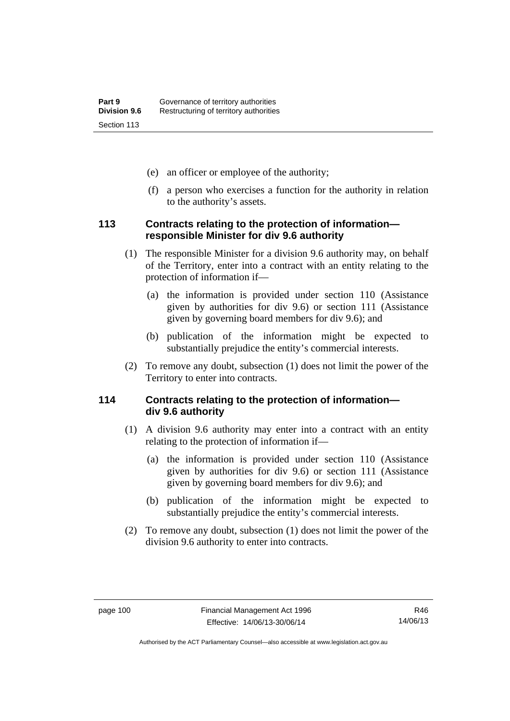- (e) an officer or employee of the authority;
- (f) a person who exercises a function for the authority in relation to the authority's assets.

# **113 Contracts relating to the protection of information responsible Minister for div 9.6 authority**

- (1) The responsible Minister for a division 9.6 authority may, on behalf of the Territory, enter into a contract with an entity relating to the protection of information if—
	- (a) the information is provided under section 110 (Assistance given by authorities for div 9.6) or section 111 (Assistance given by governing board members for div 9.6); and
	- (b) publication of the information might be expected to substantially prejudice the entity's commercial interests.
- (2) To remove any doubt, subsection (1) does not limit the power of the Territory to enter into contracts.

# **114 Contracts relating to the protection of information div 9.6 authority**

- (1) A division 9.6 authority may enter into a contract with an entity relating to the protection of information if—
	- (a) the information is provided under section 110 (Assistance given by authorities for div 9.6) or section 111 (Assistance given by governing board members for div 9.6); and
	- (b) publication of the information might be expected to substantially prejudice the entity's commercial interests.
- (2) To remove any doubt, subsection (1) does not limit the power of the division 9.6 authority to enter into contracts.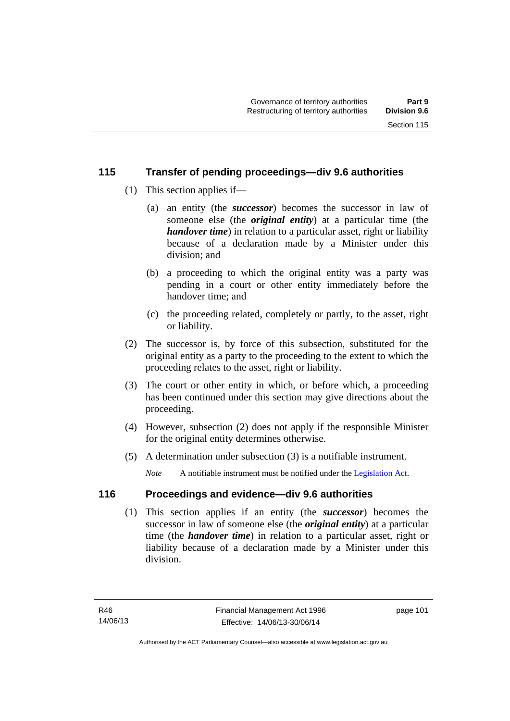# **115 Transfer of pending proceedings—div 9.6 authorities**

- (1) This section applies if—
	- (a) an entity (the *successor*) becomes the successor in law of someone else (the *original entity*) at a particular time (the *handover time*) in relation to a particular asset, right or liability because of a declaration made by a Minister under this division; and
	- (b) a proceeding to which the original entity was a party was pending in a court or other entity immediately before the handover time; and
	- (c) the proceeding related, completely or partly, to the asset, right or liability.
- (2) The successor is, by force of this subsection, substituted for the original entity as a party to the proceeding to the extent to which the proceeding relates to the asset, right or liability.
- (3) The court or other entity in which, or before which, a proceeding has been continued under this section may give directions about the proceeding.
- (4) However, subsection (2) does not apply if the responsible Minister for the original entity determines otherwise.
- (5) A determination under subsection (3) is a notifiable instrument.

*Note* A notifiable instrument must be notified under the [Legislation Act](http://www.legislation.act.gov.au/a/2001-14).

# **116 Proceedings and evidence—div 9.6 authorities**

 (1) This section applies if an entity (the *successor*) becomes the successor in law of someone else (the *original entity*) at a particular time (the *handover time*) in relation to a particular asset, right or liability because of a declaration made by a Minister under this division.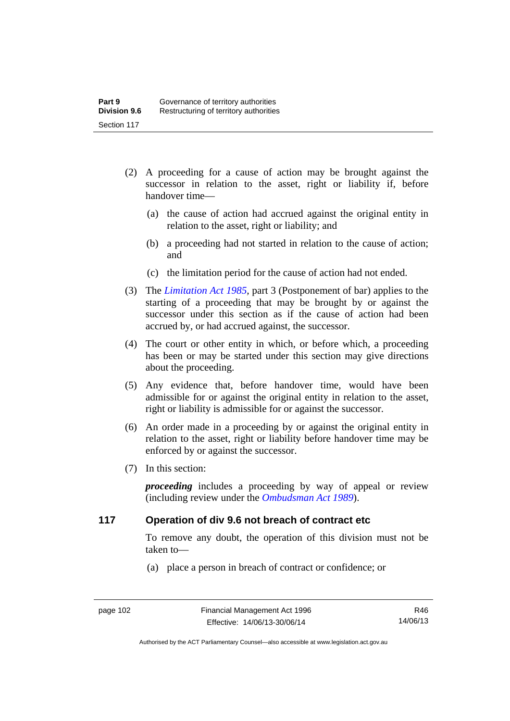- (2) A proceeding for a cause of action may be brought against the successor in relation to the asset, right or liability if, before handover time—
	- (a) the cause of action had accrued against the original entity in relation to the asset, right or liability; and
	- (b) a proceeding had not started in relation to the cause of action; and
	- (c) the limitation period for the cause of action had not ended.
- (3) The *[Limitation Act 1985](http://www.legislation.act.gov.au/a/1985-66),* part 3 (Postponement of bar) applies to the starting of a proceeding that may be brought by or against the successor under this section as if the cause of action had been accrued by, or had accrued against, the successor.
- (4) The court or other entity in which, or before which, a proceeding has been or may be started under this section may give directions about the proceeding.
- (5) Any evidence that, before handover time, would have been admissible for or against the original entity in relation to the asset, right or liability is admissible for or against the successor.
- (6) An order made in a proceeding by or against the original entity in relation to the asset, right or liability before handover time may be enforced by or against the successor.
- (7) In this section:

*proceeding* includes a proceeding by way of appeal or review (including review under the *[Ombudsman Act 1989](http://www.legislation.act.gov.au/a/alt_a1989-45co)*).

# **117 Operation of div 9.6 not breach of contract etc**

To remove any doubt, the operation of this division must not be taken to—

(a) place a person in breach of contract or confidence; or

R46 14/06/13

Authorised by the ACT Parliamentary Counsel—also accessible at www.legislation.act.gov.au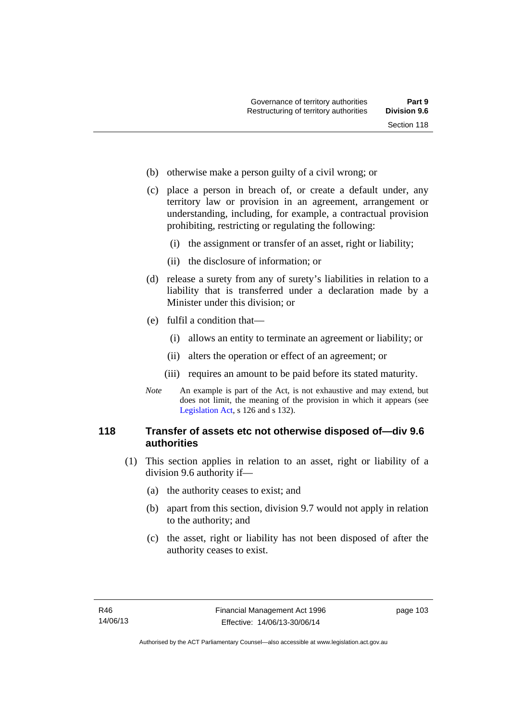- (b) otherwise make a person guilty of a civil wrong; or
- (c) place a person in breach of, or create a default under, any territory law or provision in an agreement, arrangement or understanding, including, for example, a contractual provision prohibiting, restricting or regulating the following:
	- (i) the assignment or transfer of an asset, right or liability;
	- (ii) the disclosure of information; or
- (d) release a surety from any of surety's liabilities in relation to a liability that is transferred under a declaration made by a Minister under this division; or
- (e) fulfil a condition that—
	- (i) allows an entity to terminate an agreement or liability; or
	- (ii) alters the operation or effect of an agreement; or
	- (iii) requires an amount to be paid before its stated maturity.
- *Note* An example is part of the Act, is not exhaustive and may extend, but does not limit, the meaning of the provision in which it appears (see [Legislation Act,](http://www.legislation.act.gov.au/a/2001-14) s 126 and s 132).

# **118 Transfer of assets etc not otherwise disposed of—div 9.6 authorities**

- (1) This section applies in relation to an asset, right or liability of a division 9.6 authority if—
	- (a) the authority ceases to exist; and
	- (b) apart from this section, division 9.7 would not apply in relation to the authority; and
	- (c) the asset, right or liability has not been disposed of after the authority ceases to exist.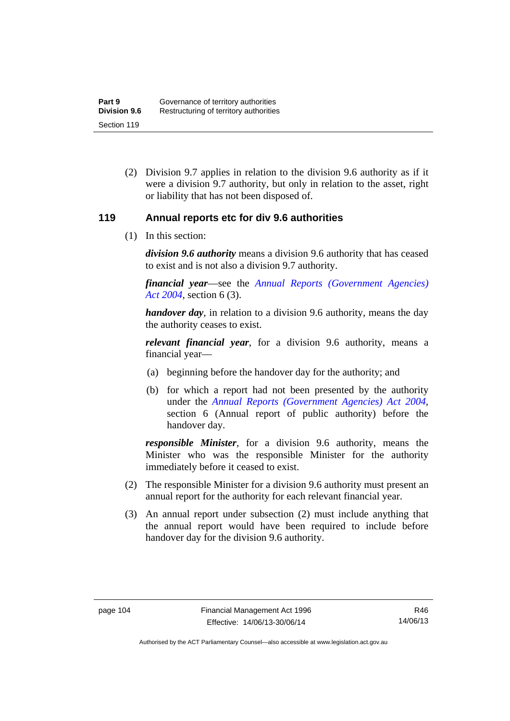(2) Division 9.7 applies in relation to the division 9.6 authority as if it were a division 9.7 authority, but only in relation to the asset, right or liability that has not been disposed of.

# **119 Annual reports etc for div 9.6 authorities**

(1) In this section:

*division 9.6 authority* means a division 9.6 authority that has ceased to exist and is not also a division 9.7 authority.

*financial year*––see the *[Annual Reports \(Government Agencies\)](http://www.legislation.act.gov.au/a/2004-8)  [Act 2004](http://www.legislation.act.gov.au/a/2004-8)*, section 6 (3).

*handover day*, in relation to a division 9.6 authority, means the day the authority ceases to exist.

*relevant financial year*, for a division 9.6 authority, means a financial year—

- (a) beginning before the handover day for the authority; and
- (b) for which a report had not been presented by the authority under the *[Annual Reports \(Government Agencies\) Act 2004](http://www.legislation.act.gov.au/a/2004-8)*, section 6 (Annual report of public authority) before the handover day.

*responsible Minister*, for a division 9.6 authority, means the Minister who was the responsible Minister for the authority immediately before it ceased to exist.

- (2) The responsible Minister for a division 9.6 authority must present an annual report for the authority for each relevant financial year.
- (3) An annual report under subsection (2) must include anything that the annual report would have been required to include before handover day for the division 9.6 authority.

R46 14/06/13

Authorised by the ACT Parliamentary Counsel—also accessible at www.legislation.act.gov.au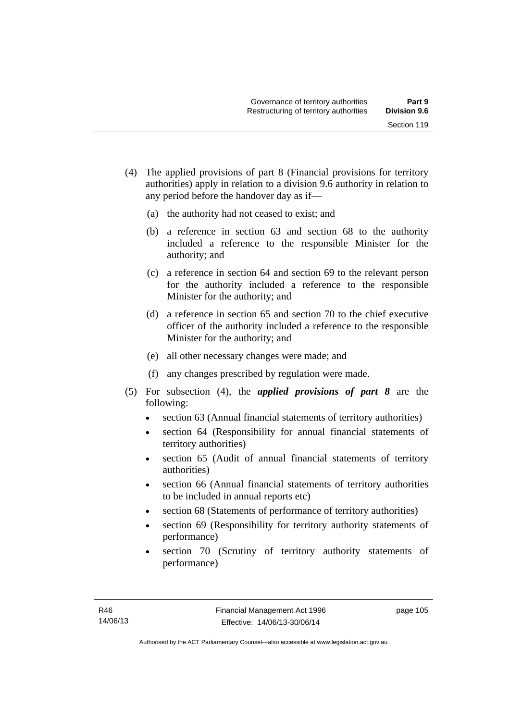- (4) The applied provisions of part 8 (Financial provisions for territory authorities) apply in relation to a division 9.6 authority in relation to any period before the handover day as if—
	- (a) the authority had not ceased to exist; and
	- (b) a reference in section 63 and section 68 to the authority included a reference to the responsible Minister for the authority; and
	- (c) a reference in section 64 and section 69 to the relevant person for the authority included a reference to the responsible Minister for the authority; and
	- (d) a reference in section 65 and section 70 to the chief executive officer of the authority included a reference to the responsible Minister for the authority; and
	- (e) all other necessary changes were made; and
	- (f) any changes prescribed by regulation were made.
- (5) For subsection (4), the *applied provisions of part 8* are the following:
	- section 63 (Annual financial statements of territory authorities)
	- section 64 (Responsibility for annual financial statements of territory authorities)
	- section 65 (Audit of annual financial statements of territory authorities)
	- section 66 (Annual financial statements of territory authorities to be included in annual reports etc)
	- section 68 (Statements of performance of territory authorities)
	- section 69 (Responsibility for territory authority statements of performance)
	- section 70 (Scrutiny of territory authority statements of performance)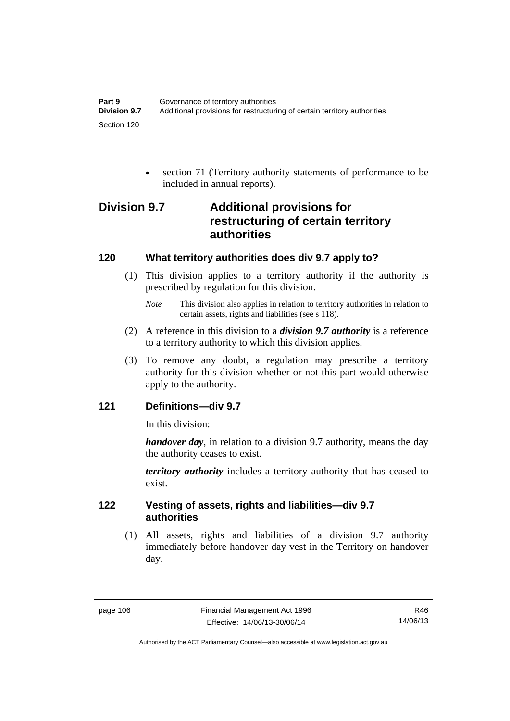section 71 (Territory authority statements of performance to be included in annual reports).

# **Division 9.7 Additional provisions for restructuring of certain territory authorities**

# **120 What territory authorities does div 9.7 apply to?**

 (1) This division applies to a territory authority if the authority is prescribed by regulation for this division.

- (2) A reference in this division to a *division 9.7 authority* is a reference to a territory authority to which this division applies.
- (3) To remove any doubt, a regulation may prescribe a territory authority for this division whether or not this part would otherwise apply to the authority.

# **121 Definitions—div 9.7**

In this division:

*handover day*, in relation to a division 9.7 authority, means the day the authority ceases to exist.

*territory authority* includes a territory authority that has ceased to exist.

# **122 Vesting of assets, rights and liabilities—div 9.7 authorities**

 (1) All assets, rights and liabilities of a division 9.7 authority immediately before handover day vest in the Territory on handover day.

*Note* This division also applies in relation to territory authorities in relation to certain assets, rights and liabilities (see s 118).

Authorised by the ACT Parliamentary Counsel—also accessible at www.legislation.act.gov.au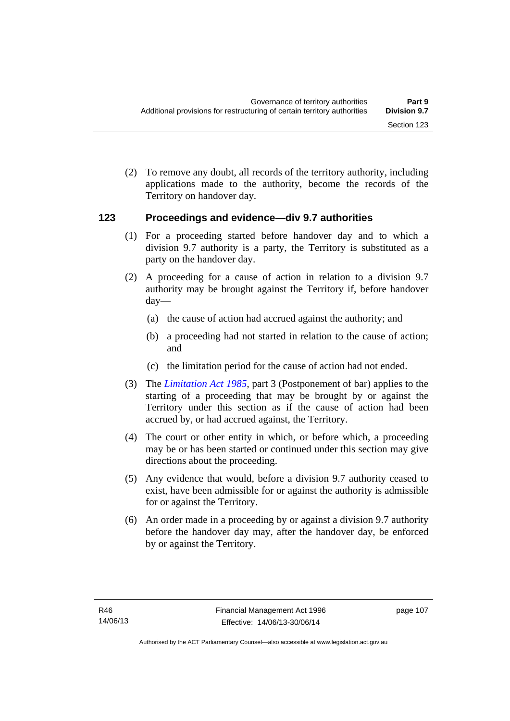(2) To remove any doubt, all records of the territory authority, including applications made to the authority, become the records of the Territory on handover day.

# **123 Proceedings and evidence—div 9.7 authorities**

- (1) For a proceeding started before handover day and to which a division 9.7 authority is a party, the Territory is substituted as a party on the handover day.
- (2) A proceeding for a cause of action in relation to a division 9.7 authority may be brought against the Territory if, before handover day—
	- (a) the cause of action had accrued against the authority; and
	- (b) a proceeding had not started in relation to the cause of action; and
	- (c) the limitation period for the cause of action had not ended.
- (3) The *[Limitation Act 1985](http://www.legislation.act.gov.au/a/1985-66),* part 3 (Postponement of bar) applies to the starting of a proceeding that may be brought by or against the Territory under this section as if the cause of action had been accrued by, or had accrued against, the Territory.
- (4) The court or other entity in which, or before which, a proceeding may be or has been started or continued under this section may give directions about the proceeding.
- (5) Any evidence that would, before a division 9.7 authority ceased to exist, have been admissible for or against the authority is admissible for or against the Territory.
- (6) An order made in a proceeding by or against a division 9.7 authority before the handover day may, after the handover day, be enforced by or against the Territory.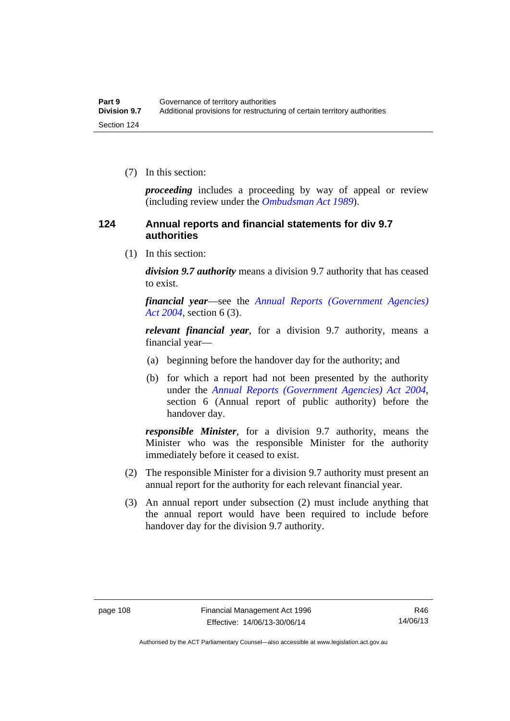(7) In this section:

*proceeding* includes a proceeding by way of appeal or review (including review under the *[Ombudsman Act 1989](http://www.legislation.act.gov.au/a/alt_a1989-45co)*).

# **124 Annual reports and financial statements for div 9.7 authorities**

(1) In this section:

*division 9.7 authority* means a division 9.7 authority that has ceased to exist.

*financial year*––see the *[Annual Reports \(Government Agencies\)](http://www.legislation.act.gov.au/a/2004-8)  [Act 2004](http://www.legislation.act.gov.au/a/2004-8)*, section 6 (3).

*relevant financial year*, for a division 9.7 authority, means a financial year—

- (a) beginning before the handover day for the authority; and
- (b) for which a report had not been presented by the authority under the *[Annual Reports \(Government Agencies\) Act 2004](http://www.legislation.act.gov.au/a/2004-8)*, section 6 (Annual report of public authority) before the handover day.

*responsible Minister*, for a division 9.7 authority, means the Minister who was the responsible Minister for the authority immediately before it ceased to exist.

- (2) The responsible Minister for a division 9.7 authority must present an annual report for the authority for each relevant financial year.
- (3) An annual report under subsection (2) must include anything that the annual report would have been required to include before handover day for the division 9.7 authority.

Authorised by the ACT Parliamentary Counsel—also accessible at www.legislation.act.gov.au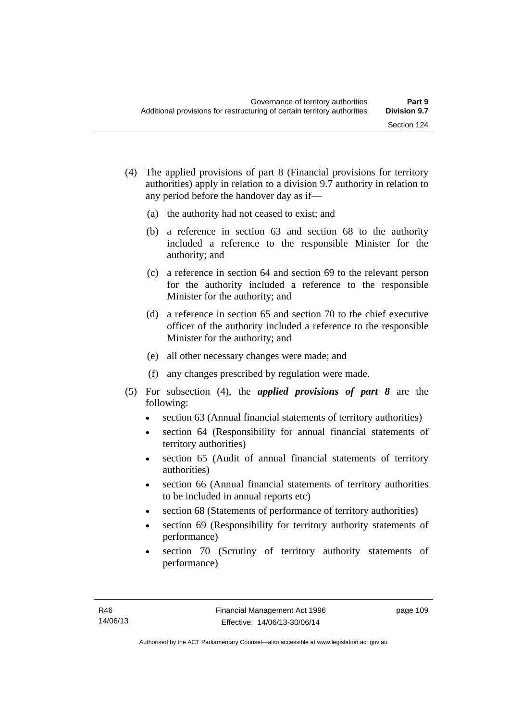- (4) The applied provisions of part 8 (Financial provisions for territory authorities) apply in relation to a division 9.7 authority in relation to any period before the handover day as if—
	- (a) the authority had not ceased to exist; and
	- (b) a reference in section 63 and section 68 to the authority included a reference to the responsible Minister for the authority; and
	- (c) a reference in section 64 and section 69 to the relevant person for the authority included a reference to the responsible Minister for the authority; and
	- (d) a reference in section 65 and section 70 to the chief executive officer of the authority included a reference to the responsible Minister for the authority; and
	- (e) all other necessary changes were made; and
	- (f) any changes prescribed by regulation were made.
- (5) For subsection (4), the *applied provisions of part 8* are the following:
	- section 63 (Annual financial statements of territory authorities)
	- section 64 (Responsibility for annual financial statements of territory authorities)
	- section 65 (Audit of annual financial statements of territory authorities)
	- section 66 (Annual financial statements of territory authorities to be included in annual reports etc)
	- section 68 (Statements of performance of territory authorities)
	- section 69 (Responsibility for territory authority statements of performance)
	- section 70 (Scrutiny of territory authority statements of performance)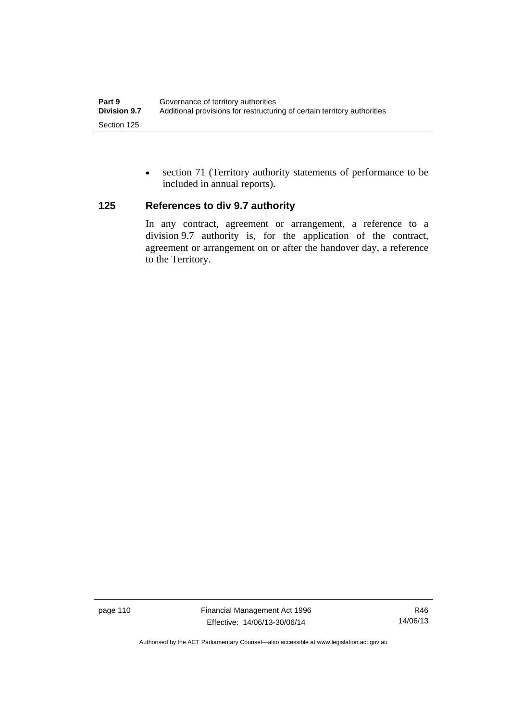section 71 (Territory authority statements of performance to be included in annual reports).

# **125 References to div 9.7 authority**

In any contract, agreement or arrangement, a reference to a division 9.7 authority is, for the application of the contract, agreement or arrangement on or after the handover day, a reference to the Territory.

page 110 Financial Management Act 1996 Effective: 14/06/13-30/06/14

R46 14/06/13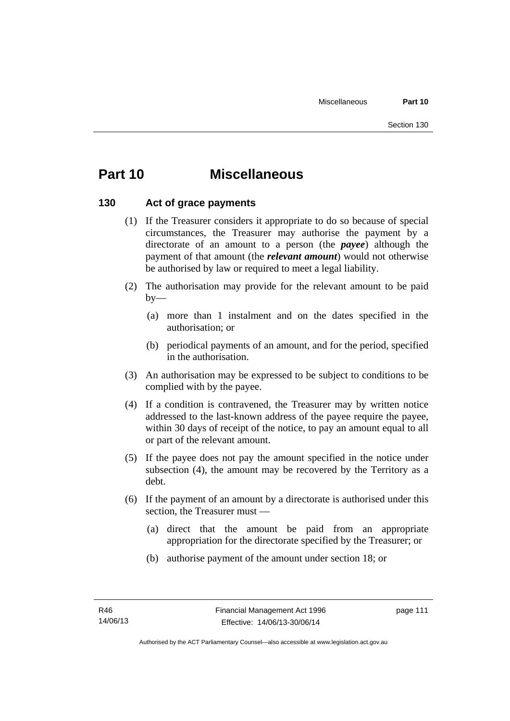# **Part 10 Miscellaneous**

# **130 Act of grace payments**

- (1) If the Treasurer considers it appropriate to do so because of special circumstances, the Treasurer may authorise the payment by a directorate of an amount to a person (the *payee*) although the payment of that amount (the *relevant amount*) would not otherwise be authorised by law or required to meet a legal liability.
- (2) The authorisation may provide for the relevant amount to be paid  $by-$ 
	- (a) more than 1 instalment and on the dates specified in the authorisation; or
	- (b) periodical payments of an amount, and for the period, specified in the authorisation.
- (3) An authorisation may be expressed to be subject to conditions to be complied with by the payee.
- (4) If a condition is contravened, the Treasurer may by written notice addressed to the last-known address of the payee require the payee, within 30 days of receipt of the notice, to pay an amount equal to all or part of the relevant amount.
- (5) If the payee does not pay the amount specified in the notice under subsection (4), the amount may be recovered by the Territory as a debt.
- (6) If the payment of an amount by a directorate is authorised under this section, the Treasurer must —
	- (a) direct that the amount be paid from an appropriate appropriation for the directorate specified by the Treasurer; or
	- (b) authorise payment of the amount under section 18; or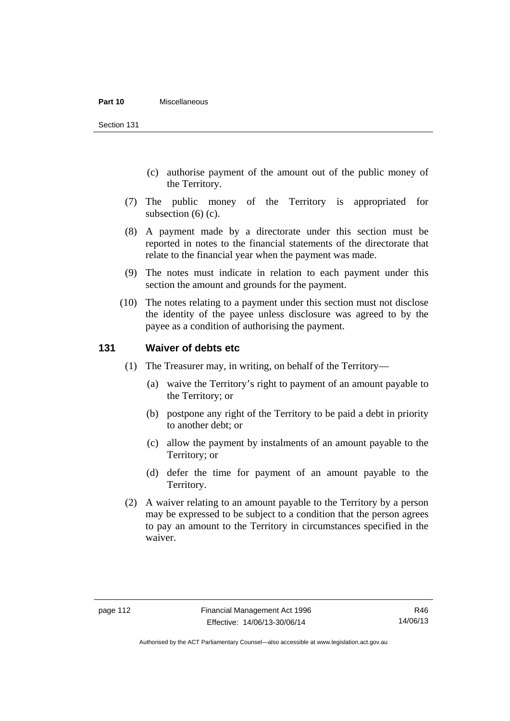#### **Part 10** Miscellaneous

Section 131

- (c) authorise payment of the amount out of the public money of the Territory.
- (7) The public money of the Territory is appropriated for subsection (6) (c).
- (8) A payment made by a directorate under this section must be reported in notes to the financial statements of the directorate that relate to the financial year when the payment was made.
- (9) The notes must indicate in relation to each payment under this section the amount and grounds for the payment.
- (10) The notes relating to a payment under this section must not disclose the identity of the payee unless disclosure was agreed to by the payee as a condition of authorising the payment.

# **131 Waiver of debts etc**

- (1) The Treasurer may, in writing, on behalf of the Territory—
	- (a) waive the Territory's right to payment of an amount payable to the Territory; or
	- (b) postpone any right of the Territory to be paid a debt in priority to another debt; or
	- (c) allow the payment by instalments of an amount payable to the Territory; or
	- (d) defer the time for payment of an amount payable to the Territory.
- (2) A waiver relating to an amount payable to the Territory by a person may be expressed to be subject to a condition that the person agrees to pay an amount to the Territory in circumstances specified in the waiver.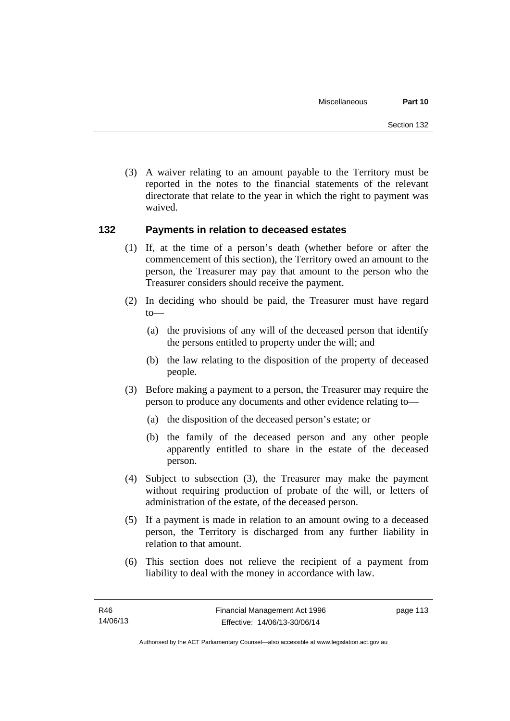(3) A waiver relating to an amount payable to the Territory must be reported in the notes to the financial statements of the relevant directorate that relate to the year in which the right to payment was waived.

# **132 Payments in relation to deceased estates**

- (1) If, at the time of a person's death (whether before or after the commencement of this section), the Territory owed an amount to the person, the Treasurer may pay that amount to the person who the Treasurer considers should receive the payment.
- (2) In deciding who should be paid, the Treasurer must have regard to—
	- (a) the provisions of any will of the deceased person that identify the persons entitled to property under the will; and
	- (b) the law relating to the disposition of the property of deceased people.
- (3) Before making a payment to a person, the Treasurer may require the person to produce any documents and other evidence relating to—
	- (a) the disposition of the deceased person's estate; or
	- (b) the family of the deceased person and any other people apparently entitled to share in the estate of the deceased person.
- (4) Subject to subsection (3), the Treasurer may make the payment without requiring production of probate of the will, or letters of administration of the estate, of the deceased person.
- (5) If a payment is made in relation to an amount owing to a deceased person, the Territory is discharged from any further liability in relation to that amount.
- (6) This section does not relieve the recipient of a payment from liability to deal with the money in accordance with law.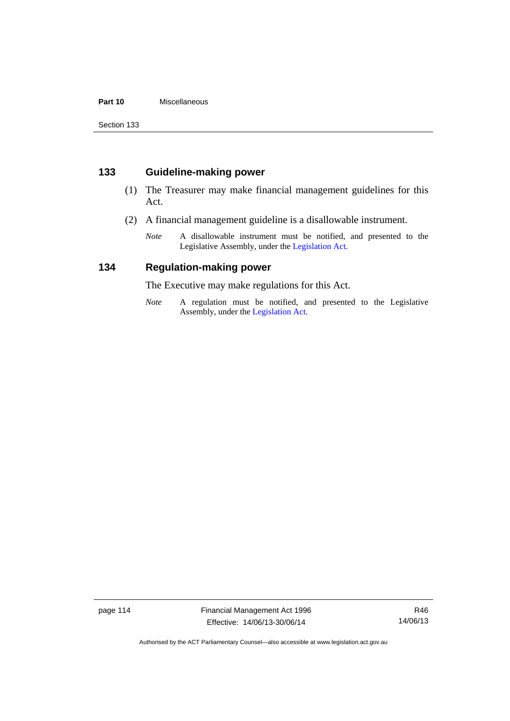# **Part 10** Miscellaneous

Section 133

# **133 Guideline-making power**

- (1) The Treasurer may make financial management guidelines for this Act.
- (2) A financial management guideline is a disallowable instrument.
	- *Note* A disallowable instrument must be notified, and presented to the Legislative Assembly, under the [Legislation Act.](http://www.legislation.act.gov.au/a/2001-14)

# **134 Regulation-making power**

The Executive may make regulations for this Act.

*Note* A regulation must be notified, and presented to the Legislative Assembly, under the [Legislation Act](http://www.legislation.act.gov.au/a/2001-14).

page 114 Financial Management Act 1996 Effective: 14/06/13-30/06/14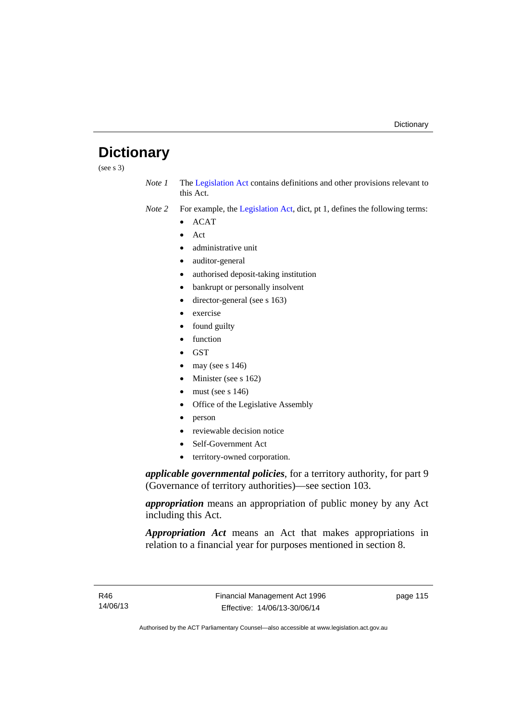# **Dictionary**

(see s 3)

- *Note 1* The [Legislation Act](http://www.legislation.act.gov.au/a/2001-14) contains definitions and other provisions relevant to this Act.
- *Note 2* For example, the [Legislation Act,](http://www.legislation.act.gov.au/a/2001-14) dict, pt 1, defines the following terms:
	- $\bullet$  ACAT
	- Act
	- administrative unit
	- auditor-general
	- authorised deposit-taking institution
	- bankrupt or personally insolvent
	- director-general (see s 163)
	- exercise
	- found guilty
	- function
	- **GST**
	- may (see s 146)
	- Minister (see s 162)
	- must (see s 146)
	- Office of the Legislative Assembly
	- person
	- reviewable decision notice
	- Self-Government Act
	- territory-owned corporation.

*applicable governmental policies*, for a territory authority, for part 9 (Governance of territory authorities)—see section 103.

*appropriation* means an appropriation of public money by any Act including this Act.

*Appropriation Act* means an Act that makes appropriations in relation to a financial year for purposes mentioned in section 8.

page 115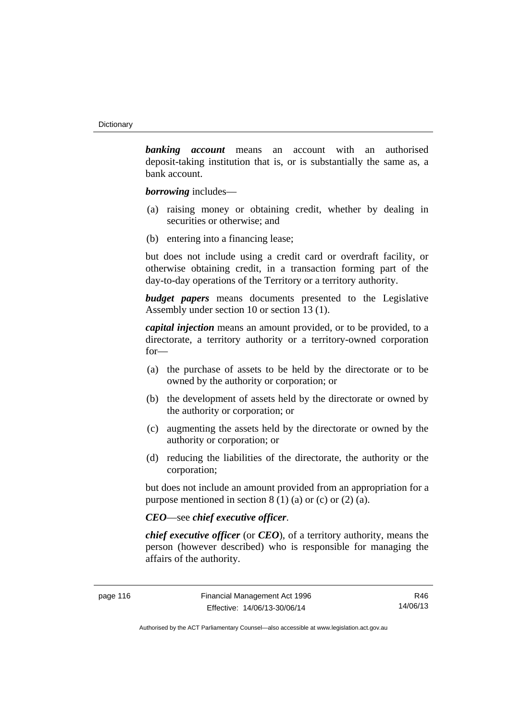*banking account* means an account with an authorised deposit-taking institution that is, or is substantially the same as, a bank account.

*borrowing* includes—

- (a) raising money or obtaining credit, whether by dealing in securities or otherwise; and
- (b) entering into a financing lease;

but does not include using a credit card or overdraft facility, or otherwise obtaining credit, in a transaction forming part of the day-to-day operations of the Territory or a territory authority.

*budget papers* means documents presented to the Legislative Assembly under section 10 or section 13 (1).

*capital injection* means an amount provided, or to be provided, to a directorate, a territory authority or a territory-owned corporation for—

- (a) the purchase of assets to be held by the directorate or to be owned by the authority or corporation; or
- (b) the development of assets held by the directorate or owned by the authority or corporation; or
- (c) augmenting the assets held by the directorate or owned by the authority or corporation; or
- (d) reducing the liabilities of the directorate, the authority or the corporation;

but does not include an amount provided from an appropriation for a purpose mentioned in section  $8(1)(a)$  or (c) or  $(2)(a)$ .

# *CEO*—see *chief executive officer*.

*chief executive officer* (or *CEO*), of a territory authority, means the person (however described) who is responsible for managing the affairs of the authority.

R46 14/06/13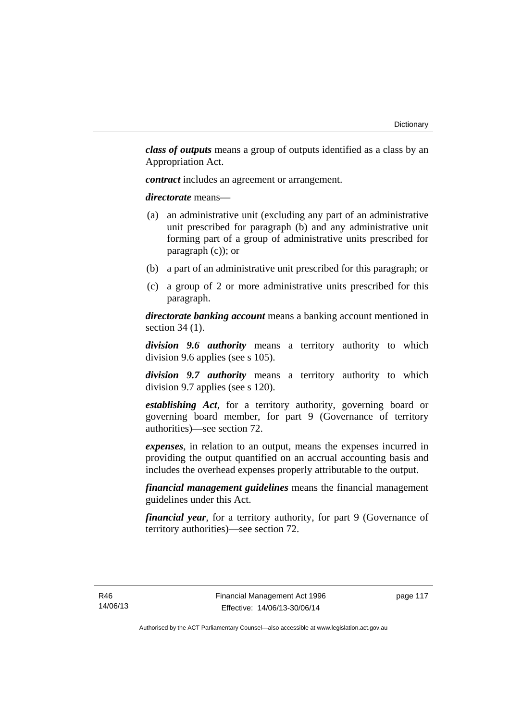*class of outputs* means a group of outputs identified as a class by an Appropriation Act.

*contract* includes an agreement or arrangement.

*directorate* means––

- (a) an administrative unit (excluding any part of an administrative unit prescribed for paragraph (b) and any administrative unit forming part of a group of administrative units prescribed for paragraph (c)); or
- (b) a part of an administrative unit prescribed for this paragraph; or
- (c) a group of 2 or more administrative units prescribed for this paragraph.

*directorate banking account* means a banking account mentioned in section 34 (1).

*division 9.6 authority* means a territory authority to which division 9.6 applies (see s 105).

*division 9.7 authority* means a territory authority to which division 9.7 applies (see s 120).

*establishing Act*, for a territory authority, governing board or governing board member, for part 9 (Governance of territory authorities)—see section 72.

*expenses*, in relation to an output, means the expenses incurred in providing the output quantified on an accrual accounting basis and includes the overhead expenses properly attributable to the output.

*financial management guidelines* means the financial management guidelines under this Act.

*financial year*, for a territory authority, for part 9 (Governance of territory authorities)—see section 72.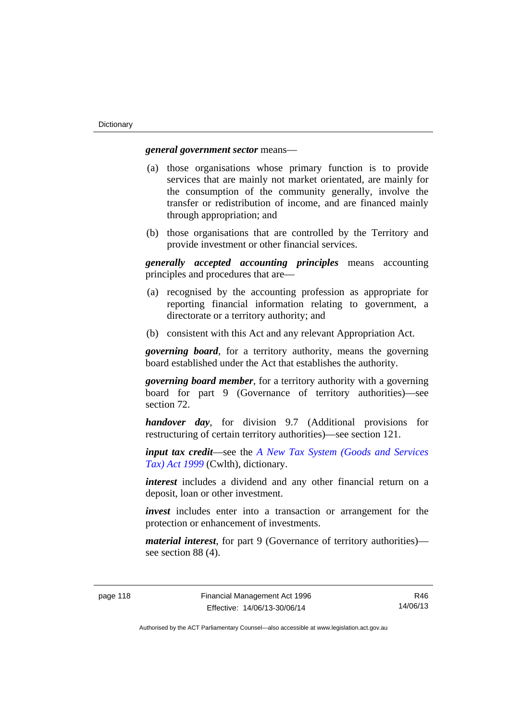# *general government sector* means—

- (a) those organisations whose primary function is to provide services that are mainly not market orientated, are mainly for the consumption of the community generally, involve the transfer or redistribution of income, and are financed mainly through appropriation; and
- (b) those organisations that are controlled by the Territory and provide investment or other financial services.

*generally accepted accounting principles* means accounting principles and procedures that are—

- (a) recognised by the accounting profession as appropriate for reporting financial information relating to government, a directorate or a territory authority; and
- (b) consistent with this Act and any relevant Appropriation Act.

*governing board*, for a territory authority, means the governing board established under the Act that establishes the authority.

*governing board member*, for a territory authority with a governing board for part 9 (Governance of territory authorities)—see section 72.

*handover day*, for division 9.7 (Additional provisions for restructuring of certain territory authorities)—see section 121.

*input tax credit*—see the *[A New Tax System \(Goods and Services](http://www.comlaw.gov.au/Series/C2004A00446)  [Tax\) Act 1999](http://www.comlaw.gov.au/Series/C2004A00446)* (Cwlth), dictionary.

*interest* includes a dividend and any other financial return on a deposit, loan or other investment.

*invest* includes enter into a transaction or arrangement for the protection or enhancement of investments.

*material interest*, for part 9 (Governance of territory authorities) see section 88 (4).

R46 14/06/13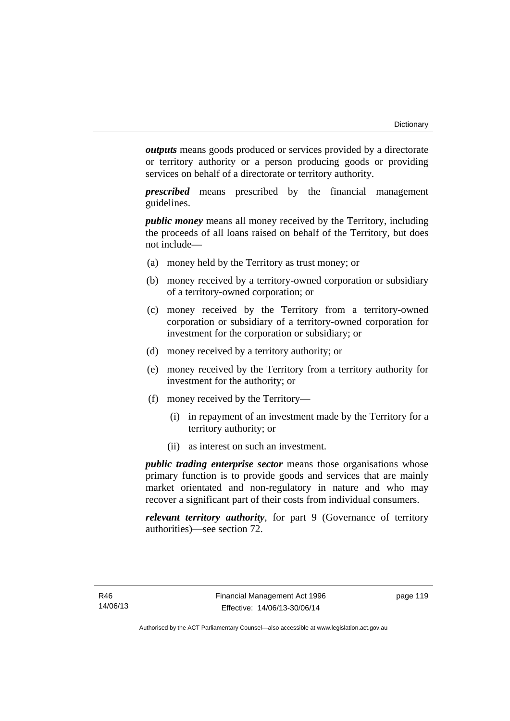*outputs* means goods produced or services provided by a directorate or territory authority or a person producing goods or providing services on behalf of a directorate or territory authority.

*prescribed* means prescribed by the financial management guidelines.

*public money* means all money received by the Territory, including the proceeds of all loans raised on behalf of the Territory, but does not include—

- (a) money held by the Territory as trust money; or
- (b) money received by a territory-owned corporation or subsidiary of a territory-owned corporation; or
- (c) money received by the Territory from a territory-owned corporation or subsidiary of a territory-owned corporation for investment for the corporation or subsidiary; or
- (d) money received by a territory authority; or
- (e) money received by the Territory from a territory authority for investment for the authority; or
- (f) money received by the Territory—
	- (i) in repayment of an investment made by the Territory for a territory authority; or
	- (ii) as interest on such an investment.

*public trading enterprise sector* means those organisations whose primary function is to provide goods and services that are mainly market orientated and non-regulatory in nature and who may recover a significant part of their costs from individual consumers.

*relevant territory authority*, for part 9 (Governance of territory authorities)—see section 72.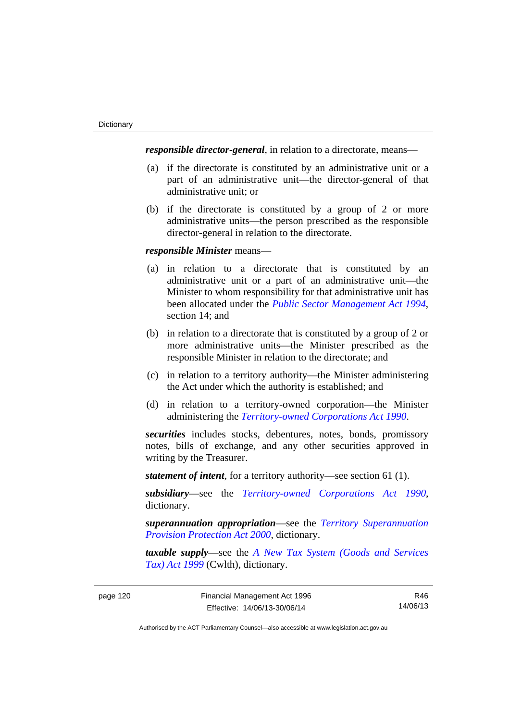*responsible director-general*, in relation to a directorate, means—

- (a) if the directorate is constituted by an administrative unit or a part of an administrative unit—the director-general of that administrative unit; or
- (b) if the directorate is constituted by a group of 2 or more administrative units—the person prescribed as the responsible director-general in relation to the directorate.

# *responsible Minister* means—

- (a) in relation to a directorate that is constituted by an administrative unit or a part of an administrative unit—the Minister to whom responsibility for that administrative unit has been allocated under the *[Public Sector Management Act 1994](http://www.legislation.act.gov.au/a/1994-37)*, section 14; and
- (b) in relation to a directorate that is constituted by a group of 2 or more administrative units—the Minister prescribed as the responsible Minister in relation to the directorate; and
- (c) in relation to a territory authority—the Minister administering the Act under which the authority is established; and
- (d) in relation to a territory-owned corporation—the Minister administering the *[Territory-owned Corporations Act 1990](http://www.legislation.act.gov.au/a/1990-53)*.

*securities* includes stocks, debentures, notes, bonds, promissory notes, bills of exchange, and any other securities approved in writing by the Treasurer.

*statement of intent*, for a territory authority—see section 61 (1).

*subsidiary*—see the *[Territory-owned Corporations Act 1990](http://www.legislation.act.gov.au/a/1990-53)*, dictionary.

*superannuation appropriation*—see the *[Territory Superannuation](http://www.legislation.act.gov.au/a/2000-21)  [Provision Protection Act 2000](http://www.legislation.act.gov.au/a/2000-21)*, dictionary.

*taxable supply*—see the *[A New Tax System \(Goods and Services](http://www.comlaw.gov.au/Series/C2004A00446)  [Tax\) Act 1999](http://www.comlaw.gov.au/Series/C2004A00446)* (Cwlth), dictionary.

R46 14/06/13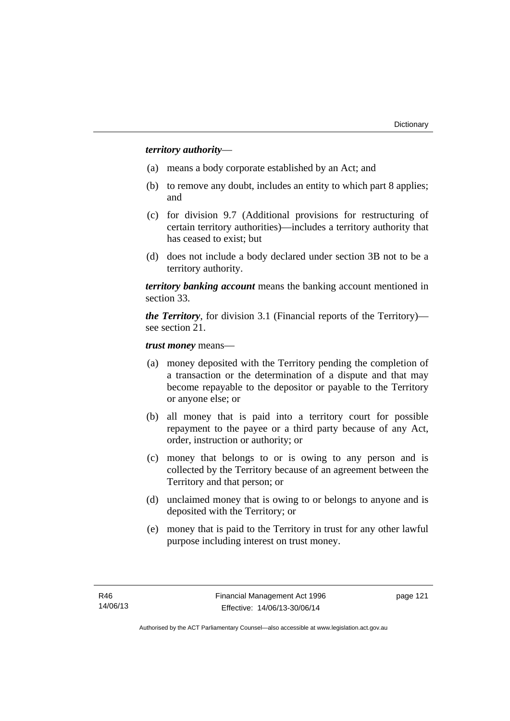# *territory authority*—

- (a) means a body corporate established by an Act; and
- (b) to remove any doubt, includes an entity to which part 8 applies; and
- (c) for division 9.7 (Additional provisions for restructuring of certain territory authorities)—includes a territory authority that has ceased to exist; but
- (d) does not include a body declared under section 3B not to be a territory authority.

*territory banking account* means the banking account mentioned in section 33.

*the Territory*, for division 3.1 (Financial reports of the Territory) see section 21.

*trust money* means—

- (a) money deposited with the Territory pending the completion of a transaction or the determination of a dispute and that may become repayable to the depositor or payable to the Territory or anyone else; or
- (b) all money that is paid into a territory court for possible repayment to the payee or a third party because of any Act, order, instruction or authority; or
- (c) money that belongs to or is owing to any person and is collected by the Territory because of an agreement between the Territory and that person; or
- (d) unclaimed money that is owing to or belongs to anyone and is deposited with the Territory; or
- (e) money that is paid to the Territory in trust for any other lawful purpose including interest on trust money.

page 121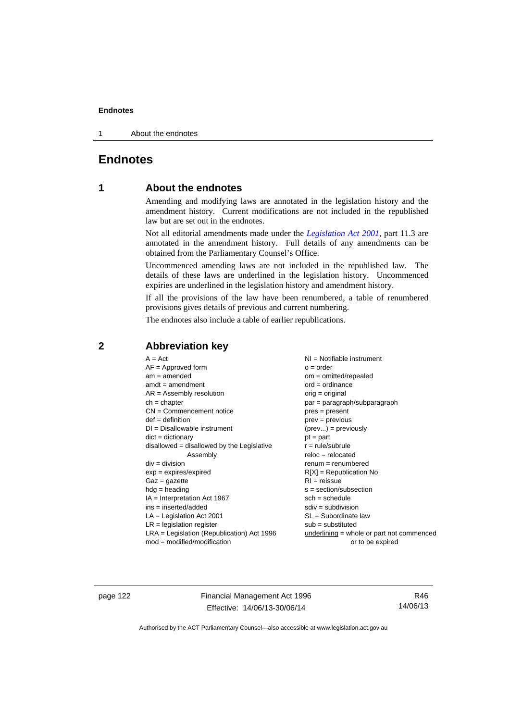1 About the endnotes

# **Endnotes**

# **1 About the endnotes**

Amending and modifying laws are annotated in the legislation history and the amendment history. Current modifications are not included in the republished law but are set out in the endnotes.

Not all editorial amendments made under the *[Legislation Act 2001](http://www.legislation.act.gov.au/a/2001-14)*, part 11.3 are annotated in the amendment history. Full details of any amendments can be obtained from the Parliamentary Counsel's Office.

Uncommenced amending laws are not included in the republished law. The details of these laws are underlined in the legislation history. Uncommenced expiries are underlined in the legislation history and amendment history.

If all the provisions of the law have been renumbered, a table of renumbered provisions gives details of previous and current numbering.

The endnotes also include a table of earlier republications.

| $AF =$ Approved form                         | $o = order$                                 |
|----------------------------------------------|---------------------------------------------|
| $am = amended$                               | $om = omitted/repealed$                     |
| $amdt = amendment$                           | $ord = ordinance$                           |
| $AR = Assembly resolution$                   | $orig = original$                           |
| $ch = chapter$                               | par = paragraph/subparagraph                |
| $CN =$ Commencement notice                   | $pres = present$                            |
| $def = definition$                           | $prev = previous$                           |
| $DI = Disallowable instrument$               | $(\text{prev}) = \text{previously}$         |
| $dict = dictionary$                          | $pt = part$                                 |
| $disallowed = disallowed by the Legislative$ | $r = rule/subrule$                          |
| Assembly                                     | $reloc = relocated$                         |
| $div = division$                             | $renum = renumbered$                        |
| $exp = expires/expired$                      | $R[X]$ = Republication No                   |
| $Gaz = gazette$                              | $RI = reissue$                              |
| $hdg = heading$                              | $s = section/subsection$                    |
| $IA = Interpretation Act 1967$               | $sch = schedule$                            |
| ins = inserted/added                         | $sdiv = subdivision$                        |
| $LA =$ Legislation Act 2001                  | $SL = Subordinate$ law                      |
| $LR =$ legislation register                  | $sub =$ substituted                         |
| LRA = Legislation (Republication) Act 1996   | underlining $=$ whole or part not commenced |
| $mod = modified/modification$                | or to be expired                            |

# **2 Abbreviation key**

page 122 Financial Management Act 1996 Effective: 14/06/13-30/06/14

R46 14/06/13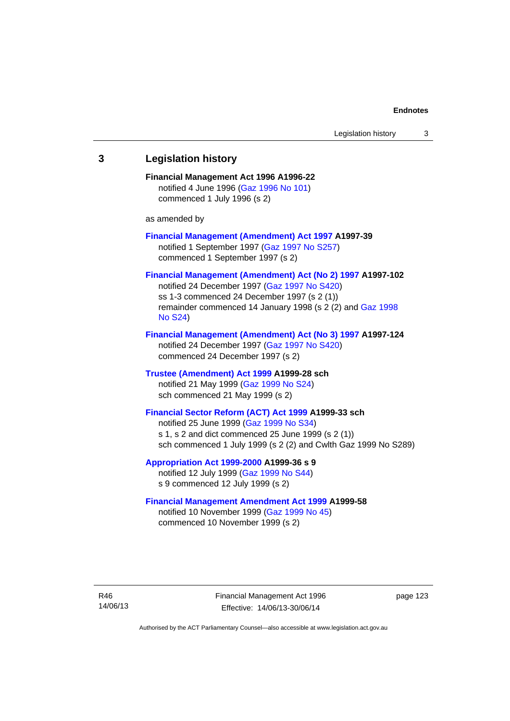# **3 Legislation history Financial Management Act 1996 A1996-22**  notified 4 June 1996 [\(Gaz 1996 No 101\)](http://www.legislation.act.gov.au/gaz/1996-101/default.asp) commenced 1 July 1996 (s 2) as amended by **[Financial Management \(Amendment\) Act 1997](http://www.legislation.act.gov.au/a/1997-39) A1997-39**  notified 1 September 1997 [\(Gaz 1997 No S257\)](http://www.legislation.act.gov.au/gaz/1997-S257/default.asp) commenced 1 September 1997 (s 2) **[Financial Management \(Amendment\) Act \(No 2\) 1997](http://www.legislation.act.gov.au/a/1997-102) A1997-102**  notified 24 December 1997 [\(Gaz 1997 No S420](http://www.legislation.act.gov.au/gaz/1997-S420/default.asp)) ss 1-3 commenced 24 December 1997 (s 2 (1)) remainder commenced 14 January 1998 (s 2 (2) and [Gaz 1998](http://www.legislation.act.gov.au/gaz/1998-S24/default.asp)  [No S24](http://www.legislation.act.gov.au/gaz/1998-S24/default.asp)) **[Financial Management \(Amendment\) Act \(No 3\) 1997](http://www.legislation.act.gov.au/a/1997-124) A1997-124**  notified 24 December 1997 [\(Gaz 1997 No S420](http://www.legislation.act.gov.au/gaz/1997-S420/default.asp)) commenced 24 December 1997 (s 2) **[Trustee \(Amendment\) Act 1999](http://www.legislation.act.gov.au/a/1999-28) A1999-28 sch**  notified 21 May 1999 ([Gaz 1999 No S24](http://www.legislation.act.gov.au/gaz/1999-S24/default.asp)) sch commenced 21 May 1999 (s 2) **[Financial Sector Reform \(ACT\) Act 1999](http://www.legislation.act.gov.au/a/1999-33) A1999-33 sch**  notified 25 June 1999 ([Gaz 1999 No S34](http://www.legislation.act.gov.au/gaz/1999-S34/default.asp)) s 1, s 2 and dict commenced 25 June 1999 (s 2 (1)) sch commenced 1 July 1999 (s 2 (2) and Cwlth Gaz 1999 No S289) **[Appropriation Act 1999-2000](http://www.legislation.act.gov.au/a/1999-36/default.asp) A1999-36 s 9**  notified 12 July 1999 ([Gaz 1999 No S44](http://www.legislation.act.gov.au/gaz/1999-S44/default.asp)) s 9 commenced 12 July 1999 (s 2) **[Financial Management Amendment Act 1999](http://www.legislation.act.gov.au/a/1999-58) A1999-58**  notified 10 November 1999 [\(Gaz 1999 No 45](http://www.legislation.act.gov.au/gaz/1999-45/default.asp))

commenced 10 November 1999 (s 2)

R46 14/06/13 Financial Management Act 1996 Effective: 14/06/13-30/06/14

page 123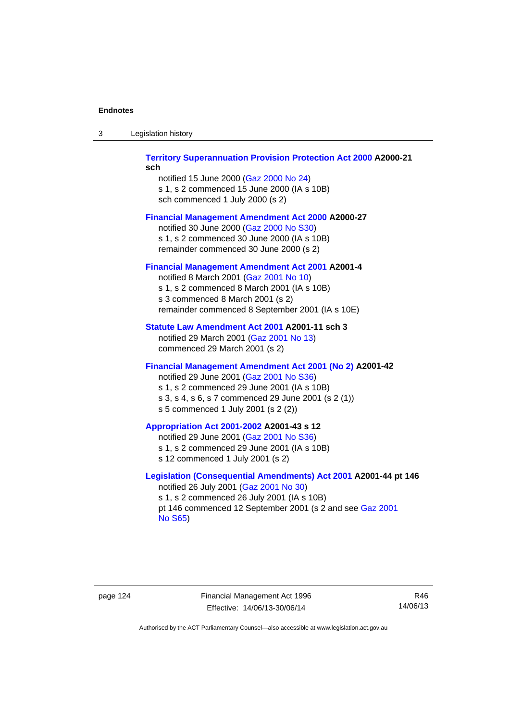| -3 | Legislation history |  |
|----|---------------------|--|
|    |                     |  |

## **[Territory Superannuation Provision Protection Act 2000](http://www.legislation.act.gov.au/a/2000-21) A2000-21 sch**

notified 15 June 2000 ([Gaz 2000 No 24\)](http://www.legislation.act.gov.au/gaz/2000-24/default.asp) s 1, s 2 commenced 15 June 2000 (IA s 10B) sch commenced 1 July 2000 (s 2)

## **[Financial Management Amendment Act 2000](http://www.legislation.act.gov.au/a/2000-27) A2000-27**

notified 30 June 2000 ([Gaz 2000 No S30](http://www.legislation.act.gov.au/gaz/2000-S30/default.asp)) s 1, s 2 commenced 30 June 2000 (IA s 10B) remainder commenced 30 June 2000 (s 2)

### **[Financial Management Amendment Act 2001](http://www.legislation.act.gov.au/a/2001-4) A2001-4**

notified 8 March 2001 [\(Gaz 2001 No 10](http://www.legislation.act.gov.au/gaz/2001-10/default.asp)) s 1, s 2 commenced 8 March 2001 (IA s 10B) s 3 commenced 8 March 2001 (s 2) remainder commenced 8 September 2001 (IA s 10E)

# **[Statute Law Amendment Act 2001](http://www.legislation.act.gov.au/a/2001-11) A2001-11 sch 3**

notified 29 March 2001 ([Gaz 2001 No 13\)](http://www.legislation.act.gov.au/gaz/2001-13/default.asp) commenced 29 March 2001 (s 2)

# **[Financial Management Amendment Act 2001 \(No 2\)](http://www.legislation.act.gov.au/a/2001-42) A2001-42**

notified 29 June 2001 ([Gaz 2001 No S36](http://www.legislation.act.gov.au/gaz/2001-S36/default.asp)) s 1, s 2 commenced 29 June 2001 (IA s 10B) s 3, s 4, s 6, s 7 commenced 29 June 2001 (s 2 (1)) s 5 commenced 1 July 2001 (s 2 (2))

## **[Appropriation Act 2001-2002](http://www.legislation.act.gov.au/a/2001-43/default.asp) A2001-43 s 12**

notified 29 June 2001 ([Gaz 2001 No S36](http://www.legislation.act.gov.au/gaz/2001-S36/default.asp)) s 1, s 2 commenced 29 June 2001 (IA s 10B) s 12 commenced 1 July 2001 (s 2)

# **[Legislation \(Consequential Amendments\) Act 2001](http://www.legislation.act.gov.au/a/2001-44) A2001-44 pt 146**  notified 26 July 2001 ([Gaz 2001 No 30\)](http://www.legislation.act.gov.au/gaz/2001-30/default.asp)

s 1, s 2 commenced 26 July 2001 (IA s 10B) pt 146 commenced 12 September 2001 (s 2 and see [Gaz 2001](http://www.legislation.act.gov.au/gaz/2001-S65/default.asp)  [No S65](http://www.legislation.act.gov.au/gaz/2001-S65/default.asp))

page 124 Financial Management Act 1996 Effective: 14/06/13-30/06/14

R46 14/06/13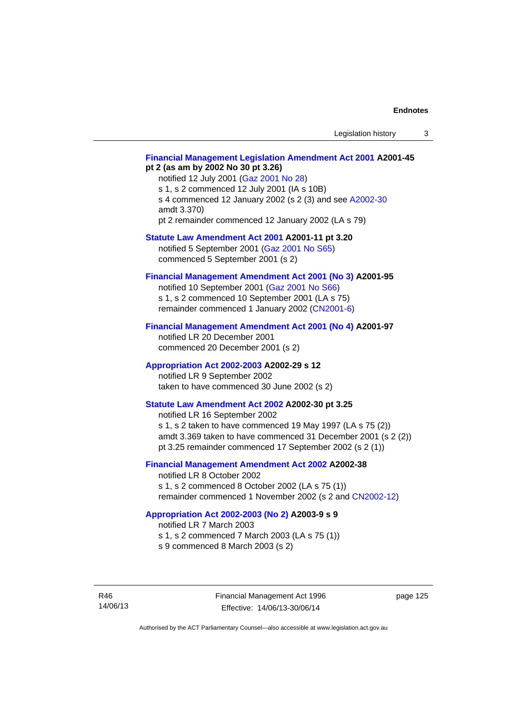# **[Financial Management Legislation Amendment Act 2001](http://www.legislation.act.gov.au/a/2001-45) A2001-45 pt 2 (as am by 2002 No 30 pt 3.26)**

notified 12 July 2001 ([Gaz 2001 No 28\)](http://www.legislation.act.gov.au/gaz/2001-28/default.asp) s 1, s 2 commenced 12 July 2001 (IA s 10B) s 4 commenced 12 January 2002 (s 2 (3) and see [A2002-30](http://www.legislation.act.gov.au/a/2002-30/default.asp) amdt 3.370) pt 2 remainder commenced 12 January 2002 (LA s 79)

**[Statute Law Amendment Act 2001](http://www.legislation.act.gov.au/a/2001-11) A2001-11 pt 3.20** 

notified 5 September 2001 [\(Gaz 2001 No S65\)](http://www.legislation.act.gov.au/gaz/2001-S65/default.asp) commenced 5 September 2001 (s 2)

# **[Financial Management Amendment Act 2001 \(No 3\)](http://www.legislation.act.gov.au/a/2001-95) A2001-95**

notified 10 September 2001 [\(Gaz 2001 No S66\)](http://www.legislation.act.gov.au/gaz/2001-S66/default.asp) s 1, s 2 commenced 10 September 2001 (LA s 75) remainder commenced 1 January 2002 [\(CN2001-6\)](http://www.legislation.act.gov.au/cn/2001-6/default.asp)

## **[Financial Management Amendment Act 2001 \(No 4\)](http://www.legislation.act.gov.au/a/2001-97) A2001-97**

notified LR 20 December 2001 commenced 20 December 2001 (s 2)

## **[Appropriation Act 2002-2003](http://www.legislation.act.gov.au/a/2002-29/default.asp) A2002-29 s 12**

notified LR 9 September 2002 taken to have commenced 30 June 2002 (s 2)

# **[Statute Law Amendment Act 2002](http://www.legislation.act.gov.au/a/2002-30) A2002-30 pt 3.25**

notified LR 16 September 2002 s 1, s 2 taken to have commenced 19 May 1997 (LA s 75 (2)) amdt 3.369 taken to have commenced 31 December 2001 (s 2 (2)) pt 3.25 remainder commenced 17 September 2002 (s 2 (1))

# **[Financial Management Amendment Act 2002](http://www.legislation.act.gov.au/a/2002-38) A2002-38**

notified LR 8 October 2002 s 1, s 2 commenced 8 October 2002 (LA s 75 (1)) remainder commenced 1 November 2002 (s 2 and [CN2002-12](http://www.legislation.act.gov.au/cn/2002-12/default.asp))

### **[Appropriation Act 2002-2003 \(No 2\)](http://www.legislation.act.gov.au/a/2003-9/default.asp) A2003-9 s 9**

notified LR 7 March 2003

s 1, s 2 commenced 7 March 2003 (LA s 75 (1))

s 9 commenced 8 March 2003 (s 2)

R46 14/06/13 page 125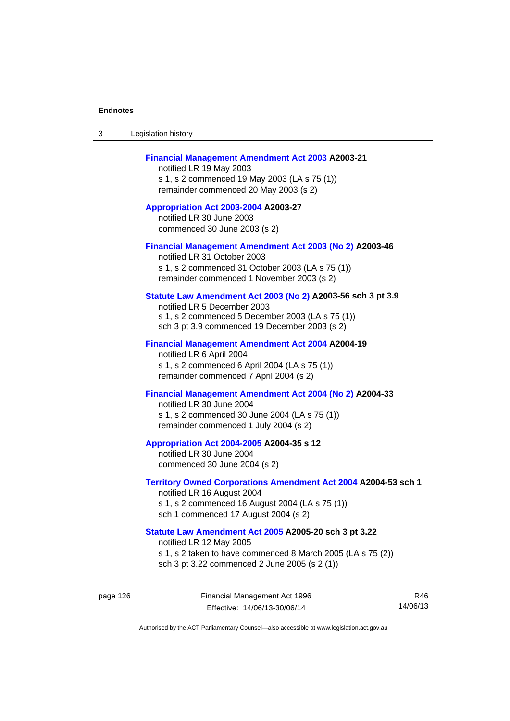| -3 | Legislation history |  |
|----|---------------------|--|
|----|---------------------|--|

### **[Financial Management Amendment Act 2003](http://www.legislation.act.gov.au/a/2003-21) A2003-21**

notified LR 19 May 2003 s 1, s 2 commenced 19 May 2003 (LA s 75 (1)) remainder commenced 20 May 2003 (s 2)

**[Appropriation Act 2003-2004](http://www.legislation.act.gov.au/a/2003-27/default.asp) A2003-27**  notified LR 30 June 2003 commenced 30 June 2003 (s 2)

#### **[Financial Management Amendment Act 2003 \(No 2\)](http://www.legislation.act.gov.au/a/2003-46) A2003-46**

notified LR 31 October 2003 s 1, s 2 commenced 31 October 2003 (LA s 75 (1)) remainder commenced 1 November 2003 (s 2)

# **[Statute Law Amendment Act 2003 \(No 2\)](http://www.legislation.act.gov.au/a/2003-56) A2003-56 sch 3 pt 3.9**

notified LR 5 December 2003 s 1, s 2 commenced 5 December 2003 (LA s 75 (1)) sch 3 pt 3.9 commenced 19 December 2003 (s 2)

#### **[Financial Management Amendment Act 2004](http://www.legislation.act.gov.au/a/2004-19) A2004-19**

notified LR 6 April 2004 s 1, s 2 commenced 6 April 2004 (LA s 75 (1)) remainder commenced 7 April 2004 (s 2)

# **[Financial Management Amendment Act 2004 \(No 2\)](http://www.legislation.act.gov.au/a/2004-33) A2004-33**

notified LR 30 June 2004 s 1, s 2 commenced 30 June 2004 (LA s 75 (1)) remainder commenced 1 July 2004 (s 2)

#### **[Appropriation Act 2004-2005](http://www.legislation.act.gov.au/a/2004-35/default.asp) A2004-35 s 12**

notified LR 30 June 2004 commenced 30 June 2004 (s 2)

#### **[Territory Owned Corporations Amendment Act 2004](http://www.legislation.act.gov.au/a/2004-53) A2004-53 sch 1**  notified LR 16 August 2004

s 1, s 2 commenced 16 August 2004 (LA s 75 (1)) sch 1 commenced 17 August 2004 (s 2)

# **[Statute Law Amendment Act 2005](http://www.legislation.act.gov.au/a/2005-20) A2005-20 sch 3 pt 3.22**

notified LR 12 May 2005

- s 1, s 2 taken to have commenced 8 March 2005 (LA s 75 (2))
- sch 3 pt 3.22 commenced 2 June 2005 (s 2 (1))

page 126 Financial Management Act 1996 Effective: 14/06/13-30/06/14

R46 14/06/13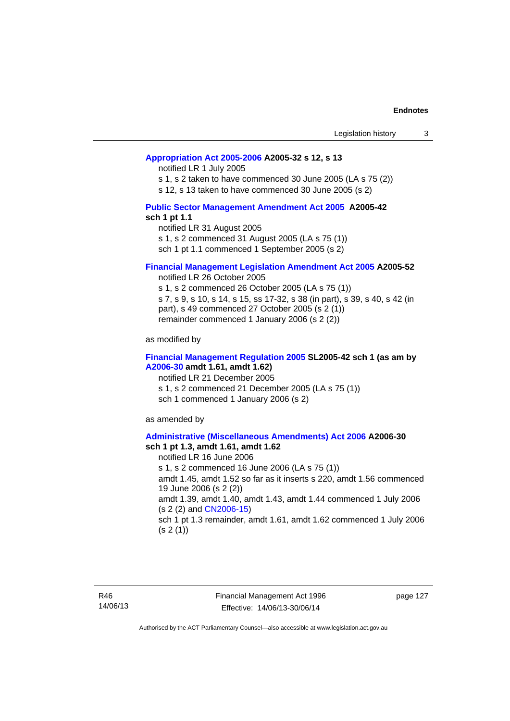### **[Appropriation Act 2005-2006](http://www.legislation.act.gov.au/a/2005-32/default.asp) A2005-32 s 12, s 13**

notified LR 1 July 2005

s 1, s 2 taken to have commenced 30 June 2005 (LA s 75 (2))

s 12, s 13 taken to have commenced 30 June 2005 (s 2)

# **[Public Sector Management Amendment Act 2005](http://www.legislation.act.gov.au/a/2005-42/default.asp) A2005-42 sch 1 pt 1.1**

notified LR 31 August 2005 s 1, s 2 commenced 31 August 2005 (LA s 75 (1)) sch 1 pt 1.1 commenced 1 September 2005 (s 2)

#### **[Financial Management Legislation Amendment Act 2005](http://www.legislation.act.gov.au/a/2005-52) A2005-52**

notified LR 26 October 2005

s 1, s 2 commenced 26 October 2005 (LA s 75 (1)) s 7, s 9, s 10, s 14, s 15, ss 17-32, s 38 (in part), s 39, s 40, s 42 (in part), s 49 commenced 27 October 2005 (s 2 (1)) remainder commenced 1 January 2006 (s 2 (2))

as modified by

### **[Financial Management Regulation 2005](http://www.legislation.act.gov.au/sl/2005-42) SL2005-42 sch 1 (as am by [A2006-30](http://www.legislation.act.gov.au/a/2006-30) amdt 1.61, amdt 1.62)**

notified LR 21 December 2005 s 1, s 2 commenced 21 December 2005 (LA s 75 (1)) sch 1 commenced 1 January 2006 (s 2)

as amended by

#### **[Administrative \(Miscellaneous Amendments\) Act 2006](http://www.legislation.act.gov.au/a/2006-30) A2006-30 sch 1 pt 1.3, amdt 1.61, amdt 1.62**

notified LR 16 June 2006 s 1, s 2 commenced 16 June 2006 (LA s 75 (1)) amdt 1.45, amdt 1.52 so far as it inserts s 220, amdt 1.56 commenced 19 June 2006 (s 2 (2)) amdt 1.39, amdt 1.40, amdt 1.43, amdt 1.44 commenced 1 July 2006 (s 2 (2) and [CN2006-15](http://www.legislation.act.gov.au/cn/2006-15/default.asp)) sch 1 pt 1.3 remainder, amdt 1.61, amdt 1.62 commenced 1 July 2006  $(s 2(1))$ 

R46 14/06/13 page 127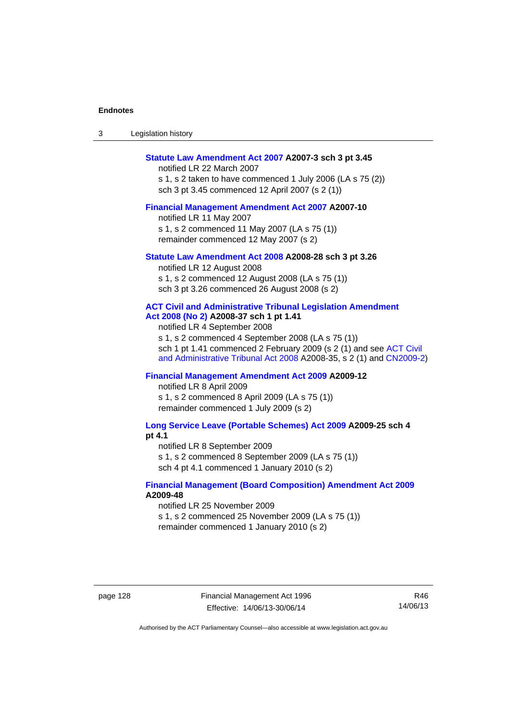| -3 | Legislation history |  |
|----|---------------------|--|
|----|---------------------|--|

#### **[Statute Law Amendment Act 2007](http://www.legislation.act.gov.au/a/2007-3) A2007-3 sch 3 pt 3.45**

notified LR 22 March 2007 s 1, s 2 taken to have commenced 1 July 2006 (LA s 75 (2)) sch 3 pt 3.45 commenced 12 April 2007 (s 2 (1))

#### **[Financial Management Amendment Act 2007](http://www.legislation.act.gov.au/a/2007-10) A2007-10**

notified LR 11 May 2007 s 1, s 2 commenced 11 May 2007 (LA s 75 (1)) remainder commenced 12 May 2007 (s 2)

#### **[Statute Law Amendment Act 2008](http://www.legislation.act.gov.au/a/2008-28) A2008-28 sch 3 pt 3.26**

notified LR 12 August 2008 s 1, s 2 commenced 12 August 2008 (LA s 75 (1)) sch 3 pt 3.26 commenced 26 August 2008 (s 2)

# **[ACT Civil and Administrative Tribunal Legislation Amendment](http://www.legislation.act.gov.au/a/2008-37)**

**[Act 2008 \(No 2\)](http://www.legislation.act.gov.au/a/2008-37) A2008-37 sch 1 pt 1.41** 

notified LR 4 September 2008

s 1, s 2 commenced 4 September 2008 (LA s 75 (1)) sch 1 pt 1.41 commenced 2 February 2009 (s 2 (1) and see [ACT Civil](http://www.legislation.act.gov.au/a/2008-35)  [and Administrative Tribunal Act 2008](http://www.legislation.act.gov.au/a/2008-35) A2008-35, s 2 (1) and [CN2009-2](http://www.legislation.act.gov.au/cn/2009-2/default.asp))

# **[Financial Management Amendment Act 2009](http://www.legislation.act.gov.au/a/2009-12) A2009-12**

notified LR 8 April 2009

s 1, s 2 commenced 8 April 2009 (LA s 75 (1)) remainder commenced 1 July 2009 (s 2)

**[Long Service Leave \(Portable Schemes\) Act 2009](http://www.legislation.act.gov.au/a/2009-25) A2009-25 sch 4 pt 4.1** 

notified LR 8 September 2009

s 1, s 2 commenced 8 September 2009 (LA s 75 (1))

sch 4 pt 4.1 commenced 1 January 2010 (s 2)

### **[Financial Management \(Board Composition\) Amendment Act 2009](http://www.legislation.act.gov.au/a/2009-48) A2009-48**

notified LR 25 November 2009

s 1, s 2 commenced 25 November 2009 (LA s 75 (1))

remainder commenced 1 January 2010 (s 2)

page 128 Financial Management Act 1996 Effective: 14/06/13-30/06/14

R46 14/06/13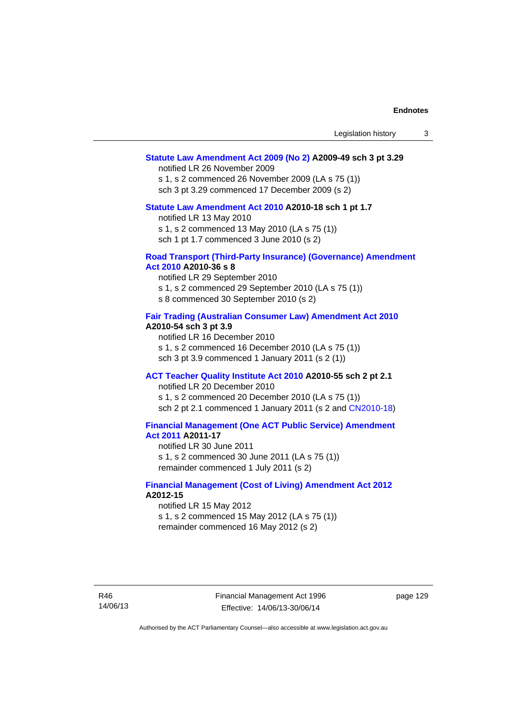### **[Statute Law Amendment Act 2009 \(No 2\)](http://www.legislation.act.gov.au/a/2009-49) A2009-49 sch 3 pt 3.29**

notified LR 26 November 2009

s 1, s 2 commenced 26 November 2009 (LA s 75 (1)) sch 3 pt 3.29 commenced 17 December 2009 (s 2)

# **[Statute Law Amendment Act 2010](http://www.legislation.act.gov.au/a/2010-18) A2010-18 sch 1 pt 1.7**

notified LR 13 May 2010

s 1, s 2 commenced 13 May 2010 (LA s 75 (1))

sch 1 pt 1.7 commenced 3 June 2010 (s 2)

## **[Road Transport \(Third-Party Insurance\) \(Governance\) Amendment](http://www.legislation.act.gov.au/a/2010-36)  [Act 2010](http://www.legislation.act.gov.au/a/2010-36) A2010-36 s 8**

notified LR 29 September 2010 s 1, s 2 commenced 29 September 2010 (LA s 75 (1)) s 8 commenced 30 September 2010 (s 2)

## **[Fair Trading \(Australian Consumer Law\) Amendment Act 2010](http://www.legislation.act.gov.au/a/2010-54) A2010-54 sch 3 pt 3.9**

notified LR 16 December 2010 s 1, s 2 commenced 16 December 2010 (LA s 75 (1)) sch 3 pt 3.9 commenced 1 January 2011 (s 2 (1))

# **[ACT Teacher Quality Institute Act 2010](http://www.legislation.act.gov.au/a/2010-55) A2010-55 sch 2 pt 2.1**

notified LR 20 December 2010

s 1, s 2 commenced 20 December 2010 (LA s 75 (1)) sch 2 pt 2.1 commenced 1 January 2011 (s 2 and [CN2010-18\)](http://www.legislation.act.gov.au/cn/2010-18/default.asp)

# **[Financial Management \(One ACT Public Service\) Amendment](http://www.legislation.act.gov.au/a/2011-17)  [Act 2011](http://www.legislation.act.gov.au/a/2011-17) A2011-17**

notified LR 30 June 2011 s 1, s 2 commenced 30 June 2011 (LA s 75 (1)) remainder commenced 1 July 2011 (s 2)

### **[Financial Management \(Cost of Living\) Amendment Act 2012](http://www.legislation.act.gov.au/a/2012-15) A2012-15**

notified LR 15 May 2012 s 1, s 2 commenced 15 May 2012 (LA s 75 (1)) remainder commenced 16 May 2012 (s 2)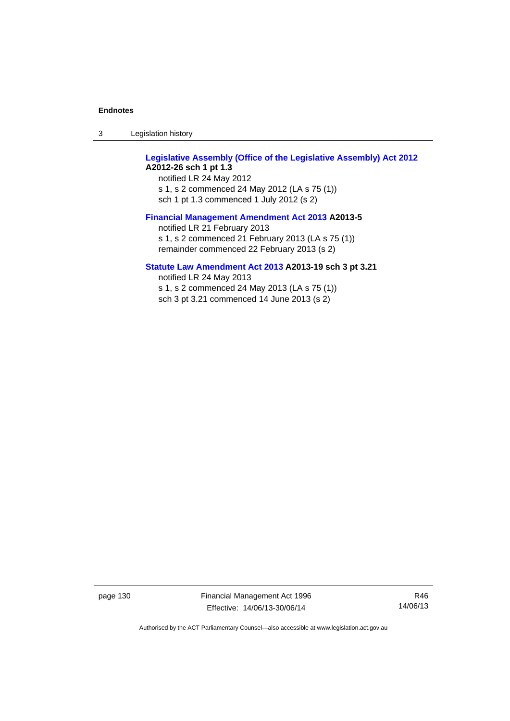3 Legislation history

# **[Legislative Assembly \(Office of the Legislative Assembly\) Act 2012](http://www.legislation.act.gov.au/a/2012-26) A2012-26 sch 1 pt 1.3**

notified LR 24 May 2012 s 1, s 2 commenced 24 May 2012 (LA s 75 (1)) sch 1 pt 1.3 commenced 1 July 2012 (s 2)

## **[Financial Management Amendment Act 2013](http://www.legislation.act.gov.au/a/2013-5/default.asp) A2013-5**

notified LR 21 February 2013 s 1, s 2 commenced 21 February 2013 (LA s 75 (1)) remainder commenced 22 February 2013 (s 2)

# **[Statute Law Amendment Act 2013](http://www.legislation.act.gov.au/a/2013-19) A2013-19 sch 3 pt 3.21**

notified LR 24 May 2013 s 1, s 2 commenced 24 May 2013 (LA s 75 (1)) sch 3 pt 3.21 commenced 14 June 2013 (s 2)

page 130 Financial Management Act 1996 Effective: 14/06/13-30/06/14

R46 14/06/13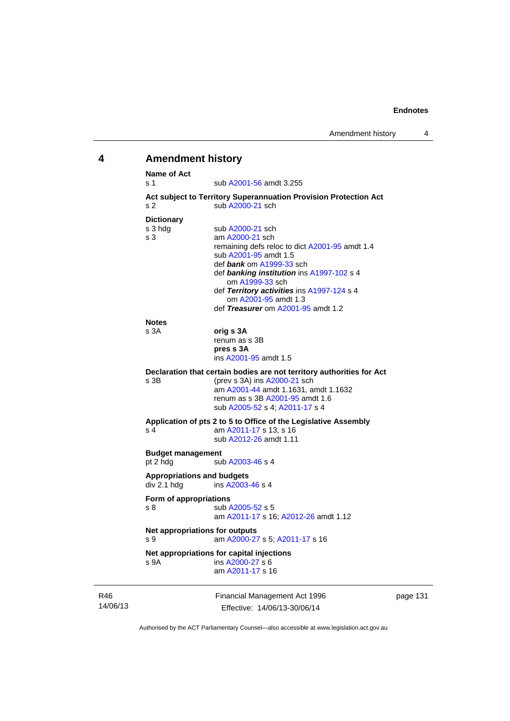# R46 **4 Amendment history Name of Act**  s 1 sub [A2001-56](http://www.legislation.act.gov.au/a/2001-56) amdt 3.255 **Act subject to Territory Superannuation Provision Protection Act** s 2 sub [A2000-21](http://www.legislation.act.gov.au/a/2000-21) sch **Dictionary**<br>s 3 hdg sub [A2000-21](http://www.legislation.act.gov.au/a/2000-21) sch s 3 am [A2000-21](http://www.legislation.act.gov.au/a/2000-21) sch remaining defs reloc to dict [A2001-95](http://www.legislation.act.gov.au/a/2001-95) amdt 1.4 sub [A2001-95](http://www.legislation.act.gov.au/a/2001-95) amdt 1.5 def *bank* om [A1999-33](http://www.legislation.act.gov.au/a/1999-33) sch def *banking institution* ins [A1997-102](http://www.legislation.act.gov.au/a/1997-102) s 4 om [A1999-33](http://www.legislation.act.gov.au/a/1999-33) sch def *Territory activities* ins [A1997-124](http://www.legislation.act.gov.au/a/1997-124) s 4 om [A2001-95](http://www.legislation.act.gov.au/a/2001-95) amdt 1.3 def *Treasurer* om [A2001-95](http://www.legislation.act.gov.au/a/2001-95) amdt 1.2 **Notes**  s 3A **orig s 3A** renum as s 3B **pres s 3A**  ins [A2001-95](http://www.legislation.act.gov.au/a/2001-95) amdt 1.5 **Declaration that certain bodies are not territory authorities for Act s** 3B (prev **s** 3A) ins A2000-21 sch (prev s 3A) ins  $A2000-21$  sch am [A2001-44](http://www.legislation.act.gov.au/a/2001-44) amdt 1.1631, amdt 1.1632 renum as s 3B [A2001-95](http://www.legislation.act.gov.au/a/2001-95) amdt 1.6 sub [A2005-52](http://www.legislation.act.gov.au/a/2005-52) s 4; [A2011-17](http://www.legislation.act.gov.au/a/2011-17) s 4 **Application of pts 2 to 5 to Office of the Legislative Assembly**  s 4 **am [A2011-17](http://www.legislation.act.gov.au/a/2011-17) s 13, s 16**  sub [A2012-26](http://www.legislation.act.gov.au/a/2012-26) amdt 1.11 **Budget management**  pt 2 hdg sub [A2003-46](http://www.legislation.act.gov.au/a/2003-46) s 4 **Appropriations and budgets**   $div 2.1$  hdg  $ins A2003-46 s 4$  $ins A2003-46 s 4$  $ins A2003-46 s 4$ **Form of appropriations**  s 8 sub [A2005-52](http://www.legislation.act.gov.au/a/2005-52) s 5 am [A2011-17](http://www.legislation.act.gov.au/a/2011-17) s 16; [A2012-26](http://www.legislation.act.gov.au/a/2012-26) amdt 1.12 **Net appropriations for outputs** s 9 am [A2000-27](http://www.legislation.act.gov.au/a/2000-27) s 5; [A2011-17](http://www.legislation.act.gov.au/a/2011-17) s 16 **Net appropriations for capital injections** s 9A ins [A2000-27](http://www.legislation.act.gov.au/a/2000-27) s 6 am [A2011-17](http://www.legislation.act.gov.au/a/2011-17) s 16

14/06/13

Financial Management Act 1996 Effective: 14/06/13-30/06/14

page 131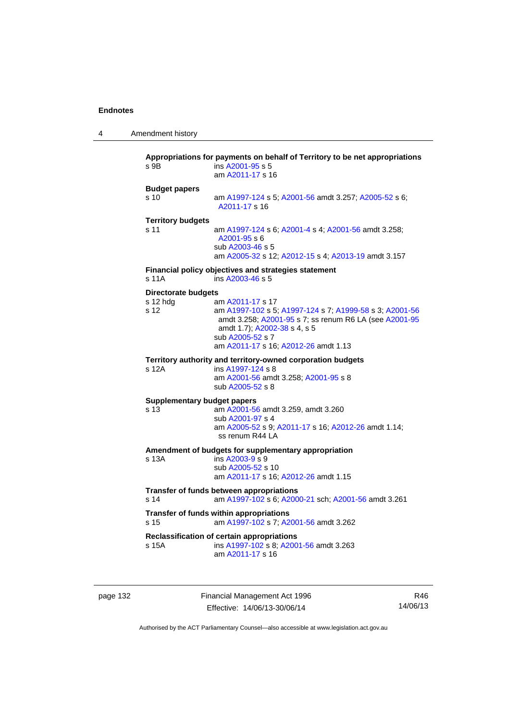| 4 | Amendment history |
|---|-------------------|
|---|-------------------|

| s 9B                                           | Appropriations for payments on behalf of Territory to be net appropriations<br>ins A2001-95 s 5<br>am A2011-17 s 16                                                                                                               |
|------------------------------------------------|-----------------------------------------------------------------------------------------------------------------------------------------------------------------------------------------------------------------------------------|
| <b>Budget papers</b><br>s <sub>10</sub>        | am A1997-124 s 5; A2001-56 amdt 3.257; A2005-52 s 6;<br>A2011-17 s 16                                                                                                                                                             |
| <b>Territory budgets</b><br>s 11               | am A1997-124 s 6; A2001-4 s 4; A2001-56 amdt 3.258;<br>A2001-95 s 6<br>sub A2003-46 s 5<br>am A2005-32 s 12; A2012-15 s 4; A2013-19 amdt 3.157                                                                                    |
| s 11A                                          | Financial policy objectives and strategies statement<br>ins A2003-46 s 5                                                                                                                                                          |
| <b>Directorate budgets</b><br>s 12 hdg<br>s 12 | am A2011-17 s 17<br>am A1997-102 s 5; A1997-124 s 7; A1999-58 s 3; A2001-56<br>amdt 3.258; A2001-95 s 7; ss renum R6 LA (see A2001-95<br>amdt 1.7); A2002-38 s 4, s 5<br>sub A2005-52 s 7<br>am A2011-17 s 16; A2012-26 amdt 1.13 |
| s 12A                                          | Territory authority and territory-owned corporation budgets<br>ins A1997-124 s 8<br>am A2001-56 amdt 3.258; A2001-95 s 8<br>sub A2005-52 s 8                                                                                      |
| <b>Supplementary budget papers</b><br>s 13     | am A2001-56 amdt 3.259, amdt 3.260<br>sub A2001-97 s 4<br>am A2005-52 s 9; A2011-17 s 16; A2012-26 amdt 1.14;<br>ss renum R44 LA                                                                                                  |
| s 13A                                          | Amendment of budgets for supplementary appropriation<br>ins A2003-9 s 9<br>sub A2005-52 s 10<br>am A2011-17 s 16; A2012-26 amdt 1.15                                                                                              |
| s 14                                           | Transfer of funds between appropriations<br>am A1997-102 s 6; A2000-21 sch; A2001-56 amdt 3.261                                                                                                                                   |
| s 15                                           | Transfer of funds within appropriations<br>am A1997-102 s 7; A2001-56 amdt 3.262                                                                                                                                                  |
| s 15A                                          | Reclassification of certain appropriations<br>ins A1997-102 s 8; A2001-56 amdt 3.263<br>am A2011-17 s 16                                                                                                                          |

page 132 Financial Management Act 1996 Effective: 14/06/13-30/06/14

R46 14/06/13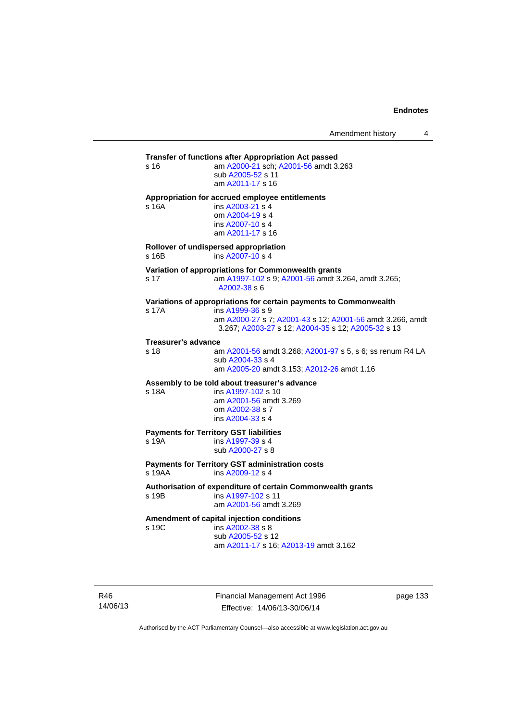**Transfer of functions after Appropriation Act passed**  s 16 am [A2000-21](http://www.legislation.act.gov.au/a/2000-21) sch; [A2001-56](http://www.legislation.act.gov.au/a/2001-56) amdt 3.263 sub [A2005-52](http://www.legislation.act.gov.au/a/2005-52) s 11 am [A2011-17](http://www.legislation.act.gov.au/a/2011-17) s 16 **Appropriation for accrued employee entitlements**  s 16A ins [A2003-21](http://www.legislation.act.gov.au/a/2003-21) s 4 om [A2004-19](http://www.legislation.act.gov.au/a/2004-19) s 4 ins [A2007-10](http://www.legislation.act.gov.au/a/2007-10) s 4 am [A2011-17](http://www.legislation.act.gov.au/a/2011-17) s 16 **Rollover of undispersed appropriation**  s 16B ins [A2007-10](http://www.legislation.act.gov.au/a/2007-10) s 4 **Variation of appropriations for Commonwealth grants** s 17 am [A1997-102](http://www.legislation.act.gov.au/a/1997-102) s 9; [A2001-56](http://www.legislation.act.gov.au/a/2001-56) amdt 3.264, amdt 3.265; [A2002-38](http://www.legislation.act.gov.au/a/2002-38) s 6 **Variations of appropriations for certain payments to Commonwealth** s 17A ins [A1999-36](http://www.legislation.act.gov.au/a/1999-36) s 9 am [A2000-27](http://www.legislation.act.gov.au/a/2000-27) s 7; [A2001-43](http://www.legislation.act.gov.au/a/2001-43) s 12; [A2001-56](http://www.legislation.act.gov.au/a/2001-56) amdt 3.266, amdt 3.267; [A2003-27](http://www.legislation.act.gov.au/a/2003-27) s 12; [A2004-35](http://www.legislation.act.gov.au/a/2004-35) s 12; [A2005-32](http://www.legislation.act.gov.au/a/2005-32) s 13 **Treasurer's advance**  am [A2001-56](http://www.legislation.act.gov.au/a/2001-56) amdt 3.268; [A2001-97](http://www.legislation.act.gov.au/a/2001-97) s 5, s 6; ss renum R4 LA sub [A2004-33](http://www.legislation.act.gov.au/a/2004-33) s 4 am [A2005-20](http://www.legislation.act.gov.au/a/2005-20) amdt 3.153; [A2012-26](http://www.legislation.act.gov.au/a/2012-26) amdt 1.16 **Assembly to be told about treasurer's advance** s 18A ins [A1997-102](http://www.legislation.act.gov.au/a/1997-102) s 10 am [A2001-56](http://www.legislation.act.gov.au/a/2001-56) amdt 3.269 om [A2002-38](http://www.legislation.act.gov.au/a/2002-38) s 7 ins [A2004-33](http://www.legislation.act.gov.au/a/2004-33) s 4 **Payments for Territory GST liabilities** s 19A ins [A1997-39](http://www.legislation.act.gov.au/a/1997-39) s 4 sub [A2000-27](http://www.legislation.act.gov.au/a/2000-27) s 8 **Payments for Territory GST administration costs**  s 19AA ins [A2009-12](http://www.legislation.act.gov.au/a/2009-12) s 4 **Authorisation of expenditure of certain Commonwealth grants**  s 19B ins [A1997-102](http://www.legislation.act.gov.au/a/1997-102) s 11 am [A2001-56](http://www.legislation.act.gov.au/a/2001-56) amdt 3.269 **Amendment of capital injection conditions**  s 19C ins [A2002-38](http://www.legislation.act.gov.au/a/2002-38) s 8 sub [A2005-52](http://www.legislation.act.gov.au/a/2005-52) s 12 am [A2011-17](http://www.legislation.act.gov.au/a/2011-17) s 16; [A2013-19](http://www.legislation.act.gov.au/a/2013-19) amdt 3.162

R46 14/06/13 Financial Management Act 1996 Effective: 14/06/13-30/06/14

page 133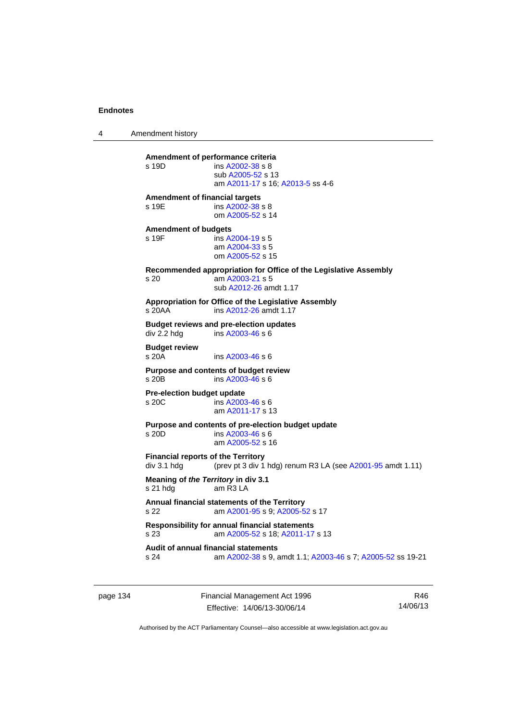4 Amendment history

| s 19D                                 | Amendment of performance criteria<br>ins A2002-38 s 8<br>sub A2005-52 s 13<br>am A2011-17 s 16; A2013-5 ss 4-6 |
|---------------------------------------|----------------------------------------------------------------------------------------------------------------|
| <b>Amendment of financial targets</b> |                                                                                                                |
| s 19E                                 | ins A2002-38 s 8<br>om A2005-52 s 14                                                                           |
| <b>Amendment of budgets</b><br>s 19F  | ins A2004-19 s 5<br>am A2004-33 s 5<br>om A2005-52 s 15                                                        |
| s <sub>20</sub>                       | Recommended appropriation for Office of the Legislative Assembly<br>am A2003-21 s 5<br>sub A2012-26 amdt 1.17  |
| s 20AA                                | Appropriation for Office of the Legislative Assembly<br>ins A2012-26 amdt 1.17                                 |
| div 2.2 hdg                           | <b>Budget reviews and pre-election updates</b><br>$ins A2003-46 s 6$                                           |
| <b>Budget review</b><br>s 20A         | ins A2003-46 s 6                                                                                               |
| s 20 <sub>B</sub>                     | Purpose and contents of budget review<br>ins A2003-46 s 6                                                      |
| Pre-election budget update<br>s 20C   | ins A2003-46 s 6<br>am A2011-17 s 13                                                                           |
| s 20D                                 | Purpose and contents of pre-election budget update<br>ins A2003-46 s 6<br>am A2005-52 s 16                     |
| div 3.1 hdg                           | <b>Financial reports of the Territory</b><br>(prev pt 3 div 1 hdg) renum R3 LA (see A2001-95 amdt 1.11)        |
| s 21 hdg                              | Meaning of the Territory in div 3.1<br>am R3 LA                                                                |
| S <sub>22</sub>                       | Annual financial statements of the Territory<br>am A2001-95 s 9; A2005-52 s 17                                 |
| s 23                                  | Responsibility for annual financial statements<br>am A2005-52 s 18; A2011-17 s 13                              |
| s 24                                  | <b>Audit of annual financial statements</b><br>am A2002-38 s 9, amdt 1.1; A2003-46 s 7; A2005-52 ss 19-21      |

page 134 Financial Management Act 1996 Effective: 14/06/13-30/06/14

R46 14/06/13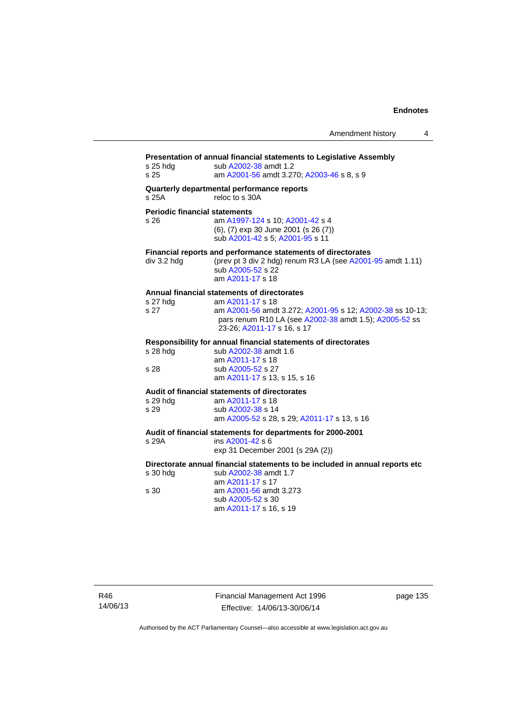| s 25 hdg<br>s <sub>25</sub>                  | Presentation of annual financial statements to Legislative Assembly<br>sub A2002-38 amdt 1.2<br>am A2001-56 amdt 3.270; A2003-46 s 8, s 9                                                                            |
|----------------------------------------------|----------------------------------------------------------------------------------------------------------------------------------------------------------------------------------------------------------------------|
| s 25A                                        | Quarterly departmental performance reports<br>reloc to s 30A                                                                                                                                                         |
| <b>Periodic financial statements</b><br>s 26 | am A1997-124 s 10; A2001-42 s 4<br>(6), (7) exp 30 June 2001 (s 26 (7))<br>sub A2001-42 s 5; A2001-95 s 11                                                                                                           |
| div 3.2 hdg                                  | Financial reports and performance statements of directorates<br>(prev pt 3 div 2 hdg) renum R3 LA (see A2001-95 amdt 1.11)<br>sub A2005-52 s 22<br>am A2011-17 s 18                                                  |
| s 27 hdg<br>s 27                             | Annual financial statements of directorates<br>am A2011-17 s 18<br>am A2001-56 amdt 3.272; A2001-95 s 12; A2002-38 ss 10-13;<br>pars renum R10 LA (see A2002-38 amdt 1.5); A2005-52 ss<br>23-26; A2011-17 s 16, s 17 |
| s 28 hdg<br>s 28                             | Responsibility for annual financial statements of directorates<br>sub A2002-38 amdt 1.6<br>am A2011-17 s 18<br>sub A2005-52 s 27                                                                                     |
|                                              | am A2011-17 s 13, s 15, s 16                                                                                                                                                                                         |
| s 29 hdg<br>s 29                             | Audit of financial statements of directorates<br>am A2011-17 s 18<br>sub A2002-38 s 14<br>am A2005-52 s 28, s 29; A2011-17 s 13, s 16                                                                                |
| s 29A                                        | Audit of financial statements for departments for 2000-2001<br>ins A2001-42 s 6<br>exp 31 December 2001 (s 29A (2))                                                                                                  |
| s 30 hdg<br>s 30                             | Directorate annual financial statements to be included in annual reports etc<br>sub A2002-38 amdt 1.7<br>am A2011-17 s 17<br>am A2001-56 amdt 3.273<br>sub A2005-52 s 30<br>am A2011-17 s 16, s 19                   |

R46 14/06/13 Financial Management Act 1996 Effective: 14/06/13-30/06/14

page 135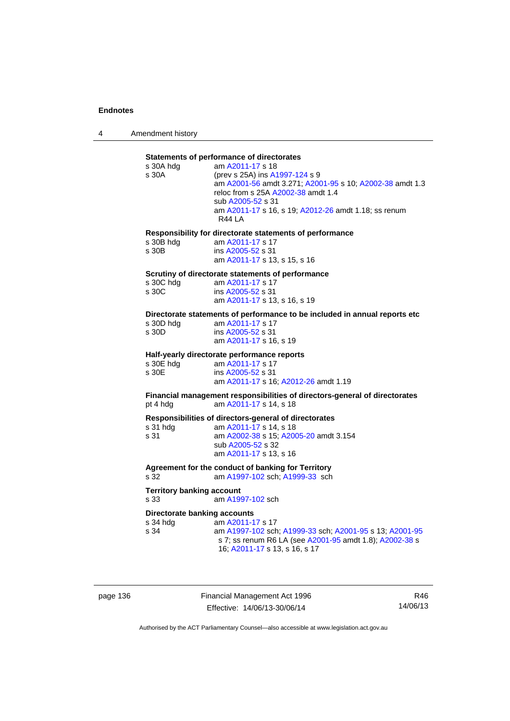4 Amendment history

## **Statements of performance of directorates**

|                                     | Statements of performance of unectorates                                                 |
|-------------------------------------|------------------------------------------------------------------------------------------|
| s 30A hdg                           | am A2011-17 s 18                                                                         |
| s 30A                               | (prev s 25A) ins A1997-124 s 9                                                           |
|                                     | am A2001-56 amdt 3.271; A2001-95 s 10; A2002-38 amdt 1.3                                 |
|                                     | reloc from s 25A A2002-38 amdt 1.4                                                       |
|                                     | sub A2005-52 s 31                                                                        |
|                                     | am A2011-17 s 16, s 19; A2012-26 amdt 1.18; ss renum                                     |
|                                     | R44 LA                                                                                   |
|                                     |                                                                                          |
|                                     | Responsibility for directorate statements of performance                                 |
| s 30B hdg                           | am A2011-17 s 17                                                                         |
| s 30B                               | ins A2005-52 s 31                                                                        |
|                                     | am A2011-17 s 13, s 15, s 16                                                             |
|                                     |                                                                                          |
|                                     | Scrutiny of directorate statements of performance                                        |
| s 30C hda                           | am A2011-17 s 17                                                                         |
| s 30C                               | ins A2005-52 s 31                                                                        |
|                                     | am A2011-17 s 13, s 16, s 19                                                             |
|                                     |                                                                                          |
|                                     | Directorate statements of performance to be included in annual reports etc               |
| s 30D hdg                           | am A2011-17 s 17                                                                         |
| s 30D                               | ins A2005-52 s 31                                                                        |
|                                     | am A2011-17 s 16, s 19                                                                   |
|                                     |                                                                                          |
|                                     | Half-yearly directorate performance reports                                              |
|                                     |                                                                                          |
|                                     |                                                                                          |
| s 30E hdg                           | am A2011-17 s 17                                                                         |
| s 30E                               | ins A2005-52 s 31                                                                        |
|                                     | am A2011-17 s 16; A2012-26 amdt 1.19                                                     |
|                                     | Financial management responsibilities of directors-general of directorates               |
| pt 4 hdg                            | am A2011-17 s 14, s 18                                                                   |
|                                     |                                                                                          |
|                                     | Responsibilities of directors-general of directorates                                    |
| s 31 hdg                            | am A2011-17 s 14, s 18                                                                   |
| s 31                                | am A2002-38 s 15; A2005-20 amdt 3.154                                                    |
|                                     | sub A2005-52 s 32                                                                        |
|                                     | am A2011-17 s 13, s 16                                                                   |
|                                     |                                                                                          |
|                                     | Agreement for the conduct of banking for Territory                                       |
| s.32                                | am A1997-102 sch; A1999-33 sch                                                           |
|                                     |                                                                                          |
| <b>Territory banking account</b>    |                                                                                          |
| s 33                                | am A1997-102 sch                                                                         |
|                                     |                                                                                          |
| <b>Directorate banking accounts</b> |                                                                                          |
| s 34 hdg                            | am A2011-17 s 17                                                                         |
| s 34                                | am A1997-102 sch; A1999-33 sch; A2001-95 s 13; A2001-95                                  |
|                                     | s 7; ss renum R6 LA (see A2001-95 amdt 1.8); A2002-38 s<br>16; A2011-17 s 13, s 16, s 17 |

page 136 Financial Management Act 1996 Effective: 14/06/13-30/06/14

R46 14/06/13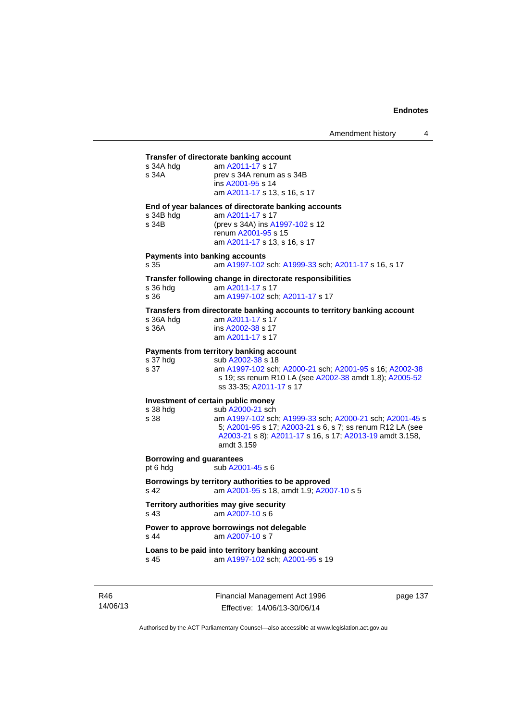#### **Transfer of directorate banking account**

| s 34A hdg | am A2011-17 s 17             |
|-----------|------------------------------|
| s 34A     | prev s 34A renum as s 34B    |
|           | ins A2001-95 s 14            |
|           | am A2011-17 s 13, s 16, s 17 |
|           |                              |

**End of year balances of directorate banking accounts**

| s 34B hdg | am A2011-17 s 17                |
|-----------|---------------------------------|
| s 34B     | (prev s 34A) ins A1997-102 s 12 |
|           | renum A2001-95 s 15             |
|           | am A2011-17 s 13, s 16, s 17    |

#### **Payments into banking accounts**

s 35 am [A1997-102](http://www.legislation.act.gov.au/a/1997-102) sch; [A1999-33](http://www.legislation.act.gov.au/a/1999-33) sch; [A2011-17](http://www.legislation.act.gov.au/a/2011-17) s 16, s 17

#### **Transfer following change in directorate responsibilities**

| s 36 hdg | am A2011-17 s 17                |
|----------|---------------------------------|
| s 36     | am A1997-102 sch; A2011-17 s 17 |

#### **Transfers from directorate banking accounts to territory banking account**

| s 36A hdg | am A2011-17 s 17  |
|-----------|-------------------|
| s 36A     | ins A2002-38 s 17 |
|           | am A2011-17 s 17  |

#### **Payments from territory banking account**

| s 37 hdg | sub A2002-38 s 18                                       |
|----------|---------------------------------------------------------|
| s 37     | am A1997-102 sch: A2000-21 sch: A2001-95 s 16: A2002-38 |
|          | s 19; ss renum R10 LA (see A2002-38 amdt 1.8); A2005-52 |
|          | ss 33-35: A2011-17 s 17                                 |

# **Investment of certain public money**<br>s 38 hdq sub A2000-21 sch

s 38 hdg sub [A2000-21](http://www.legislation.act.gov.au/a/2000-21) sch<br>s 38 sm A1997-102 sch am [A1997-102](http://www.legislation.act.gov.au/a/1997-102) sch; [A1999-33](http://www.legislation.act.gov.au/a/1999-33) sch; [A2000-21](http://www.legislation.act.gov.au/a/2000-21) sch; [A2001-45](http://www.legislation.act.gov.au/a/2001-45) s 5; [A2001-95](http://www.legislation.act.gov.au/a/2001-95) s 17; [A2003-21](http://www.legislation.act.gov.au/a/2003-21) s 6, s 7; ss renum R12 LA (see [A2003-21](http://www.legislation.act.gov.au/a/2003-21) s 8); [A2011-17](http://www.legislation.act.gov.au/a/2011-17) s 16, s 17; [A2013-19](http://www.legislation.act.gov.au/a/2013-19) amdt 3.158, amdt 3.159

#### **Borrowing and guarantees**

pt 6 hdg sub [A2001-45](http://www.legislation.act.gov.au/a/2001-45) s 6

#### **Borrowings by territory authorities to be approved**  s 42 am [A2001-95](http://www.legislation.act.gov.au/a/2001-95) s 18, amdt 1.9; [A2007-10](http://www.legislation.act.gov.au/a/2007-10) s 5

## **Territory authorities may give security**

s 43 am [A2007-10](http://www.legislation.act.gov.au/a/2007-10) s 6

# **Power to approve borrowings not delegable**<br>s 44 am A2007-10 s 7

am [A2007-10](http://www.legislation.act.gov.au/a/2007-10) s 7

**Loans to be paid into territory banking account** s 45 am [A1997-102](http://www.legislation.act.gov.au/a/1997-102) sch; [A2001-95](http://www.legislation.act.gov.au/a/2001-95) s 19

R46 14/06/13 Financial Management Act 1996 Effective: 14/06/13-30/06/14

page 137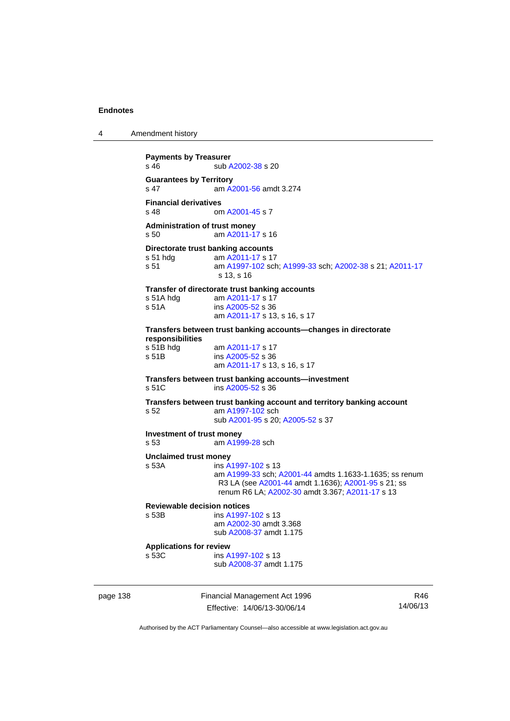4 Amendment history

```
Payments by Treasurer 
A2002-38 s 20
Guarantees by Territory 
s 47 am A2001-56 amdt 3.274
Financial derivatives<br>s 48 on
                 A2001-45 s 7
Administration of trust money 
s 50 am A2011-17 s 16 
Directorate trust banking accounts<br>s 51 hdg am A2011-17 s 1
                 A2011-17 s 17
s 51 am A1997-102 sch; A1999-33 sch; A2002-38 s 21; A2011-17
                 s 13, s 16 
Transfer of directorate trust banking accounts 
 A2011-17 s 17
s 51A A2005-52 s 36
                 am A2011-17 s 13, s 16, s 17 
Transfers between trust banking accounts—changes in directorate 
responsibilities 
 A2011-17 s 17
A2005-52 s 36
                 am A2011-17 s 13, s 16, s 17 
Transfers between trust banking accounts—investment 
A2005-52 s 36
Transfers between trust banking account and territory banking account 
s 52 am A1997-102 sch 
                 sub A2001-95 s 20; A2005-52 s 37 
Investment of trust money 
s 53 am A1999-28 sch 
Unclaimed trust money 
s 53A ins A1997-102 s 13 
                 am A1999-33 sch; A2001-44 amdts 1.1633-1.1635; ss renum 
                 R3 LA (see A2001-44 amdt 1.1636); A2001-95 s 21; ss 
                 renum R6 LA; A2002-30 amdt 3.367; A2011-17 s 13 
Reviewable decision notices 
                A1997-102 s 13
                 am A2002-30 amdt 3.368
                 sub A2008-37 amdt 1.175 
Applications for review 
s 53C ins A1997-102 s 13 
                 sub A2008-37 amdt 1.175
```
page 138 Financial Management Act 1996 Effective: 14/06/13-30/06/14

R46 14/06/13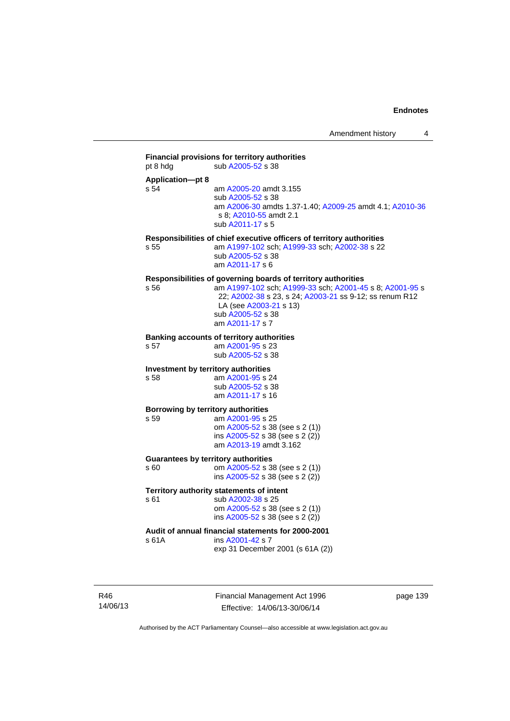## **Financial provisions for territory authorities**  pt 8 hdg sub [A2005-52](http://www.legislation.act.gov.au/a/2005-52) s 38 **Application—pt 8**  s 54 am [A2005-20](http://www.legislation.act.gov.au/a/2005-20) amdt 3.155 sub [A2005-52](http://www.legislation.act.gov.au/a/2005-52) s 38 am [A2006-30](http://www.legislation.act.gov.au/a/2006-30) amdts 1.37-1.40; [A2009-25](http://www.legislation.act.gov.au/a/2009-25) amdt 4.1; [A2010-36](http://www.legislation.act.gov.au/a/2010-36) s 8; [A2010-55](http://www.legislation.act.gov.au/a/2010-55) amdt 2.1 sub [A2011-17](http://www.legislation.act.gov.au/a/2011-17) s 5 **Responsibilities of chief executive officers of territory authorities**  s 55 am [A1997-102](http://www.legislation.act.gov.au/a/1997-102) sch; [A1999-33](http://www.legislation.act.gov.au/a/1999-33) sch; [A2002-38](http://www.legislation.act.gov.au/a/2002-38) s 22 sub [A2005-52](http://www.legislation.act.gov.au/a/2005-52) s 38 am [A2011-17](http://www.legislation.act.gov.au/a/2011-17) s 6 **Responsibilities of governing boards of territory authorities**  s 56 am [A1997-102](http://www.legislation.act.gov.au/a/1997-102) sch; [A1999-33](http://www.legislation.act.gov.au/a/1999-33) sch; [A2001-45](http://www.legislation.act.gov.au/a/2001-45) s 8; [A2001-95](http://www.legislation.act.gov.au/a/2001-95) s 22; [A2002-38](http://www.legislation.act.gov.au/a/2002-38) s 23, s 24; [A2003-21](http://www.legislation.act.gov.au/a/2003-21) ss 9-12; ss renum R12 LA (see [A2003-21](http://www.legislation.act.gov.au/a/2003-21) s 13) sub [A2005-52](http://www.legislation.act.gov.au/a/2005-52) s 38 am [A2011-17](http://www.legislation.act.gov.au/a/2011-17) s 7 **Banking accounts of territory authorities**  s 57 am [A2001-95](http://www.legislation.act.gov.au/a/2001-95) s 23 sub [A2005-52](http://www.legislation.act.gov.au/a/2005-52) s 38 **Investment by territory authorities**  s 58 am [A2001-95](http://www.legislation.act.gov.au/a/2001-95) s 24 sub [A2005-52](http://www.legislation.act.gov.au/a/2005-52) s 38 am [A2011-17](http://www.legislation.act.gov.au/a/2011-17) s 16 **Borrowing by territory authorities**<br>s 59<br>am A2001-95 s am [A2001-95](http://www.legislation.act.gov.au/a/2001-95) s 25 om [A2005-52](http://www.legislation.act.gov.au/a/2005-52) s 38 (see s 2 (1)) ins [A2005-52](http://www.legislation.act.gov.au/a/2005-52) s 38 (see s 2 (2)) am [A2013-19](http://www.legislation.act.gov.au/a/2013-19) amdt 3.162 **Guarantees by territory authorities**  s 60 om [A2005-52](http://www.legislation.act.gov.au/a/2005-52) s 38 (see s 2 (1)) ins [A2005-52](http://www.legislation.act.gov.au/a/2005-52) s 38 (see s 2 (2)) **Territory authority statements of intent**  s 61 sub [A2002-38](http://www.legislation.act.gov.au/a/2002-38) s 25 om [A2005-52](http://www.legislation.act.gov.au/a/2005-52) s 38 (see s 2 (1)) ins [A2005-52](http://www.legislation.act.gov.au/a/2005-52) s 38 (see s 2 (2)) **Audit of annual financial statements for 2000-2001**  s 61A ins [A2001-42](http://www.legislation.act.gov.au/a/2001-42) s 7 exp 31 December 2001 (s 61A (2))

R46 14/06/13 Financial Management Act 1996 Effective: 14/06/13-30/06/14

page 139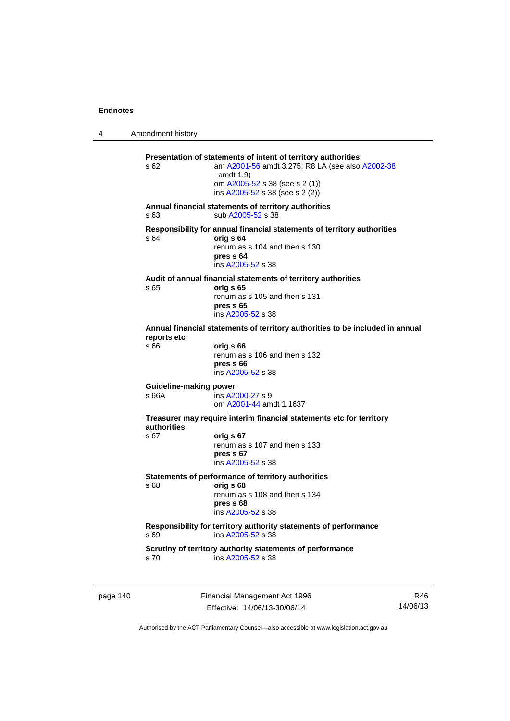4 Amendment history

**Presentation of statements of intent of territory authorities**  s 62 am [A2001-56](http://www.legislation.act.gov.au/a/2001-56) amdt 3.275; R8 LA (see also [A2002-38](http://www.legislation.act.gov.au/a/2002-38) amdt 1.9) om [A2005-52](http://www.legislation.act.gov.au/a/2005-52) s 38 (see s 2 (1)) ins  $A2005 - 52$  s 38 (see s 2 (2)) **Annual financial statements of territory authorities**  s 63 sub [A2005-52](http://www.legislation.act.gov.au/a/2005-52) s 38 **Responsibility for annual financial statements of territory authorities**  s 64 **orig s 64** renum as s 104 and then s 130 **pres s 64**  ins [A2005-52](http://www.legislation.act.gov.au/a/2005-52) s 38 **Audit of annual financial statements of territory authorities**  s 65 **orig s 65**  renum as s 105 and then s 131 **pres s 65**  ins [A2005-52](http://www.legislation.act.gov.au/a/2005-52) s 38 **Annual financial statements of territory authorities to be included in annual reports etc**  s 66 **orig s 66**  renum as s 106 and then s 132 **pres s 66**  ins [A2005-52](http://www.legislation.act.gov.au/a/2005-52) s 38 **Guideline-making power**  s 66A ins [A2000-27](http://www.legislation.act.gov.au/a/2000-27) s 9 om [A2001-44](http://www.legislation.act.gov.au/a/2001-44) amdt 1.1637 **Treasurer may require interim financial statements etc for territory authorities** s 67 **orig s 67**  renum as s 107 and then s 133 **pres s 67**  ins [A2005-52](http://www.legislation.act.gov.au/a/2005-52) s 38 **Statements of performance of territory authorities**  s 68 **orig s 68**  renum as s 108 and then s 134 **pres s 68**  ins [A2005-52](http://www.legislation.act.gov.au/a/2005-52) s 38 **Responsibility for territory authority statements of performance**  s 69 ins [A2005-52](http://www.legislation.act.gov.au/a/2005-52) s 38 **Scrutiny of territory authority statements of performance**  ins [A2005-52](http://www.legislation.act.gov.au/a/2005-52) s 38

page 140 Financial Management Act 1996 Effective: 14/06/13-30/06/14

R46 14/06/13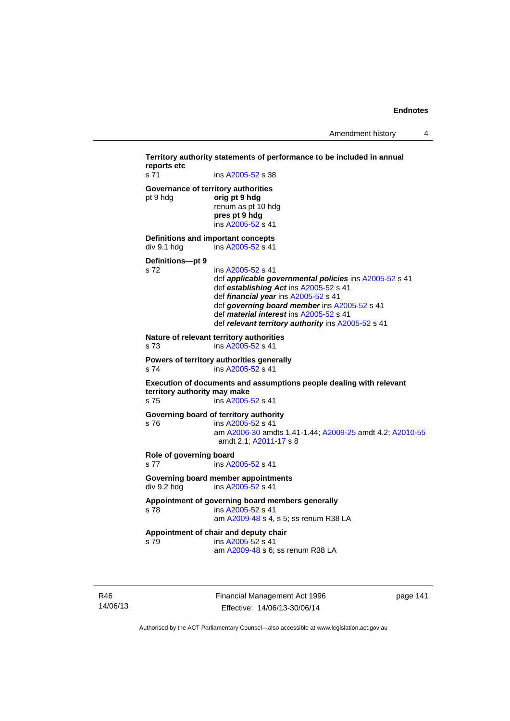**Territory authority statements of performance to be included in annual reports etc**  s 71 ins [A2005-52](http://www.legislation.act.gov.au/a/2005-52) s 38 **Governance of territory authorities**  pt 9 hdg **orig pt 9 hdg**  renum as pt 10 hdg **pres pt 9 hdg**  ins [A2005-52](http://www.legislation.act.gov.au/a/2005-52) s 41 **Definitions and important concepts**  div 9.1 hdg ins [A2005-52](http://www.legislation.act.gov.au/a/2005-52) s 41 **Definitions—pt 9**  s 72 ins [A2005-52](http://www.legislation.act.gov.au/a/2005-52) s 41 def *applicable governmental policies* ins [A2005-52](http://www.legislation.act.gov.au/a/2005-52) s 41 def *establishing Act* ins [A2005-52](http://www.legislation.act.gov.au/a/2005-52) s 41 def *financial year* ins [A2005-52](http://www.legislation.act.gov.au/a/2005-52) s 41 def *governing board member* ins [A2005-52](http://www.legislation.act.gov.au/a/2005-52) s 41 def *material interest* ins [A2005-52](http://www.legislation.act.gov.au/a/2005-52) s 41 def *relevant territory authority* ins [A2005-52](http://www.legislation.act.gov.au/a/2005-52) s 41 **Nature of relevant territory authorities**  s 73 ins [A2005-52](http://www.legislation.act.gov.au/a/2005-52) s 41 **Powers of territory authorities generally**  s 74 ins [A2005-52](http://www.legislation.act.gov.au/a/2005-52) s 41 **Execution of documents and assumptions people dealing with relevant territory authority may make**  s 75 ins [A2005-52](http://www.legislation.act.gov.au/a/2005-52) s 41 **Governing board of territory authority**  s 76 ins [A2005-52](http://www.legislation.act.gov.au/a/2005-52) s 41 am [A2006-30](http://www.legislation.act.gov.au/a/2006-30) amdts 1.41-1.44; [A2009-25](http://www.legislation.act.gov.au/a/2009-25) amdt 4.2; [A2010-55](http://www.legislation.act.gov.au/a/2010-55) amdt 2.1; [A2011-17](http://www.legislation.act.gov.au/a/2011-17) s 8 **Role of governing board**  s 77 ins [A2005-52](http://www.legislation.act.gov.au/a/2005-52) s 41 **Governing board member appointments**  div 9.2 hdg ins [A2005-52](http://www.legislation.act.gov.au/a/2005-52) s 41 **Appointment of governing board members generally**  s 78 ins [A2005-52](http://www.legislation.act.gov.au/a/2005-52) s 41 am [A2009-48](http://www.legislation.act.gov.au/a/2009-48) s 4, s 5; ss renum R38 LA **Appointment of chair and deputy chair**  s 79 ins [A2005-52](http://www.legislation.act.gov.au/a/2005-52) s 41 am [A2009-48](http://www.legislation.act.gov.au/a/2009-48) s 6; ss renum R38 LA

R46 14/06/13 Financial Management Act 1996 Effective: 14/06/13-30/06/14

page 141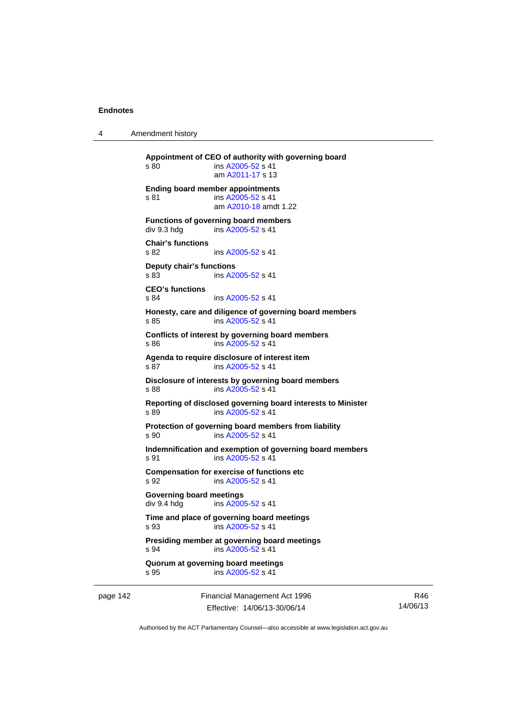4 Amendment history

page 142 Financial Management Act 1996 **Appointment of CEO of authority with governing board**  s 80 ins [A2005-52](http://www.legislation.act.gov.au/a/2005-52) s 41 am [A2011-17](http://www.legislation.act.gov.au/a/2011-17) s 13 **Ending board member appointments**  s 81 ins [A2005-52](http://www.legislation.act.gov.au/a/2005-52) s 41 am [A2010-18](http://www.legislation.act.gov.au/a/2010-18) amdt 1.22 **Functions of governing board members**  div 9.3 hdg ins [A2005-52](http://www.legislation.act.gov.au/a/2005-52) s 41 **Chair's functions**  s 82 **ins [A2005-52](http://www.legislation.act.gov.au/a/2005-52) s 41 Deputy chair's functions**  ins [A2005-52](http://www.legislation.act.gov.au/a/2005-52) s 41 **CEO's functions**  s 84 ins [A2005-52](http://www.legislation.act.gov.au/a/2005-52) s 41 **Honesty, care and diligence of governing board members**  s 85 ins [A2005-52](http://www.legislation.act.gov.au/a/2005-52) s 41 **Conflicts of interest by governing board members**  s 86 ins [A2005-52](http://www.legislation.act.gov.au/a/2005-52) s 41 **Agenda to require disclosure of interest item**  s 87 ins [A2005-52](http://www.legislation.act.gov.au/a/2005-52) s 41 **Disclosure of interests by governing board members**  s 88 ins [A2005-52](http://www.legislation.act.gov.au/a/2005-52) s 41 **Reporting of disclosed governing board interests to Minister**  s 89 ins [A2005-52](http://www.legislation.act.gov.au/a/2005-52) s 41 **Protection of governing board members from liability**  s 90 ins [A2005-52](http://www.legislation.act.gov.au/a/2005-52) s 41 **Indemnification and exemption of governing board members**  s 91 ins [A2005-52](http://www.legislation.act.gov.au/a/2005-52) s 41 **Compensation for exercise of functions etc**  s 92 ins [A2005-52](http://www.legislation.act.gov.au/a/2005-52) s 41 **Governing board meetings**  div 9.4 hdg ins [A2005-52](http://www.legislation.act.gov.au/a/2005-52) s 41 **Time and place of governing board meetings**  s 93 ins [A2005-52](http://www.legislation.act.gov.au/a/2005-52) s 41 **Presiding member at governing board meetings**  s 94 ins [A2005-52](http://www.legislation.act.gov.au/a/2005-52) s 41 **Quorum at governing board meetings**  s 95 ins [A2005-52](http://www.legislation.act.gov.au/a/2005-52) s 41

Effective: 14/06/13-30/06/14

R46 14/06/13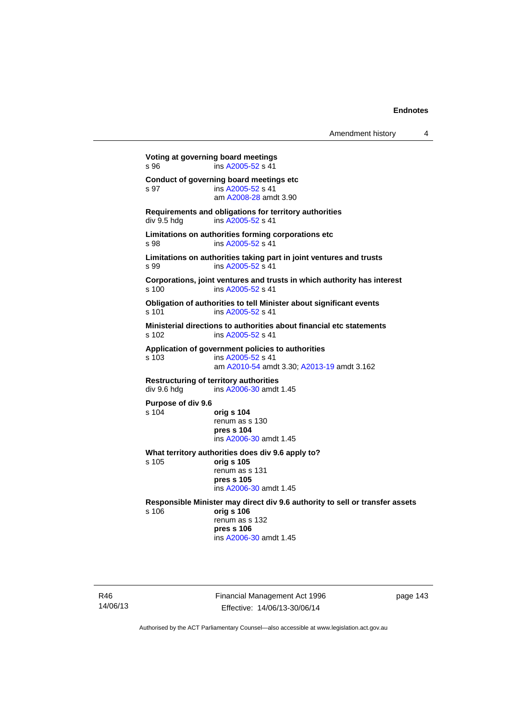```
Voting at governing board meetings 
A2005-52 s 41
Conduct of governing board meetings etc 
s 97 ins A2005-52 s 41 
                  am A2008-28 amdt 3.90
Requirements and obligations for territory authorities 
A2005-52 s 41
Limitations on authorities forming corporations etc 
s 98 ins A2005-52 s 41 
Limitations on authorities taking part in joint ventures and trusts 
s 99 ins A2005-52 s 41 
Corporations, joint ventures and trusts in which authority has interest 
s 100 ins A2005-52 s 41 
Obligation of authorities to tell Minister about significant events 
A2005-52 s 41
Ministerial directions to authorities about financial etc statements 
s 102 ins A2005-52 s 41 
Application of government policies to authorities 
s 103 ins A2005-52 s 41 
                  am A2010-54 amdt 3.30; A2013-19 amdt 3.162 
Restructuring of territory authorities<br>div 9.6 hdg ins A2006-30 amdt
                 A2006-30 amdt 1.45
Purpose of div 9.6 
s 104 orig s 104
                 renum as s 130 
                 pres s 104 
                  ins A2006-30 amdt 1.45 
What territory authorities does div 9.6 apply to? 
s 105 orig s 105
                 renum as s 131 
                 pres s 105 
                  ins A2006-30 amdt 1.45 
Responsible Minister may direct div 9.6 authority to sell or transfer assets 
s 106 orig s 106
                 renum as s 132 
                 pres s 106 
                  ins A2006-30 amdt 1.45
```
R46 14/06/13 Financial Management Act 1996 Effective: 14/06/13-30/06/14

page 143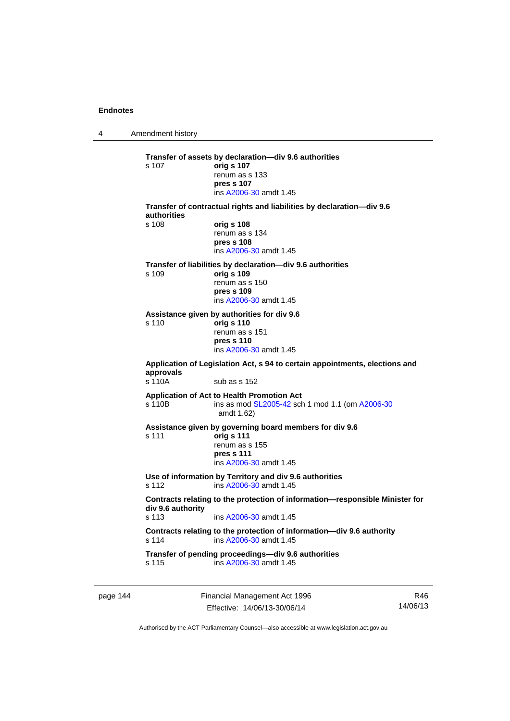4 Amendment history **Transfer of assets by declaration—div 9.6 authorities**  s 107 **orig s 107** renum as s 133 **pres s 107**  ins [A2006-30](http://www.legislation.act.gov.au/a/2006-30) amdt 1.45 **Transfer of contractual rights and liabilities by declaration—div 9.6 authorities**  s 108 **orig s 108** renum as s 134 **pres s 108**  ins [A2006-30](http://www.legislation.act.gov.au/a/2006-30) amdt 1.45 **Transfer of liabilities by declaration—div 9.6 authorities**  s 109 **orig s 109** renum as s 150 **pres s 109**  ins [A2006-30](http://www.legislation.act.gov.au/a/2006-30) amdt 1.45 **Assistance given by authorities for div 9.6**  s 110 **orig s 110** renum as s 151 **pres s 110**  ins [A2006-30](http://www.legislation.act.gov.au/a/2006-30) amdt 1.45 **Application of Legislation Act, s 94 to certain appointments, elections and approvals**   $\frac{110A}{\text{sub}}$  sub as s 152 **Application of Act to Health Promotion Act**  s 110B ins as mod [SL2005-42](http://www.legislation.act.gov.au/sl/2005-42) sch 1 mod 1.1 (om [A2006-30](http://www.legislation.act.gov.au/a/2006-30) amdt 1.62) **Assistance given by governing board members for div 9.6**  s 111 **orig s 111** renum as s 155 **pres s 111**  ins [A2006-30](http://www.legislation.act.gov.au/a/2006-30) amdt 1.45 **Use of information by Territory and div 9.6 authorities**  s 112 ins [A2006-30](http://www.legislation.act.gov.au/a/2006-30) amdt 1.45 **Contracts relating to the protection of information—responsible Minister for div 9.6 authority**  s 113 ins [A2006-30](http://www.legislation.act.gov.au/a/2006-30) amdt 1.45 **Contracts relating to the protection of information—div 9.6 authority**  s 114 ins [A2006-30](http://www.legislation.act.gov.au/a/2006-30) amdt 1.45 **Transfer of pending proceedings—div 9.6 authorities**  s 115 ins [A2006-30](http://www.legislation.act.gov.au/a/2006-30) amdt 1.45

page 144 Financial Management Act 1996 Effective: 14/06/13-30/06/14

R46 14/06/13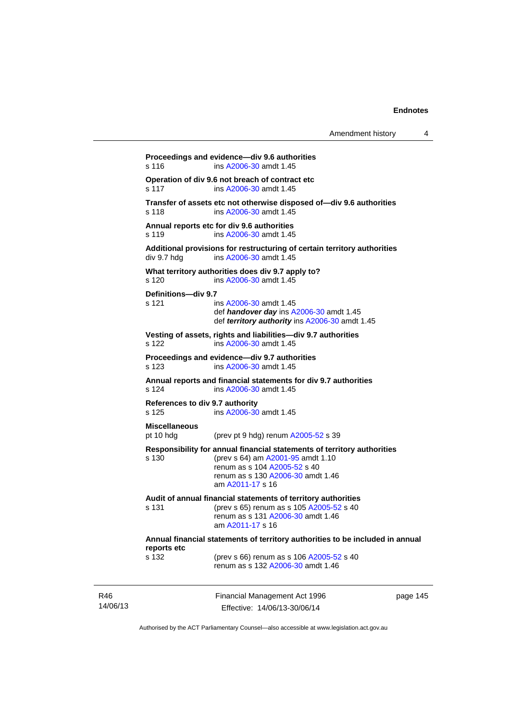| Amendment history |  |
|-------------------|--|
|-------------------|--|

|                               | am A2011-17 s 16<br>Audit of annual financial statements of territory authorities                                          |                                                                                                                                                                                                                                                                                                                                                                                                                                                                                                                                                                                                                                                                                                                      |
|-------------------------------|----------------------------------------------------------------------------------------------------------------------------|----------------------------------------------------------------------------------------------------------------------------------------------------------------------------------------------------------------------------------------------------------------------------------------------------------------------------------------------------------------------------------------------------------------------------------------------------------------------------------------------------------------------------------------------------------------------------------------------------------------------------------------------------------------------------------------------------------------------|
|                               | renum as s 104 A2005-52 s 40<br>renum as s 130 A2006-30 amdt 1.46                                                          |                                                                                                                                                                                                                                                                                                                                                                                                                                                                                                                                                                                                                                                                                                                      |
| pt 10 hdg                     | (prev pt 9 hdg) renum A2005-52 s 39                                                                                        |                                                                                                                                                                                                                                                                                                                                                                                                                                                                                                                                                                                                                                                                                                                      |
| s 125<br><b>Miscellaneous</b> | ins A2006-30 amdt 1.45                                                                                                     |                                                                                                                                                                                                                                                                                                                                                                                                                                                                                                                                                                                                                                                                                                                      |
| s 124                         | ins A2006-30 amdt 1.45                                                                                                     |                                                                                                                                                                                                                                                                                                                                                                                                                                                                                                                                                                                                                                                                                                                      |
| $s$ 123                       | ins A2006-30 amdt 1.45                                                                                                     |                                                                                                                                                                                                                                                                                                                                                                                                                                                                                                                                                                                                                                                                                                                      |
| s 122                         | ins A2006-30 amdt 1.45                                                                                                     |                                                                                                                                                                                                                                                                                                                                                                                                                                                                                                                                                                                                                                                                                                                      |
| s 121                         | ins A2006-30 amdt 1.45<br>def <i>handover day</i> ins A2006-30 amdt 1.45<br>def territory authority ins A2006-30 amdt 1.45 |                                                                                                                                                                                                                                                                                                                                                                                                                                                                                                                                                                                                                                                                                                                      |
| s 120                         | ins A2006-30 amdt 1.45                                                                                                     |                                                                                                                                                                                                                                                                                                                                                                                                                                                                                                                                                                                                                                                                                                                      |
| div 9.7 hdg                   | ins A2006-30 amdt 1.45                                                                                                     |                                                                                                                                                                                                                                                                                                                                                                                                                                                                                                                                                                                                                                                                                                                      |
| s 119                         | ins A2006-30 amdt 1.45                                                                                                     |                                                                                                                                                                                                                                                                                                                                                                                                                                                                                                                                                                                                                                                                                                                      |
| s 118                         | ins A2006-30 amdt 1.45                                                                                                     |                                                                                                                                                                                                                                                                                                                                                                                                                                                                                                                                                                                                                                                                                                                      |
| s 117                         | ins A2006-30 amdt 1.45                                                                                                     |                                                                                                                                                                                                                                                                                                                                                                                                                                                                                                                                                                                                                                                                                                                      |
| s 116                         | ins A2006-30 amdt 1.45                                                                                                     |                                                                                                                                                                                                                                                                                                                                                                                                                                                                                                                                                                                                                                                                                                                      |
|                               | s 130                                                                                                                      | Proceedings and evidence-div 9.6 authorities<br>Operation of div 9.6 not breach of contract etc<br>Transfer of assets etc not otherwise disposed of-div 9.6 authorities<br>Annual reports etc for div 9.6 authorities<br>Additional provisions for restructuring of certain territory authorities<br>What territory authorities does div 9.7 apply to?<br>Definitions-div 9.7<br>Vesting of assets, rights and liabilities-div 9.7 authorities<br>Proceedings and evidence-div 9.7 authorities<br>Annual reports and financial statements for div 9.7 authorities<br>References to div 9.7 authority<br>Responsibility for annual financial statements of territory authorities<br>(prev s 64) am A2001-95 amdt 1.10 |

Authorised by the ACT Parliamentary Counsel—also accessible at www.legislation.act.gov.au

R46 14/06/13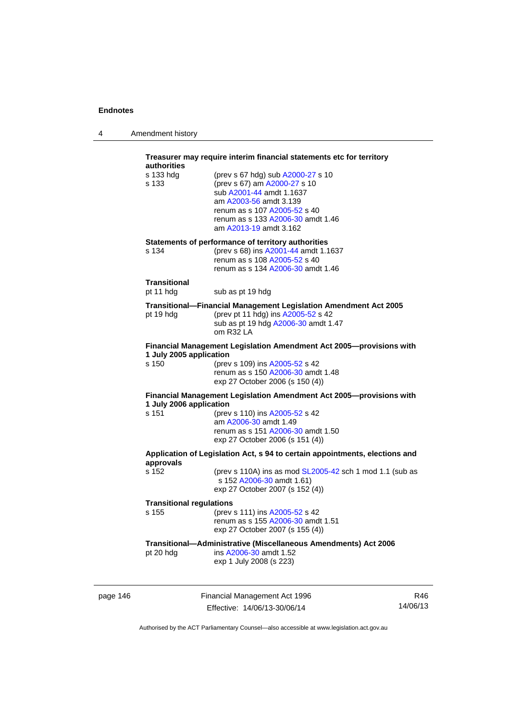| 4 | Amendment history |
|---|-------------------|
|---|-------------------|

|          | Treasurer may require interim financial statements etc for territory<br><b>authorities</b> |                                                                                                                                                                                                                        |                 |  |
|----------|--------------------------------------------------------------------------------------------|------------------------------------------------------------------------------------------------------------------------------------------------------------------------------------------------------------------------|-----------------|--|
|          | s 133 hdg<br>s 133                                                                         | (prev s 67 hdg) sub A2000-27 s 10<br>(prev s 67) am A2000-27 s 10<br>sub A2001-44 amdt 1.1637<br>am A2003-56 amdt 3.139<br>renum as s 107 A2005-52 s 40<br>renum as s 133 A2006-30 amdt 1.46<br>am A2013-19 amdt 3.162 |                 |  |
|          | s 134                                                                                      | Statements of performance of territory authorities<br>(prev s 68) ins A2001-44 amdt 1.1637<br>renum as s 108 A2005-52 s 40<br>renum as s 134 A2006-30 amdt 1.46                                                        |                 |  |
|          | Transitional<br>pt 11 hdg                                                                  | sub as pt 19 hdg                                                                                                                                                                                                       |                 |  |
|          | pt 19 hdg                                                                                  | <b>Transitional--Financial Management Legislation Amendment Act 2005</b><br>(prev pt 11 hdg) ins A2005-52 s 42<br>sub as pt 19 hdg A2006-30 amdt 1.47<br>om R32 LA                                                     |                 |  |
|          | 1 July 2005 application<br>s 150                                                           | Financial Management Legislation Amendment Act 2005-provisions with<br>(prev s 109) ins A2005-52 s 42<br>renum as s 150 A2006-30 amdt 1.48<br>exp 27 October 2006 (s 150 (4))                                          |                 |  |
|          | 1 July 2006 application                                                                    | Financial Management Legislation Amendment Act 2005-provisions with                                                                                                                                                    |                 |  |
|          | s 151                                                                                      | (prev s 110) ins A2005-52 s 42<br>am A2006-30 amdt 1.49<br>renum as s 151 A2006-30 amdt 1.50<br>exp 27 October 2006 (s 151 (4))                                                                                        |                 |  |
|          | approvals                                                                                  | Application of Legislation Act, s 94 to certain appointments, elections and                                                                                                                                            |                 |  |
|          | s 152                                                                                      | (prev s 110A) ins as mod SL2005-42 sch 1 mod 1.1 (sub as<br>s 152 A2006-30 amdt 1.61)<br>exp 27 October 2007 (s 152 (4))                                                                                               |                 |  |
|          | <b>Transitional regulations</b>                                                            |                                                                                                                                                                                                                        |                 |  |
|          | s 155                                                                                      | (prev s 111) ins A2005-52 s 42<br>renum as s 155 A2006-30 amdt 1.51<br>exp 27 October 2007 (s 155 (4))                                                                                                                 |                 |  |
|          | pt 20 hdg                                                                                  | Transitional-Administrative (Miscellaneous Amendments) Act 2006<br>ins A2006-30 amdt 1.52<br>exp 1 July 2008 (s 223)                                                                                                   |                 |  |
| page 146 |                                                                                            | Financial Management Act 1996<br>Effective: 14/06/13-30/06/14                                                                                                                                                          | R46<br>14/06/13 |  |

Authorised by the ACT Parliamentary Counsel—also accessible at www.legislation.act.gov.au

Effective: 14/06/13-30/06/14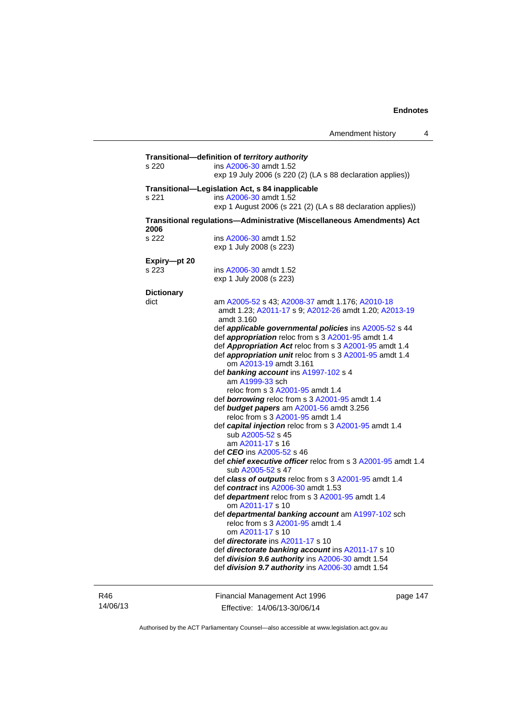| s 220                     | Transitional-definition of territory authority<br>ins A2006-30 amdt 1.52<br>exp 19 July 2006 (s 220 (2) (LA s 88 declaration applies))                                                                                                                                                                                                                                                                                                                                                                                                                                                                                                                                                                                                                                                                                                                                                                                                                                                                                                                                                                                                                                                                                                                                                                                                      |
|---------------------------|---------------------------------------------------------------------------------------------------------------------------------------------------------------------------------------------------------------------------------------------------------------------------------------------------------------------------------------------------------------------------------------------------------------------------------------------------------------------------------------------------------------------------------------------------------------------------------------------------------------------------------------------------------------------------------------------------------------------------------------------------------------------------------------------------------------------------------------------------------------------------------------------------------------------------------------------------------------------------------------------------------------------------------------------------------------------------------------------------------------------------------------------------------------------------------------------------------------------------------------------------------------------------------------------------------------------------------------------|
| s 221                     | Transitional-Legislation Act, s 84 inapplicable<br>ins A2006-30 amdt 1.52<br>exp 1 August 2006 (s 221 (2) (LA s 88 declaration applies))                                                                                                                                                                                                                                                                                                                                                                                                                                                                                                                                                                                                                                                                                                                                                                                                                                                                                                                                                                                                                                                                                                                                                                                                    |
| 2006                      | Transitional regulations-Administrative (Miscellaneous Amendments) Act                                                                                                                                                                                                                                                                                                                                                                                                                                                                                                                                                                                                                                                                                                                                                                                                                                                                                                                                                                                                                                                                                                                                                                                                                                                                      |
| s 222                     | ins A2006-30 amdt 1.52<br>exp 1 July 2008 (s 223)                                                                                                                                                                                                                                                                                                                                                                                                                                                                                                                                                                                                                                                                                                                                                                                                                                                                                                                                                                                                                                                                                                                                                                                                                                                                                           |
| Expiry-pt 20<br>s 223     | ins A2006-30 amdt 1.52<br>exp 1 July 2008 (s 223)                                                                                                                                                                                                                                                                                                                                                                                                                                                                                                                                                                                                                                                                                                                                                                                                                                                                                                                                                                                                                                                                                                                                                                                                                                                                                           |
| <b>Dictionary</b><br>dict | am A2005-52 s 43; A2008-37 amdt 1.176; A2010-18<br>amdt 1.23; A2011-17 s 9; A2012-26 amdt 1.20; A2013-19<br>amdt 3.160<br>def applicable governmental policies ins A2005-52 s 44<br>def appropriation reloc from s 3 A2001-95 amdt 1.4<br>def Appropriation Act reloc from s 3 A2001-95 amdt 1.4<br>def appropriation unit reloc from s 3 A2001-95 amdt 1.4<br>om A2013-19 amdt 3.161<br>def banking account ins A1997-102 s 4<br>am A1999-33 sch<br>reloc from s 3 A2001-95 amdt 1.4<br>def borrowing reloc from s 3 A2001-95 amdt 1.4<br>def budget papers am A2001-56 amdt 3.256<br>reloc from s 3 A2001-95 amdt 1.4<br>def capital injection reloc from s 3 A2001-95 amdt 1.4<br>sub A2005-52 s 45<br>am A2011-17 s 16<br>def <i>CEO</i> ins A2005-52 s 46<br>def chief executive officer reloc from s 3 A2001-95 amdt 1.4<br>sub A2005-52 s 47<br>def class of outputs reloc from s 3 A2001-95 amdt 1.4<br>def contract ins A2006-30 amdt 1.53<br>def department reloc from s 3 A2001-95 amdt 1.4<br>om A2011-17 s 10<br>def departmental banking account am A1997-102 sch<br>reloc from s 3 A2001-95 amdt 1.4<br>om A2011-17 s 10<br>def directorate ins A2011-17 s 10<br>def directorate banking account ins A2011-17 s 10<br>def division 9.6 authority ins A2006-30 amdt 1.54<br>def division 9.7 authority ins A2006-30 amdt 1.54 |

R46 14/06/13 Financial Management Act 1996 Effective: 14/06/13-30/06/14

page 147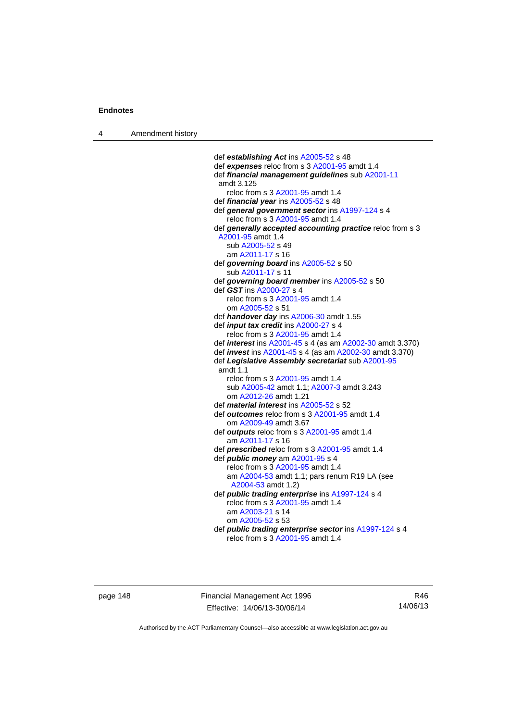4 Amendment history

 def *establishing Act* ins [A2005-52](http://www.legislation.act.gov.au/a/2005-52) s 48 def *expenses* reloc from s 3 [A2001-95](http://www.legislation.act.gov.au/a/2001-95) amdt 1.4 def *financial management guidelines* sub [A2001-11](http://www.legislation.act.gov.au/a/2001-11) amdt 3.125 reloc from s 3 [A2001-95](http://www.legislation.act.gov.au/a/2001-95) amdt 1.4 def *financial year* ins [A2005-52](http://www.legislation.act.gov.au/a/2005-52) s 48 def *general government sector* ins [A1997-124](http://www.legislation.act.gov.au/a/1997-124) s 4 reloc from s 3 [A2001-95](http://www.legislation.act.gov.au/a/2001-95) amdt 1.4 def *generally accepted accounting practice* reloc from s 3 [A2001-95](http://www.legislation.act.gov.au/a/2001-95) amdt 1.4 sub [A2005-52](http://www.legislation.act.gov.au/a/2005-52) s 49 am [A2011-17](http://www.legislation.act.gov.au/a/2011-17) s 16 def *governing board* ins [A2005-52](http://www.legislation.act.gov.au/a/2005-52) s 50 sub [A2011-17](http://www.legislation.act.gov.au/a/2011-17) s 11 def *governing board member* ins [A2005-52](http://www.legislation.act.gov.au/a/2005-52) s 50 def *GST* ins [A2000-27](http://www.legislation.act.gov.au/a/2000-27) s 4 reloc from s 3 [A2001-95](http://www.legislation.act.gov.au/a/2001-95) amdt 1.4 om [A2005-52](http://www.legislation.act.gov.au/a/2005-52) s 51 def *handover day* ins [A2006-30](http://www.legislation.act.gov.au/a/2006-30) amdt 1.55 def *input tax credit* ins [A2000-27](http://www.legislation.act.gov.au/a/2000-27) s 4 reloc from s 3 [A2001-95](http://www.legislation.act.gov.au/a/2001-95) amdt 1.4 def *interest* ins [A2001-45](http://www.legislation.act.gov.au/a/2001-45) s 4 (as am [A2002-30](http://www.legislation.act.gov.au/a/2002-30) amdt 3.370) def *invest* ins [A2001-45](http://www.legislation.act.gov.au/a/2001-45) s 4 (as am [A2002-30](http://www.legislation.act.gov.au/a/2002-30) amdt 3.370) def *Legislative Assembly secretariat* sub [A2001-95](http://www.legislation.act.gov.au/a/2001-95) amdt 1.1 reloc from s 3 [A2001-95](http://www.legislation.act.gov.au/a/2001-95) amdt 1.4 sub [A2005-42](http://www.legislation.act.gov.au/a/2005-42) amdt 1.1; [A2007-3](http://www.legislation.act.gov.au/a/2007-3) amdt 3.243 om [A2012-26](http://www.legislation.act.gov.au/a/2012-26) amdt 1.21 def *material interest* ins [A2005-52](http://www.legislation.act.gov.au/a/2005-52) s 52 def *outcomes* reloc from s 3 [A2001-95](http://www.legislation.act.gov.au/a/2001-95) amdt 1.4 om [A2009-49](http://www.legislation.act.gov.au/a/2009-49) amdt 3.67 def *outputs* reloc from s 3 [A2001-95](http://www.legislation.act.gov.au/a/2001-95) amdt 1.4 am [A2011-17](http://www.legislation.act.gov.au/a/2011-17) s 16 def *prescribed* reloc from s 3 [A2001-95](http://www.legislation.act.gov.au/a/2001-95) amdt 1.4 def *public money* am [A2001-95](http://www.legislation.act.gov.au/a/2001-95) s 4 reloc from s 3 [A2001-95](http://www.legislation.act.gov.au/a/2001-95) amdt 1.4 am [A2004-53](http://www.legislation.act.gov.au/a/2004-53) amdt 1.1; pars renum R19 LA (see [A2004-53](http://www.legislation.act.gov.au/a/2004-53) amdt 1.2) def *public trading enterprise* ins [A1997-124](http://www.legislation.act.gov.au/a/1997-124) s 4 reloc from s 3 [A2001-95](http://www.legislation.act.gov.au/a/2001-95) amdt 1.4 am [A2003-21](http://www.legislation.act.gov.au/a/2003-21) s 14 om [A2005-52](http://www.legislation.act.gov.au/a/2005-52) s 53 def *public trading enterprise sector* ins [A1997-124](http://www.legislation.act.gov.au/a/1997-124) s 4 reloc from s 3 [A2001-95](http://www.legislation.act.gov.au/a/2001-95) amdt 1.4

page 148 Financial Management Act 1996 Effective: 14/06/13-30/06/14

R46 14/06/13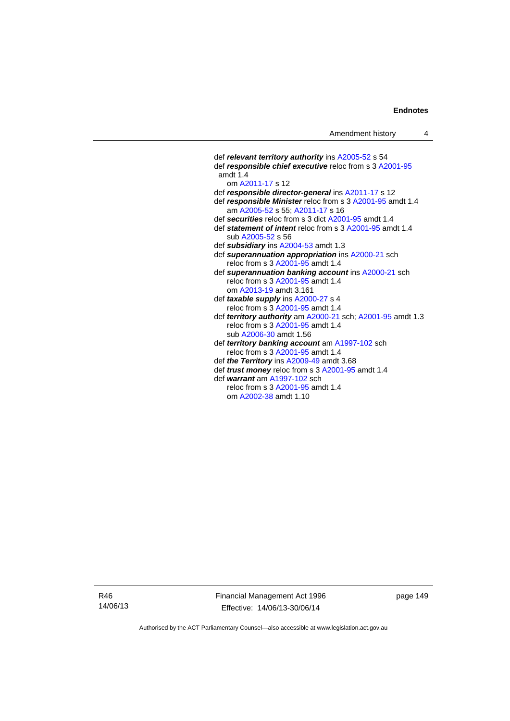def *relevant territory authority* ins [A2005-52](http://www.legislation.act.gov.au/a/2005-52) s 54 def *responsible chief executive* reloc from s 3 [A2001-95](http://www.legislation.act.gov.au/a/2001-95) amdt 1.4 om [A2011-17](http://www.legislation.act.gov.au/a/2011-17) s 12 def *responsible director-general* ins [A2011-17](http://www.legislation.act.gov.au/a/2011-17) s 12 def *responsible Minister* reloc from s 3 [A2001-95](http://www.legislation.act.gov.au/a/2001-95) amdt 1.4 am [A2005-52](http://www.legislation.act.gov.au/a/2005-52) s 55; [A2011-17](http://www.legislation.act.gov.au/a/2011-17) s 16 def *securities* reloc from s 3 dict [A2001-95](http://www.legislation.act.gov.au/a/2001-95) amdt 1.4 def *statement of intent* reloc from s 3 [A2001-95](http://www.legislation.act.gov.au/a/2001-95) amdt 1.4 sub [A2005-52](http://www.legislation.act.gov.au/a/2005-52) s 56 def *subsidiary* ins [A2004-53](http://www.legislation.act.gov.au/a/2004-53) amdt 1.3 def *superannuation appropriation* ins [A2000-21](http://www.legislation.act.gov.au/a/2000-21) sch reloc from s 3 [A2001-95](http://www.legislation.act.gov.au/a/2001-95) amdt 1.4 def *superannuation banking account* ins [A2000-21](http://www.legislation.act.gov.au/a/2000-21) sch reloc from s 3 [A2001-95](http://www.legislation.act.gov.au/a/2001-95) amdt 1.4 om [A2013-19](http://www.legislation.act.gov.au/a/2013-19) amdt 3.161 def *taxable supply* ins [A2000-27](http://www.legislation.act.gov.au/a/2000-27) s 4 reloc from s 3 [A2001-95](http://www.legislation.act.gov.au/a/2001-95) amdt 1.4 def *territory authority* am [A2000-21](http://www.legislation.act.gov.au/a/2000-21) sch; [A2001-95](http://www.legislation.act.gov.au/a/2001-95) amdt 1.3 reloc from s 3 [A2001-95](http://www.legislation.act.gov.au/a/2001-95) amdt 1.4 sub [A2006-30](http://www.legislation.act.gov.au/a/2006-30) amdt 1.56 def *territory banking account* am [A1997-102](http://www.legislation.act.gov.au/a/1997-102) sch reloc from s 3 [A2001-95](http://www.legislation.act.gov.au/a/2001-95) amdt 1.4 def *the Territory* ins [A2009-49](http://www.legislation.act.gov.au/a/2009-49) amdt 3.68 def *trust money* reloc from s 3 [A2001-95](http://www.legislation.act.gov.au/a/2001-95) amdt 1.4 def *warrant* am [A1997-102](http://www.legislation.act.gov.au/a/1997-102) sch reloc from s 3 [A2001-95](http://www.legislation.act.gov.au/a/2001-95) amdt 1.4 om [A2002-38](http://www.legislation.act.gov.au/a/2002-38) amdt 1.10

R46 14/06/13 Financial Management Act 1996 Effective: 14/06/13-30/06/14

page 149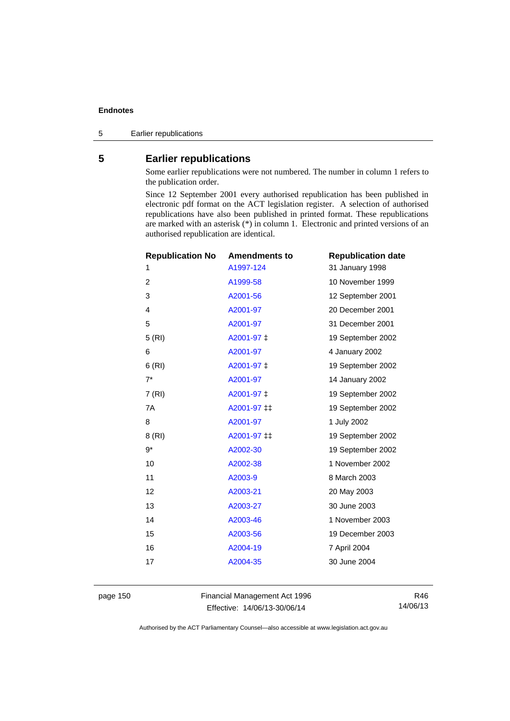5 Earlier republications

## **5 Earlier republications**

Some earlier republications were not numbered. The number in column 1 refers to the publication order.

Since 12 September 2001 every authorised republication has been published in electronic pdf format on the ACT legislation register. A selection of authorised republications have also been published in printed format. These republications are marked with an asterisk (\*) in column 1. Electronic and printed versions of an authorised republication are identical.

| <b>Republication No</b> | <b>Amendments to</b> | <b>Republication date</b> |
|-------------------------|----------------------|---------------------------|
| 1                       | A1997-124            | 31 January 1998           |
| $\overline{2}$          | A1999-58             | 10 November 1999          |
| 3                       | A2001-56             | 12 September 2001         |
| 4                       | A2001-97             | 20 December 2001          |
| 5                       | A2001-97             | 31 December 2001          |
| 5(RI)                   | A2001-97 ‡           | 19 September 2002         |
| 6                       | A2001-97             | 4 January 2002            |
| 6(RI)                   | A2001-97 ‡           | 19 September 2002         |
| $7^*$                   | A2001-97             | 14 January 2002           |
| 7(RI)                   | A2001-97 ‡           | 19 September 2002         |
| 7A                      | A2001-97 ‡‡          | 19 September 2002         |
| 8                       | A2001-97             | 1 July 2002               |
| 8(RI)                   | A2001-97 ‡‡          | 19 September 2002         |
| 9*                      | A2002-30             | 19 September 2002         |
| 10                      | A2002-38             | 1 November 2002           |
| 11                      | A2003-9              | 8 March 2003              |
| 12                      | A2003-21             | 20 May 2003               |
| 13                      | A2003-27             | 30 June 2003              |
| 14                      | A2003-46             | 1 November 2003           |
| 15                      | A2003-56             | 19 December 2003          |
| 16                      | A2004-19             | 7 April 2004              |
| 17                      | A2004-35             | 30 June 2004              |
|                         |                      |                           |

page 150 Financial Management Act 1996 Effective: 14/06/13-30/06/14

R46 14/06/13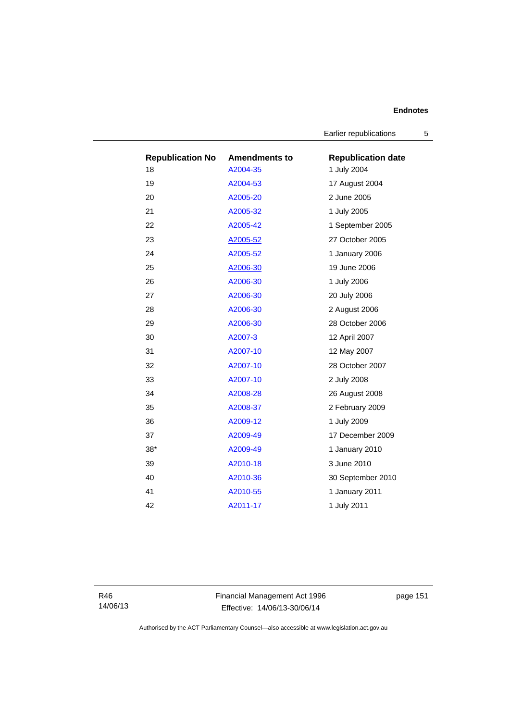Earlier republications 5

| <b>Republication No</b> | <b>Amendments to</b> | <b>Republication date</b> |
|-------------------------|----------------------|---------------------------|
| 18                      | A2004-35             | 1 July 2004               |
| 19                      | A2004-53             | 17 August 2004            |
| 20                      | A2005-20             | 2 June 2005               |
| 21                      | A2005-32             | 1 July 2005               |
| 22                      | A2005-42             | 1 September 2005          |
| 23                      | A2005-52             | 27 October 2005           |
| 24                      | A2005-52             | 1 January 2006            |
| 25                      | A2006-30             | 19 June 2006              |
| 26                      | A2006-30             | 1 July 2006               |
| 27                      | A2006-30             | 20 July 2006              |
| 28                      | A2006-30             | 2 August 2006             |
| 29                      | A2006-30             | 28 October 2006           |
| 30                      | A2007-3              | 12 April 2007             |
| 31                      | A2007-10             | 12 May 2007               |
| 32                      | A2007-10             | 28 October 2007           |
| 33                      | A2007-10             | 2 July 2008               |
| 34                      | A2008-28             | 26 August 2008            |
| 35                      | A2008-37             | 2 February 2009           |
| 36                      | A2009-12             | 1 July 2009               |
| 37                      | A2009-49             | 17 December 2009          |
| $38*$                   | A2009-49             | 1 January 2010            |
| 39                      | A2010-18             | 3 June 2010               |
| 40                      | A2010-36             | 30 September 2010         |
| 41                      | A2010-55             | 1 January 2011            |
| 42                      | A2011-17             | 1 July 2011               |

R46 14/06/13 Financial Management Act 1996 Effective: 14/06/13-30/06/14

page 151